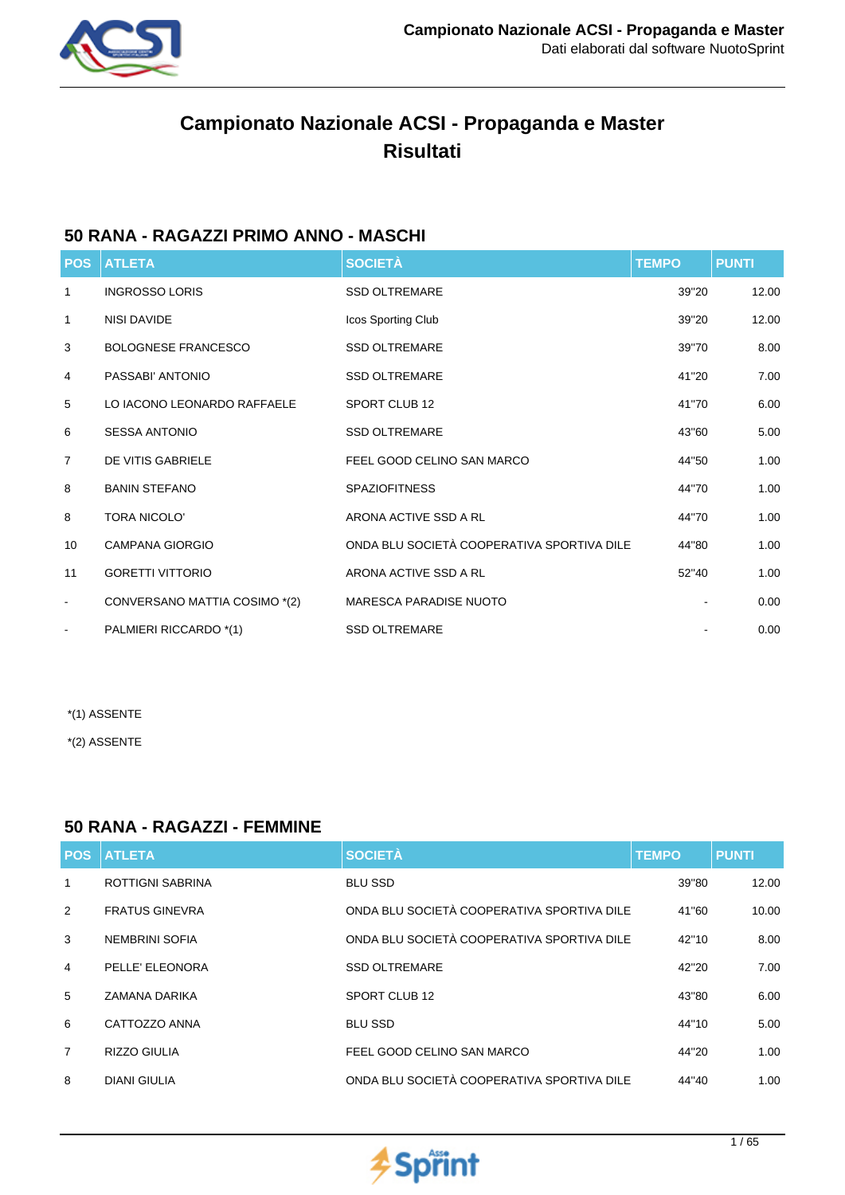

# **Campionato Nazionale ACSI - Propaganda e Master Risultati**

## **50 RANA - RAGAZZI PRIMO ANNO - MASCHI**

| <b>POS</b>     | <b>ATLETA</b>                 | <b>SOCIETÀ</b>                             | <b>TEMPO</b> | <b>PUNTI</b> |
|----------------|-------------------------------|--------------------------------------------|--------------|--------------|
| 1              | <b>INGROSSO LORIS</b>         | <b>SSD OLTREMARE</b>                       | 39"20        | 12.00        |
| 1              | NISI DAVIDE                   | Icos Sporting Club                         | 39"20        | 12.00        |
| 3              | <b>BOLOGNESE FRANCESCO</b>    | <b>SSD OLTREMARE</b>                       | 39"70        | 8.00         |
| 4              | PASSABI' ANTONIO              | <b>SSD OLTREMARE</b>                       | 41"20        | 7.00         |
| 5              | LO IACONO LEONARDO RAFFAELE   | SPORT CLUB 12                              | 41"70        | 6.00         |
| 6              | <b>SESSA ANTONIO</b>          | <b>SSD OLTREMARE</b>                       | 43"60        | 5.00         |
| $\overline{7}$ | DE VITIS GABRIELE             | FEEL GOOD CELINO SAN MARCO                 | 44"50        | 1.00         |
| 8              | <b>BANIN STEFANO</b>          | <b>SPAZIOFITNESS</b>                       | 44"70        | 1.00         |
| 8              | <b>TORA NICOLO'</b>           | ARONA ACTIVE SSD A RL                      | 44"70        | 1.00         |
| 10             | <b>CAMPANA GIORGIO</b>        | ONDA BLU SOCIETÀ COOPERATIVA SPORTIVA DILE | 44"80        | 1.00         |
| 11             | <b>GORETTI VITTORIO</b>       | ARONA ACTIVE SSD A RL                      | 52"40        | 1.00         |
| $\blacksquare$ | CONVERSANO MATTIA COSIMO *(2) | <b>MARESCA PARADISE NUOTO</b>              |              | 0.00         |
| $\blacksquare$ | PALMIERI RICCARDO *(1)        | <b>SSD OLTREMARE</b>                       |              | 0.00         |

\*(1) ASSENTE

\*(2) ASSENTE

## **50 RANA - RAGAZZI - FEMMINE**

| <b>POS</b>     | <b>ATLETA</b>           | <b>SOCIETÀ</b>                             | <b>TEMPO</b> | <b>PUNTI</b> |
|----------------|-------------------------|--------------------------------------------|--------------|--------------|
| 1              | <b>ROTTIGNI SABRINA</b> | <b>BLU SSD</b>                             | 39"80        | 12.00        |
| 2              | <b>FRATUS GINEVRA</b>   | ONDA BLU SOCIETÀ COOPERATIVA SPORTIVA DILE | 41"60        | 10.00        |
| 3              | NEMBRINI SOFIA          | ONDA BLU SOCIETÀ COOPERATIVA SPORTIVA DILE | 42"10        | 8.00         |
| $\overline{4}$ | PELLE' ELEONORA         | <b>SSD OLTREMARE</b>                       | 42"20        | 7.00         |
| 5              | ZAMANA DARIKA           | SPORT CLUB 12                              | 43"80        | 6.00         |
| 6              | CATTOZZO ANNA           | <b>BLU SSD</b>                             | 44"10        | 5.00         |
| $\overline{7}$ | <b>RIZZO GIULIA</b>     | FEEL GOOD CELINO SAN MARCO                 | 44"20        | 1.00         |
| 8              | <b>DIANI GIULIA</b>     | ONDA BLU SOCIETÀ COOPERATIVA SPORTIVA DILE | 44"40        | 1.00         |

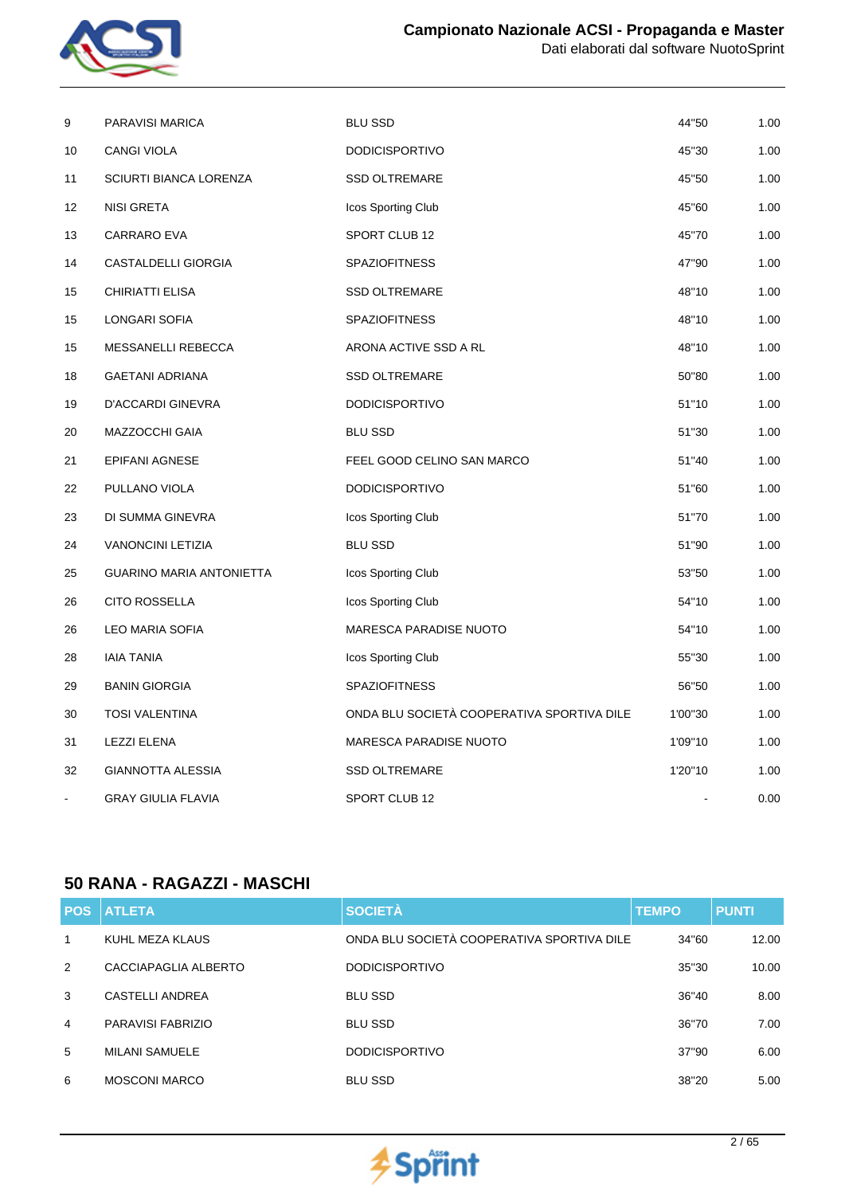

| 9  | PARAVISI MARICA                 | <b>BLU SSD</b>                             | 44"50   | 1.00 |
|----|---------------------------------|--------------------------------------------|---------|------|
| 10 | <b>CANGI VIOLA</b>              | <b>DODICISPORTIVO</b>                      | 45"30   | 1.00 |
| 11 | <b>SCIURTI BIANCA LORENZA</b>   | <b>SSD OLTREMARE</b>                       | 45"50   | 1.00 |
| 12 | <b>NISI GRETA</b>               | Icos Sporting Club                         | 45"60   | 1.00 |
| 13 | CARRARO EVA                     | SPORT CLUB 12                              | 45"70   | 1.00 |
| 14 | <b>CASTALDELLI GIORGIA</b>      | <b>SPAZIOFITNESS</b>                       | 47"90   | 1.00 |
| 15 | CHIRIATTI ELISA                 | <b>SSD OLTREMARE</b>                       | 48"10   | 1.00 |
| 15 | LONGARI SOFIA                   | <b>SPAZIOFITNESS</b>                       | 48"10   | 1.00 |
| 15 | MESSANELLI REBECCA              | ARONA ACTIVE SSD A RL                      | 48"10   | 1.00 |
| 18 | <b>GAETANI ADRIANA</b>          | <b>SSD OLTREMARE</b>                       | 50"80   | 1.00 |
| 19 | D'ACCARDI GINEVRA               | <b>DODICISPORTIVO</b>                      | 51"10   | 1.00 |
| 20 | MAZZOCCHI GAIA                  | <b>BLU SSD</b>                             | 51"30   | 1.00 |
| 21 | EPIFANI AGNESE                  | FEEL GOOD CELINO SAN MARCO                 | 51"40   | 1.00 |
| 22 | PULLANO VIOLA                   | <b>DODICISPORTIVO</b>                      | 51"60   | 1.00 |
| 23 | DI SUMMA GINEVRA                | Icos Sporting Club                         | 51"70   | 1.00 |
| 24 | <b>VANONCINI LETIZIA</b>        | <b>BLU SSD</b>                             | 51"90   | 1.00 |
| 25 | <b>GUARINO MARIA ANTONIETTA</b> | Icos Sporting Club                         | 53"50   | 1.00 |
| 26 | <b>CITO ROSSELLA</b>            | Icos Sporting Club                         | 54"10   | 1.00 |
| 26 | LEO MARIA SOFIA                 | MARESCA PARADISE NUOTO                     | 54"10   | 1.00 |
| 28 | <b>IAIA TANIA</b>               | Icos Sporting Club                         | 55"30   | 1.00 |
| 29 | <b>BANIN GIORGIA</b>            | <b>SPAZIOFITNESS</b>                       | 56"50   | 1.00 |
| 30 | <b>TOSI VALENTINA</b>           | ONDA BLU SOCIETÀ COOPERATIVA SPORTIVA DILE | 1'00"30 | 1.00 |
| 31 | <b>LEZZI ELENA</b>              | <b>MARESCA PARADISE NUOTO</b>              | 1'09"10 | 1.00 |
| 32 | <b>GIANNOTTA ALESSIA</b>        | <b>SSD OLTREMARE</b>                       | 1'20"10 | 1.00 |
|    | <b>GRAY GIULIA FLAVIA</b>       | SPORT CLUB 12                              |         | 0.00 |

## **50 RANA - RAGAZZI - MASCHI**

| <b>POS</b> | <b>ATLETA</b>          | <b>SOCIETÀ</b>                             | <b>TEMPO</b> | <b>PUNTI</b> |
|------------|------------------------|--------------------------------------------|--------------|--------------|
| 1          | KUHL MEZA KLAUS        | ONDA BLU SOCIETÀ COOPERATIVA SPORTIVA DILE | 34"60        | 12.00        |
| 2          | CACCIAPAGLIA ALBERTO   | <b>DODICISPORTIVO</b>                      | 35"30        | 10.00        |
| 3          | <b>CASTELLI ANDREA</b> | <b>BLU SSD</b>                             | 36"40        | 8.00         |
| 4          | PARAVISI FABRIZIO      | <b>BLU SSD</b>                             | 36"70        | 7.00         |
| 5          | <b>MILANI SAMUELE</b>  | <b>DODICISPORTIVO</b>                      | 37"90        | 6.00         |
| 6          | <b>MOSCONI MARCO</b>   | <b>BLU SSD</b>                             | 38"20        | 5.00         |

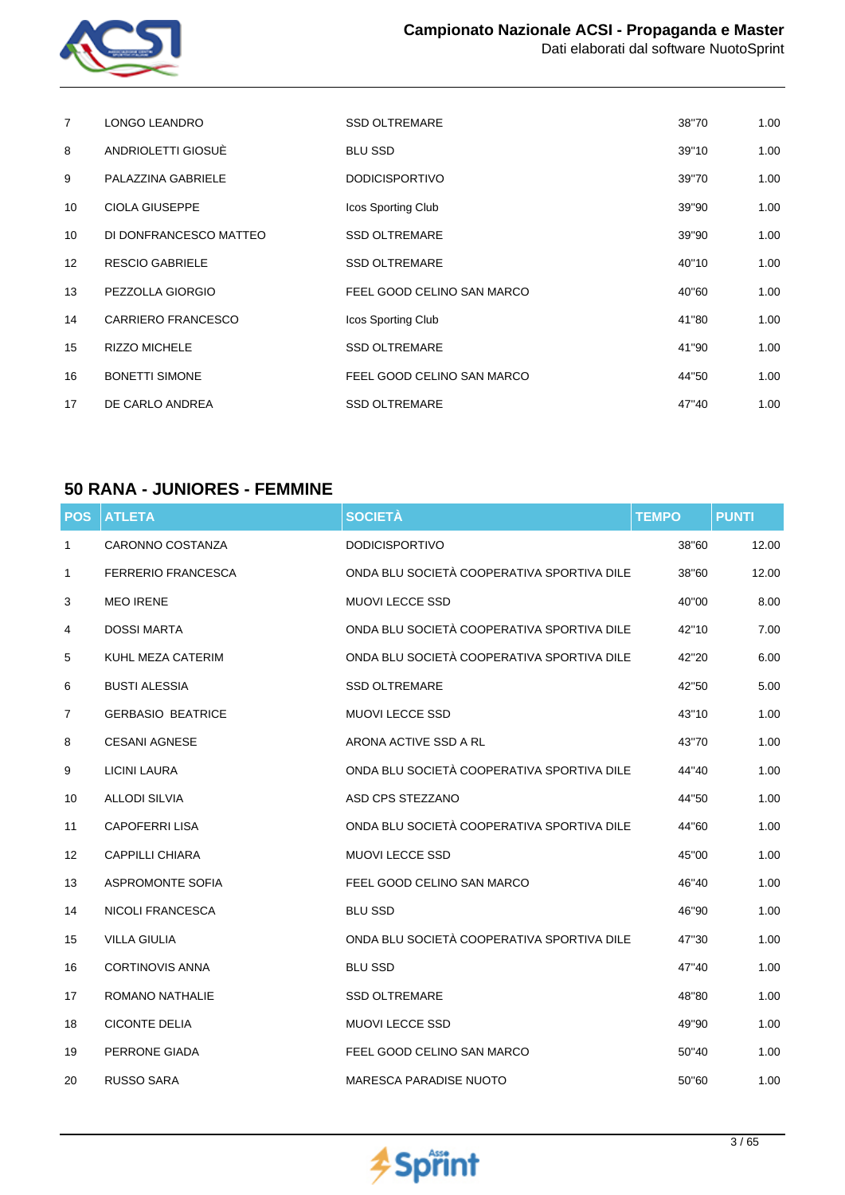

| 7                 | <b>LONGO LEANDRO</b>      | <b>SSD OLTREMARE</b>       | 38"70 | 1.00 |
|-------------------|---------------------------|----------------------------|-------|------|
| 8                 | ANDRIOLETTI GIOSUÈ        | <b>BLU SSD</b>             | 39"10 | 1.00 |
| 9                 | PALAZZINA GABRIELE        | <b>DODICISPORTIVO</b>      | 39"70 | 1.00 |
| 10                | <b>CIOLA GIUSEPPE</b>     | Icos Sporting Club         | 39"90 | 1.00 |
| 10                | DI DONFRANCESCO MATTEO    | <b>SSD OLTREMARE</b>       | 39"90 | 1.00 |
| $12 \overline{ }$ | <b>RESCIO GABRIELE</b>    | <b>SSD OLTREMARE</b>       | 40"10 | 1.00 |
| 13                | PEZZOLLA GIORGIO          | FEEL GOOD CELINO SAN MARCO | 40"60 | 1.00 |
| 14                | <b>CARRIERO FRANCESCO</b> | Icos Sporting Club         | 41"80 | 1.00 |
| 15                | <b>RIZZO MICHELE</b>      | <b>SSD OLTREMARE</b>       | 41"90 | 1.00 |
| 16                | <b>BONETTI SIMONE</b>     | FEEL GOOD CELINO SAN MARCO | 44"50 | 1.00 |
| 17                | DE CARLO ANDREA           | <b>SSD OLTREMARE</b>       | 47"40 | 1.00 |

## **50 RANA - JUNIORES - FEMMINE**

| <b>POS</b>     | <b>ATLETA</b>             | <b>SOCIETÀ</b>                             | <b>TEMPO</b> | <b>PUNTI</b> |
|----------------|---------------------------|--------------------------------------------|--------------|--------------|
| $\mathbf{1}$   | CARONNO COSTANZA          | <b>DODICISPORTIVO</b>                      | 38"60        | 12.00        |
| 1              | <b>FERRERIO FRANCESCA</b> | ONDA BLU SOCIETÀ COOPERATIVA SPORTIVA DILE | 38"60        | 12.00        |
| 3              | <b>MEO IRENE</b>          | <b>MUOVI LECCE SSD</b>                     | 40"00        | 8.00         |
| 4              | <b>DOSSI MARTA</b>        | ONDA BLU SOCIETÀ COOPERATIVA SPORTIVA DILE | 42"10        | 7.00         |
| 5              | KUHL MEZA CATERIM         | ONDA BLU SOCIETÀ COOPERATIVA SPORTIVA DILE | 42"20        | 6.00         |
| 6              | <b>BUSTI ALESSIA</b>      | <b>SSD OLTREMARE</b>                       | 42"50        | 5.00         |
| $\overline{7}$ | <b>GERBASIO BEATRICE</b>  | MUOVI LECCE SSD                            | 43"10        | 1.00         |
| 8              | <b>CESANI AGNESE</b>      | ARONA ACTIVE SSD A RL                      | 43"70        | 1.00         |
| 9              | <b>LICINI LAURA</b>       | ONDA BLU SOCIETÀ COOPERATIVA SPORTIVA DILE | 44"40        | 1.00         |
| 10             | <b>ALLODI SILVIA</b>      | ASD CPS STEZZANO                           | 44"50        | 1.00         |
| 11             | <b>CAPOFERRI LISA</b>     | ONDA BLU SOCIETÀ COOPERATIVA SPORTIVA DILE | 44"60        | 1.00         |
| 12             | <b>CAPPILLI CHIARA</b>    | <b>MUOVI LECCE SSD</b>                     | 45"00        | 1.00         |
| 13             | <b>ASPROMONTE SOFIA</b>   | FEEL GOOD CELINO SAN MARCO                 | 46"40        | 1.00         |
| 14             | <b>NICOLI FRANCESCA</b>   | <b>BLU SSD</b>                             | 46"90        | 1.00         |
| 15             | <b>VILLA GIULIA</b>       | ONDA BLU SOCIETÀ COOPERATIVA SPORTIVA DILE | 47"30        | 1.00         |
| 16             | <b>CORTINOVIS ANNA</b>    | <b>BLU SSD</b>                             | 47"40        | 1.00         |
| 17             | <b>ROMANO NATHALIE</b>    | <b>SSD OLTREMARE</b>                       | 48"80        | 1.00         |
| 18             | <b>CICONTE DELIA</b>      | <b>MUOVI LECCE SSD</b>                     | 49"90        | 1.00         |
| 19             | PERRONE GIADA             | FEEL GOOD CELINO SAN MARCO                 | 50"40        | 1.00         |
| 20             | RUSSO SARA                | <b>MARESCA PARADISE NUOTO</b>              | 50"60        | 1.00         |

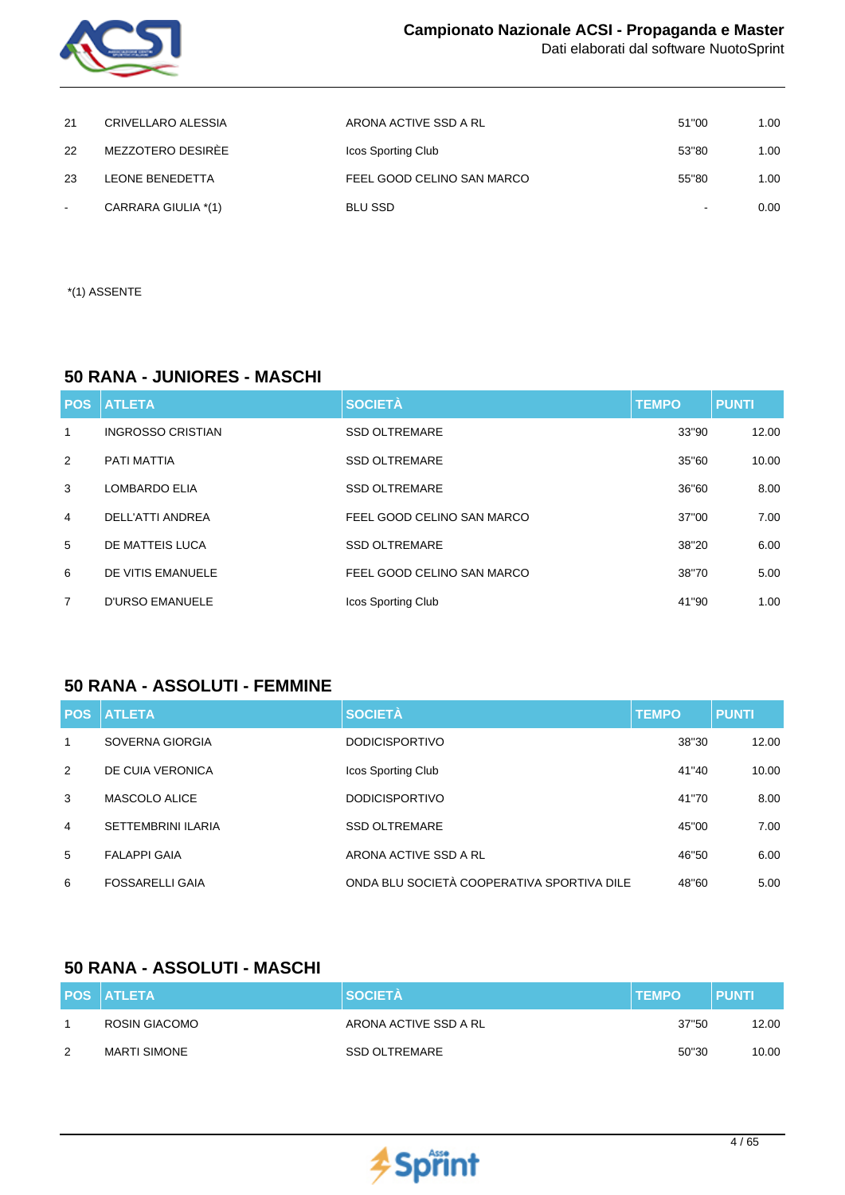

| 21     | CRIVELLARO ALESSIA  | ARONA ACTIVE SSD A RL      | 51"00  | 1.00 |
|--------|---------------------|----------------------------|--------|------|
| 22     | MEZZOTERO DESIRÈE   | Icos Sporting Club         | 53"80  | 1.00 |
| 23     | LEONE BENEDETTA     | FEEL GOOD CELINO SAN MARCO | 55"80  | 1.00 |
| $\sim$ | CARRARA GIULIA *(1) | <b>BLU SSD</b>             | $\sim$ | 0.00 |

\*(1) ASSENTE

## **50 RANA - JUNIORES - MASCHI**

| <b>POS</b>     | <b>ATLETA</b>            | <b>SOCIETÀ</b>             | <b>TEMPO</b> | <b>PUNTI</b> |
|----------------|--------------------------|----------------------------|--------------|--------------|
| 1              | <b>INGROSSO CRISTIAN</b> | <b>SSD OLTREMARE</b>       | 33"90        | 12.00        |
| 2              | PATI MATTIA              | <b>SSD OLTREMARE</b>       | 35"60        | 10.00        |
| 3              | <b>LOMBARDO ELIA</b>     | <b>SSD OLTREMARE</b>       | 36"60        | 8.00         |
| 4              | DELL'ATTI ANDREA         | FEEL GOOD CELINO SAN MARCO | 37"00        | 7.00         |
| 5              | DE MATTEIS LUCA          | <b>SSD OLTREMARE</b>       | 38"20        | 6.00         |
| 6              | DE VITIS EMANUELE        | FEEL GOOD CELINO SAN MARCO | 38"70        | 5.00         |
| $\overline{7}$ | <b>D'URSO EMANUELE</b>   | Icos Sporting Club         | 41"90        | 1.00         |

### **50 RANA - ASSOLUTI - FEMMINE**

|                | <b>POS ATLETA</b>         | <b>SOCIETÀ</b>                             | <b>TEMPO</b> | <b>PUNTI</b> |
|----------------|---------------------------|--------------------------------------------|--------------|--------------|
| 1              | SOVERNA GIORGIA           | <b>DODICISPORTIVO</b>                      | 38"30        | 12.00        |
| 2              | DE CUIA VERONICA          | Icos Sporting Club                         | 41"40        | 10.00        |
| 3              | MASCOLO ALICE             | <b>DODICISPORTIVO</b>                      | 41"70        | 8.00         |
| $\overline{4}$ | <b>SETTEMBRINI ILARIA</b> | <b>SSD OLTREMARE</b>                       | 45"00        | 7.00         |
| 5              | <b>FALAPPI GAIA</b>       | ARONA ACTIVE SSD A RL                      | 46"50        | 6.00         |
| 6              | <b>FOSSARELLI GAIA</b>    | ONDA BLU SOCIETÀ COOPERATIVA SPORTIVA DILE | 48"60        | 5.00         |

## **50 RANA - ASSOLUTI - MASCHI**

|   | <b>POS ATLETA</b>   | <b>SOCIETA</b>        | <b>ITEMPO</b> | <b>PUNTI</b> |
|---|---------------------|-----------------------|---------------|--------------|
|   | ROSIN GIACOMO       | ARONA ACTIVE SSD A RL | 37"50         | 12.00        |
| 2 | <b>MARTI SIMONE</b> | SSD OLTREMARE         | 50"30         | 10.00        |

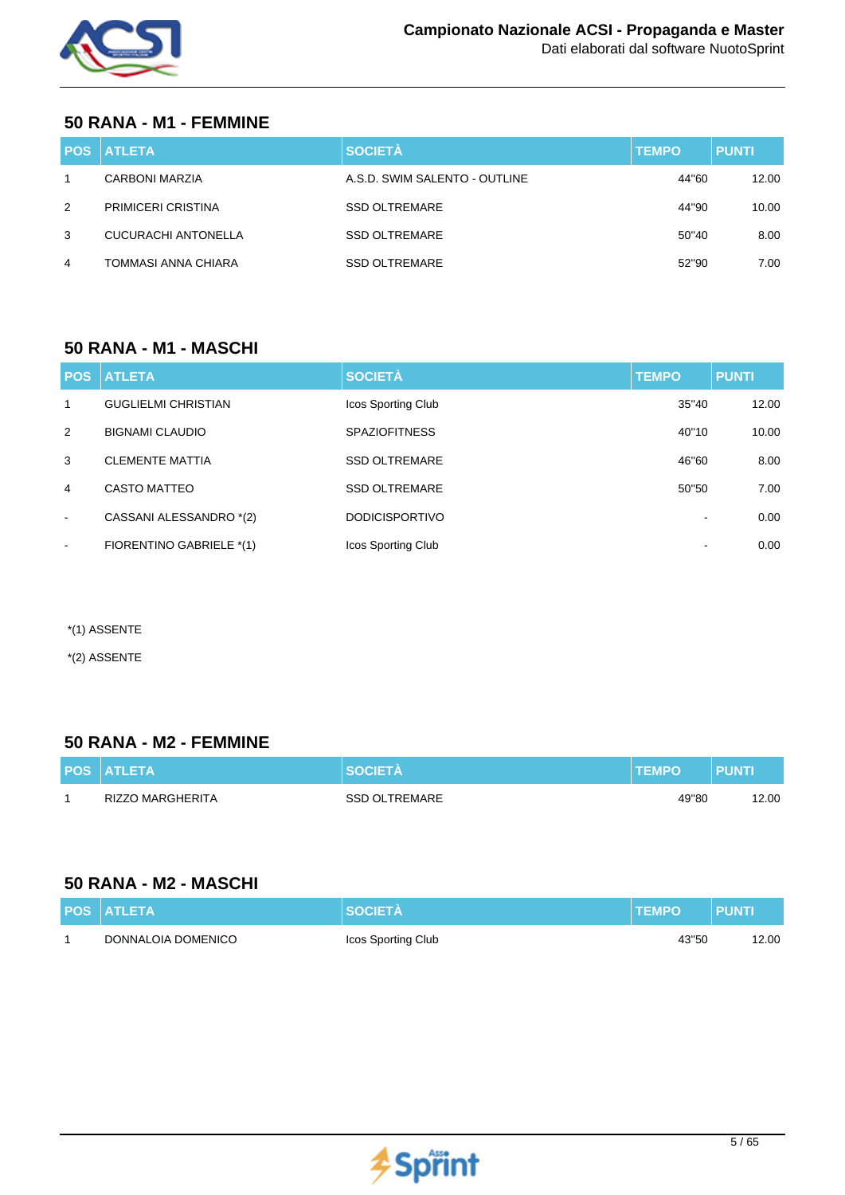

## **50 RANA - M1 - FEMMINE**

|   | <b>IPOS   ATLETA.</b>     | <b>SOCIETÀ</b>                | <b>TEMPO</b> | <b>PUNTI</b> |
|---|---------------------------|-------------------------------|--------------|--------------|
|   | <b>CARBONI MARZIA</b>     | A.S.D. SWIM SALENTO - OUTLINE | 44"60        | 12.00        |
| 2 | <b>PRIMICERI CRISTINA</b> | <b>SSD OLTREMARE</b>          | 44"90        | 10.00        |
| 3 | CUCURACHI ANTONELLA       | <b>SSD OLTREMARE</b>          | 50"40        | 8.00         |
| 4 | TOMMASI ANNA CHIARA       | <b>SSD OLTREMARE</b>          | 52"90        | 7.00         |

### **50 RANA - M1 - MASCHI**

| <b>POS</b>   | <b>ATLETA</b>              | <b>SOCIETÀ</b>        | <b>TEMPO</b> | <b>PUNTI</b> |
|--------------|----------------------------|-----------------------|--------------|--------------|
| $\mathbf{1}$ | <b>GUGLIELMI CHRISTIAN</b> | Icos Sporting Club    | 35"40        | 12.00        |
| 2            | <b>BIGNAMI CLAUDIO</b>     | <b>SPAZIOFITNESS</b>  | 40"10        | 10.00        |
| 3            | <b>CLEMENTE MATTIA</b>     | <b>SSD OLTREMARE</b>  | 46"60        | 8.00         |
| 4            | <b>CASTO MATTEO</b>        | <b>SSD OLTREMARE</b>  | 50"50        | 7.00         |
| $\sim$       | CASSANI ALESSANDRO *(2)    | <b>DODICISPORTIVO</b> |              | 0.00         |
| $\sim$       | FIORENTINO GABRIELE *(1)   | Icos Sporting Club    |              | 0.00         |

\*(1) ASSENTE

\*(2) ASSENTE

### **50 RANA - M2 - FEMMINE**

| <b>POS ATLETA</b> |                      | <b>TEMPO</b> | PUNTI |
|-------------------|----------------------|--------------|-------|
| RIZZO MARGHERITA  | <b>SSD OLTREMARE</b> | 49"80        | 12.00 |

## **50 RANA - M2 - MASCHI**

| <b>POS ATLETA</b>  | <b>SOCIETA</b>     | <b>TEMPO</b> | <b>PUNT</b> |
|--------------------|--------------------|--------------|-------------|
| DONNALOIA DOMENICO | Icos Sporting Club | 43"50        | 12.00       |

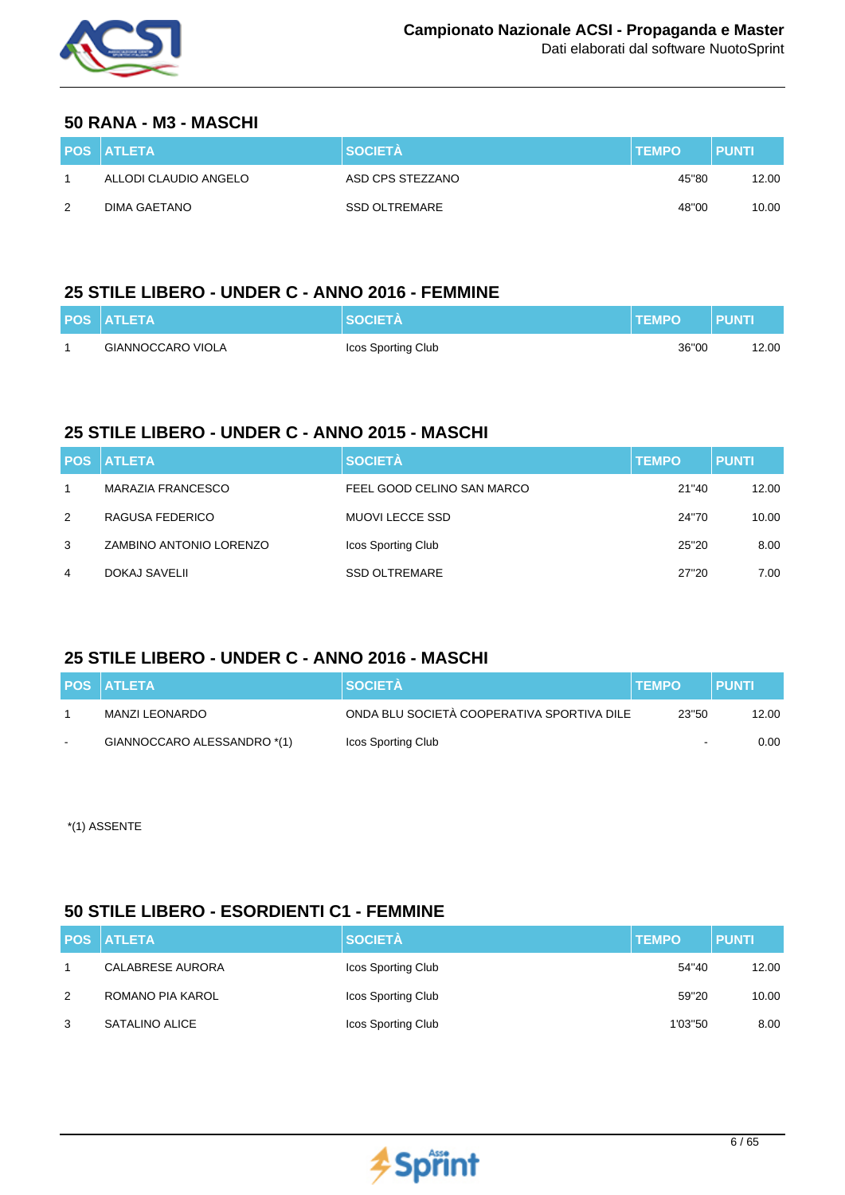

#### **50 RANA - M3 - MASCHI**

|   | <b>POS ATLETA</b>     | <b>SOCIETA</b>   | <b>TEMPO</b> | <b>PUNTI</b> |
|---|-----------------------|------------------|--------------|--------------|
|   | ALLODI CLAUDIO ANGELO | ASD CPS STEZZANO | 45"80        | 12.00        |
| 2 | DIMA GAETANO          | SSD OLTREMARE    | 48"00        | 10.00        |

## **25 STILE LIBERO - UNDER C - ANNO 2016 - FEMMINE**

| <b>POS ATLETA</b> | <b>SOCIETA</b>     | <b>TEMPO</b> | <b>PUNTI</b> |
|-------------------|--------------------|--------------|--------------|
| GIANNOCCARO VIOLA | Icos Sporting Club | 36"00        | 12.00        |

## **25 STILE LIBERO - UNDER C - ANNO 2015 - MASCHI**

|   | <b>POS ATLETA</b>       | <b>SOCIETÀ</b>             | <b>TEMPO</b> | <b>PUNTI</b> |
|---|-------------------------|----------------------------|--------------|--------------|
|   | MARAZIA FRANCESCO       | FEEL GOOD CELINO SAN MARCO | 21"40        | 12.00        |
| 2 | RAGUSA FEDERICO         | MUOVI LECCE SSD            | 24"70        | 10.00        |
| 3 | ZAMBINO ANTONIO LORENZO | Icos Sporting Club         | 25"20        | 8.00         |
| 4 | DOKAJ SAVELII           | <b>SSD OLTREMARE</b>       | 27"20        | 7.00         |

## **25 STILE LIBERO - UNDER C - ANNO 2016 - MASCHI**

| <b>POS ATLETA</b>           | <b>SOCIETA</b>                             | <b>TEMPO</b> | <b>PUNTI</b> |
|-----------------------------|--------------------------------------------|--------------|--------------|
| MANZI LEONARDO              | ONDA BLU SOCIETÀ COOPERATIVA SPORTIVA DILE | 23"50        | 12.00        |
| GIANNOCCARO ALESSANDRO *(1) | Icos Sporting Club                         |              | 0.00         |

\*(1) ASSENTE

## **50 STILE LIBERO - ESORDIENTI C1 - FEMMINE**

|   | <b>POS ATLETA</b> | <b>SOCIETÀ</b>     | <b>TEMPO</b> | <b>PUNTI</b> |
|---|-------------------|--------------------|--------------|--------------|
|   | CALABRESE AURORA  | Icos Sporting Club | 54"40        | 12.00        |
| 2 | ROMANO PIA KAROL  | Icos Sporting Club | 59"20        | 10.00        |
| 3 | SATALINO ALICE    | Icos Sporting Club | 1'03"50      | 8.00         |

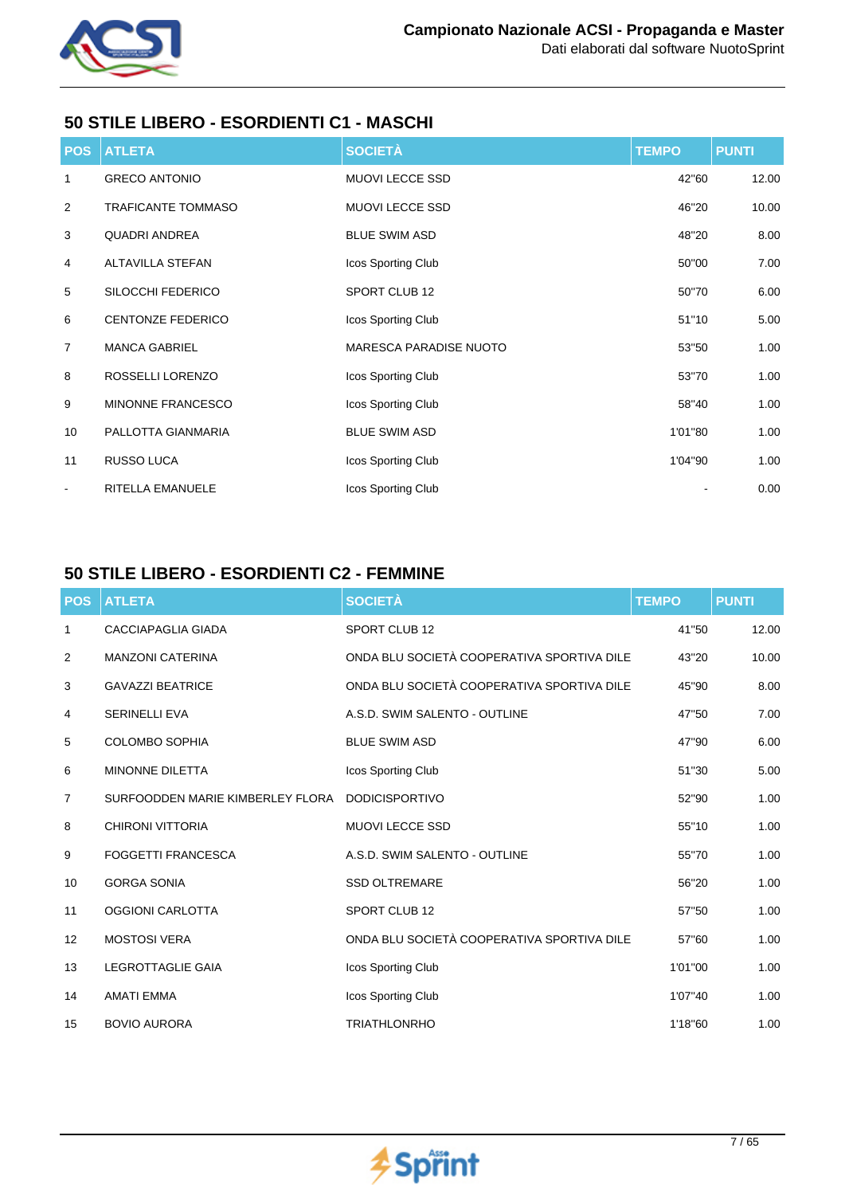

## **50 STILE LIBERO - ESORDIENTI C1 - MASCHI**

| <b>POS</b>     | <b>ATLETA</b>             | <b>SOCIETÀ</b>                | <b>TEMPO</b> | <b>PUNTI</b> |
|----------------|---------------------------|-------------------------------|--------------|--------------|
| 1              | <b>GRECO ANTONIO</b>      | MUOVI LECCE SSD               | 42"60        | 12.00        |
| $\overline{2}$ | <b>TRAFICANTE TOMMASO</b> | <b>MUOVI LECCE SSD</b>        | 46"20        | 10.00        |
| 3              | <b>QUADRI ANDREA</b>      | <b>BLUE SWIM ASD</b>          | 48"20        | 8.00         |
| 4              | ALTAVILLA STEFAN          | Icos Sporting Club            | 50"00        | 7.00         |
| 5              | SILOCCHI FEDERICO         | SPORT CLUB 12                 | 50"70        | 6.00         |
| 6              | <b>CENTONZE FEDERICO</b>  | Icos Sporting Club            | 51"10        | 5.00         |
| $\overline{7}$ | <b>MANCA GABRIEL</b>      | <b>MARESCA PARADISE NUOTO</b> | 53"50        | 1.00         |
| 8              | ROSSELLI LORENZO          | Icos Sporting Club            | 53"70        | 1.00         |
| 9              | MINONNE FRANCESCO         | Icos Sporting Club            | 58"40        | 1.00         |
| 10             | PALLOTTA GIANMARIA        | <b>BLUE SWIM ASD</b>          | 1'01"80      | 1.00         |
| 11             | RUSSO LUCA                | Icos Sporting Club            | 1'04"90      | 1.00         |
| $\blacksquare$ | RITELLA EMANUELE          | Icos Sporting Club            |              | 0.00         |

## **50 STILE LIBERO - ESORDIENTI C2 - FEMMINE**

| <b>POS</b>        | <b>ATLETA</b>                    | <b>SOCIETÀ</b>                             | <b>TEMPO</b> | <b>PUNTI</b> |
|-------------------|----------------------------------|--------------------------------------------|--------------|--------------|
| 1                 | <b>CACCIAPAGLIA GIADA</b>        | SPORT CLUB 12                              | 41"50        | 12.00        |
| 2                 | <b>MANZONI CATERINA</b>          | ONDA BLU SOCIETÀ COOPERATIVA SPORTIVA DILE | 43"20        | 10.00        |
| 3                 | <b>GAVAZZI BEATRICE</b>          | ONDA BLU SOCIETÀ COOPERATIVA SPORTIVA DILE | 45"90        | 8.00         |
| 4                 | <b>SERINELLI EVA</b>             | A.S.D. SWIM SALENTO - OUTLINE              | 47"50        | 7.00         |
| 5                 | <b>COLOMBO SOPHIA</b>            | <b>BLUE SWIM ASD</b>                       | 47"90        | 6.00         |
| 6                 | <b>MINONNE DILETTA</b>           | Icos Sporting Club                         | 51"30        | 5.00         |
| $\overline{7}$    | SURFOODDEN MARIE KIMBERLEY FLORA | <b>DODICISPORTIVO</b>                      | 52"90        | 1.00         |
| 8                 | CHIRONI VITTORIA                 | <b>MUOVI LECCE SSD</b>                     | 55"10        | 1.00         |
| 9                 | <b>FOGGETTI FRANCESCA</b>        | A.S.D. SWIM SALENTO - OUTLINE              | 55"70        | 1.00         |
| 10                | <b>GORGA SONIA</b>               | <b>SSD OLTREMARE</b>                       | 56"20        | 1.00         |
| 11                | <b>OGGIONI CARLOTTA</b>          | <b>SPORT CLUB 12</b>                       | 57"50        | 1.00         |
| $12 \overline{ }$ | <b>MOSTOSI VERA</b>              | ONDA BLU SOCIETÀ COOPERATIVA SPORTIVA DILE | 57"60        | 1.00         |
| 13                | <b>LEGROTTAGLIE GAIA</b>         | Icos Sporting Club                         | 1'01"00      | 1.00         |
| 14                | <b>AMATI EMMA</b>                | Icos Sporting Club                         | 1'07"40      | 1.00         |
| 15                | <b>BOVIO AURORA</b>              | <b>TRIATHLONRHO</b>                        | 1'18"60      | 1.00         |

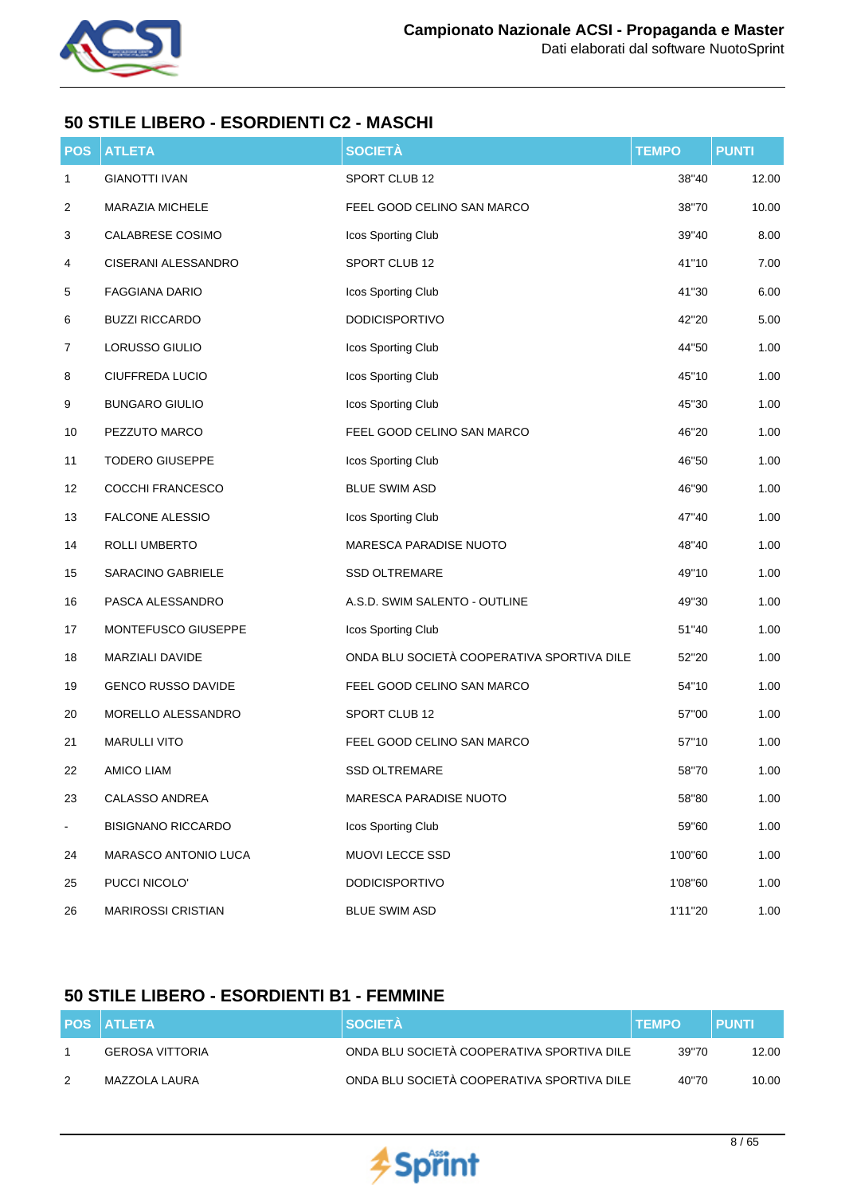

## **50 STILE LIBERO - ESORDIENTI C2 - MASCHI**

| <b>POS</b>     | <b>ATLETA</b>             | <b>SOCIETÀ</b>                             | <b>TEMPO</b> | <b>PUNTI</b> |
|----------------|---------------------------|--------------------------------------------|--------------|--------------|
| $\mathbf{1}$   | <b>GIANOTTI IVAN</b>      | SPORT CLUB 12                              | 38"40        | 12.00        |
| 2              | MARAZIA MICHELE           | FEEL GOOD CELINO SAN MARCO                 | 38"70        | 10.00        |
| 3              | CALABRESE COSIMO          | Icos Sporting Club                         | 39"40        | 8.00         |
| 4              | CISERANI ALESSANDRO       | SPORT CLUB 12                              | 41"10        | 7.00         |
| 5              | <b>FAGGIANA DARIO</b>     | Icos Sporting Club                         | 41"30        | 6.00         |
| 6              | <b>BUZZI RICCARDO</b>     | <b>DODICISPORTIVO</b>                      | 42"20        | 5.00         |
| 7              | LORUSSO GIULIO            | Icos Sporting Club                         | 44"50        | 1.00         |
| 8              | CIUFFREDA LUCIO           | Icos Sporting Club                         | 45"10        | 1.00         |
| 9              | <b>BUNGARO GIULIO</b>     | Icos Sporting Club                         | 45"30        | 1.00         |
| 10             | PEZZUTO MARCO             | FEEL GOOD CELINO SAN MARCO                 | 46"20        | 1.00         |
| 11             | <b>TODERO GIUSEPPE</b>    | Icos Sporting Club                         | 46"50        | 1.00         |
| 12             | COCCHI FRANCESCO          | <b>BLUE SWIM ASD</b>                       | 46"90        | 1.00         |
| 13             | FALCONE ALESSIO           | Icos Sporting Club                         | 47"40        | 1.00         |
| 14             | ROLLI UMBERTO             | MARESCA PARADISE NUOTO                     | 48"40        | 1.00         |
| 15             | SARACINO GABRIELE         | <b>SSD OLTREMARE</b>                       | 49"10        | 1.00         |
| 16             | PASCA ALESSANDRO          | A.S.D. SWIM SALENTO - OUTLINE              | 49"30        | 1.00         |
| 17             | MONTEFUSCO GIUSEPPE       | Icos Sporting Club                         | 51"40        | 1.00         |
| 18             | MARZIALI DAVIDE           | ONDA BLU SOCIETÀ COOPERATIVA SPORTIVA DILE | 52"20        | 1.00         |
| 19             | <b>GENCO RUSSO DAVIDE</b> | FEEL GOOD CELINO SAN MARCO                 | 54"10        | 1.00         |
| 20             | MORELLO ALESSANDRO        | SPORT CLUB 12                              | 57"00        | 1.00         |
| 21             | <b>MARULLI VITO</b>       | FEEL GOOD CELINO SAN MARCO                 | 57"10        | 1.00         |
| 22             | AMICO LIAM                | <b>SSD OLTREMARE</b>                       | 58"70        | 1.00         |
| 23             | CALASSO ANDREA            | <b>MARESCA PARADISE NUOTO</b>              | 58"80        | 1.00         |
| $\blacksquare$ | <b>BISIGNANO RICCARDO</b> | Icos Sporting Club                         | 59"60        | 1.00         |
| 24             | MARASCO ANTONIO LUCA      | MUOVI LECCE SSD                            | 1'00"60      | 1.00         |
| 25             | PUCCI NICOLO'             | <b>DODICISPORTIVO</b>                      | 1'08"60      | 1.00         |
| 26             | <b>MARIROSSI CRISTIAN</b> | <b>BLUE SWIM ASD</b>                       | 1'11"20      | 1.00         |

## **50 STILE LIBERO - ESORDIENTI B1 - FEMMINE**

| <b>POS ATLETA</b> | <b>SOCIETA</b>                             | <b>TEMPO</b> | <b>PUNTI</b> |
|-------------------|--------------------------------------------|--------------|--------------|
| GEROSA VITTORIA   | ONDA BLU SOCIETÀ COOPERATIVA SPORTIVA DILE | 39"70        | 12.00        |
| MAZZOLA LAURA     | ONDA BLU SOCIETÀ COOPERATIVA SPORTIVA DILE | 40"70        | 10.00        |

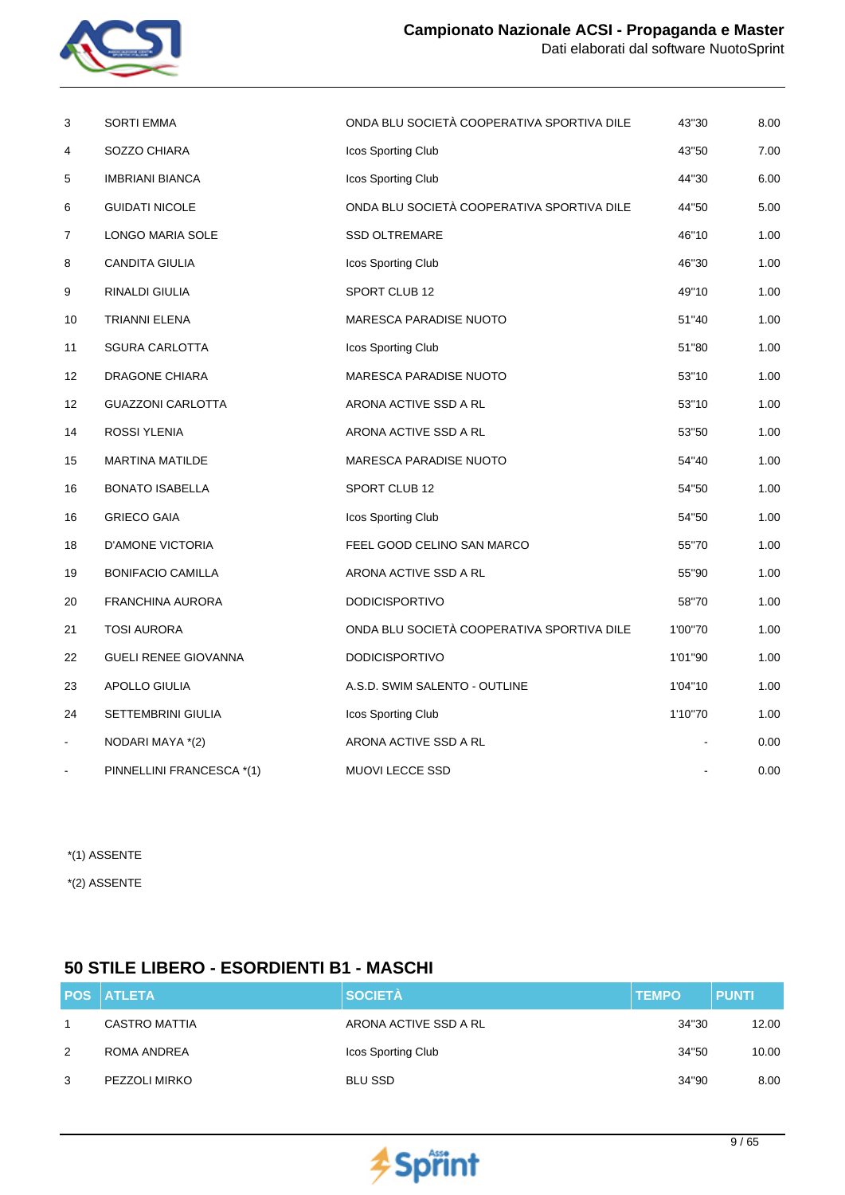

| 3  | <b>SORTI EMMA</b>           | ONDA BLU SOCIETÀ COOPERATIVA SPORTIVA DILE | 43"30   | 8.00 |
|----|-----------------------------|--------------------------------------------|---------|------|
| 4  | SOZZO CHIARA                | Icos Sporting Club                         | 43"50   | 7.00 |
| 5  | <b>IMBRIANI BIANCA</b>      | Icos Sporting Club                         | 44"30   | 6.00 |
| 6  | <b>GUIDATI NICOLE</b>       | ONDA BLU SOCIETÀ COOPERATIVA SPORTIVA DILE | 44"50   | 5.00 |
| 7  | LONGO MARIA SOLE            | <b>SSD OLTREMARE</b>                       | 46"10   | 1.00 |
| 8  | <b>CANDITA GIULIA</b>       | Icos Sporting Club                         | 46"30   | 1.00 |
| 9  | RINALDI GIULIA              | SPORT CLUB 12                              | 49"10   | 1.00 |
| 10 | TRIANNI ELENA               | MARESCA PARADISE NUOTO                     | 51"40   | 1.00 |
| 11 | <b>SGURA CARLOTTA</b>       | Icos Sporting Club                         | 51"80   | 1.00 |
| 12 | DRAGONE CHIARA              | <b>MARESCA PARADISE NUOTO</b>              | 53"10   | 1.00 |
| 12 | <b>GUAZZONI CARLOTTA</b>    | ARONA ACTIVE SSD A RL                      | 53"10   | 1.00 |
| 14 | ROSSI YLENIA                | ARONA ACTIVE SSD A RL                      | 53"50   | 1.00 |
| 15 | <b>MARTINA MATILDE</b>      | MARESCA PARADISE NUOTO                     | 54"40   | 1.00 |
| 16 | <b>BONATO ISABELLA</b>      | SPORT CLUB 12                              | 54"50   | 1.00 |
| 16 | <b>GRIECO GAIA</b>          | Icos Sporting Club                         | 54"50   | 1.00 |
| 18 | <b>D'AMONE VICTORIA</b>     | FEEL GOOD CELINO SAN MARCO                 | 55"70   | 1.00 |
| 19 | <b>BONIFACIO CAMILLA</b>    | ARONA ACTIVE SSD A RL                      | 55"90   | 1.00 |
| 20 | FRANCHINA AURORA            | <b>DODICISPORTIVO</b>                      | 58"70   | 1.00 |
| 21 | <b>TOSI AURORA</b>          | ONDA BLU SOCIETÀ COOPERATIVA SPORTIVA DILE | 1'00"70 | 1.00 |
| 22 | <b>GUELI RENEE GIOVANNA</b> | <b>DODICISPORTIVO</b>                      | 1'01"90 | 1.00 |
| 23 | APOLLO GIULIA               | A.S.D. SWIM SALENTO - OUTLINE              | 1'04"10 | 1.00 |
| 24 | SETTEMBRINI GIULIA          | Icos Sporting Club                         | 1'10"70 | 1.00 |
| ۰  | NODARI MAYA *(2)            | ARONA ACTIVE SSD A RL                      |         | 0.00 |
|    | PINNELLINI FRANCESCA *(1)   | MUOVI LECCE SSD                            |         | 0.00 |

\*(2) ASSENTE

## **50 STILE LIBERO - ESORDIENTI B1 - MASCHI**

|   | <b>POS ATLETA</b>    | <b>SOCIETÀ</b>        | <b>TEMPO</b> | <b>PUNTI</b> |
|---|----------------------|-----------------------|--------------|--------------|
|   | <b>CASTRO MATTIA</b> | ARONA ACTIVE SSD A RL | 34"30        | 12.00        |
| 2 | ROMA ANDREA          | Icos Sporting Club    | 34"50        | 10.00        |
| 3 | PEZZOLI MIRKO        | BLU SSD               | 34"90        | 8.00         |

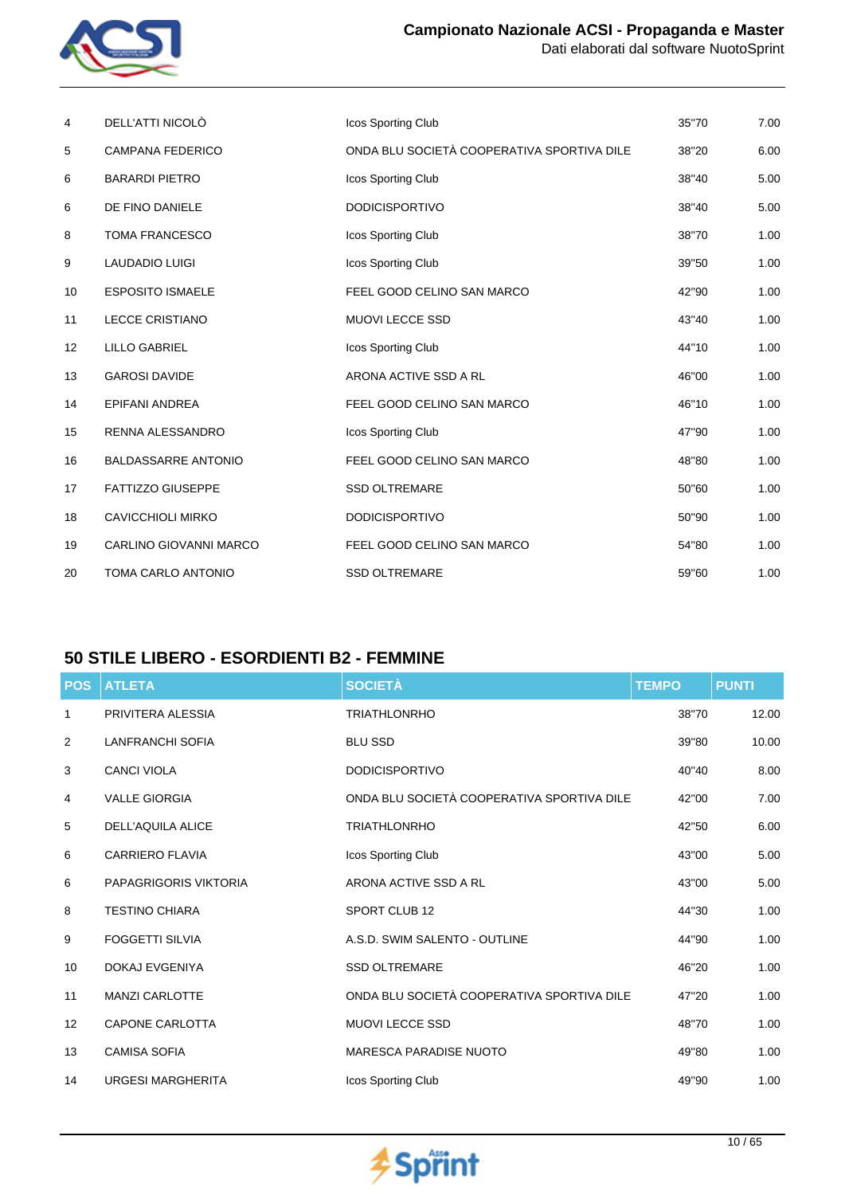

| 4                 | DELL'ATTI NICOLÒ           | Icos Sporting Club                         | 35"70 | 7.00 |
|-------------------|----------------------------|--------------------------------------------|-------|------|
| 5                 | <b>CAMPANA FEDERICO</b>    | ONDA BLU SOCIETÀ COOPERATIVA SPORTIVA DILE | 38"20 | 6.00 |
| 6                 | <b>BARARDI PIETRO</b>      | Icos Sporting Club                         | 38"40 | 5.00 |
| 6                 | DE FINO DANIELE            | <b>DODICISPORTIVO</b>                      | 38"40 | 5.00 |
| 8                 | <b>TOMA FRANCESCO</b>      | Icos Sporting Club                         | 38"70 | 1.00 |
| 9                 | <b>LAUDADIO LUIGI</b>      | Icos Sporting Club                         | 39"50 | 1.00 |
| 10                | <b>ESPOSITO ISMAELE</b>    | FEEL GOOD CELINO SAN MARCO                 | 42"90 | 1.00 |
| 11                | <b>LECCE CRISTIANO</b>     | <b>MUOVI LECCE SSD</b>                     | 43"40 | 1.00 |
| $12 \overline{ }$ | <b>LILLO GABRIEL</b>       | Icos Sporting Club                         | 44"10 | 1.00 |
| 13                | <b>GAROSI DAVIDE</b>       | ARONA ACTIVE SSD A RL                      | 46"00 | 1.00 |
| 14                | <b>EPIFANI ANDREA</b>      | FEEL GOOD CELINO SAN MARCO                 | 46"10 | 1.00 |
| 15                | RENNA ALESSANDRO           | Icos Sporting Club                         | 47"90 | 1.00 |
| 16                | <b>BALDASSARRE ANTONIO</b> | FEEL GOOD CELINO SAN MARCO                 | 48"80 | 1.00 |
| 17                | <b>FATTIZZO GIUSEPPE</b>   | <b>SSD OLTREMARE</b>                       | 50"60 | 1.00 |
| 18                | <b>CAVICCHIOLI MIRKO</b>   | <b>DODICISPORTIVO</b>                      | 50"90 | 1.00 |
| 19                | CARLINO GIOVANNI MARCO     | FEEL GOOD CELINO SAN MARCO                 | 54"80 | 1.00 |
| 20                | <b>TOMA CARLO ANTONIO</b>  | <b>SSD OLTREMARE</b>                       | 59"60 | 1.00 |

## **50 STILE LIBERO - ESORDIENTI B2 - FEMMINE**

| <b>POS</b> | <b>ATLETA</b>                | <b>SOCIETÀ</b>                             | <b>TEMPO</b> | <b>PUNTI</b> |
|------------|------------------------------|--------------------------------------------|--------------|--------------|
| 1          | PRIVITERA ALESSIA            | <b>TRIATHLONRHO</b>                        | 38"70        | 12.00        |
| 2          | <b>LANFRANCHI SOFIA</b>      | <b>BLU SSD</b>                             | 39"80        | 10.00        |
| 3          | <b>CANCI VIOLA</b>           | <b>DODICISPORTIVO</b>                      | 40"40        | 8.00         |
| 4          | <b>VALLE GIORGIA</b>         | ONDA BLU SOCIETÀ COOPERATIVA SPORTIVA DILE | 42"00        | 7.00         |
| 5          | <b>DELL'AQUILA ALICE</b>     | <b>TRIATHLONRHO</b>                        | 42"50        | 6.00         |
| 6          | <b>CARRIERO FLAVIA</b>       | Icos Sporting Club                         | 43"00        | 5.00         |
| 6          | <b>PAPAGRIGORIS VIKTORIA</b> | ARONA ACTIVE SSD A RL                      | 43"00        | 5.00         |
| 8          | <b>TESTINO CHIARA</b>        | <b>SPORT CLUB 12</b>                       | 44"30        | 1.00         |
| 9          | <b>FOGGETTI SILVIA</b>       | A.S.D. SWIM SALENTO - OUTLINE              | 44"90        | 1.00         |
| 10         | DOKAJ EVGENIYA               | <b>SSD OLTREMARE</b>                       | 46"20        | 1.00         |
| 11         | <b>MANZI CARLOTTE</b>        | ONDA BLU SOCIETÀ COOPERATIVA SPORTIVA DILE | 47"20        | 1.00         |
| 12         | <b>CAPONE CARLOTTA</b>       | <b>MUOVI LECCE SSD</b>                     | 48"70        | 1.00         |
| 13         | <b>CAMISA SOFIA</b>          | <b>MARESCA PARADISE NUOTO</b>              | 49"80        | 1.00         |
| 14         | <b>URGESI MARGHERITA</b>     | Icos Sporting Club                         | 49"90        | 1.00         |

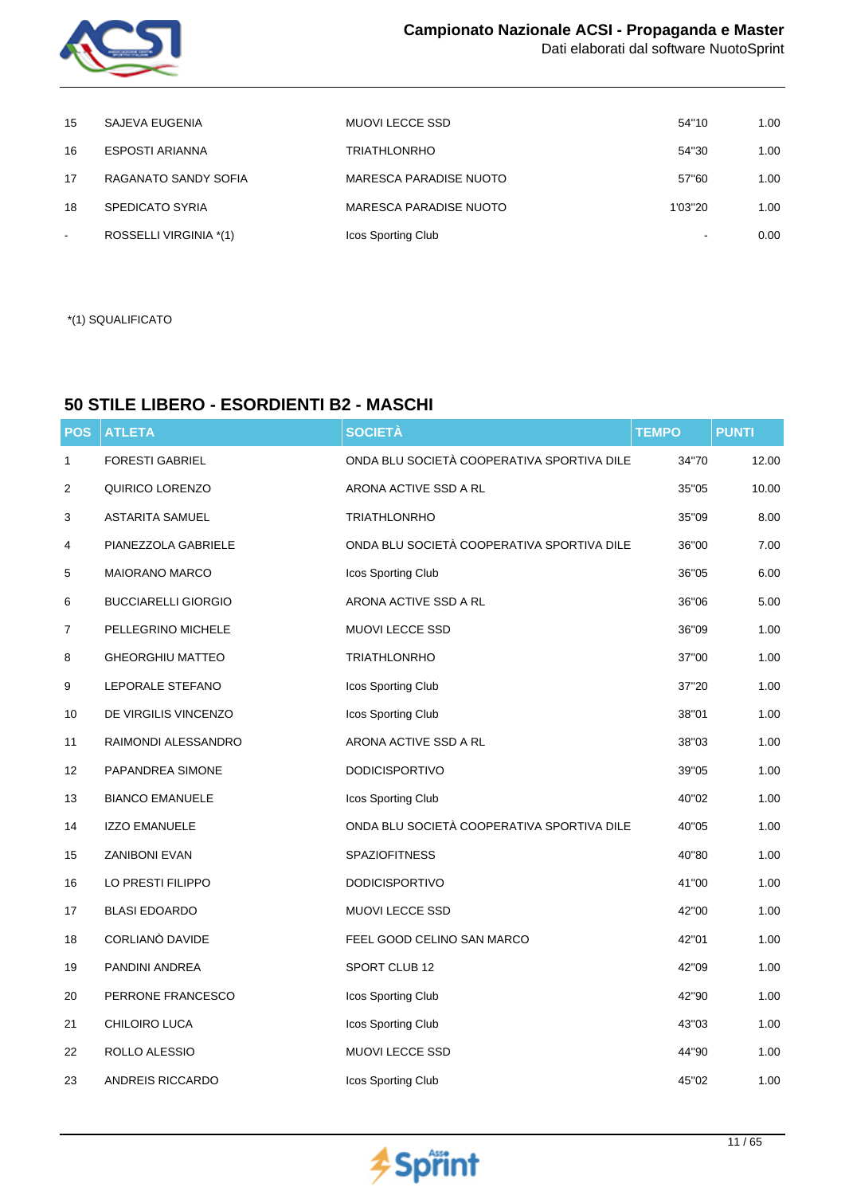

| 15             | SAJEVA EUGENIA         | MUOVI LECCE SSD        | 54"10   | 1.00 |
|----------------|------------------------|------------------------|---------|------|
| 16             | ESPOSTI ARIANNA        | <b>TRIATHLONRHO</b>    | 54"30   | 1.00 |
| 17             | RAGANATO SANDY SOFIA   | MARESCA PARADISE NUOTO | 57"60   | 1.00 |
| 18             | <b>SPEDICATO SYRIA</b> | MARESCA PARADISE NUOTO | 1'03"20 | 1.00 |
| $\blacksquare$ | ROSSELLI VIRGINIA *(1) | Icos Sporting Club     |         | 0.00 |

\*(1) SQUALIFICATO

## **50 STILE LIBERO - ESORDIENTI B2 - MASCHI**

| <b>POS</b>        | <b>ATLETA</b>              | <b>SOCIETÀ</b>                             | <b>TEMPO</b> | <b>PUNTI</b> |
|-------------------|----------------------------|--------------------------------------------|--------------|--------------|
| 1                 | <b>FORESTI GABRIEL</b>     | ONDA BLU SOCIETÀ COOPERATIVA SPORTIVA DILE | 34"70        | 12.00        |
| $\overline{c}$    | QUIRICO LORENZO            | ARONA ACTIVE SSD A RL                      | 35"05        | 10.00        |
| 3                 | <b>ASTARITA SAMUEL</b>     | <b>TRIATHLONRHO</b>                        | 35"09        | 8.00         |
| 4                 | PIANEZZOLA GABRIELE        | ONDA BLU SOCIETÀ COOPERATIVA SPORTIVA DILE | 36"00        | 7.00         |
| 5                 | <b>MAIORANO MARCO</b>      | Icos Sporting Club                         | 36"05        | 6.00         |
| 6                 | <b>BUCCIARELLI GIORGIO</b> | ARONA ACTIVE SSD A RL                      | 36"06        | 5.00         |
| 7                 | PELLEGRINO MICHELE         | MUOVI LECCE SSD                            | 36"09        | 1.00         |
| 8                 | <b>GHEORGHIU MATTEO</b>    | <b>TRIATHLONRHO</b>                        | 37"00        | 1.00         |
| 9                 | LEPORALE STEFANO           | Icos Sporting Club                         | 37"20        | 1.00         |
| 10                | DE VIRGILIS VINCENZO       | Icos Sporting Club                         | 38"01        | 1.00         |
| 11                | RAIMONDI ALESSANDRO        | ARONA ACTIVE SSD A RL                      | 38"03        | 1.00         |
| $12 \overline{ }$ | PAPANDREA SIMONE           | <b>DODICISPORTIVO</b>                      | 39"05        | 1.00         |
| 13                | <b>BIANCO EMANUELE</b>     | Icos Sporting Club                         | 40"02        | 1.00         |
| 14                | <b>IZZO EMANUELE</b>       | ONDA BLU SOCIETÀ COOPERATIVA SPORTIVA DILE | 40"05        | 1.00         |
| 15                | <b>ZANIBONI EVAN</b>       | <b>SPAZIOFITNESS</b>                       | 40"80        | 1.00         |
| 16                | LO PRESTI FILIPPO          | <b>DODICISPORTIVO</b>                      | 41"00        | 1.00         |
| 17                | <b>BLASI EDOARDO</b>       | <b>MUOVI LECCE SSD</b>                     | 42"00        | 1.00         |
| 18                | CORLIANO DAVIDE            | FEEL GOOD CELINO SAN MARCO                 | 42"01        | 1.00         |
| 19                | PANDINI ANDREA             | SPORT CLUB 12                              | 42"09        | 1.00         |
| 20                | PERRONE FRANCESCO          | Icos Sporting Club                         | 42"90        | 1.00         |
| 21                | CHILOIRO LUCA              | Icos Sporting Club                         | 43"03        | 1.00         |
| 22                | ROLLO ALESSIO              | <b>MUOVI LECCE SSD</b>                     | 44"90        | 1.00         |
| 23                | ANDREIS RICCARDO           | Icos Sporting Club                         | 45"02        | 1.00         |

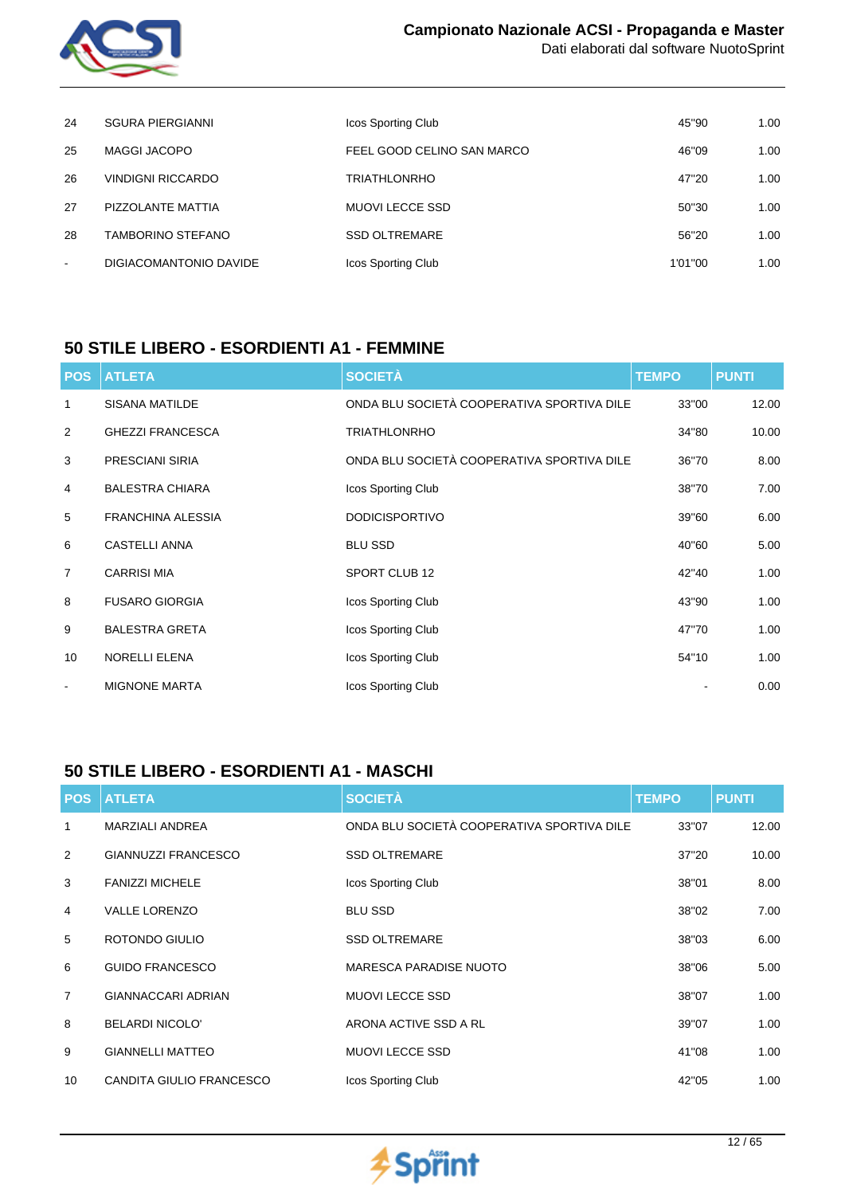

| 24     | <b>SGURA PIERGIANNI</b>  | Icos Sporting Club         | 45"90   | 1.00 |
|--------|--------------------------|----------------------------|---------|------|
| 25     | <b>MAGGI JACOPO</b>      | FEEL GOOD CELINO SAN MARCO | 46"09   | 1.00 |
| 26     | <b>VINDIGNI RICCARDO</b> | <b>TRIATHLONRHO</b>        | 47"20   | 1.00 |
| 27     | PIZZOLANTE MATTIA        | MUOVI LECCE SSD            | 50"30   | 1.00 |
| 28     | <b>TAMBORINO STEFANO</b> | <b>SSD OLTREMARE</b>       | 56"20   | 1.00 |
| $\sim$ | DIGIACOMANTONIO DAVIDE   | Icos Sporting Club         | 1'01"00 | 1.00 |

### **50 STILE LIBERO - ESORDIENTI A1 - FEMMINE**

| <b>POS</b>     | <b>ATLETA</b>            | <b>SOCIETÀ</b>                             | <b>TEMPO</b> | <b>PUNTI</b> |
|----------------|--------------------------|--------------------------------------------|--------------|--------------|
| 1              | <b>SISANA MATILDE</b>    | ONDA BLU SOCIETÀ COOPERATIVA SPORTIVA DILE | 33"00        | 12.00        |
| 2              | <b>GHEZZI FRANCESCA</b>  | <b>TRIATHLONRHO</b>                        | 34"80        | 10.00        |
| 3              | <b>PRESCIANI SIRIA</b>   | ONDA BLU SOCIETÀ COOPERATIVA SPORTIVA DILE | 36"70        | 8.00         |
| 4              | <b>BALESTRA CHIARA</b>   | Icos Sporting Club                         | 38"70        | 7.00         |
| 5              | <b>FRANCHINA ALESSIA</b> | <b>DODICISPORTIVO</b>                      | 39"60        | 6.00         |
| 6              | <b>CASTELLI ANNA</b>     | <b>BLU SSD</b>                             | 40"60        | 5.00         |
| $\overline{7}$ | <b>CARRISI MIA</b>       | SPORT CLUB 12                              | 42"40        | 1.00         |
| 8              | <b>FUSARO GIORGIA</b>    | Icos Sporting Club                         | 43"90        | 1.00         |
| 9              | <b>BALESTRA GRETA</b>    | Icos Sporting Club                         | 47"70        | 1.00         |
| 10             | <b>NORELLI ELENA</b>     | Icos Sporting Club                         | 54"10        | 1.00         |
| $\blacksquare$ | <b>MIGNONE MARTA</b>     | Icos Sporting Club                         |              | 0.00         |

## **50 STILE LIBERO - ESORDIENTI A1 - MASCHI**

| <b>POS</b>     | <b>ATLETA</b>              | <b>SOCIETÀ</b>                             | <b>TEMPO</b> | <b>PUNTI</b> |
|----------------|----------------------------|--------------------------------------------|--------------|--------------|
| 1              | <b>MARZIALI ANDREA</b>     | ONDA BLU SOCIETÀ COOPERATIVA SPORTIVA DILE | 33"07        | 12.00        |
| 2              | <b>GIANNUZZI FRANCESCO</b> | <b>SSD OLTREMARE</b>                       | 37"20        | 10.00        |
| 3              | <b>FANIZZI MICHELE</b>     | Icos Sporting Club                         | 38"01        | 8.00         |
| $\overline{4}$ | <b>VALLE LORENZO</b>       | <b>BLU SSD</b>                             | 38"02        | 7.00         |
| 5              | ROTONDO GIULIO             | <b>SSD OLTREMARE</b>                       | 38"03        | 6.00         |
| 6              | <b>GUIDO FRANCESCO</b>     | <b>MARESCA PARADISE NUOTO</b>              | 38"06        | 5.00         |
| $\overline{7}$ | <b>GIANNACCARI ADRIAN</b>  | <b>MUOVI LECCE SSD</b>                     | 38"07        | 1.00         |
| 8              | <b>BELARDI NICOLO'</b>     | ARONA ACTIVE SSD A RL                      | 39"07        | 1.00         |
| 9              | <b>GIANNELLI MATTEO</b>    | <b>MUOVI LECCE SSD</b>                     | 41"08        | 1.00         |
| 10             | CANDITA GIULIO FRANCESCO   | Icos Sporting Club                         | 42"05        | 1.00         |

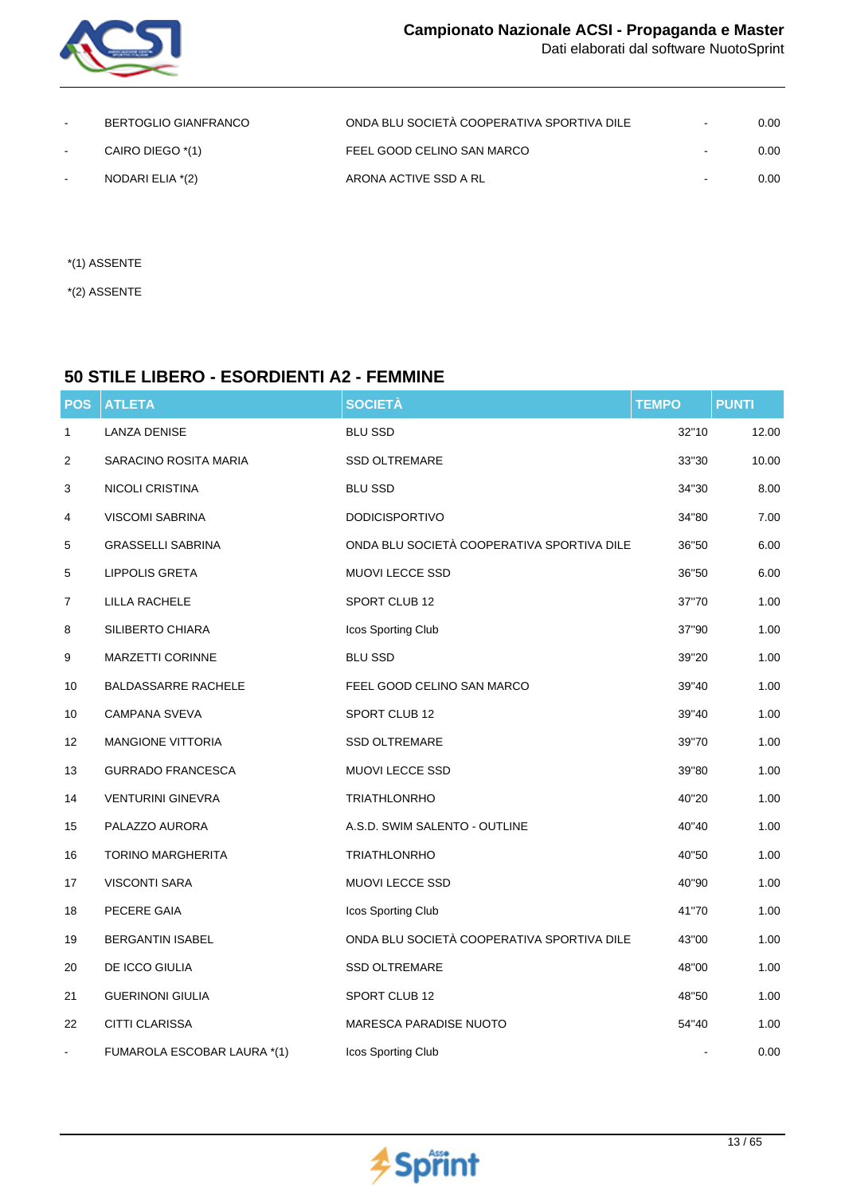

| $\sim$ | BERTOGLIO GIANFRANCO | ONDA BLU SOCIETÀ COOPERATIVA SPORTIVA DILE | $\sim$                   | 0.00 |
|--------|----------------------|--------------------------------------------|--------------------------|------|
|        | CAIRO DIEGO *(1)     | FEEL GOOD CELINO SAN MARCO                 | $\sim$                   | 0.00 |
|        | NODARI ELIA *(2)     | ARONA ACTIVE SSD A RL                      | $\overline{\phantom{a}}$ | 0.00 |

- \*(1) ASSENTE
- \*(2) ASSENTE

## **50 STILE LIBERO - ESORDIENTI A2 - FEMMINE**

| <b>POS</b>     | <b>ATLETA</b>               | <b>SOCIETÀ</b>                             | <b>TEMPO</b> | <b>PUNTI</b> |
|----------------|-----------------------------|--------------------------------------------|--------------|--------------|
| 1              | <b>LANZA DENISE</b>         | <b>BLU SSD</b>                             | 32"10        | 12.00        |
| $\overline{c}$ | SARACINO ROSITA MARIA       | <b>SSD OLTREMARE</b>                       | 33"30        | 10.00        |
| 3              | NICOLI CRISTINA             | <b>BLU SSD</b>                             | 34"30        | 8.00         |
| 4              | <b>VISCOMI SABRINA</b>      | <b>DODICISPORTIVO</b>                      | 34"80        | 7.00         |
| 5              | <b>GRASSELLI SABRINA</b>    | ONDA BLU SOCIETÀ COOPERATIVA SPORTIVA DILE | 36"50        | 6.00         |
| 5              | <b>LIPPOLIS GRETA</b>       | MUOVI LECCE SSD                            | 36"50        | 6.00         |
| $\overline{7}$ | LILLA RACHELE               | SPORT CLUB 12                              | 37"70        | 1.00         |
| 8              | SILIBERTO CHIARA            | Icos Sporting Club                         | 37"90        | 1.00         |
| 9              | <b>MARZETTI CORINNE</b>     | <b>BLU SSD</b>                             | 39"20        | 1.00         |
| 10             | <b>BALDASSARRE RACHELE</b>  | FEEL GOOD CELINO SAN MARCO                 | 39"40        | 1.00         |
| 10             | <b>CAMPANA SVEVA</b>        | SPORT CLUB 12                              | 39"40        | 1.00         |
| 12             | MANGIONE VITTORIA           | <b>SSD OLTREMARE</b>                       | 39"70        | 1.00         |
| 13             | <b>GURRADO FRANCESCA</b>    | MUOVI LECCE SSD                            | 39"80        | 1.00         |
| 14             | <b>VENTURINI GINEVRA</b>    | <b>TRIATHLONRHO</b>                        | 40"20        | 1.00         |
| 15             | PALAZZO AURORA              | A.S.D. SWIM SALENTO - OUTLINE              | 40"40        | 1.00         |
| 16             | <b>TORINO MARGHERITA</b>    | <b>TRIATHLONRHO</b>                        | 40"50        | 1.00         |
| 17             | <b>VISCONTI SARA</b>        | MUOVI LECCE SSD                            | 40"90        | 1.00         |
| 18             | PECERE GAIA                 | Icos Sporting Club                         | 41"70        | 1.00         |
| 19             | <b>BERGANTIN ISABEL</b>     | ONDA BLU SOCIETÀ COOPERATIVA SPORTIVA DILE | 43"00        | 1.00         |
| 20             | DE ICCO GIULIA              | <b>SSD OLTREMARE</b>                       | 48"00        | 1.00         |
| 21             | <b>GUERINONI GIULIA</b>     | SPORT CLUB 12                              | 48"50        | 1.00         |
| 22             | CITTI CLARISSA              | <b>MARESCA PARADISE NUOTO</b>              | 54"40        | 1.00         |
|                | FUMAROLA ESCOBAR LAURA *(1) | Icos Sporting Club                         |              | 0.00         |

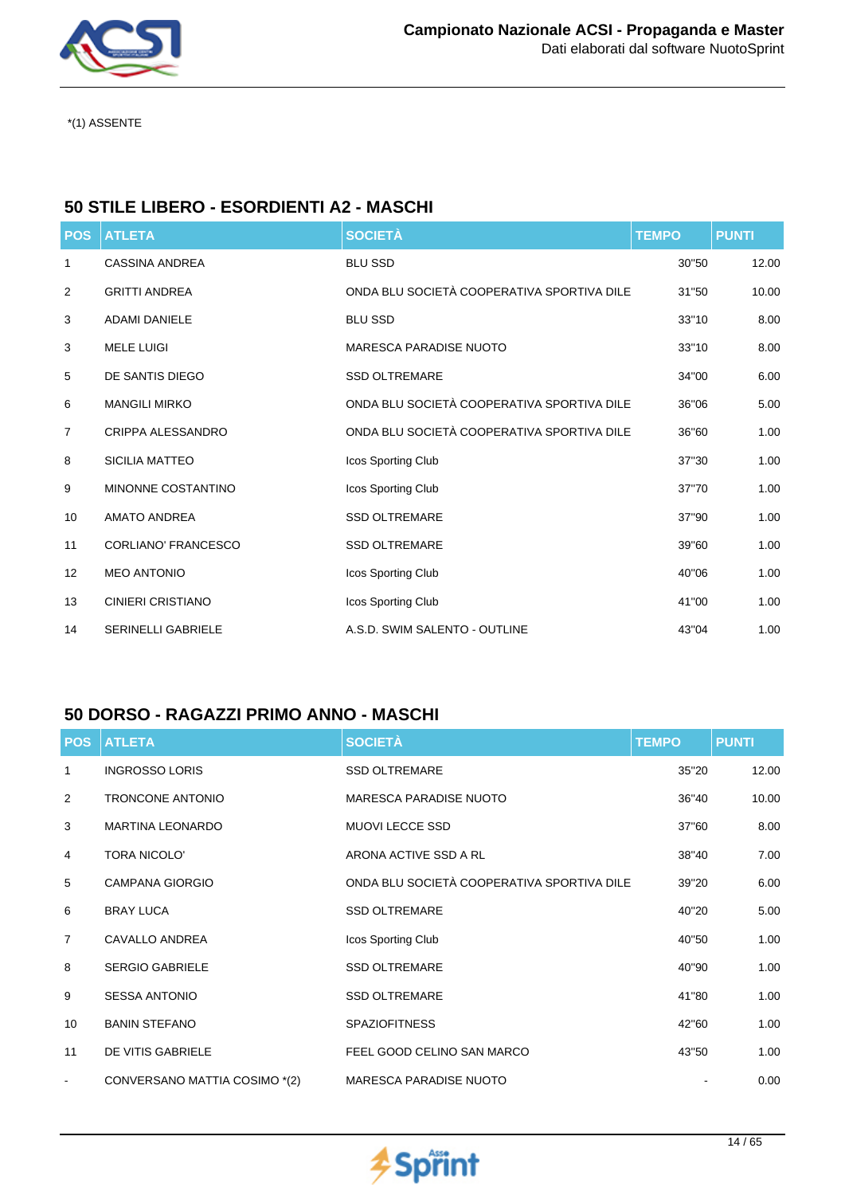

## **50 STILE LIBERO - ESORDIENTI A2 - MASCHI**

| <b>POS</b>     | <b>ATLETA</b>              | <b>SOCIETÀ</b>                             | <b>TEMPO</b> | <b>PUNTI</b> |
|----------------|----------------------------|--------------------------------------------|--------------|--------------|
| $\mathbf{1}$   | <b>CASSINA ANDREA</b>      | <b>BLU SSD</b>                             | 30"50        | 12.00        |
| $\overline{2}$ | <b>GRITTI ANDREA</b>       | ONDA BLU SOCIETÀ COOPERATIVA SPORTIVA DILE | 31"50        | 10.00        |
| 3              | <b>ADAMI DANIELE</b>       | <b>BLU SSD</b>                             | 33"10        | 8.00         |
| 3              | <b>MELE LUIGI</b>          | <b>MARESCA PARADISE NUOTO</b>              | 33"10        | 8.00         |
| 5              | DE SANTIS DIEGO            | <b>SSD OLTREMARE</b>                       | 34"00        | 6.00         |
| 6              | <b>MANGILI MIRKO</b>       | ONDA BLU SOCIETÀ COOPERATIVA SPORTIVA DILE | 36"06        | 5.00         |
| 7              | <b>CRIPPA ALESSANDRO</b>   | ONDA BLU SOCIETÀ COOPERATIVA SPORTIVA DILE | 36"60        | 1.00         |
| 8              | <b>SICILIA MATTEO</b>      | Icos Sporting Club                         | 37"30        | 1.00         |
| 9              | MINONNE COSTANTINO         | Icos Sporting Club                         | 37"70        | 1.00         |
| 10             | <b>AMATO ANDREA</b>        | <b>SSD OLTREMARE</b>                       | 37"90        | 1.00         |
| 11             | <b>CORLIANO' FRANCESCO</b> | <b>SSD OLTREMARE</b>                       | 39"60        | 1.00         |
| 12             | <b>MEO ANTONIO</b>         | Icos Sporting Club                         | 40"06        | 1.00         |
| 13             | <b>CINIERI CRISTIANO</b>   | Icos Sporting Club                         | 41"00        | 1.00         |
| 14             | <b>SERINELLI GABRIELE</b>  | A.S.D. SWIM SALENTO - OUTLINE              | 43"04        | 1.00         |

## **50 DORSO - RAGAZZI PRIMO ANNO - MASCHI**

| <b>POS</b>     | <b>ATLETA</b>                 | <b>SOCIETÀ</b>                             | <b>TEMPO</b> | <b>PUNTI</b> |
|----------------|-------------------------------|--------------------------------------------|--------------|--------------|
| $\mathbf{1}$   | <b>INGROSSO LORIS</b>         | <b>SSD OLTREMARE</b>                       | 35"20        | 12.00        |
| 2              | <b>TRONCONE ANTONIO</b>       | <b>MARESCA PARADISE NUOTO</b>              | 36"40        | 10.00        |
| 3              | <b>MARTINA LEONARDO</b>       | <b>MUOVI LECCE SSD</b>                     | 37"60        | 8.00         |
| 4              | <b>TORA NICOLO'</b>           | ARONA ACTIVE SSD A RL                      | 38"40        | 7.00         |
| 5              | <b>CAMPANA GIORGIO</b>        | ONDA BLU SOCIETÀ COOPERATIVA SPORTIVA DILE | 39"20        | 6.00         |
| 6              | <b>BRAY LUCA</b>              | <b>SSD OLTREMARE</b>                       | 40"20        | 5.00         |
| $\overline{7}$ | CAVALLO ANDREA                | Icos Sporting Club                         | 40"50        | 1.00         |
| 8              | <b>SERGIO GABRIELE</b>        | <b>SSD OLTREMARE</b>                       | 40"90        | 1.00         |
| 9              | <b>SESSA ANTONIO</b>          | <b>SSD OLTREMARE</b>                       | 41"80        | 1.00         |
| 10             | <b>BANIN STEFANO</b>          | <b>SPAZIOFITNESS</b>                       | 42"60        | 1.00         |
| 11             | DE VITIS GABRIELE             | FEEL GOOD CELINO SAN MARCO                 | 43"50        | 1.00         |
| $\blacksquare$ | CONVERSANO MATTIA COSIMO *(2) | <b>MARESCA PARADISE NUOTO</b>              |              | 0.00         |

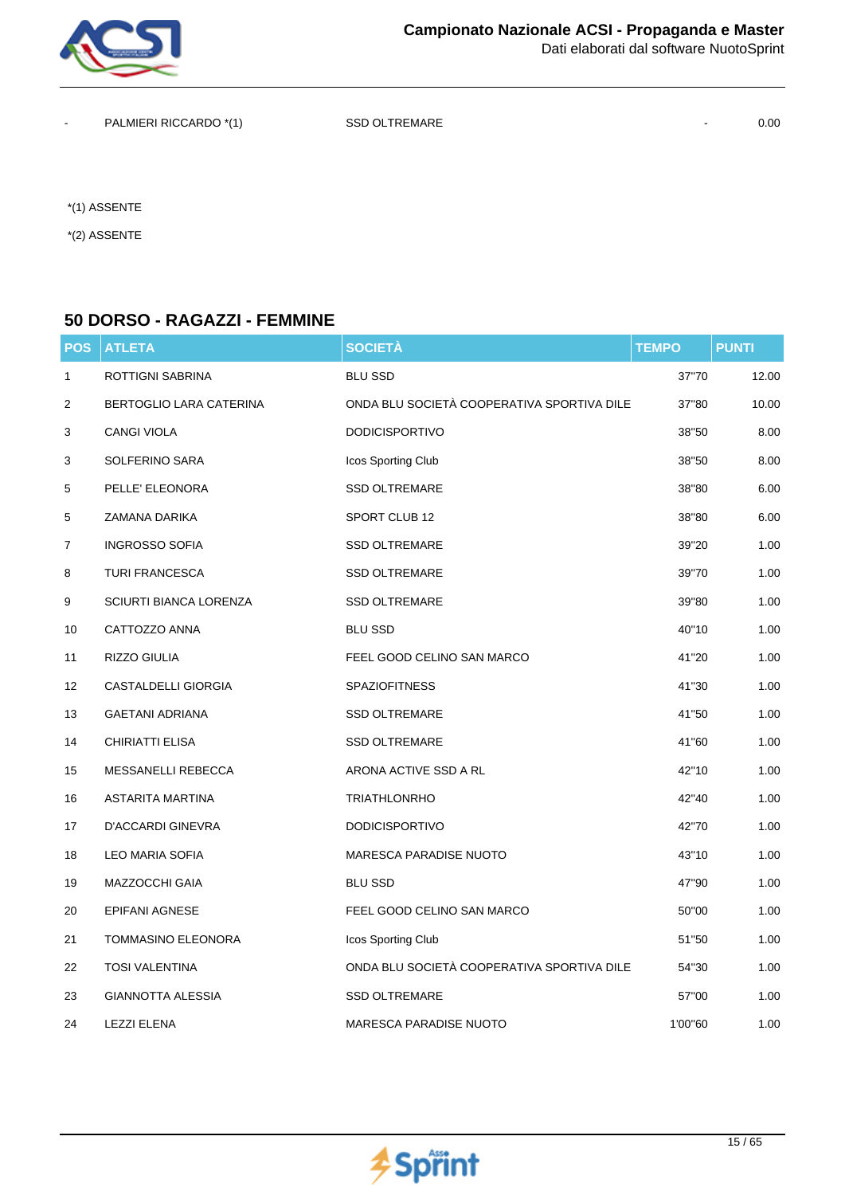

PALMIERI RICCARDO \*(1) SSD OLTREMARE 40.00

\*(1) ASSENTE

\*(2) ASSENTE

#### **50 DORSO - RAGAZZI - FEMMINE**

| <b>POS</b>   | <b>ATLETA</b>                 | <b>SOCIETÀ</b>                             | <b>TEMPO</b> | <b>PUNTI</b> |
|--------------|-------------------------------|--------------------------------------------|--------------|--------------|
| $\mathbf{1}$ | <b>ROTTIGNI SABRINA</b>       | <b>BLU SSD</b>                             | 37"70        | 12.00        |
| 2            | BERTOGLIO LARA CATERINA       | ONDA BLU SOCIETÀ COOPERATIVA SPORTIVA DILE | 37"80        | 10.00        |
| 3            | <b>CANGI VIOLA</b>            | <b>DODICISPORTIVO</b>                      | 38"50        | 8.00         |
| 3            | SOLFERINO SARA                | Icos Sporting Club                         | 38"50        | 8.00         |
| 5            | PELLE' ELEONORA               | <b>SSD OLTREMARE</b>                       | 38"80        | 6.00         |
| 5            | ZAMANA DARIKA                 | SPORT CLUB 12                              | 38"80        | 6.00         |
| 7            | <b>INGROSSO SOFIA</b>         | <b>SSD OLTREMARE</b>                       | 39"20        | 1.00         |
| 8            | <b>TURI FRANCESCA</b>         | <b>SSD OLTREMARE</b>                       | 39"70        | 1.00         |
| 9            | <b>SCIURTI BIANCA LORENZA</b> | <b>SSD OLTREMARE</b>                       | 39"80        | 1.00         |
| 10           | CATTOZZO ANNA                 | <b>BLU SSD</b>                             | 40"10        | 1.00         |
| 11           | RIZZO GIULIA                  | FEEL GOOD CELINO SAN MARCO                 | 41"20        | 1.00         |
| 12           | <b>CASTALDELLI GIORGIA</b>    | <b>SPAZIOFITNESS</b>                       | 41"30        | 1.00         |
| 13           | <b>GAETANI ADRIANA</b>        | <b>SSD OLTREMARE</b>                       | 41"50        | 1.00         |
| 14           | CHIRIATTI ELISA               | <b>SSD OLTREMARE</b>                       | 41"60        | 1.00         |
| 15           | MESSANELLI REBECCA            | ARONA ACTIVE SSD A RL                      | 42"10        | 1.00         |
| 16           | <b>ASTARITA MARTINA</b>       | <b>TRIATHLONRHO</b>                        | 42"40        | 1.00         |
| 17           | D'ACCARDI GINEVRA             | <b>DODICISPORTIVO</b>                      | 42"70        | 1.00         |
| 18           | <b>LEO MARIA SOFIA</b>        | MARESCA PARADISE NUOTO                     | 43"10        | 1.00         |
| 19           | MAZZOCCHI GAIA                | <b>BLU SSD</b>                             | 47"90        | 1.00         |
| 20           | <b>EPIFANI AGNESE</b>         | FEEL GOOD CELINO SAN MARCO                 | 50"00        | 1.00         |
| 21           | <b>TOMMASINO ELEONORA</b>     | Icos Sporting Club                         | 51"50        | 1.00         |
| 22           | <b>TOSI VALENTINA</b>         | ONDA BLU SOCIETÀ COOPERATIVA SPORTIVA DILE | 54"30        | 1.00         |
| 23           | <b>GIANNOTTA ALESSIA</b>      | <b>SSD OLTREMARE</b>                       | 57"00        | 1.00         |
| 24           | <b>LEZZI ELENA</b>            | <b>MARESCA PARADISE NUOTO</b>              | 1'00"60      | 1.00         |

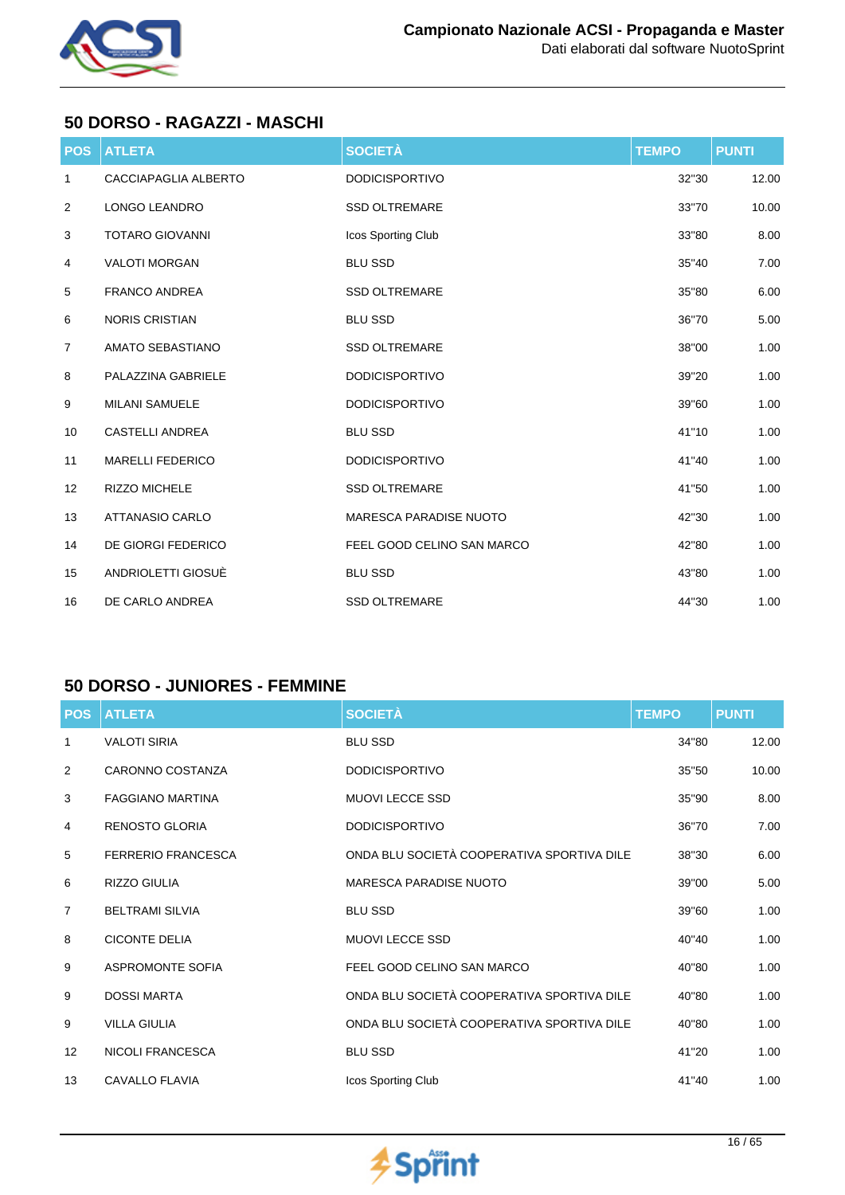

## **50 DORSO - RAGAZZI - MASCHI**

| <b>POS</b>     | <b>ATLETA</b>           | <b>SOCIETÀ</b>                | <b>TEMPO</b> | <b>PUNTI</b> |
|----------------|-------------------------|-------------------------------|--------------|--------------|
| $\mathbf{1}$   | CACCIAPAGLIA ALBERTO    | <b>DODICISPORTIVO</b>         | 32"30        | 12.00        |
| $\overline{2}$ | LONGO LEANDRO           | <b>SSD OLTREMARE</b>          | 33"70        | 10.00        |
| 3              | <b>TOTARO GIOVANNI</b>  | Icos Sporting Club            | 33"80        | 8.00         |
| 4              | <b>VALOTI MORGAN</b>    | <b>BLU SSD</b>                | 35"40        | 7.00         |
| 5              | <b>FRANCO ANDREA</b>    | <b>SSD OLTREMARE</b>          | 35"80        | 6.00         |
| 6              | <b>NORIS CRISTIAN</b>   | <b>BLU SSD</b>                | 36"70        | 5.00         |
| 7              | AMATO SEBASTIANO        | <b>SSD OLTREMARE</b>          | 38"00        | 1.00         |
| 8              | PALAZZINA GABRIELE      | <b>DODICISPORTIVO</b>         | 39"20        | 1.00         |
| 9              | <b>MILANI SAMUELE</b>   | <b>DODICISPORTIVO</b>         | 39"60        | 1.00         |
| 10             | <b>CASTELLI ANDREA</b>  | <b>BLU SSD</b>                | 41"10        | 1.00         |
| 11             | <b>MARELLI FEDERICO</b> | <b>DODICISPORTIVO</b>         | 41"40        | 1.00         |
| 12             | <b>RIZZO MICHELE</b>    | <b>SSD OLTREMARE</b>          | 41"50        | 1.00         |
| 13             | <b>ATTANASIO CARLO</b>  | <b>MARESCA PARADISE NUOTO</b> | 42"30        | 1.00         |
| 14             | DE GIORGI FEDERICO      | FEEL GOOD CELINO SAN MARCO    | 42"80        | 1.00         |
| 15             | ANDRIOLETTI GIOSUÈ      | <b>BLU SSD</b>                | 43"80        | 1.00         |
| 16             | DE CARLO ANDREA         | <b>SSD OLTREMARE</b>          | 44"30        | 1.00         |

### **50 DORSO - JUNIORES - FEMMINE**

| <b>POS</b>     | <b>ATLETA</b>             | <b>SOCIETÀ</b>                             | <b>TEMPO</b> | <b>PUNTI</b> |
|----------------|---------------------------|--------------------------------------------|--------------|--------------|
| 1              | <b>VALOTI SIRIA</b>       | <b>BLU SSD</b>                             | 34"80        | 12.00        |
| 2              | CARONNO COSTANZA          | <b>DODICISPORTIVO</b>                      | 35"50        | 10.00        |
| 3              | <b>FAGGIANO MARTINA</b>   | <b>MUOVI LECCE SSD</b>                     | 35"90        | 8.00         |
| 4              | <b>RENOSTO GLORIA</b>     | <b>DODICISPORTIVO</b>                      | 36"70        | 7.00         |
| 5              | <b>FERRERIO FRANCESCA</b> | ONDA BLU SOCIETÀ COOPERATIVA SPORTIVA DILE | 38"30        | 6.00         |
| 6              | RIZZO GIULIA              | MARESCA PARADISE NUOTO                     | 39"00        | 5.00         |
| $\overline{7}$ | <b>BELTRAMI SILVIA</b>    | <b>BLU SSD</b>                             | 39"60        | 1.00         |
| 8              | <b>CICONTE DELIA</b>      | <b>MUOVI LECCE SSD</b>                     | 40"40        | 1.00         |
| 9              | <b>ASPROMONTE SOFIA</b>   | FEEL GOOD CELINO SAN MARCO                 | 40"80        | 1.00         |
| 9              | <b>DOSSI MARTA</b>        | ONDA BLU SOCIETÀ COOPERATIVA SPORTIVA DILE | 40"80        | 1.00         |
| 9              | <b>VILLA GIULIA</b>       | ONDA BLU SOCIETÀ COOPERATIVA SPORTIVA DILE | 40"80        | 1.00         |
| 12             | NICOLI FRANCESCA          | <b>BLU SSD</b>                             | 41"20        | 1.00         |
| 13             | CAVALLO FLAVIA            | Icos Sporting Club                         | 41"40        | 1.00         |

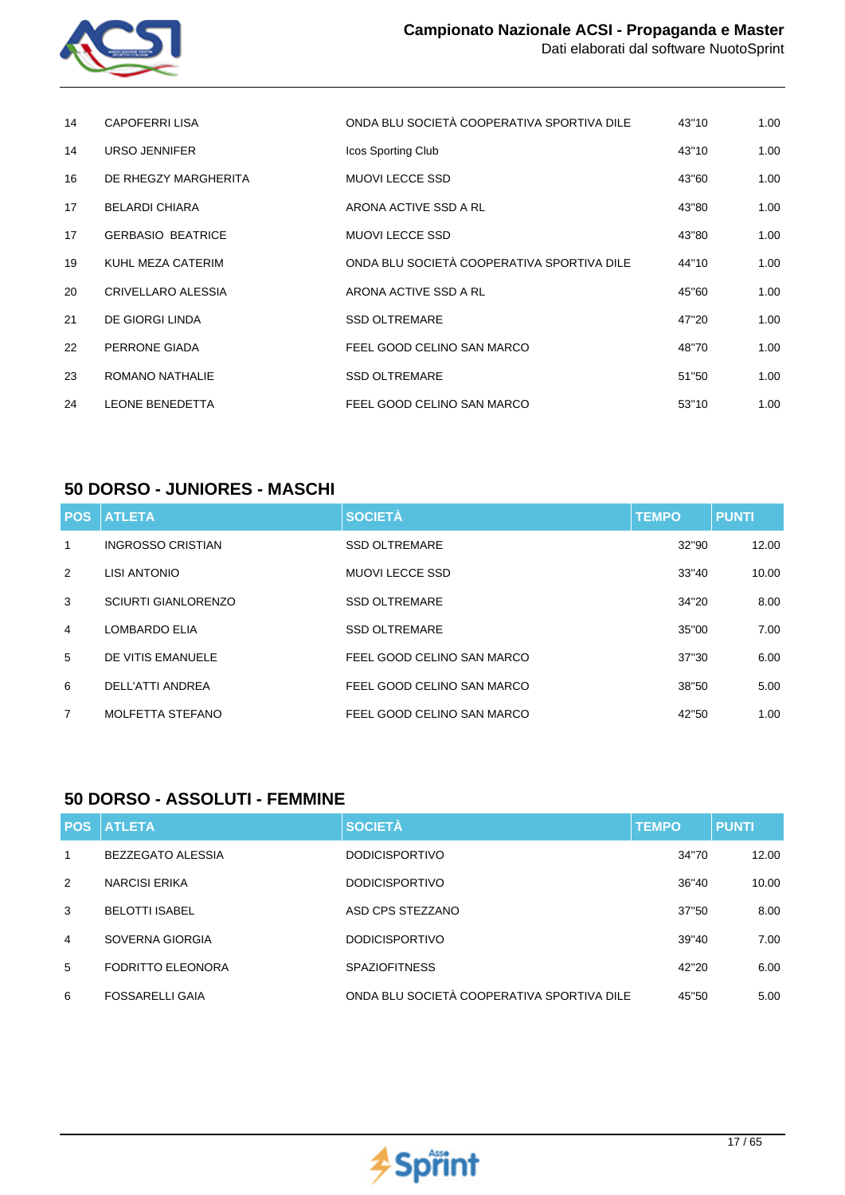

| 14 | CAPOFERRI LISA           | ONDA BLU SOCIETÀ COOPERATIVA SPORTIVA DILE | 43"10 | 1.00 |
|----|--------------------------|--------------------------------------------|-------|------|
| 14 | <b>URSO JENNIFER</b>     | Icos Sporting Club                         | 43"10 | 1.00 |
| 16 | DE RHEGZY MARGHERITA     | <b>MUOVI LECCE SSD</b>                     | 43"60 | 1.00 |
| 17 | <b>BELARDI CHIARA</b>    | ARONA ACTIVE SSD A RL                      | 43"80 | 1.00 |
| 17 | <b>GERBASIO BEATRICE</b> | <b>MUOVI LECCE SSD</b>                     | 43"80 | 1.00 |
| 19 | KUHL MEZA CATERIM        | ONDA BLU SOCIETÀ COOPERATIVA SPORTIVA DILE | 44"10 | 1.00 |
| 20 | CRIVELLARO ALESSIA       | ARONA ACTIVE SSD A RL                      | 45"60 | 1.00 |
| 21 | DE GIORGI LINDA          | <b>SSD OLTREMARE</b>                       | 47"20 | 1.00 |
| 22 | PERRONE GIADA            | FEEL GOOD CELINO SAN MARCO                 | 48"70 | 1.00 |
| 23 | ROMANO NATHALIE          | <b>SSD OLTREMARE</b>                       | 51"50 | 1.00 |
| 24 | <b>LEONE BENEDETTA</b>   | FEEL GOOD CELINO SAN MARCO                 | 53"10 | 1.00 |

### **50 DORSO - JUNIORES - MASCHI**

|                 | <b>POS ATLETA</b>          | <b>SOCIETÀ</b>             | <b>TEMPO</b> | <b>PUNTI</b> |
|-----------------|----------------------------|----------------------------|--------------|--------------|
| 1               | <b>INGROSSO CRISTIAN</b>   | <b>SSD OLTREMARE</b>       | 32"90        | 12.00        |
| 2               | LISI ANTONIO               | <b>MUOVI LECCE SSD</b>     | 33"40        | 10.00        |
| 3               | <b>SCIURTI GIANLORENZO</b> | <b>SSD OLTREMARE</b>       | 34"20        | 8.00         |
| $\overline{4}$  | LOMBARDO ELIA              | <b>SSD OLTREMARE</b>       | 35"00        | 7.00         |
| $5\overline{5}$ | DE VITIS EMANUELE          | FEEL GOOD CELINO SAN MARCO | 37"30        | 6.00         |
| 6               | DELL'ATTI ANDREA           | FEEL GOOD CELINO SAN MARCO | 38"50        | 5.00         |
| 7               | MOLFETTA STEFANO           | FEEL GOOD CELINO SAN MARCO | 42"50        | 1.00         |

#### **50 DORSO - ASSOLUTI - FEMMINE**

|                | <b>POS ATLETA</b>        | <b>SOCIETÀ</b>                             | <b>TEMPO</b> | <b>PUNTI</b> |
|----------------|--------------------------|--------------------------------------------|--------------|--------------|
| 1              | BEZZEGATO ALESSIA        | <b>DODICISPORTIVO</b>                      | 34"70        | 12.00        |
| 2              | <b>NARCISI ERIKA</b>     | <b>DODICISPORTIVO</b>                      | 36"40        | 10.00        |
| 3              | <b>BELOTTI ISABEL</b>    | ASD CPS STEZZANO                           | 37"50        | 8.00         |
| $\overline{4}$ | SOVERNA GIORGIA          | <b>DODICISPORTIVO</b>                      | 39"40        | 7.00         |
| 5              | <b>FODRITTO ELEONORA</b> | <b>SPAZIOFITNESS</b>                       | 42"20        | 6.00         |
| 6              | <b>FOSSARELLI GAIA</b>   | ONDA BLU SOCIETÀ COOPERATIVA SPORTIVA DILE | 45"50        | 5.00         |

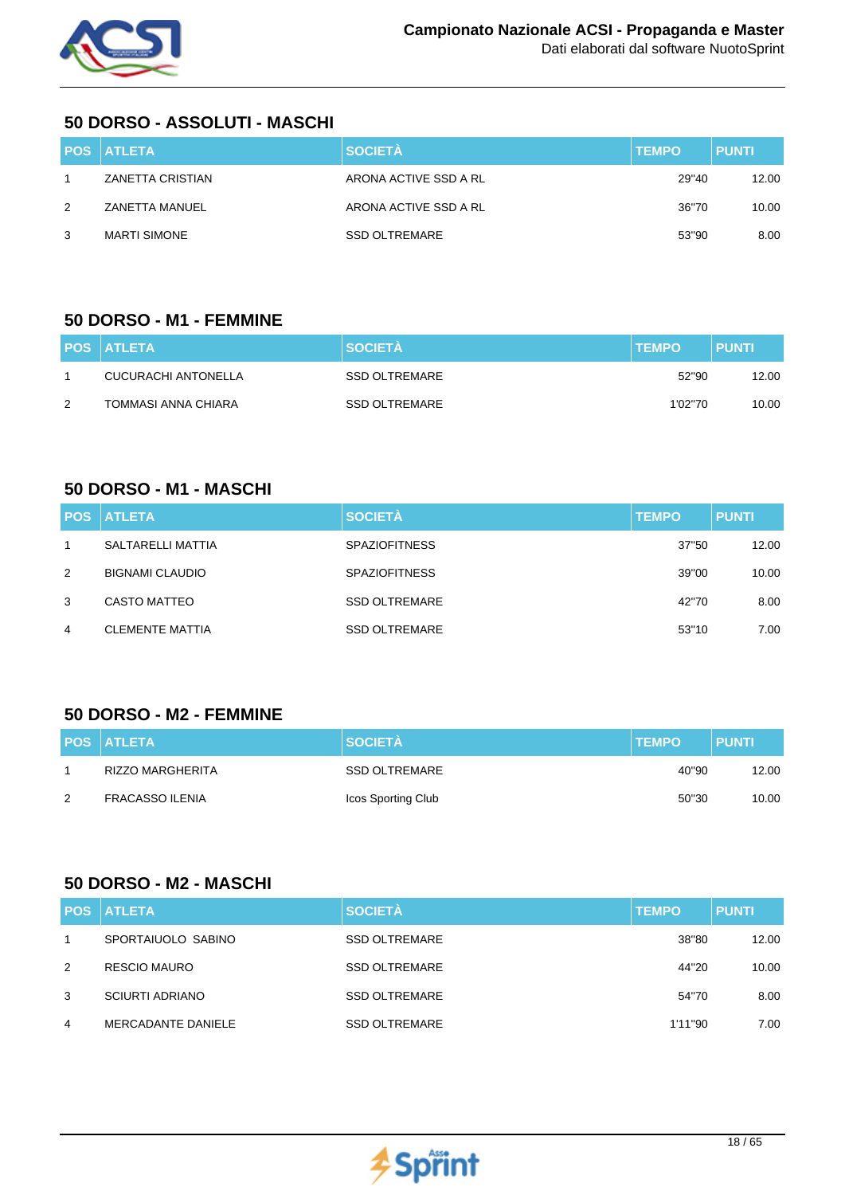

### **50 DORSO - ASSOLUTI - MASCHI**

|   | <b>POS ATLETA</b>   | <b>SOCIETÀ</b>        | <b>TEMPO</b> | <b>PUNTI</b> |
|---|---------------------|-----------------------|--------------|--------------|
|   | ZANETTA CRISTIAN    | ARONA ACTIVE SSD A RL | 29"40        | 12.00        |
| 2 | ZANETTA MANUEL      | ARONA ACTIVE SSD A RL | 36"70        | 10.00        |
| 3 | <b>MARTI SIMONE</b> | <b>SSD OLTREMARE</b>  | 53"90        | 8.00         |

### **50 DORSO - M1 - FEMMINE**

|   | <b>POS ATLETA</b>   | <b>SOCIETA</b> | <b>TEMPO</b> | <b>PUNTI</b> |
|---|---------------------|----------------|--------------|--------------|
|   | CUCURACHI ANTONELLA | SSD OLTREMARE  | 52"90        | 12.00        |
| 2 | TOMMASI ANNA CHIARA | SSD OLTREMARE  | 1'02"70      | 10.00        |

### **50 DORSO - M1 - MASCHI**

|              | <b>POS ATLETA</b>      | <b>SOCIETÀ</b>       | <b>TEMPO</b> | <b>PUNTI</b> |
|--------------|------------------------|----------------------|--------------|--------------|
| $\mathbf{1}$ | SALTARELLI MATTIA      | <b>SPAZIOFITNESS</b> | 37"50        | 12.00        |
| 2            | <b>BIGNAMI CLAUDIO</b> | <b>SPAZIOFITNESS</b> | 39"00        | 10.00        |
| 3            | <b>CASTO MATTEO</b>    | <b>SSD OLTREMARE</b> | 42"70        | 8.00         |
| 4            | <b>CLEMENTE MATTIA</b> | <b>SSD OLTREMARE</b> | 53"10        | 7.00         |

### **50 DORSO - M2 - FEMMINE**

|   | <b>POS ATLETA</b>      | <b>SOCIETÀ</b>       | <b>ITEMPO</b> | <b>PUNTI</b> |
|---|------------------------|----------------------|---------------|--------------|
|   | RIZZO MARGHERITA       | <b>SSD OLTREMARE</b> | 40"90         | 12.00        |
| 2 | <b>FRACASSO ILENIA</b> | Icos Sporting Club   | 50"30         | 10.00        |

## **50 DORSO - M2 - MASCHI**

|   | <b>POS ATLETA</b>      | <b>SOCIETÀ</b>       | <b>TEMPO</b> | <b>PUNTI</b> |
|---|------------------------|----------------------|--------------|--------------|
|   | SPORTAIUOLO SABINO     | <b>SSD OLTREMARE</b> | 38"80        | 12.00        |
| 2 | <b>RESCIO MAURO</b>    | <b>SSD OLTREMARE</b> | 44"20        | 10.00        |
| 3 | <b>SCIURTI ADRIANO</b> | <b>SSD OLTREMARE</b> | 54"70        | 8.00         |
| 4 | MERCADANTE DANIELE     | <b>SSD OLTREMARE</b> | 1'11"90      | 7.00         |

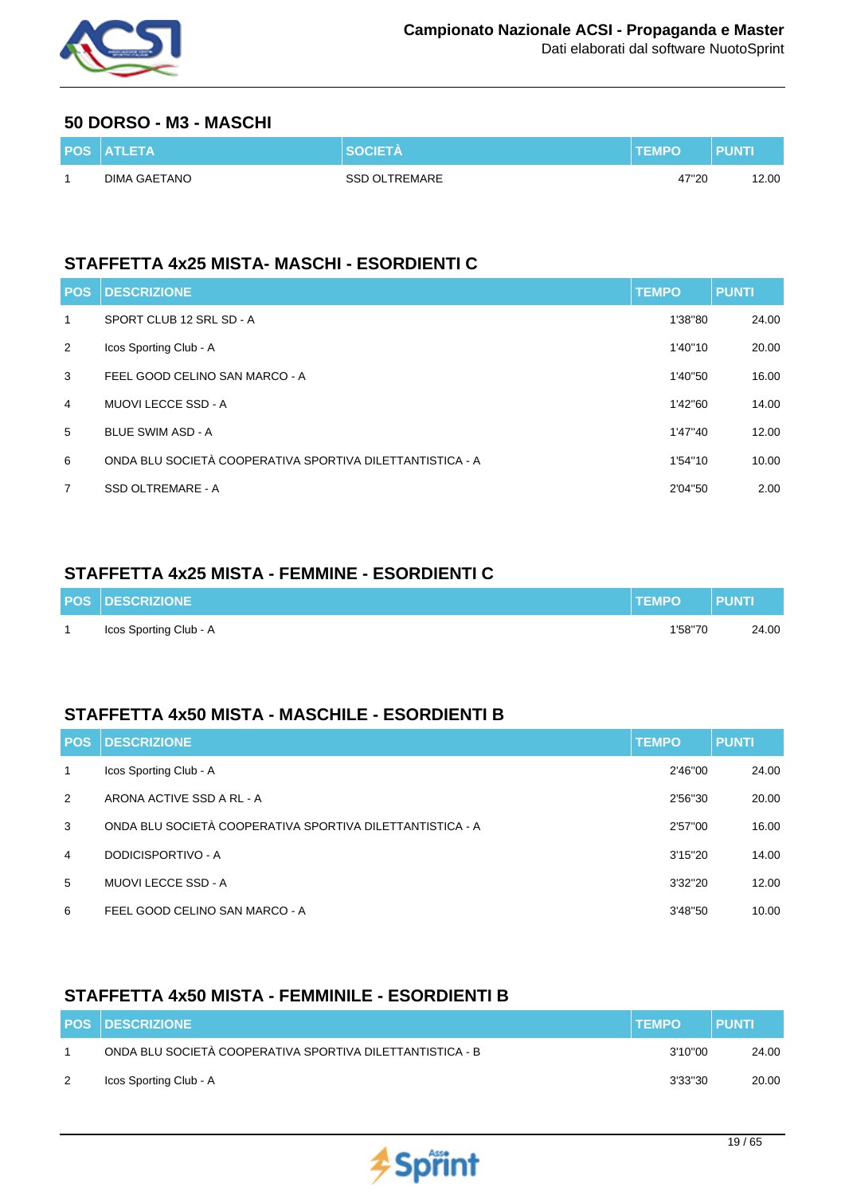

#### **50 DORSO - M3 - MASCHI**

| <b>POS ATLETA</b> |                      | <b>TEMPO</b> | <b>PUNTK</b> |
|-------------------|----------------------|--------------|--------------|
| DIMA GAETANO      | <b>SSD OLTREMARE</b> | 47"20        | 12.00        |

## **STAFFETTA 4x25 MISTA- MASCHI - ESORDIENTI C**

| <b>POS</b>     | <b>DESCRIZIONE</b>                                        | <b>TEMPO</b> | <b>PUNTI</b> |
|----------------|-----------------------------------------------------------|--------------|--------------|
| 1              | SPORT CLUB 12 SRL SD - A                                  | 1'38"80      | 24.00        |
| 2              | Icos Sporting Club - A                                    | 1'40"10      | 20.00        |
| 3              | FEEL GOOD CELINO SAN MARCO - A                            | 1'40"50      | 16.00        |
| $\overline{4}$ | MUOVI LECCE SSD - A                                       | 1'42"60      | 14.00        |
| 5              | <b>BLUE SWIM ASD - A</b>                                  | 1'47"40      | 12.00        |
| 6              | ONDA BLU SOCIETÀ COOPERATIVA SPORTIVA DILETTANTISTICA - A | 1'54"10      | 10.00        |
| $\overline{7}$ | SSD OLTREMARE - A                                         | 2'04"50      | 2.00         |

### **STAFFETTA 4x25 MISTA - FEMMINE - ESORDIENTI C**

| <b>POS DESCRIZIONE</b> | <b>ITEMPO</b> | <b>PUNTI</b> |
|------------------------|---------------|--------------|
| Icos Sporting Club - A | 1'58"70       | 24.00        |

### **STAFFETTA 4x50 MISTA - MASCHILE - ESORDIENTI B**

| <b>POS</b>   | <b>DESCRIZIONE</b>                                        | <b>TEMPO</b> | <b>PUNTI</b> |
|--------------|-----------------------------------------------------------|--------------|--------------|
| $\mathbf{1}$ | Icos Sporting Club - A                                    | 2'46"00      | 24.00        |
| 2            | ARONA ACTIVE SSD A RL - A                                 | 2'56"30      | 20.00        |
| 3            | ONDA BLU SOCIETÀ COOPERATIVA SPORTIVA DILETTANTISTICA - A | 2'57"00      | 16.00        |
| 4            | DODICISPORTIVO - A                                        | 3'15''20     | 14.00        |
| 5            | MUOVI LECCE SSD - A                                       | 3'32"20      | 12.00        |
| 6            | FEEL GOOD CELINO SAN MARCO - A                            | 3'48"50      | 10.00        |

## **STAFFETTA 4x50 MISTA - FEMMINILE - ESORDIENTI B**

| <b>POS DESCRIZIONE</b>                                    | <b>ITEMPO</b> | <b>PUNTI</b> |
|-----------------------------------------------------------|---------------|--------------|
| ONDA BLU SOCIETÀ COOPERATIVA SPORTIVA DILETTANTISTICA - B | 3'10"00       | 24.00        |
| Icos Sporting Club - A                                    | 3'33"30       | 20.00        |

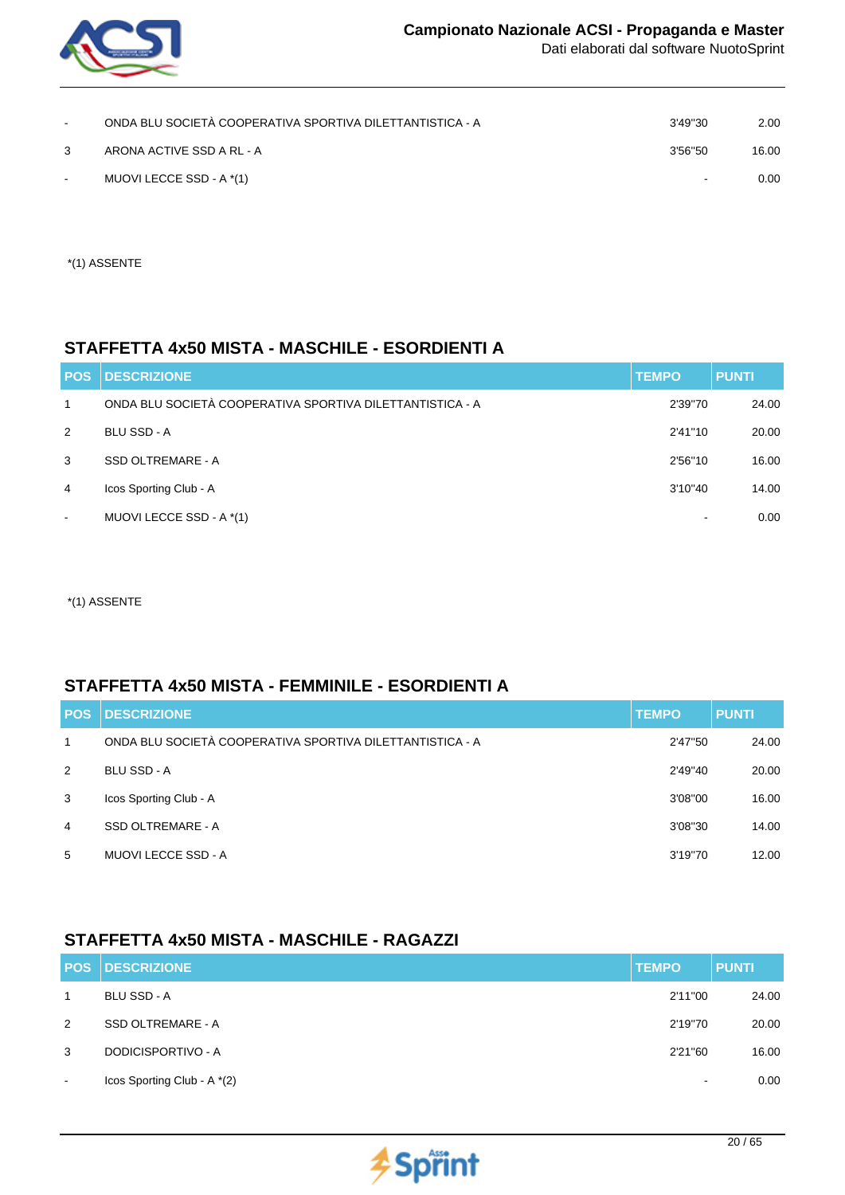

| $\sim$ | ONDA BLU SOCIETÀ COOPERATIVA SPORTIVA DILETTANTISTICA - A | 3'49"30 | 2.00  |
|--------|-----------------------------------------------------------|---------|-------|
| 3      | ARONA ACTIVE SSD A RL - A                                 | 3'56"50 | 16.00 |
| $\sim$ | MUOVI LECCE SSD - A *(1)                                  | $\sim$  | 0.00  |

\*(1) ASSENTE

### **STAFFETTA 4x50 MISTA - MASCHILE - ESORDIENTI A**

| <b>POS</b>     | <b>DESCRIZIONE</b>                                        | <b>TEMPO</b> | <b>PUNTI</b> |
|----------------|-----------------------------------------------------------|--------------|--------------|
| $\mathbf{1}$   | ONDA BLU SOCIETÀ COOPERATIVA SPORTIVA DILETTANTISTICA - A | 2'39"70      | 24.00        |
| 2              | <b>BLU SSD - A</b>                                        | 2'41"10      | 20.00        |
| 3              | SSD OLTREMARE - A                                         | 2'56"10      | 16.00        |
| 4              | Icos Sporting Club - A                                    | 3'10"40      | 14.00        |
| $\blacksquare$ | MUOVI LECCE SSD - A *(1)                                  |              | 0.00         |

\*(1) ASSENTE

#### **STAFFETTA 4x50 MISTA - FEMMINILE - ESORDIENTI A**

| <b>POS</b> | <b>DESCRIZIONE</b>                                        | <b>TEMPO</b> | <b>PUNTI</b> |
|------------|-----------------------------------------------------------|--------------|--------------|
| 1          | ONDA BLU SOCIETÀ COOPERATIVA SPORTIVA DILETTANTISTICA - A | 2'47"50      | 24.00        |
| 2          | <b>BLU SSD - A</b>                                        | 2'49"40      | 20.00        |
| 3          | Icos Sporting Club - A                                    | 3'08"00      | 16.00        |
| 4          | SSD OLTREMARE - A                                         | 3'08"30      | 14.00        |
| 5          | MUOVI LECCE SSD - A                                       | 3'19"70      | 12.00        |

## **STAFFETTA 4x50 MISTA - MASCHILE - RAGAZZI**

|                | <b>POS DESCRIZIONE</b>      | <b>TEMPO</b>             | <b>PUNTI</b> |
|----------------|-----------------------------|--------------------------|--------------|
| $\mathbf{1}$   | <b>BLU SSD - A</b>          | 2'11"00                  | 24.00        |
| 2              | SSD OLTREMARE - A           | 2'19"70                  | 20.00        |
| 3              | DODICISPORTIVO - A          | 2'21"60                  | 16.00        |
| $\blacksquare$ | Icos Sporting Club - A *(2) | $\overline{\phantom{a}}$ | 0.00         |

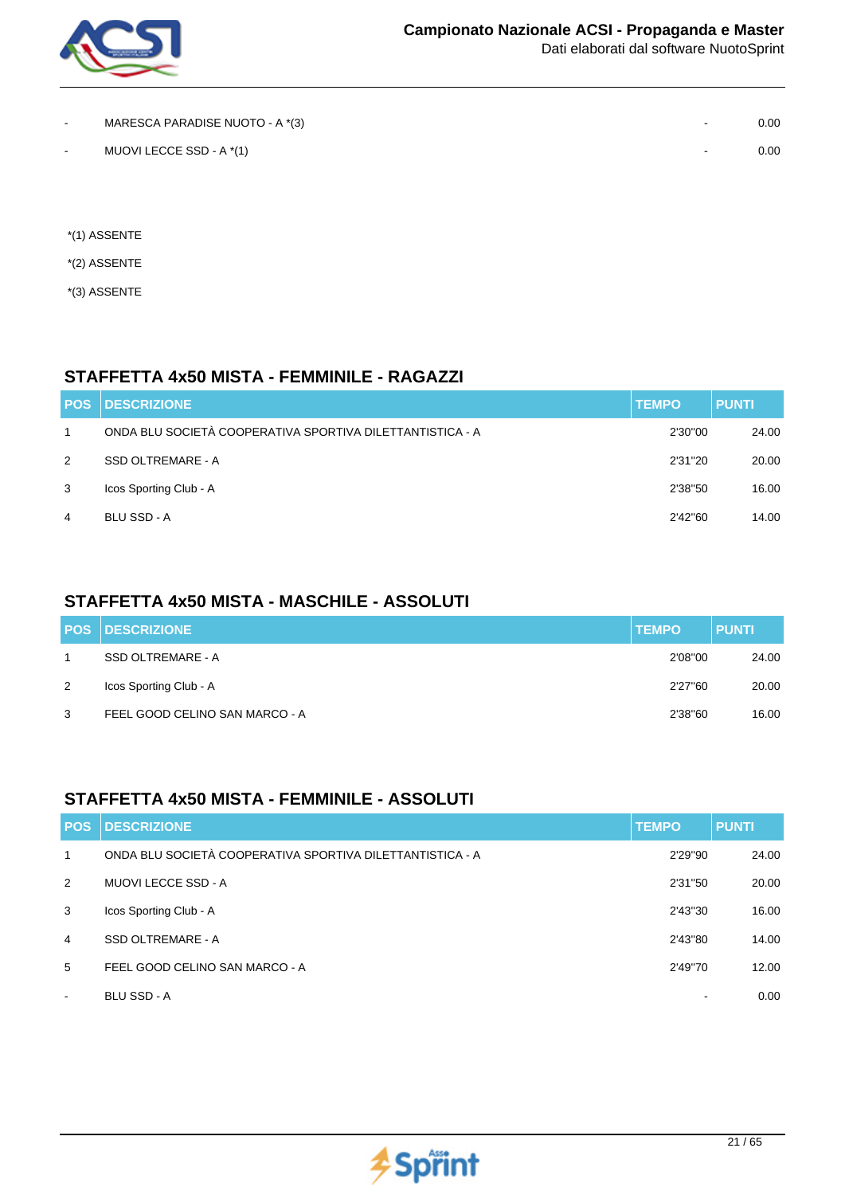

| $\overline{\phantom{a}}$ | MARESCA PARADISE NUOTO - A *(3) | $\sim$ | 0.00 |
|--------------------------|---------------------------------|--------|------|
| $\sim$                   | MUOVI LECCE SSD - A *(1)        | $\sim$ | 0.00 |

- \*(1) ASSENTE
- \*(2) ASSENTE
- \*(3) ASSENTE

### **STAFFETTA 4x50 MISTA - FEMMINILE - RAGAZZI**

| <b>POS</b>   | <b>IDESCRIZIONE</b>                                       | <b>TEMPO</b> | <b>PUNTI</b> |
|--------------|-----------------------------------------------------------|--------------|--------------|
| $\mathbf{1}$ | ONDA BLU SOCIETÀ COOPERATIVA SPORTIVA DILETTANTISTICA - A | 2'30"00      | 24.00        |
| 2            | SSD OLTREMARE - A                                         | 2'31"20      | 20.00        |
| 3            | Icos Sporting Club - A                                    | 2'38"50      | 16.00        |
| 4            | BLU SSD - A                                               | 2'42"60      | 14.00        |

## **STAFFETTA 4x50 MISTA - MASCHILE - ASSOLUTI**

|   | <b>POS DESCRIZIONE</b>         | <b>TEMPO</b> | <b>PUNTI</b> |
|---|--------------------------------|--------------|--------------|
|   | SSD OLTREMARE - A              | 2'08"00      | 24.00        |
| 2 | Icos Sporting Club - A         | 2'27"60      | 20.00        |
| 3 | FEEL GOOD CELINO SAN MARCO - A | 2'38"60      | 16.00        |

### **STAFFETTA 4x50 MISTA - FEMMINILE - ASSOLUTI**

| <b>POS</b>   | <b>DESCRIZIONE</b>                                        | <b>TEMPO</b>             | <b>PUNTI</b> |
|--------------|-----------------------------------------------------------|--------------------------|--------------|
| $\mathbf{1}$ | ONDA BLU SOCIETÀ COOPERATIVA SPORTIVA DILETTANTISTICA - A | 2'29"90                  | 24.00        |
| 2            | MUOVI LECCE SSD - A                                       | 2'31"50                  | 20.00        |
| 3            | Icos Sporting Club - A                                    | 2'43"30                  | 16.00        |
| 4            | <b>SSD OLTREMARE - A</b>                                  | 2'43"80                  | 14.00        |
| 5            | FEEL GOOD CELINO SAN MARCO - A                            | 2'49"70                  | 12.00        |
| $\,$ $\,$    | <b>BLU SSD - A</b>                                        | $\overline{\phantom{0}}$ | 0.00         |

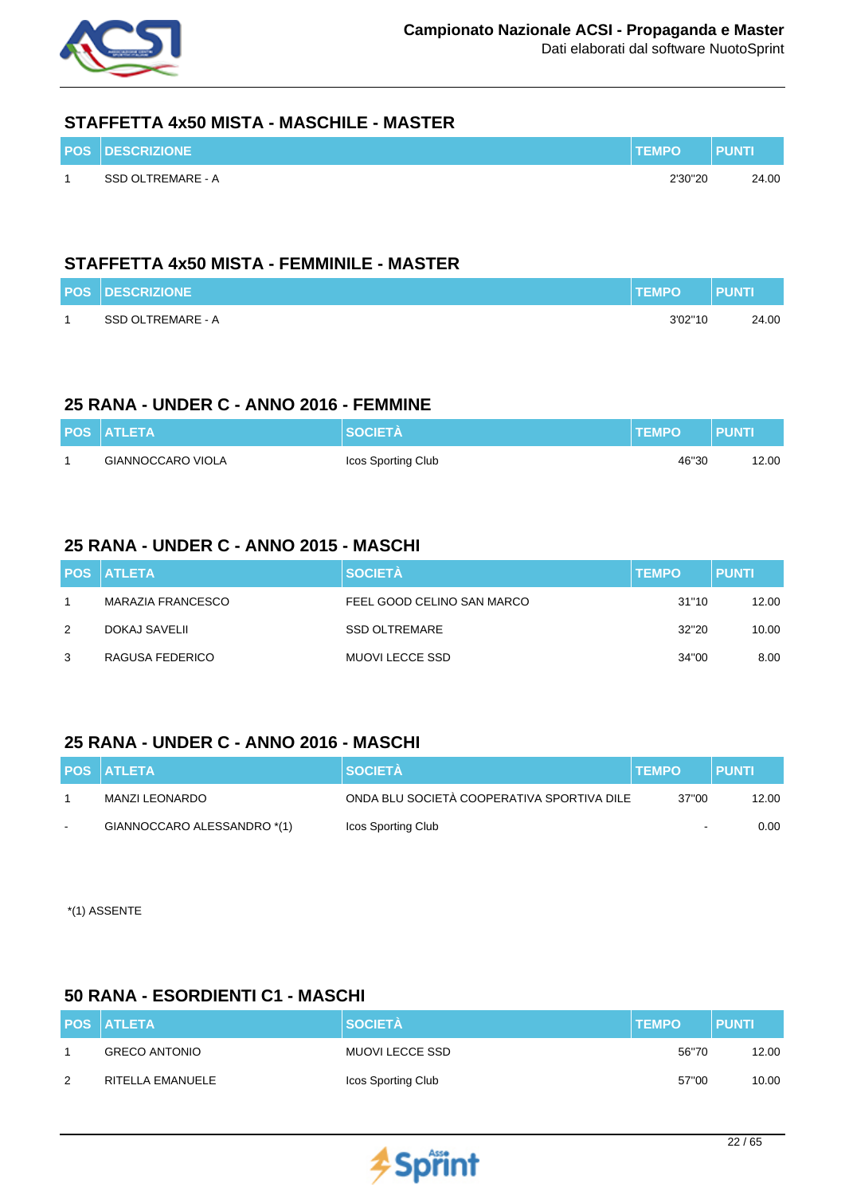

#### **STAFFETTA 4x50 MISTA - MASCHILE - MASTER**

| <b>POS DESCRIZIONE</b> | <b>TEMPO</b> | <b>PUNTI</b> |
|------------------------|--------------|--------------|
| SSD OLTREMARE - A      | 2'30"20      | 24.00        |

### **STAFFETTA 4x50 MISTA - FEMMINILE - MASTER**

| <b>POS DESCRIZIONE</b> | <b>TEMPO</b> | <b>PUNTI</b> |
|------------------------|--------------|--------------|
| SSD OLTREMARE - A      | 3'02"10      | 24.00        |

### **25 RANA - UNDER C - ANNO 2016 - FEMMINE**

| <b>POS ATLETA</b> | <b>SOCIETA</b>     | <b>TEMPO</b> | <b>PUNTI</b> |
|-------------------|--------------------|--------------|--------------|
| GIANNOCCARO VIOLA | Icos Sporting Club | 46"30        | 12.00        |

#### **25 RANA - UNDER C - ANNO 2015 - MASCHI**

|   | <b>POS ATLETA</b> | <b>SOCIETÀ</b>             | <b>TEMPO</b> | <b>PUNTI</b> |
|---|-------------------|----------------------------|--------------|--------------|
|   | MARAZIA FRANCESCO | FEEL GOOD CELINO SAN MARCO | 31"10        | 12.00        |
| 2 | DOKAJ SAVELII     | <b>SSD OLTREMARE</b>       | 32"20        | 10.00        |
| 3 | RAGUSA FEDERICO   | MUOVI LECCE SSD            | 34"00        | 8.00         |

## **25 RANA - UNDER C - ANNO 2016 - MASCHI**

|        | <b>POS ATLETA</b>           | <b>SOCIETA</b>                             | <b>ITEMPO</b> | <b>PUNTI</b> |
|--------|-----------------------------|--------------------------------------------|---------------|--------------|
|        | MANZI LEONARDO              | ONDA BLU SOCIETÀ COOPERATIVA SPORTIVA DILE | 37"00         | 12.00        |
| $\sim$ | GIANNOCCARO ALESSANDRO *(1) | Icos Sporting Club                         | $\,$ $\,$     | 0.00         |

\*(1) ASSENTE

### **50 RANA - ESORDIENTI C1 - MASCHI**

|   | <b>POS ATLETA</b>    | <b>SOCIETÀ</b>     | <b>TEMPO</b> | <b>PUNTI</b> |
|---|----------------------|--------------------|--------------|--------------|
|   | <b>GRECO ANTONIO</b> | MUOVI LECCE SSD    | 56"70        | 12.00        |
| 2 | RITELLA EMANUELE     | Icos Sporting Club | 57"00        | 10.00        |

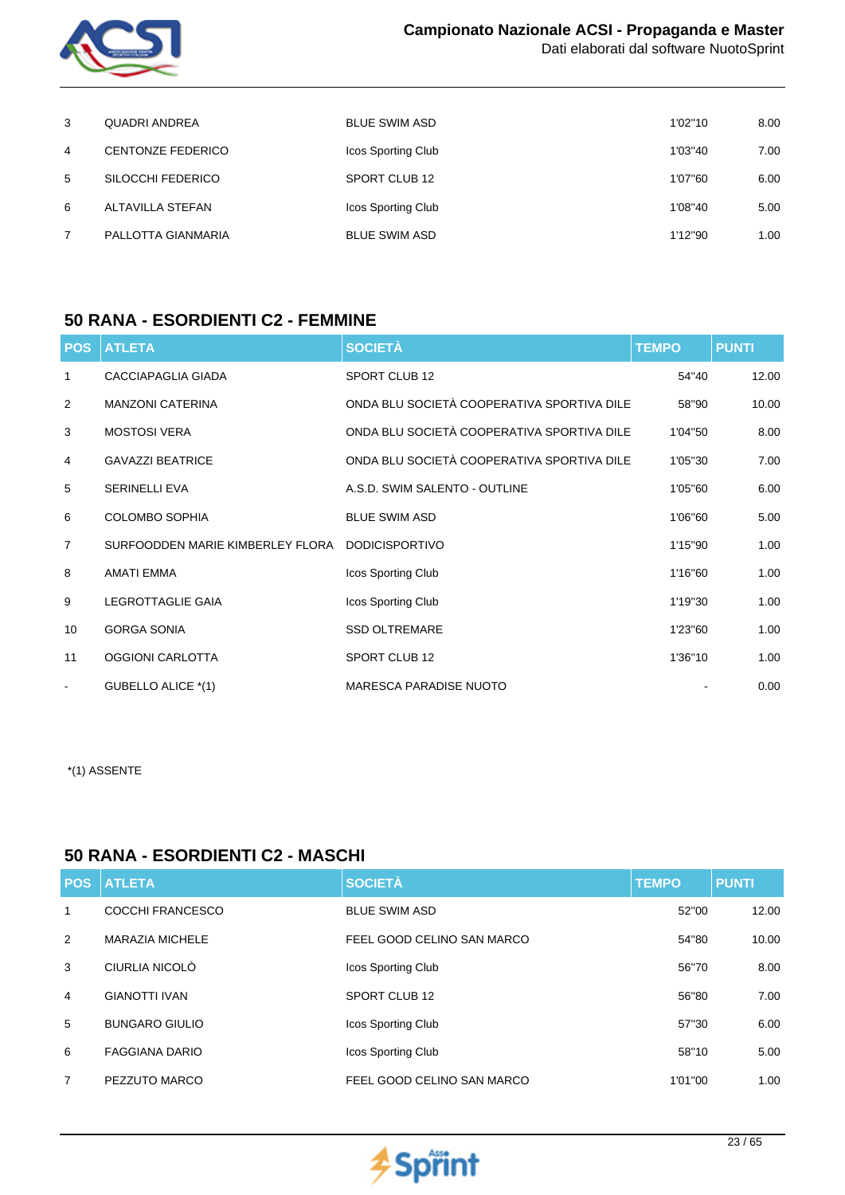

| 3 | <b>QUADRI ANDREA</b>     | <b>BLUE SWIM ASD</b> | 1'02"10 | 8.00 |
|---|--------------------------|----------------------|---------|------|
| 4 | <b>CENTONZE FEDERICO</b> | Icos Sporting Club   | 1'03"40 | 7.00 |
| 5 | SILOCCHI FEDERICO        | SPORT CLUB 12        | 1'07"60 | 6.00 |
| 6 | ALTAVILLA STEFAN         | Icos Sporting Club   | 1'08"40 | 5.00 |
| 7 | PALLOTTA GIANMARIA       | <b>BLUE SWIM ASD</b> | 1'12"90 | 1.00 |

#### **50 RANA - ESORDIENTI C2 - FEMMINE**

| <b>POS</b>     | <b>ATLETA</b>                                   | <b>SOCIETÀ</b>                             | <b>TEMPO</b> | <b>PUNTI</b> |
|----------------|-------------------------------------------------|--------------------------------------------|--------------|--------------|
| $\mathbf{1}$   | <b>CACCIAPAGLIA GIADA</b>                       | SPORT CLUB 12                              | 54"40        | 12.00        |
| 2              | <b>MANZONI CATERINA</b>                         | ONDA BLU SOCIETÀ COOPERATIVA SPORTIVA DILE | 58"90        | 10.00        |
| 3              | <b>MOSTOSI VERA</b>                             | ONDA BLU SOCIETÀ COOPERATIVA SPORTIVA DILE | 1'04"50      | 8.00         |
| $\overline{4}$ | <b>GAVAZZI BEATRICE</b>                         | ONDA BLU SOCIETÀ COOPERATIVA SPORTIVA DILE | 1'05"30      | 7.00         |
| 5              | <b>SERINELLI EVA</b>                            | A.S.D. SWIM SALENTO - OUTLINE              | 1'05"60      | 6.00         |
| 6              | <b>COLOMBO SOPHIA</b>                           | <b>BLUE SWIM ASD</b>                       | 1'06"60      | 5.00         |
| $\overline{7}$ | SURFOODDEN MARIE KIMBERLEY FLORA DODICISPORTIVO |                                            | 1'15"90      | 1.00         |
| 8              | AMATI EMMA                                      | Icos Sporting Club                         | 1'16"60      | 1.00         |
| 9              | <b>LEGROTTAGLIE GAIA</b>                        | Icos Sporting Club                         | 1'19"30      | 1.00         |
| 10             | <b>GORGA SONIA</b>                              | <b>SSD OLTREMARE</b>                       | 1'23"60      | 1.00         |
| 11             | OGGIONI CARLOTTA                                | SPORT CLUB 12                              | 1'36"10      | 1.00         |
| $\blacksquare$ | GUBELLO ALICE *(1)                              | <b>MARESCA PARADISE NUOTO</b>              |              | 0.00         |

\*(1) ASSENTE

#### **50 RANA - ESORDIENTI C2 - MASCHI**

|                | <b>POS ATLETA</b>      | <b>SOCIETÀ</b>             | <b>TEMPO</b> | <b>PUNTI</b> |
|----------------|------------------------|----------------------------|--------------|--------------|
| 1              | COCCHI FRANCESCO       | <b>BLUE SWIM ASD</b>       | 52"00        | 12.00        |
| 2              | <b>MARAZIA MICHELE</b> | FEEL GOOD CELINO SAN MARCO | 54"80        | 10.00        |
| 3              | CIURLIA NICOLÒ         | Icos Sporting Club         | 56"70        | 8.00         |
| $\overline{4}$ | <b>GIANOTTI IVAN</b>   | SPORT CLUB 12              | 56"80        | 7.00         |
| 5              | <b>BUNGARO GIULIO</b>  | Icos Sporting Club         | 57"30        | 6.00         |
| 6              | <b>FAGGIANA DARIO</b>  | Icos Sporting Club         | 58"10        | 5.00         |
| 7              | PEZZUTO MARCO          | FEEL GOOD CELINO SAN MARCO | 1'01"00      | 1.00         |

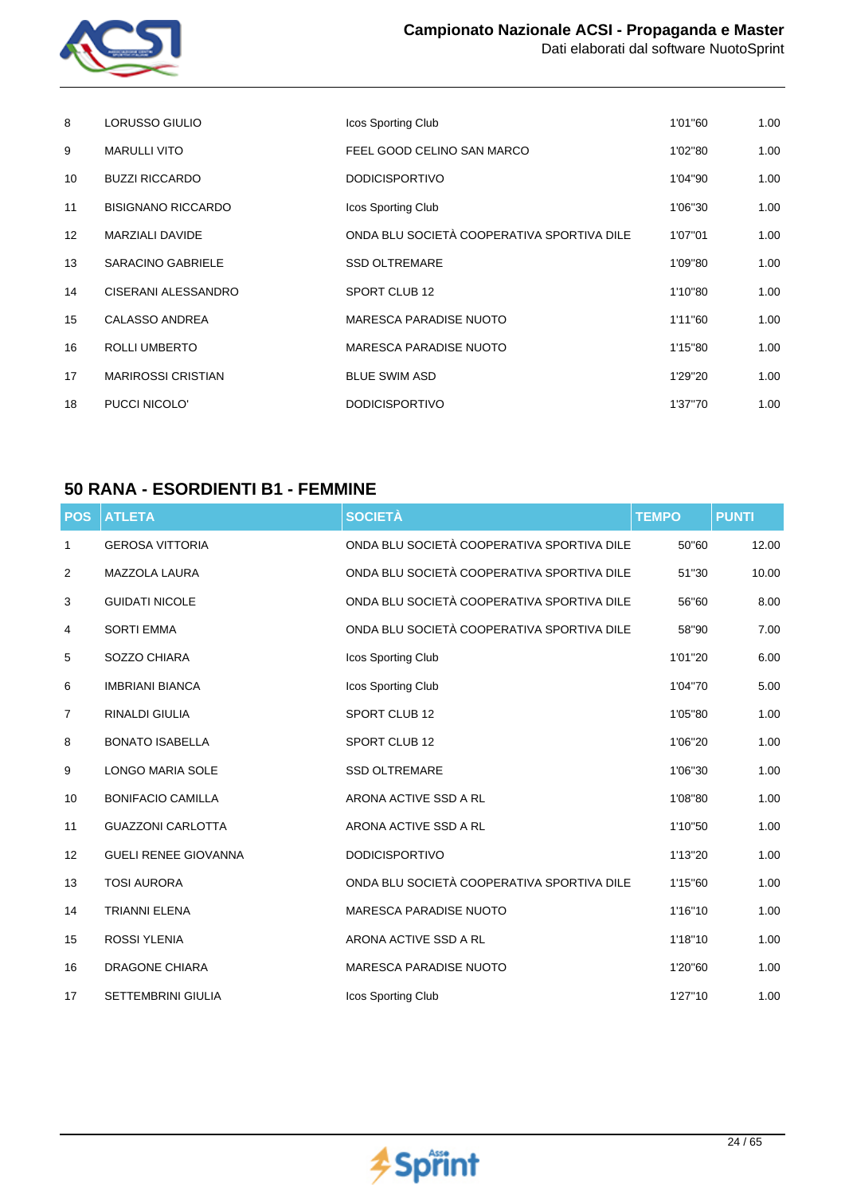

| 8               | <b>LORUSSO GIULIO</b>     | Icos Sporting Club                         | 1'01"60 | 1.00 |
|-----------------|---------------------------|--------------------------------------------|---------|------|
| 9               | <b>MARULLI VITO</b>       | FEEL GOOD CELINO SAN MARCO                 | 1'02"80 | 1.00 |
| 10              | <b>BUZZI RICCARDO</b>     | <b>DODICISPORTIVO</b>                      | 1'04"90 | 1.00 |
| 11              | <b>BISIGNANO RICCARDO</b> | Icos Sporting Club                         | 1'06"30 | 1.00 |
| 12 <sup>°</sup> | MARZIALI DAVIDE           | ONDA BLU SOCIETÀ COOPERATIVA SPORTIVA DILE | 1'07"01 | 1.00 |
| 13              | <b>SARACINO GABRIELE</b>  | <b>SSD OLTREMARE</b>                       | 1'09"80 | 1.00 |
| 14              | CISERANI ALESSANDRO       | SPORT CLUB 12                              | 1'10"80 | 1.00 |
| 15              | <b>CALASSO ANDREA</b>     | <b>MARESCA PARADISE NUOTO</b>              | 1'11"60 | 1.00 |
| 16              | <b>ROLLI UMBERTO</b>      | <b>MARESCA PARADISE NUOTO</b>              | 1'15"80 | 1.00 |
| 17              | <b>MARIROSSI CRISTIAN</b> | <b>BLUE SWIM ASD</b>                       | 1'29"20 | 1.00 |
| 18              | PUCCI NICOLO'             | <b>DODICISPORTIVO</b>                      | 1'37"70 | 1.00 |

## **50 RANA - ESORDIENTI B1 - FEMMINE**

| <b>POS</b> | <b>ATLETA</b>               | <b>SOCIETÀ</b>                             | <b>TEMPO</b> | <b>PUNTI</b> |
|------------|-----------------------------|--------------------------------------------|--------------|--------------|
| 1          | <b>GEROSA VITTORIA</b>      | ONDA BLU SOCIETÀ COOPERATIVA SPORTIVA DILE | 50"60        | 12.00        |
| 2          | <b>MAZZOLA LAURA</b>        | ONDA BLU SOCIETÀ COOPERATIVA SPORTIVA DILE | 51"30        | 10.00        |
| 3          | <b>GUIDATI NICOLE</b>       | ONDA BLU SOCIETÀ COOPERATIVA SPORTIVA DILE | 56"60        | 8.00         |
| 4          | <b>SORTI EMMA</b>           | ONDA BLU SOCIETÀ COOPERATIVA SPORTIVA DILE | 58"90        | 7.00         |
| 5          | SOZZO CHIARA                | Icos Sporting Club                         | 1'01"20      | 6.00         |
| 6          | <b>IMBRIANI BIANCA</b>      | Icos Sporting Club                         | 1'04"70      | 5.00         |
| 7          | RINALDI GIULIA              | SPORT CLUB 12                              | 1'05"80      | 1.00         |
| 8          | <b>BONATO ISABELLA</b>      | SPORT CLUB 12                              | 1'06"20      | 1.00         |
| 9          | <b>LONGO MARIA SOLE</b>     | <b>SSD OLTREMARE</b>                       | 1'06"30      | 1.00         |
| 10         | <b>BONIFACIO CAMILLA</b>    | ARONA ACTIVE SSD A RL                      | 1'08"80      | 1.00         |
| 11         | <b>GUAZZONI CARLOTTA</b>    | ARONA ACTIVE SSD A RL                      | 1'10"50      | 1.00         |
| 12         | <b>GUELI RENEE GIOVANNA</b> | <b>DODICISPORTIVO</b>                      | 1'13"20      | 1.00         |
| 13         | <b>TOSI AURORA</b>          | ONDA BLU SOCIETÀ COOPERATIVA SPORTIVA DILE | 1'15"60      | 1.00         |
| 14         | TRIANNI ELENA               | <b>MARESCA PARADISE NUOTO</b>              | 1'16"10      | 1.00         |
| 15         | <b>ROSSI YLENIA</b>         | ARONA ACTIVE SSD A RL                      | 1'18"10      | 1.00         |
| 16         | <b>DRAGONE CHIARA</b>       | <b>MARESCA PARADISE NUOTO</b>              | 1'20"60      | 1.00         |
| 17         | <b>SETTEMBRINI GIULIA</b>   | Icos Sporting Club                         | 1'27"10      | 1.00         |

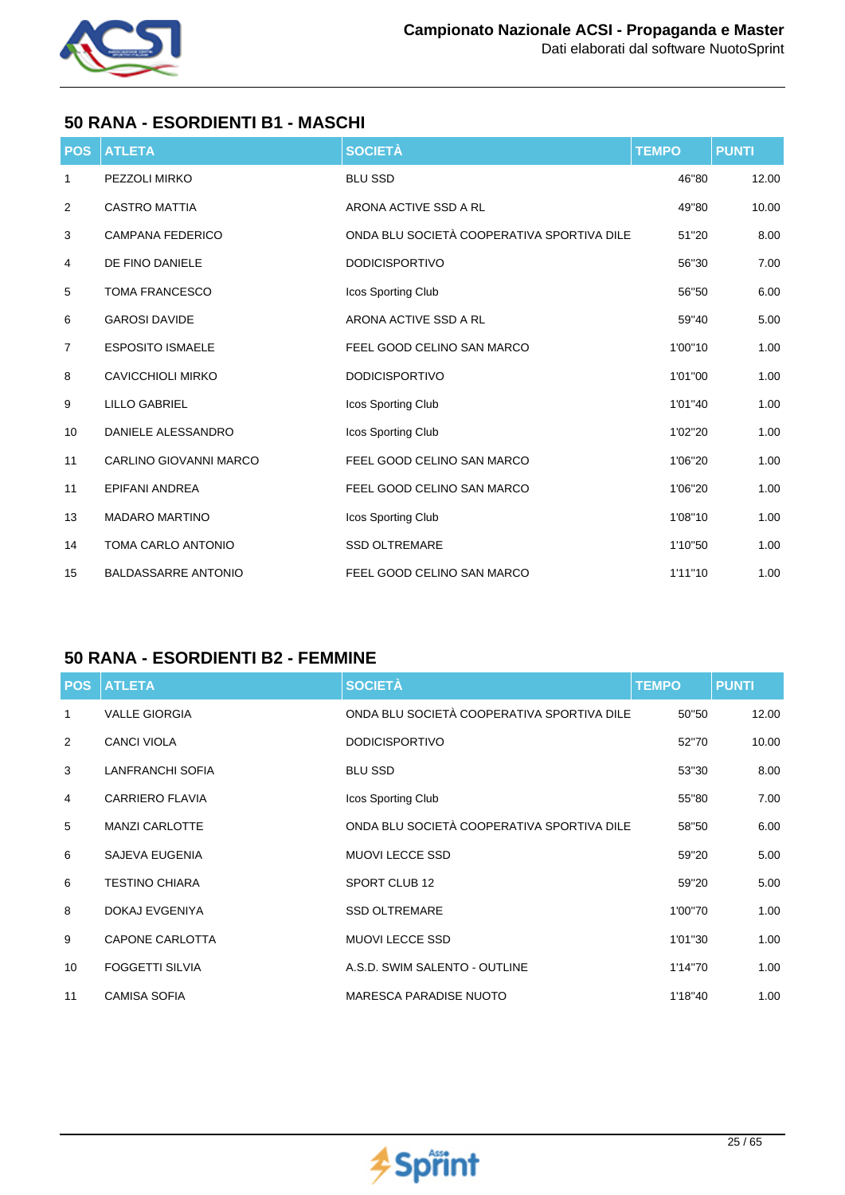

## **50 RANA - ESORDIENTI B1 - MASCHI**

| <b>POS</b>     | <b>ATLETA</b>                 | <b>SOCIETÀ</b>                             | <b>TEMPO</b> | <b>PUNTI</b> |
|----------------|-------------------------------|--------------------------------------------|--------------|--------------|
| 1              | PEZZOLI MIRKO                 | <b>BLU SSD</b>                             | 46"80        | 12.00        |
| 2              | <b>CASTRO MATTIA</b>          | ARONA ACTIVE SSD A RL                      | 49"80        | 10.00        |
| 3              | <b>CAMPANA FEDERICO</b>       | ONDA BLU SOCIETÀ COOPERATIVA SPORTIVA DILE | 51"20        | 8.00         |
| 4              | DE FINO DANIELE               | <b>DODICISPORTIVO</b>                      | 56"30        | 7.00         |
| 5              | <b>TOMA FRANCESCO</b>         | Icos Sporting Club                         | 56"50        | 6.00         |
| 6              | <b>GAROSI DAVIDE</b>          | ARONA ACTIVE SSD A RL                      | 59"40        | 5.00         |
| $\overline{7}$ | <b>ESPOSITO ISMAELE</b>       | FEEL GOOD CELINO SAN MARCO                 | 1'00"10      | 1.00         |
| 8              | <b>CAVICCHIOLI MIRKO</b>      | <b>DODICISPORTIVO</b>                      | 1'01"00      | 1.00         |
| 9              | <b>LILLO GABRIEL</b>          | Icos Sporting Club                         | 1'01"40      | 1.00         |
| 10             | DANIELE ALESSANDRO            | Icos Sporting Club                         | 1'02"20      | 1.00         |
| 11             | <b>CARLINO GIOVANNI MARCO</b> | FEEL GOOD CELINO SAN MARCO                 | 1'06"20      | 1.00         |
| 11             | <b>EPIFANI ANDREA</b>         | FEEL GOOD CELINO SAN MARCO                 | 1'06"20      | 1.00         |
| 13             | <b>MADARO MARTINO</b>         | Icos Sporting Club                         | 1'08"10      | 1.00         |
| 14             | <b>TOMA CARLO ANTONIO</b>     | <b>SSD OLTREMARE</b>                       | 1'10"50      | 1.00         |
| 15             | <b>BALDASSARRE ANTONIO</b>    | FEEL GOOD CELINO SAN MARCO                 | 1'11"10      | 1.00         |

## **50 RANA - ESORDIENTI B2 - FEMMINE**

| <b>POS</b>   | <b>ATLETA</b>           | <b>SOCIETÀ</b>                             | <b>TEMPO</b> | <b>PUNTI</b> |
|--------------|-------------------------|--------------------------------------------|--------------|--------------|
| $\mathbf{1}$ | <b>VALLE GIORGIA</b>    | ONDA BLU SOCIETÀ COOPERATIVA SPORTIVA DILE | 50"50        | 12.00        |
| 2            | <b>CANCI VIOLA</b>      | <b>DODICISPORTIVO</b>                      | 52"70        | 10.00        |
| 3            | <b>LANFRANCHI SOFIA</b> | <b>BLU SSD</b>                             | 53"30        | 8.00         |
| 4            | <b>CARRIERO FLAVIA</b>  | Icos Sporting Club                         | 55"80        | 7.00         |
| 5            | <b>MANZI CARLOTTE</b>   | ONDA BLU SOCIETÀ COOPERATIVA SPORTIVA DILE | 58"50        | 6.00         |
| 6            | SAJEVA EUGENIA          | <b>MUOVI LECCE SSD</b>                     | 59"20        | 5.00         |
| 6            | <b>TESTINO CHIARA</b>   | SPORT CLUB 12                              | 59"20        | 5.00         |
| 8            | DOKAJ EVGENIYA          | <b>SSD OLTREMARE</b>                       | 1'00"70      | 1.00         |
| 9            | <b>CAPONE CARLOTTA</b>  | <b>MUOVI LECCE SSD</b>                     | 1'01"30      | 1.00         |
| 10           | <b>FOGGETTI SILVIA</b>  | A.S.D. SWIM SALENTO - OUTLINE              | 1'14"70      | 1.00         |
| 11           | <b>CAMISA SOFIA</b>     | <b>MARESCA PARADISE NUOTO</b>              | 1'18"40      | 1.00         |

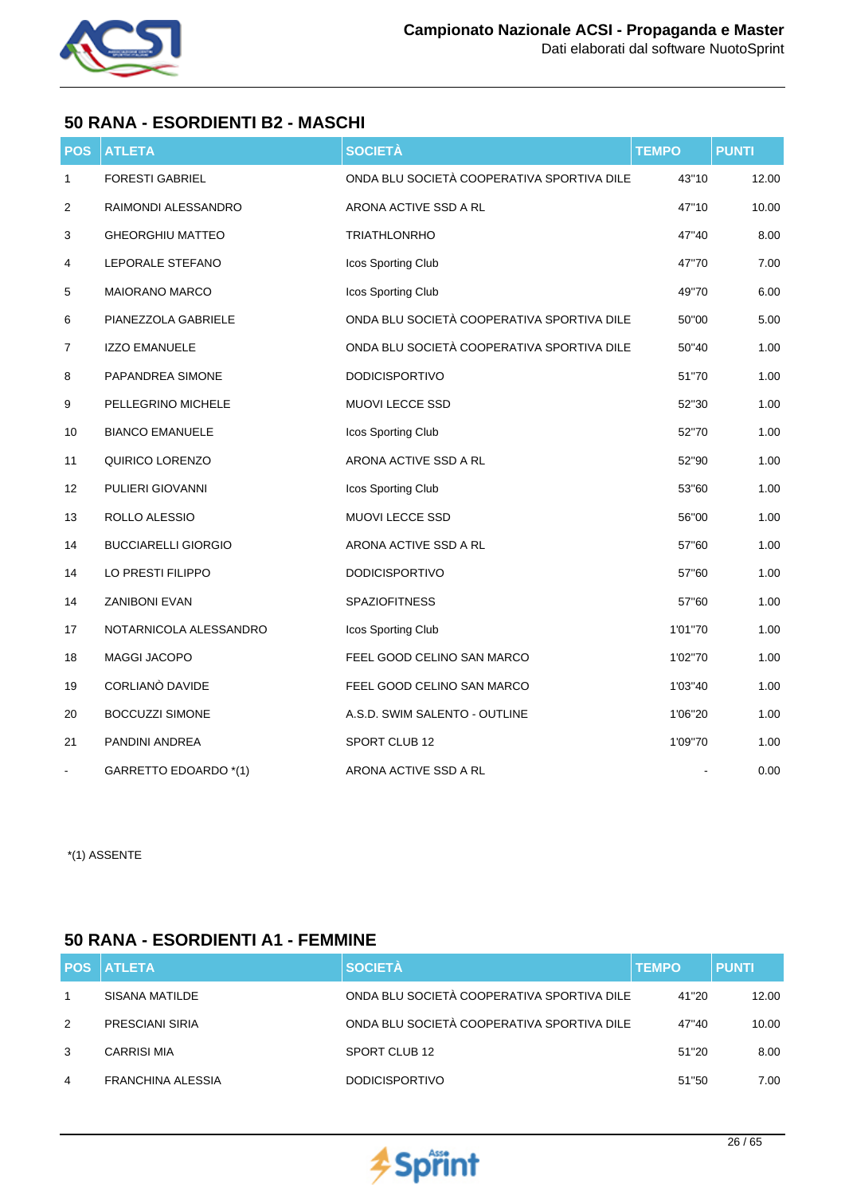

## **50 RANA - ESORDIENTI B2 - MASCHI**

| <b>POS</b>     | <b>ATLETA</b>              | <b>SOCIETÀ</b>                             | <b>TEMPO</b> | <b>PUNTI</b> |
|----------------|----------------------------|--------------------------------------------|--------------|--------------|
| 1              | <b>FORESTI GABRIEL</b>     | ONDA BLU SOCIETÀ COOPERATIVA SPORTIVA DILE | 43"10        | 12.00        |
| $\overline{c}$ | RAIMONDI ALESSANDRO        | ARONA ACTIVE SSD A RL                      | 47"10        | 10.00        |
| 3              | <b>GHEORGHIU MATTEO</b>    | <b>TRIATHLONRHO</b>                        | 47"40        | 8.00         |
| 4              | LEPORALE STEFANO           | Icos Sporting Club                         | 47"70        | 7.00         |
| 5              | <b>MAIORANO MARCO</b>      | Icos Sporting Club                         | 49"70        | 6.00         |
| 6              | PIANEZZOLA GABRIELE        | ONDA BLU SOCIETÀ COOPERATIVA SPORTIVA DILE | 50"00        | 5.00         |
| 7              | <b>IZZO EMANUELE</b>       | ONDA BLU SOCIETÀ COOPERATIVA SPORTIVA DILE | 50"40        | 1.00         |
| 8              | PAPANDREA SIMONE           | <b>DODICISPORTIVO</b>                      | 51"70        | 1.00         |
| 9              | PELLEGRINO MICHELE         | MUOVI LECCE SSD                            | 52"30        | 1.00         |
| 10             | <b>BIANCO EMANUELE</b>     | Icos Sporting Club                         | 52"70        | 1.00         |
| 11             | QUIRICO LORENZO            | ARONA ACTIVE SSD A RL                      | 52"90        | 1.00         |
| 12             | PULIERI GIOVANNI           | Icos Sporting Club                         | 53"60        | 1.00         |
| 13             | ROLLO ALESSIO              | MUOVI LECCE SSD                            | 56"00        | 1.00         |
| 14             | <b>BUCCIARELLI GIORGIO</b> | ARONA ACTIVE SSD A RL                      | 57"60        | 1.00         |
| 14             | LO PRESTI FILIPPO          | <b>DODICISPORTIVO</b>                      | 57"60        | 1.00         |
| 14             | <b>ZANIBONI EVAN</b>       | <b>SPAZIOFITNESS</b>                       | 57"60        | 1.00         |
| 17             | NOTARNICOLA ALESSANDRO     | Icos Sporting Club                         | 1'01"70      | 1.00         |
| 18             | MAGGI JACOPO               | FEEL GOOD CELINO SAN MARCO                 | 1'02"70      | 1.00         |
| 19             | CORLIANO DAVIDE            | FEEL GOOD CELINO SAN MARCO                 | 1'03"40      | 1.00         |
| 20             | <b>BOCCUZZI SIMONE</b>     | A.S.D. SWIM SALENTO - OUTLINE              | 1'06"20      | 1.00         |
| 21             | PANDINI ANDREA             | SPORT CLUB 12                              | 1'09"70      | 1.00         |
|                | GARRETTO EDOARDO *(1)      | ARONA ACTIVE SSD A RL                      |              | 0.00         |

\*(1) ASSENTE

## **50 RANA - ESORDIENTI A1 - FEMMINE**

|   | <b>POS ATLETA</b>  | <b>SOCIETÀ</b>                             | <b>TEMPO</b> | <b>PUNTI</b> |
|---|--------------------|--------------------------------------------|--------------|--------------|
|   | SISANA MATILDE     | ONDA BLU SOCIETÀ COOPERATIVA SPORTIVA DILE | 41"20        | 12.00        |
| 2 | PRESCIANI SIRIA    | ONDA BLU SOCIETÀ COOPERATIVA SPORTIVA DILE | 47"40        | 10.00        |
| 3 | <b>CARRISI MIA</b> | SPORT CLUB 12                              | 51"20        | 8.00         |
| 4 | FRANCHINA ALESSIA  | <b>DODICISPORTIVO</b>                      | 51"50        | 7.00         |

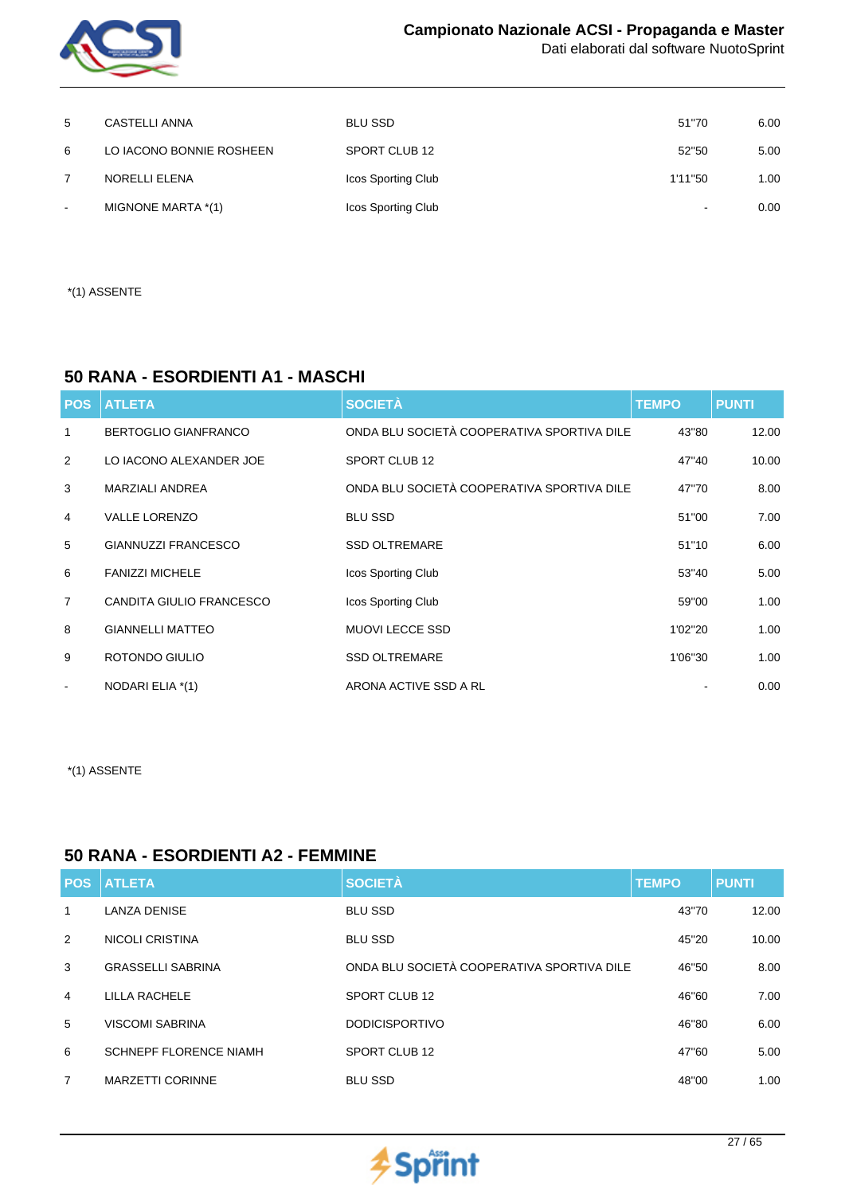

| 5      | CASTELLI ANNA            | <b>BLU SSD</b>     | 51"70   | 6.00 |
|--------|--------------------------|--------------------|---------|------|
| 6      | LO IACONO BONNIE ROSHEEN | SPORT CLUB 12      | 52"50   | 5.00 |
|        | NORELLI ELENA            | Icos Sporting Club | 1'11"50 | 1.00 |
| $\sim$ | MIGNONE MARTA *(1)       | Icos Sporting Club | -       | 0.00 |

\*(1) ASSENTE

### **50 RANA - ESORDIENTI A1 - MASCHI**

| <b>POS</b>     | <b>ATLETA</b>               | <b>SOCIETÀ</b>                             | <b>TEMPO</b> | <b>PUNTI</b> |
|----------------|-----------------------------|--------------------------------------------|--------------|--------------|
| 1              | <b>BERTOGLIO GIANFRANCO</b> | ONDA BLU SOCIETÀ COOPERATIVA SPORTIVA DILE | 43"80        | 12.00        |
| 2              | LO IACONO ALEXANDER JOE     | SPORT CLUB 12                              | 47"40        | 10.00        |
| 3              | <b>MARZIALI ANDREA</b>      | ONDA BLU SOCIETÀ COOPERATIVA SPORTIVA DILE | 47"70        | 8.00         |
| 4              | <b>VALLE LORENZO</b>        | <b>BLU SSD</b>                             | 51"00        | 7.00         |
| 5              | <b>GIANNUZZI FRANCESCO</b>  | <b>SSD OLTREMARE</b>                       | 51"10        | 6.00         |
| 6              | <b>FANIZZI MICHELE</b>      | Icos Sporting Club                         | 53"40        | 5.00         |
| $\overline{7}$ | CANDITA GIULIO FRANCESCO    | Icos Sporting Club                         | 59"00        | 1.00         |
| 8              | <b>GIANNELLI MATTEO</b>     | <b>MUOVI LECCE SSD</b>                     | 1'02"20      | 1.00         |
| 9              | ROTONDO GIULIO              | <b>SSD OLTREMARE</b>                       | 1'06"30      | 1.00         |
|                | NODARI ELIA *(1)            | ARONA ACTIVE SSD A RL                      |              | 0.00         |

\*(1) ASSENTE

### **50 RANA - ESORDIENTI A2 - FEMMINE**

| <b>POS</b>     | <b>ATLETA</b>                 | <b>SOCIETÀ</b>                             | <b>TEMPO</b> | <b>PUNTI</b> |
|----------------|-------------------------------|--------------------------------------------|--------------|--------------|
| 1              | <b>LANZA DENISE</b>           | <b>BLU SSD</b>                             | 43"70        | 12.00        |
| 2              | <b>NICOLI CRISTINA</b>        | <b>BLU SSD</b>                             | 45"20        | 10.00        |
| 3              | <b>GRASSELLI SABRINA</b>      | ONDA BLU SOCIETÀ COOPERATIVA SPORTIVA DILE | 46"50        | 8.00         |
| $\overline{4}$ | LILLA RACHELE                 | SPORT CLUB 12                              | 46"60        | 7.00         |
| 5              | <b>VISCOMI SABRINA</b>        | <b>DODICISPORTIVO</b>                      | 46"80        | 6.00         |
| 6              | <b>SCHNEPF FLORENCE NIAMH</b> | SPORT CLUB 12                              | 47"60        | 5.00         |
| 7              | <b>MARZETTI CORINNE</b>       | <b>BLU SSD</b>                             | 48"00        | 1.00         |

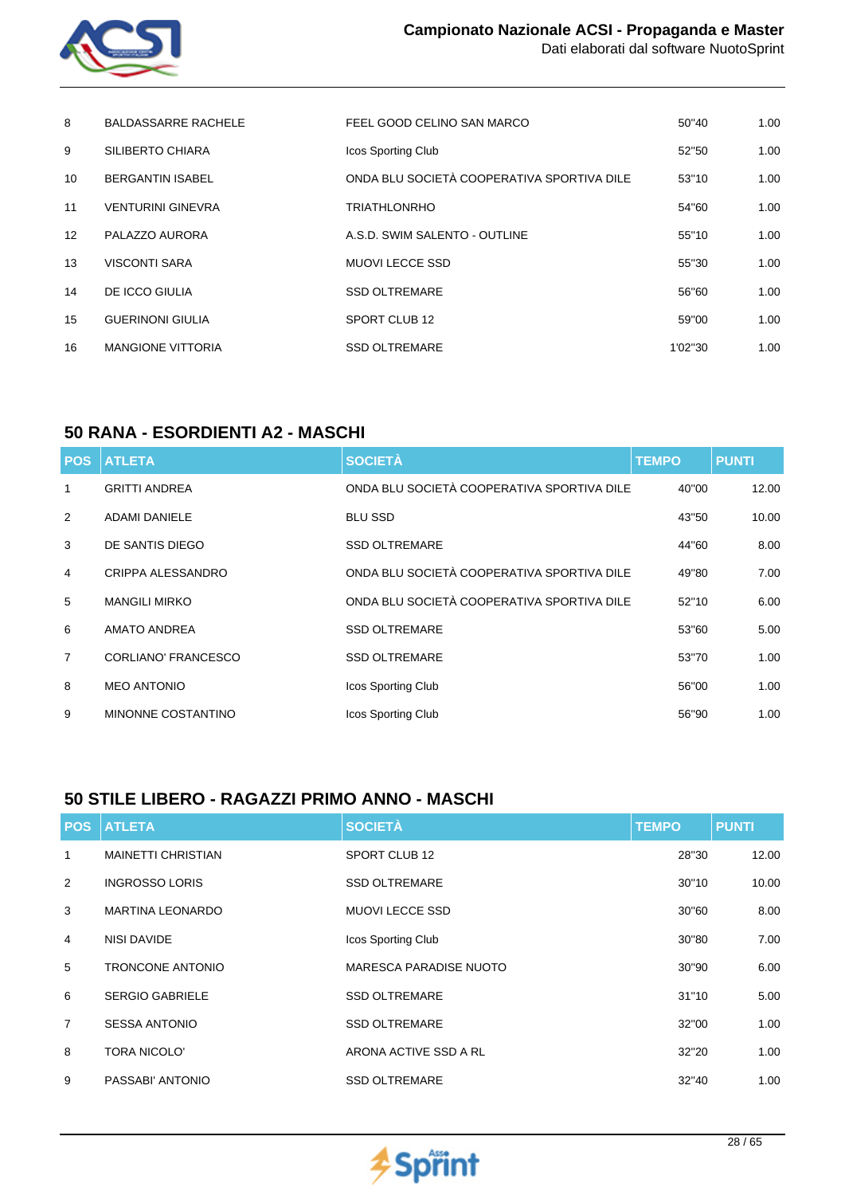

| 8                 | <b>BALDASSARRE RACHELE</b> | FEEL GOOD CELINO SAN MARCO                 | 50"40   | 1.00 |
|-------------------|----------------------------|--------------------------------------------|---------|------|
| 9                 | SILIBERTO CHIARA           | Icos Sporting Club                         | 52"50   | 1.00 |
| 10                | <b>BERGANTIN ISABEL</b>    | ONDA BLU SOCIETÀ COOPERATIVA SPORTIVA DILE | 53"10   | 1.00 |
| 11                | <b>VENTURINI GINEVRA</b>   | <b>TRIATHLONRHO</b>                        | 54"60   | 1.00 |
| $12 \overline{ }$ | PALAZZO AURORA             | A.S.D. SWIM SALENTO - OUTLINE              | 55"10   | 1.00 |
| 13                | <b>VISCONTI SARA</b>       | <b>MUOVI LECCE SSD</b>                     | 55"30   | 1.00 |
| 14                | DE ICCO GIULIA             | <b>SSD OLTREMARE</b>                       | 56"60   | 1.00 |
| 15                | <b>GUERINONI GIULIA</b>    | SPORT CLUB 12                              | 59"00   | 1.00 |
| 16                | <b>MANGIONE VITTORIA</b>   | <b>SSD OLTREMARE</b>                       | 1'02"30 | 1.00 |

## **50 RANA - ESORDIENTI A2 - MASCHI**

| <b>POS</b>     | <b>ATLETA</b>              | <b>SOCIETÀ</b>                             | <b>TEMPO</b> | <b>PUNTI</b> |
|----------------|----------------------------|--------------------------------------------|--------------|--------------|
| 1              | <b>GRITTI ANDREA</b>       | ONDA BLU SOCIETÀ COOPERATIVA SPORTIVA DILE | 40"00        | 12.00        |
| 2              | <b>ADAMI DANIELE</b>       | <b>BLU SSD</b>                             | 43"50        | 10.00        |
| 3              | DE SANTIS DIEGO            | <b>SSD OLTREMARE</b>                       | 44"60        | 8.00         |
| $\overline{4}$ | CRIPPA ALESSANDRO          | ONDA BLU SOCIETÀ COOPERATIVA SPORTIVA DILE | 49"80        | 7.00         |
| 5              | <b>MANGILI MIRKO</b>       | ONDA BLU SOCIETÀ COOPERATIVA SPORTIVA DILE | 52"10        | 6.00         |
| 6              | <b>AMATO ANDREA</b>        | <b>SSD OLTREMARE</b>                       | 53"60        | 5.00         |
| $\overline{7}$ | <b>CORLIANO' FRANCESCO</b> | <b>SSD OLTREMARE</b>                       | 53"70        | 1.00         |
| 8              | <b>MEO ANTONIO</b>         | Icos Sporting Club                         | 56"00        | 1.00         |
| 9              | MINONNE COSTANTINO         | Icos Sporting Club                         | 56"90        | 1.00         |

### **50 STILE LIBERO - RAGAZZI PRIMO ANNO - MASCHI**

| <b>POS</b>     | <b>ATLETA</b>             | <b>SOCIETÀ</b>                | <b>TEMPO</b> | <b>PUNTI</b> |
|----------------|---------------------------|-------------------------------|--------------|--------------|
| 1              | <b>MAINETTI CHRISTIAN</b> | SPORT CLUB 12                 | 28"30        | 12.00        |
| 2              | <b>INGROSSO LORIS</b>     | <b>SSD OLTREMARE</b>          | 30"10        | 10.00        |
| 3              | <b>MARTINA LEONARDO</b>   | <b>MUOVI LECCE SSD</b>        | 30"60        | 8.00         |
| 4              | NISI DAVIDE               | Icos Sporting Club            | 30"80        | 7.00         |
| 5              | <b>TRONCONE ANTONIO</b>   | <b>MARESCA PARADISE NUOTO</b> | 30"90        | 6.00         |
| 6              | <b>SERGIO GABRIELE</b>    | <b>SSD OLTREMARE</b>          | 31"10        | 5.00         |
| $\overline{7}$ | <b>SESSA ANTONIO</b>      | <b>SSD OLTREMARE</b>          | 32"00        | 1.00         |
| 8              | <b>TORA NICOLO'</b>       | ARONA ACTIVE SSD A RL         | 32"20        | 1.00         |
| 9              | PASSABI' ANTONIO          | <b>SSD OLTREMARE</b>          | 32"40        | 1.00         |

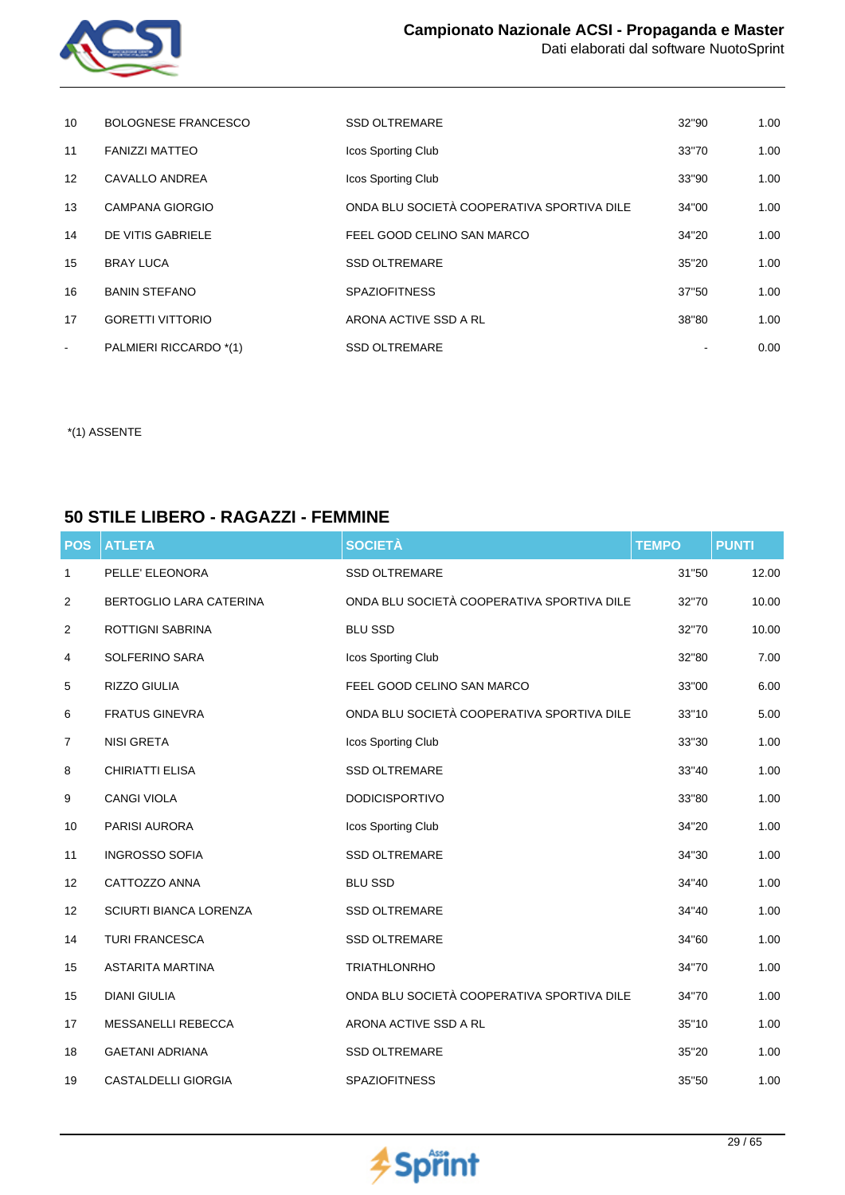

| 10                | <b>BOLOGNESE FRANCESCO</b> | <b>SSD OLTREMARE</b>                       | 32"90 | 1.00 |
|-------------------|----------------------------|--------------------------------------------|-------|------|
| 11                | <b>FANIZZI MATTEO</b>      | Icos Sporting Club                         | 33"70 | 1.00 |
| $12 \overline{ }$ | CAVALLO ANDREA             | <b>Icos Sporting Club</b>                  | 33"90 | 1.00 |
| 13                | <b>CAMPANA GIORGIO</b>     | ONDA BLU SOCIETÀ COOPERATIVA SPORTIVA DILE | 34"00 | 1.00 |
| 14                | DE VITIS GABRIELE          | FEEL GOOD CELINO SAN MARCO                 | 34"20 | 1.00 |
| 15                | <b>BRAY LUCA</b>           | <b>SSD OLTREMARE</b>                       | 35"20 | 1.00 |
| 16                | <b>BANIN STEFANO</b>       | <b>SPAZIOFITNESS</b>                       | 37"50 | 1.00 |
| 17                | <b>GORETTI VITTORIO</b>    | ARONA ACTIVE SSD A RL                      | 38"80 | 1.00 |
| $\blacksquare$    | PALMIERI RICCARDO *(1)     | <b>SSD OLTREMARE</b>                       |       | 0.00 |

## **50 STILE LIBERO - RAGAZZI - FEMMINE**

| <b>POS</b> | <b>ATLETA</b>                 | <b>SOCIETÀ</b>                             | <b>TEMPO</b> | <b>PUNTI</b> |
|------------|-------------------------------|--------------------------------------------|--------------|--------------|
| 1          | PELLE' ELEONORA               | <b>SSD OLTREMARE</b>                       | 31"50        | 12.00        |
| 2          | BERTOGLIO LARA CATERINA       | ONDA BLU SOCIETÀ COOPERATIVA SPORTIVA DILE | 32"70        | 10.00        |
| 2          | <b>ROTTIGNI SABRINA</b>       | <b>BLU SSD</b>                             | 32"70        | 10.00        |
| 4          | SOLFERINO SARA                | Icos Sporting Club                         | 32"80        | 7.00         |
| 5          | RIZZO GIULIA                  | FEEL GOOD CELINO SAN MARCO                 | 33"00        | 6.00         |
| 6          | <b>FRATUS GINEVRA</b>         | ONDA BLU SOCIETÀ COOPERATIVA SPORTIVA DILE | 33"10        | 5.00         |
| 7          | <b>NISI GRETA</b>             | Icos Sporting Club                         | 33"30        | 1.00         |
| 8          | <b>CHIRIATTI ELISA</b>        | <b>SSD OLTREMARE</b>                       | 33"40        | 1.00         |
| 9          | <b>CANGI VIOLA</b>            | <b>DODICISPORTIVO</b>                      | 33"80        | 1.00         |
| 10         | <b>PARISI AURORA</b>          | Icos Sporting Club                         | 34"20        | 1.00         |
| 11         | <b>INGROSSO SOFIA</b>         | <b>SSD OLTREMARE</b>                       | 34"30        | 1.00         |
| 12         | CATTOZZO ANNA                 | <b>BLU SSD</b>                             | 34"40        | 1.00         |
| 12         | <b>SCIURTI BIANCA LORENZA</b> | <b>SSD OLTREMARE</b>                       | 34"40        | 1.00         |
| 14         | <b>TURI FRANCESCA</b>         | <b>SSD OLTREMARE</b>                       | 34"60        | 1.00         |
| 15         | <b>ASTARITA MARTINA</b>       | <b>TRIATHLONRHO</b>                        | 34"70        | 1.00         |
| 15         | <b>DIANI GIULIA</b>           | ONDA BLU SOCIETÀ COOPERATIVA SPORTIVA DILE | 34"70        | 1.00         |
| 17         | MESSANELLI REBECCA            | ARONA ACTIVE SSD A RL                      | 35"10        | 1.00         |
| 18         | <b>GAETANI ADRIANA</b>        | <b>SSD OLTREMARE</b>                       | 35"20        | 1.00         |
| 19         | CASTALDELLI GIORGIA           | SPAZIOFITNESS                              | 35"50        | 1.00         |

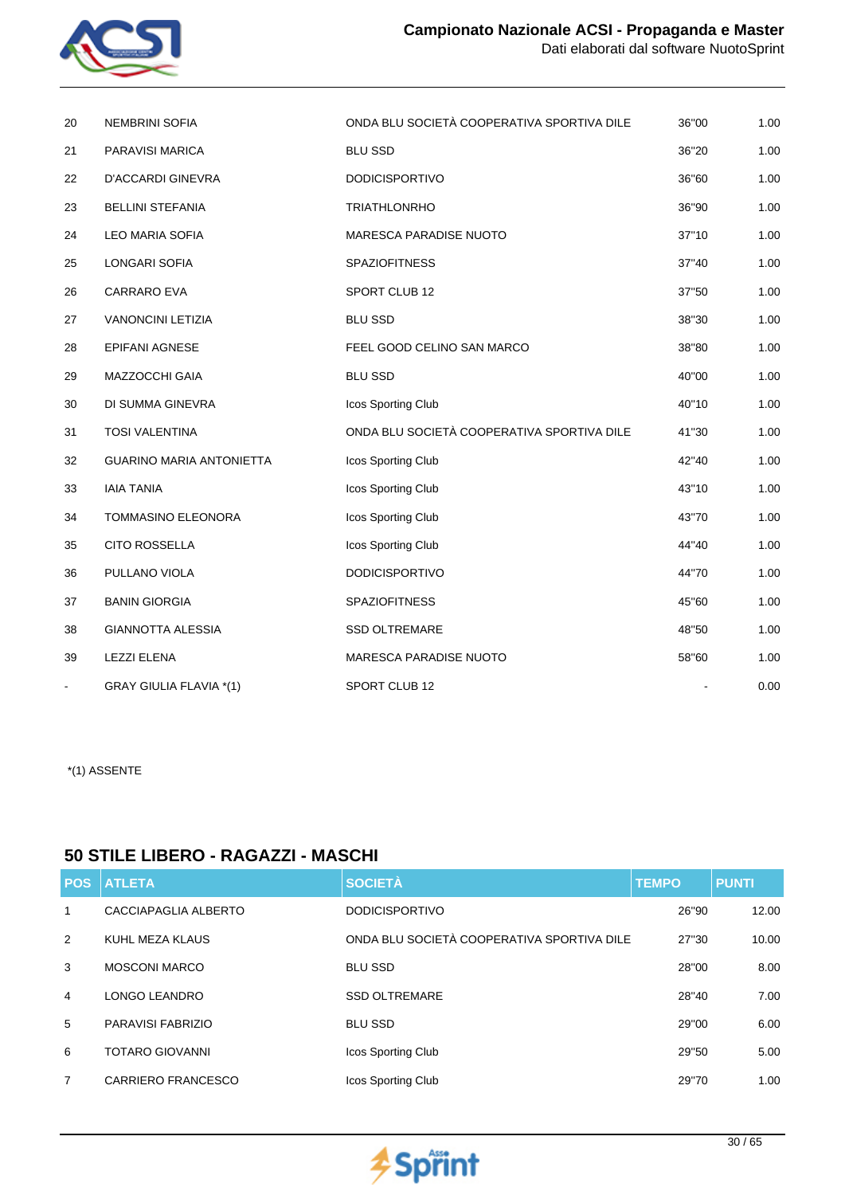

| 20             | <b>NEMBRINI SOFIA</b>           | ONDA BLU SOCIETÀ COOPERATIVA SPORTIVA DILE | 36"00 | 1.00 |
|----------------|---------------------------------|--------------------------------------------|-------|------|
| 21             | PARAVISI MARICA                 | <b>BLU SSD</b>                             | 36"20 | 1.00 |
| 22             | <b>D'ACCARDI GINEVRA</b>        | <b>DODICISPORTIVO</b>                      | 36"60 | 1.00 |
| 23             | <b>BELLINI STEFANIA</b>         | <b>TRIATHLONRHO</b>                        | 36"90 | 1.00 |
| 24             | <b>LEO MARIA SOFIA</b>          | <b>MARESCA PARADISE NUOTO</b>              | 37"10 | 1.00 |
| 25             | LONGARI SOFIA                   | <b>SPAZIOFITNESS</b>                       | 37"40 | 1.00 |
| 26             | CARRARO EVA                     | SPORT CLUB 12                              | 37"50 | 1.00 |
| 27             | <b>VANONCINI LETIZIA</b>        | <b>BLU SSD</b>                             | 38"30 | 1.00 |
| 28             | <b>EPIFANI AGNESE</b>           | FEEL GOOD CELINO SAN MARCO                 | 38"80 | 1.00 |
| 29             | MAZZOCCHI GAIA                  | <b>BLU SSD</b>                             | 40"00 | 1.00 |
| 30             | DI SUMMA GINEVRA                | Icos Sporting Club                         | 40"10 | 1.00 |
| 31             | <b>TOSI VALENTINA</b>           | ONDA BLU SOCIETÀ COOPERATIVA SPORTIVA DILE | 41"30 | 1.00 |
| 32             | <b>GUARINO MARIA ANTONIETTA</b> | Icos Sporting Club                         | 42"40 | 1.00 |
| 33             | <b>IAIA TANIA</b>               | Icos Sporting Club                         | 43"10 | 1.00 |
| 34             | TOMMASINO ELEONORA              | Icos Sporting Club                         | 43"70 | 1.00 |
| 35             | <b>CITO ROSSELLA</b>            | Icos Sporting Club                         | 44"40 | 1.00 |
| 36             | PULLANO VIOLA                   | <b>DODICISPORTIVO</b>                      | 44"70 | 1.00 |
| 37             | <b>BANIN GIORGIA</b>            | <b>SPAZIOFITNESS</b>                       | 45"60 | 1.00 |
| 38             | <b>GIANNOTTA ALESSIA</b>        | <b>SSD OLTREMARE</b>                       | 48"50 | 1.00 |
| 39             | <b>LEZZI ELENA</b>              | <b>MARESCA PARADISE NUOTO</b>              | 58"60 | 1.00 |
| $\blacksquare$ | <b>GRAY GIULIA FLAVIA *(1)</b>  | SPORT CLUB 12                              |       | 0.00 |

### **50 STILE LIBERO - RAGAZZI - MASCHI**

| <b>POS</b>     | <b>ATLETA</b>             | <b>SOCIETÀ</b>                             | <b>TEMPO</b> | <b>PUNTI</b> |
|----------------|---------------------------|--------------------------------------------|--------------|--------------|
| 1              | CACCIAPAGLIA ALBERTO      | <b>DODICISPORTIVO</b>                      | 26"90        | 12.00        |
| 2              | KUHL MEZA KLAUS           | ONDA BLU SOCIETÀ COOPERATIVA SPORTIVA DILE | 27"30        | 10.00        |
| 3              | <b>MOSCONI MARCO</b>      | <b>BLU SSD</b>                             | 28"00        | 8.00         |
| $\overline{4}$ | LONGO LEANDRO             | <b>SSD OLTREMARE</b>                       | 28"40        | 7.00         |
| 5              | PARAVISI FABRIZIO         | <b>BLU SSD</b>                             | 29"00        | 6.00         |
| 6              | <b>TOTARO GIOVANNI</b>    | Icos Sporting Club                         | 29"50        | 5.00         |
| 7              | <b>CARRIERO FRANCESCO</b> | Icos Sporting Club                         | 29"70        | 1.00         |

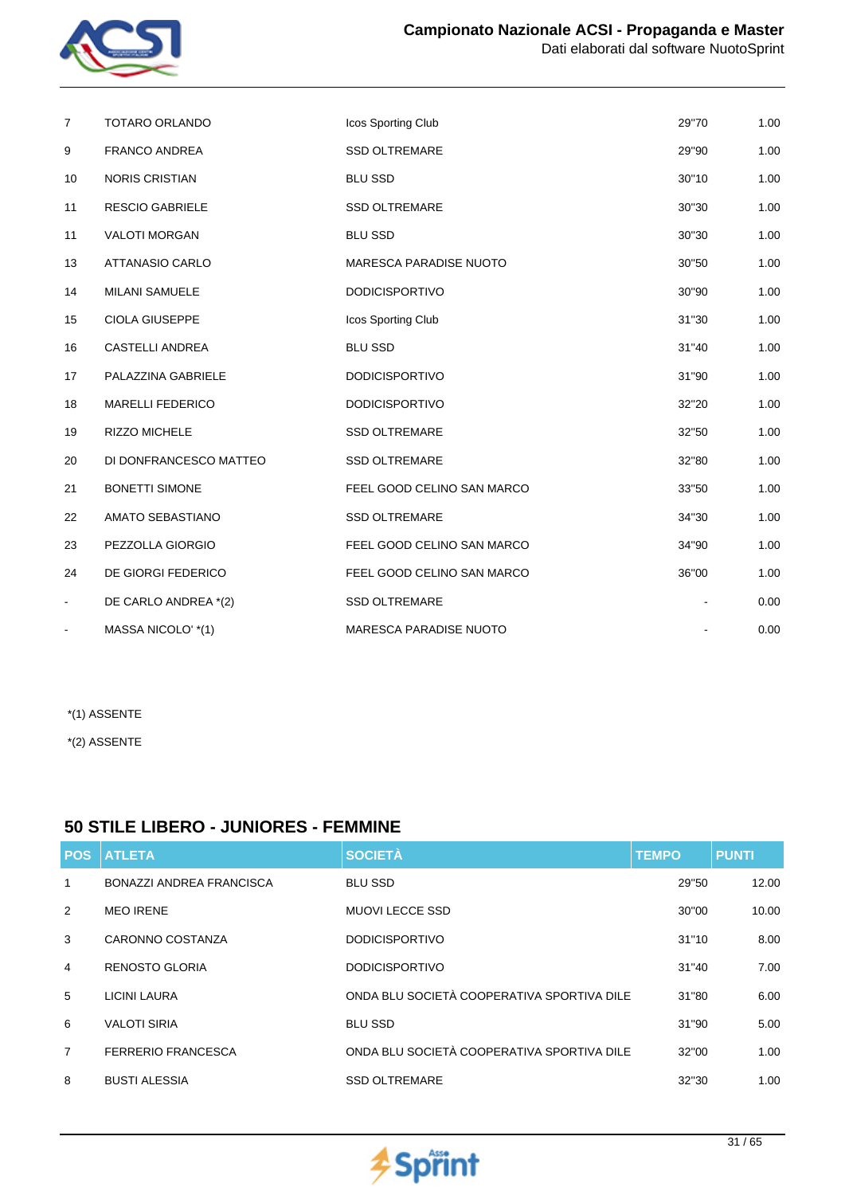

| $\overline{7}$           | <b>TOTARO ORLANDO</b>   | Icos Sporting Club            | 29"70 | 1.00 |
|--------------------------|-------------------------|-------------------------------|-------|------|
| 9                        | <b>FRANCO ANDREA</b>    | <b>SSD OLTREMARE</b>          | 29"90 | 1.00 |
| 10                       | <b>NORIS CRISTIAN</b>   | <b>BLU SSD</b>                | 30"10 | 1.00 |
| 11                       | <b>RESCIO GABRIELE</b>  | <b>SSD OLTREMARE</b>          | 30"30 | 1.00 |
| 11                       | <b>VALOTI MORGAN</b>    | <b>BLU SSD</b>                | 30"30 | 1.00 |
| 13                       | <b>ATTANASIO CARLO</b>  | <b>MARESCA PARADISE NUOTO</b> | 30"50 | 1.00 |
| 14                       | <b>MILANI SAMUELE</b>   | <b>DODICISPORTIVO</b>         | 30"90 | 1.00 |
| 15                       | <b>CIOLA GIUSEPPE</b>   | Icos Sporting Club            | 31"30 | 1.00 |
| 16                       | <b>CASTELLI ANDREA</b>  | <b>BLU SSD</b>                | 31"40 | 1.00 |
| 17                       | PALAZZINA GABRIELE      | <b>DODICISPORTIVO</b>         | 31"90 | 1.00 |
| 18                       | <b>MARELLI FEDERICO</b> | <b>DODICISPORTIVO</b>         | 32"20 | 1.00 |
| 19                       | <b>RIZZO MICHELE</b>    | <b>SSD OLTREMARE</b>          | 32"50 | 1.00 |
| 20                       | DI DONFRANCESCO MATTEO  | <b>SSD OLTREMARE</b>          | 32"80 | 1.00 |
| 21                       | <b>BONETTI SIMONE</b>   | FEEL GOOD CELINO SAN MARCO    | 33"50 | 1.00 |
| 22                       | AMATO SEBASTIANO        | <b>SSD OLTREMARE</b>          | 34"30 | 1.00 |
| 23                       | PEZZOLLA GIORGIO        | FEEL GOOD CELINO SAN MARCO    | 34"90 | 1.00 |
| 24                       | DE GIORGI FEDERICO      | FEEL GOOD CELINO SAN MARCO    | 36"00 | 1.00 |
| $\overline{\phantom{0}}$ | DE CARLO ANDREA *(2)    | <b>SSD OLTREMARE</b>          |       | 0.00 |
|                          | MASSA NICOLO' *(1)      | MARESCA PARADISE NUOTO        |       | 0.00 |

\*(2) ASSENTE

### **50 STILE LIBERO - JUNIORES - FEMMINE**

| <b>POS</b>     | <b>ATLETA</b>                   | <b>SOCIETÀ</b>                             | <b>TEMPO</b> | <b>PUNTI</b> |
|----------------|---------------------------------|--------------------------------------------|--------------|--------------|
| $\mathbf{1}$   | <b>BONAZZI ANDREA FRANCISCA</b> | <b>BLU SSD</b>                             | 29"50        | 12.00        |
| 2              | <b>MEO IRENE</b>                | <b>MUOVI LECCE SSD</b>                     | 30"00        | 10.00        |
| 3              | CARONNO COSTANZA                | <b>DODICISPORTIVO</b>                      | 31"10        | 8.00         |
| $\overline{4}$ | <b>RENOSTO GLORIA</b>           | <b>DODICISPORTIVO</b>                      | 31"40        | 7.00         |
| 5              | LICINI LAURA                    | ONDA BLU SOCIETÀ COOPERATIVA SPORTIVA DILE | 31"80        | 6.00         |
| 6              | <b>VALOTI SIRIA</b>             | <b>BLU SSD</b>                             | 31"90        | 5.00         |
| $\overline{7}$ | <b>FERRERIO FRANCESCA</b>       | ONDA BLU SOCIETÀ COOPERATIVA SPORTIVA DILE | 32"00        | 1.00         |
| 8              | <b>BUSTI ALESSIA</b>            | <b>SSD OLTREMARE</b>                       | 32"30        | 1.00         |

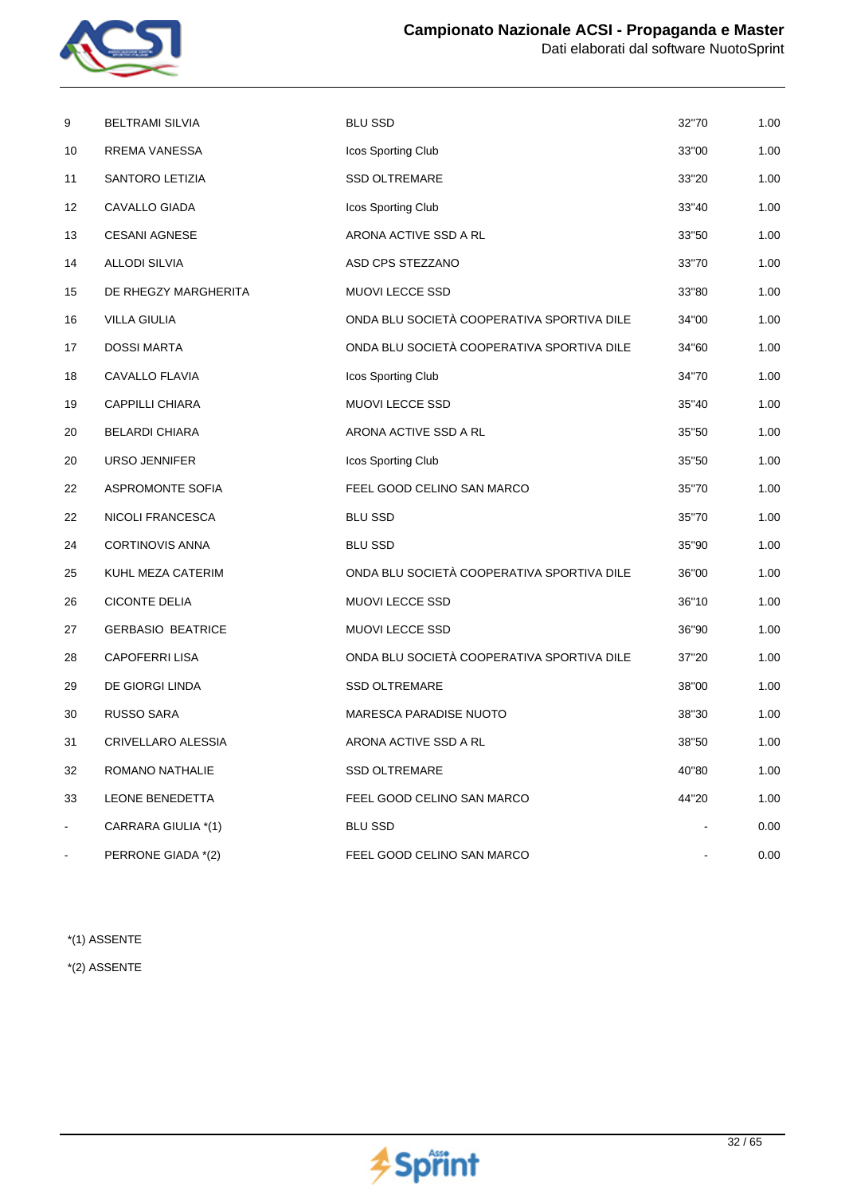

| 9  | <b>BELTRAMI SILVIA</b>   | <b>BLU SSD</b>                             | 32"70 | 1.00 |
|----|--------------------------|--------------------------------------------|-------|------|
| 10 | RREMA VANESSA            | Icos Sporting Club                         | 33"00 | 1.00 |
| 11 | SANTORO LETIZIA          | <b>SSD OLTREMARE</b>                       | 33"20 | 1.00 |
| 12 | CAVALLO GIADA            | Icos Sporting Club                         | 33"40 | 1.00 |
| 13 | <b>CESANI AGNESE</b>     | ARONA ACTIVE SSD A RL                      | 33"50 | 1.00 |
| 14 | <b>ALLODI SILVIA</b>     | ASD CPS STEZZANO                           | 33"70 | 1.00 |
| 15 | DE RHEGZY MARGHERITA     | MUOVI LECCE SSD                            | 33"80 | 1.00 |
| 16 | <b>VILLA GIULIA</b>      | ONDA BLU SOCIETÀ COOPERATIVA SPORTIVA DILE | 34"00 | 1.00 |
| 17 | <b>DOSSI MARTA</b>       | ONDA BLU SOCIETÀ COOPERATIVA SPORTIVA DILE | 34"60 | 1.00 |
| 18 | CAVALLO FLAVIA           | Icos Sporting Club                         | 34"70 | 1.00 |
| 19 | <b>CAPPILLI CHIARA</b>   | MUOVI LECCE SSD                            | 35"40 | 1.00 |
| 20 | <b>BELARDI CHIARA</b>    | ARONA ACTIVE SSD A RL                      | 35"50 | 1.00 |
| 20 | URSO JENNIFER            | Icos Sporting Club                         | 35"50 | 1.00 |
| 22 | <b>ASPROMONTE SOFIA</b>  | FEEL GOOD CELINO SAN MARCO                 | 35"70 | 1.00 |
| 22 | NICOLI FRANCESCA         | <b>BLU SSD</b>                             | 35"70 | 1.00 |
| 24 | <b>CORTINOVIS ANNA</b>   | <b>BLU SSD</b>                             | 35"90 | 1.00 |
| 25 | KUHL MEZA CATERIM        | ONDA BLU SOCIETÀ COOPERATIVA SPORTIVA DILE | 36"00 | 1.00 |
| 26 | <b>CICONTE DELIA</b>     | <b>MUOVI LECCE SSD</b>                     | 36"10 | 1.00 |
| 27 | <b>GERBASIO BEATRICE</b> | MUOVI LECCE SSD                            | 36"90 | 1.00 |
| 28 | <b>CAPOFERRI LISA</b>    | ONDA BLU SOCIETÀ COOPERATIVA SPORTIVA DILE | 37"20 | 1.00 |
| 29 | DE GIORGI LINDA          | <b>SSD OLTREMARE</b>                       | 38"00 | 1.00 |
| 30 | <b>RUSSO SARA</b>        | <b>MARESCA PARADISE NUOTO</b>              | 38"30 | 1.00 |
| 31 | CRIVELLARO ALESSIA       | ARONA ACTIVE SSD A RL                      | 38"50 | 1.00 |
| 32 | ROMANO NATHALIE          | <b>SSD OLTREMARE</b>                       | 40"80 | 1.00 |
| 33 | LEONE BENEDETTA          | FEEL GOOD CELINO SAN MARCO                 | 44"20 | 1.00 |
| ۰  | CARRARA GIULIA *(1)      | BLU SSD                                    |       | 0.00 |
|    | PERRONE GIADA *(2)       | FEEL GOOD CELINO SAN MARCO                 |       | 0.00 |

\*(2) ASSENTE

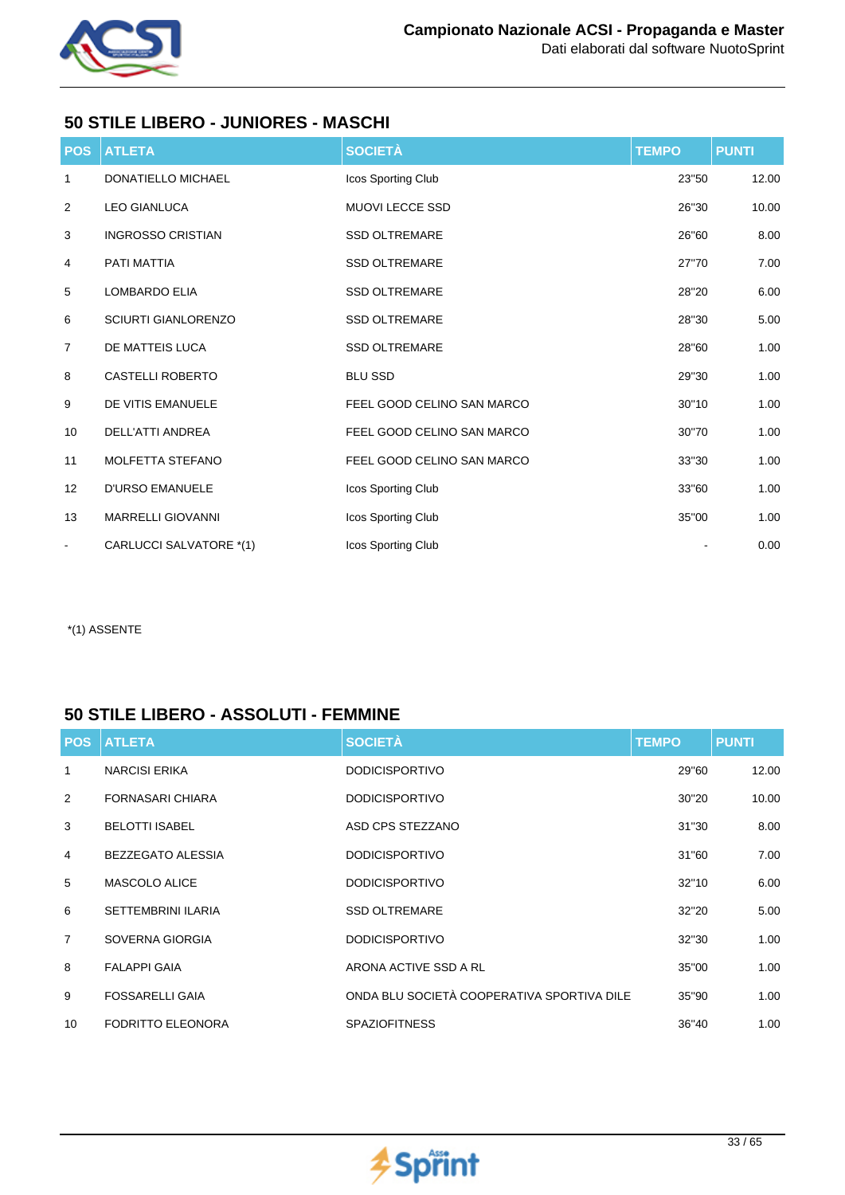

## **50 STILE LIBERO - JUNIORES - MASCHI**

| <b>POS</b>     | <b>ATLETA</b>              | <b>SOCIETÀ</b>             | <b>TEMPO</b> | <b>PUNTI</b> |
|----------------|----------------------------|----------------------------|--------------|--------------|
| $\mathbf{1}$   | <b>DONATIELLO MICHAEL</b>  | Icos Sporting Club         | 23"50        | 12.00        |
| $\overline{2}$ | <b>LEO GIANLUCA</b>        | <b>MUOVI LECCE SSD</b>     | 26"30        | 10.00        |
| 3              | <b>INGROSSO CRISTIAN</b>   | <b>SSD OLTREMARE</b>       | 26"60        | 8.00         |
| 4              | <b>PATI MATTIA</b>         | <b>SSD OLTREMARE</b>       | 27"70        | 7.00         |
| 5              | <b>LOMBARDO ELIA</b>       | <b>SSD OLTREMARE</b>       | 28"20        | 6.00         |
| 6              | <b>SCIURTI GIANLORENZO</b> | <b>SSD OLTREMARE</b>       | 28"30        | 5.00         |
| 7              | DE MATTEIS LUCA            | <b>SSD OLTREMARE</b>       | 28"60        | 1.00         |
| 8              | <b>CASTELLI ROBERTO</b>    | <b>BLU SSD</b>             | 29"30        | 1.00         |
| 9              | DE VITIS EMANUELE          | FEEL GOOD CELINO SAN MARCO | 30"10        | 1.00         |
| 10             | <b>DELL'ATTI ANDREA</b>    | FEEL GOOD CELINO SAN MARCO | 30"70        | 1.00         |
| 11             | MOLFETTA STEFANO           | FEEL GOOD CELINO SAN MARCO | 33"30        | 1.00         |
| 12             | <b>D'URSO EMANUELE</b>     | Icos Sporting Club         | 33"60        | 1.00         |
| 13             | <b>MARRELLI GIOVANNI</b>   | Icos Sporting Club         | 35"00        | 1.00         |
| $\blacksquare$ | CARLUCCI SALVATORE *(1)    | Icos Sporting Club         |              | 0.00         |

\*(1) ASSENTE

## **50 STILE LIBERO - ASSOLUTI - FEMMINE**

| <b>POS</b>      | <b>ATLETA</b>             | <b>SOCIETÀ</b>                             | <b>TEMPO</b> | <b>PUNTI</b> |
|-----------------|---------------------------|--------------------------------------------|--------------|--------------|
| 1               | <b>NARCISI ERIKA</b>      | <b>DODICISPORTIVO</b>                      | 29"60        | 12.00        |
| 2               | <b>FORNASARI CHIARA</b>   | <b>DODICISPORTIVO</b>                      | 30"20        | 10.00        |
| 3               | <b>BELOTTI ISABEL</b>     | ASD CPS STEZZANO                           | 31"30        | 8.00         |
| $\overline{4}$  | BEZZEGATO ALESSIA         | <b>DODICISPORTIVO</b>                      | 31"60        | 7.00         |
| 5               | <b>MASCOLO ALICE</b>      | <b>DODICISPORTIVO</b>                      | 32"10        | 6.00         |
| 6               | <b>SETTEMBRINI ILARIA</b> | <b>SSD OLTREMARE</b>                       | 32"20        | 5.00         |
| $\overline{7}$  | SOVERNA GIORGIA           | <b>DODICISPORTIVO</b>                      | 32"30        | 1.00         |
| 8               | <b>FALAPPI GAIA</b>       | ARONA ACTIVE SSD A RL                      | 35"00        | 1.00         |
| 9               | <b>FOSSARELLI GAIA</b>    | ONDA BLU SOCIETÀ COOPERATIVA SPORTIVA DILE | 35"90        | 1.00         |
| 10 <sup>°</sup> | FODRITTO ELEONORA         | <b>SPAZIOFITNESS</b>                       | 36"40        | 1.00         |

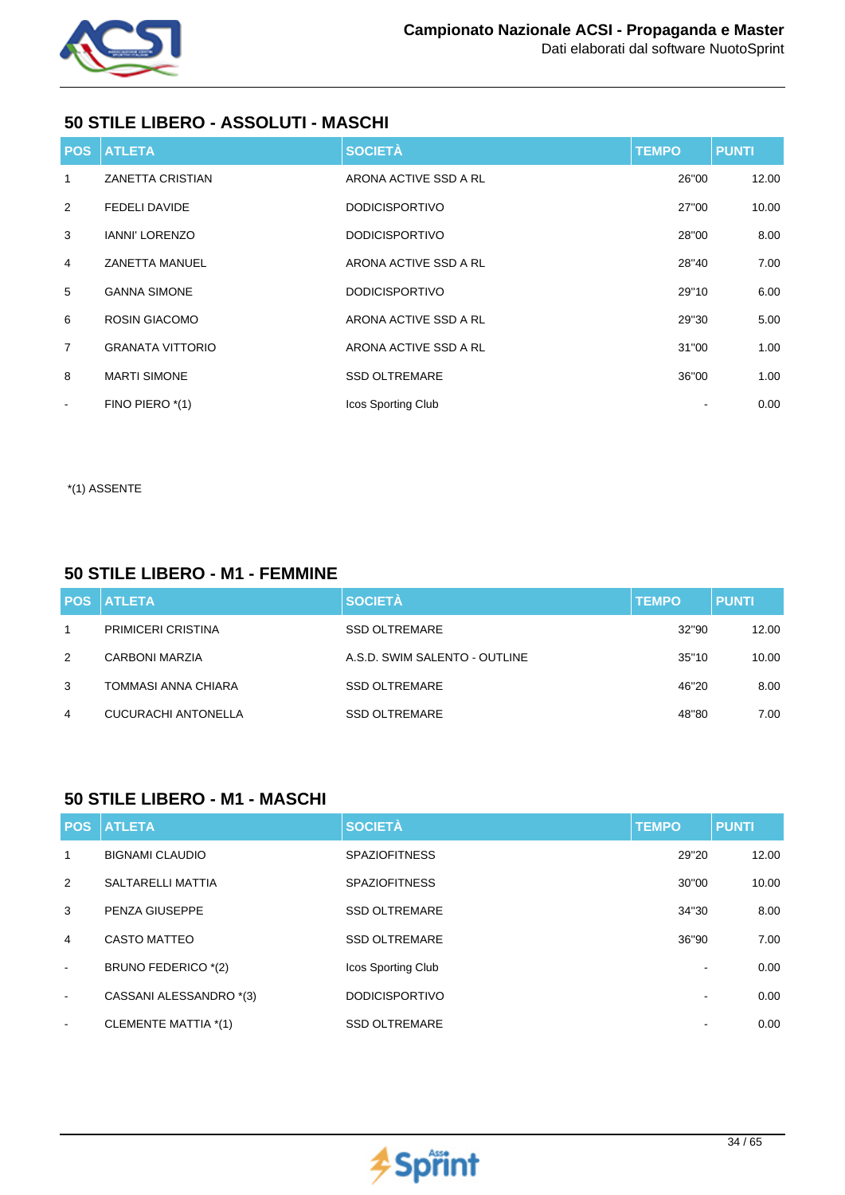

## **50 STILE LIBERO - ASSOLUTI - MASCHI**

|                          | <b>POS ATLETA</b>       | <b>SOCIETÀ</b>        | <b>TEMPO</b> | <b>PUNTI</b> |
|--------------------------|-------------------------|-----------------------|--------------|--------------|
| 1                        | <b>ZANETTA CRISTIAN</b> | ARONA ACTIVE SSD A RL | 26"00        | 12.00        |
| 2                        | <b>FEDELI DAVIDE</b>    | <b>DODICISPORTIVO</b> | 27"00        | 10.00        |
| 3                        | <b>IANNI' LORENZO</b>   | <b>DODICISPORTIVO</b> | 28"00        | 8.00         |
| $\overline{4}$           | <b>ZANETTA MANUEL</b>   | ARONA ACTIVE SSD A RL | 28"40        | 7.00         |
| 5                        | <b>GANNA SIMONE</b>     | <b>DODICISPORTIVO</b> | 29"10        | 6.00         |
| 6                        | <b>ROSIN GIACOMO</b>    | ARONA ACTIVE SSD A RL | 29"30        | 5.00         |
| $\overline{7}$           | <b>GRANATA VITTORIO</b> | ARONA ACTIVE SSD A RL | 31"00        | 1.00         |
| 8                        | <b>MARTI SIMONE</b>     | <b>SSD OLTREMARE</b>  | 36"00        | 1.00         |
| $\overline{\phantom{a}}$ | FINO PIERO *(1)         | Icos Sporting Club    |              | 0.00         |

\*(1) ASSENTE

## **50 STILE LIBERO - M1 - FEMMINE**

|   | <b>POS ATLETA</b>          | <b>SOCIETÀ</b>                | <b>TEMPO</b> | <b>PUNTI</b> |
|---|----------------------------|-------------------------------|--------------|--------------|
|   | <b>PRIMICERI CRISTINA</b>  | <b>SSD OLTREMARE</b>          | 32"90        | 12.00        |
| 2 | CARBONI MARZIA             | A.S.D. SWIM SALENTO - OUTLINE | 35"10        | 10.00        |
| 3 | TOMMASI ANNA CHIARA        | <b>SSD OLTREMARE</b>          | 46"20        | 8.00         |
| 4 | <b>CUCURACHI ANTONELLA</b> | <b>SSD OLTREMARE</b>          | 48"80        | 7.00         |

### **50 STILE LIBERO - M1 - MASCHI**

|                          | <b>POS ATLETA</b>        | <b>SOCIETÀ</b>        | <b>TEMPO</b>             | <b>PUNTI</b> |
|--------------------------|--------------------------|-----------------------|--------------------------|--------------|
| 1                        | <b>BIGNAMI CLAUDIO</b>   | <b>SPAZIOFITNESS</b>  | 29"20                    | 12.00        |
| 2                        | <b>SALTARELLI MATTIA</b> | <b>SPAZIOFITNESS</b>  | 30"00                    | 10.00        |
| 3                        | PENZA GIUSEPPE           | <b>SSD OLTREMARE</b>  | 34"30                    | 8.00         |
| 4                        | <b>CASTO MATTEO</b>      | <b>SSD OLTREMARE</b>  | 36"90                    | 7.00         |
| $\overline{\phantom{a}}$ | BRUNO FEDERICO *(2)      | Icos Sporting Club    | ۰                        | 0.00         |
| $\blacksquare$           | CASSANI ALESSANDRO *(3)  | <b>DODICISPORTIVO</b> | $\overline{\phantom{a}}$ | 0.00         |
| $\sim$                   | CLEMENTE MATTIA *(1)     | <b>SSD OLTREMARE</b>  | ۰                        | 0.00         |

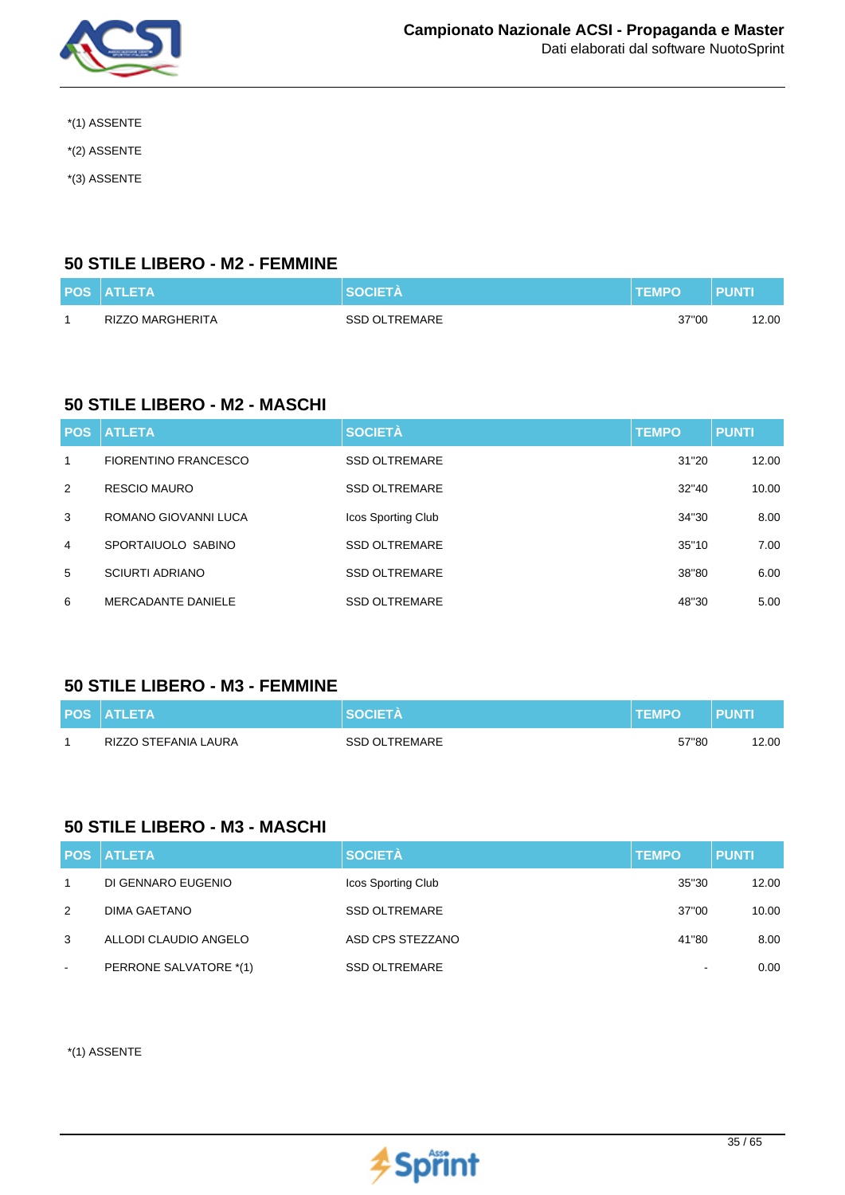

- \*(1) ASSENTE
- \*(2) ASSENTE
- \*(3) ASSENTE

### **50 STILE LIBERO - M2 - FEMMINE**

| <b>POS ATLETA</b> | <b>SOCIETA</b>       | <b>TEMPO</b> | PUNT |
|-------------------|----------------------|--------------|------|
| RIZZO MARGHERITA  | <b>SSD OLTREMARE</b> | 37"00        | 2.00 |

## **50 STILE LIBERO - M2 - MASCHI**

| <b>POS</b> | <b>ATLETA</b>               | <b>SOCIETÀ</b>       | <b>TEMPO</b> | <b>PUNTI</b> |
|------------|-----------------------------|----------------------|--------------|--------------|
| 1          | <b>FIORENTINO FRANCESCO</b> | <b>SSD OLTREMARE</b> | 31"20        | 12.00        |
| 2          | <b>RESCIO MAURO</b>         | <b>SSD OLTREMARE</b> | 32"40        | 10.00        |
| 3          | ROMANO GIOVANNI LUCA        | Icos Sporting Club   | 34"30        | 8.00         |
| 4          | SPORTAIUOLO SABINO          | <b>SSD OLTREMARE</b> | 35"10        | 7.00         |
| 5          | <b>SCIURTI ADRIANO</b>      | <b>SSD OLTREMARE</b> | 38"80        | 6.00         |
| 6          | <b>MERCADANTE DANIELE</b>   | <b>SSD OLTREMARE</b> | 48"30        | 5.00         |

### **50 STILE LIBERO - M3 - FEMMINE**

| <b>POS ATLETA</b>    | <b>SOCIETA</b>       | <b>TEMPO</b> | <b>PUNT</b> |
|----------------------|----------------------|--------------|-------------|
| RIZZO STEFANIA LAURA | <b>SSD OLTREMARE</b> | 57"80        | 12.00       |

### **50 STILE LIBERO - M3 - MASCHI**

|        | <b>POS ATLETA</b>      | <b>SOCIETÀ</b>       | <b>TEMPO</b>             | <b>PUNTI</b> |
|--------|------------------------|----------------------|--------------------------|--------------|
| -1     | DI GENNARO EUGENIO     | Icos Sporting Club   | 35"30                    | 12.00        |
| 2      | DIMA GAETANO           | <b>SSD OLTREMARE</b> | 37"00                    | 10.00        |
| 3      | ALLODI CLAUDIO ANGELO  | ASD CPS STEZZANO     | 41"80                    | 8.00         |
| $\sim$ | PERRONE SALVATORE *(1) | <b>SSD OLTREMARE</b> | $\overline{\phantom{a}}$ | 0.00         |

\*(1) ASSENTE

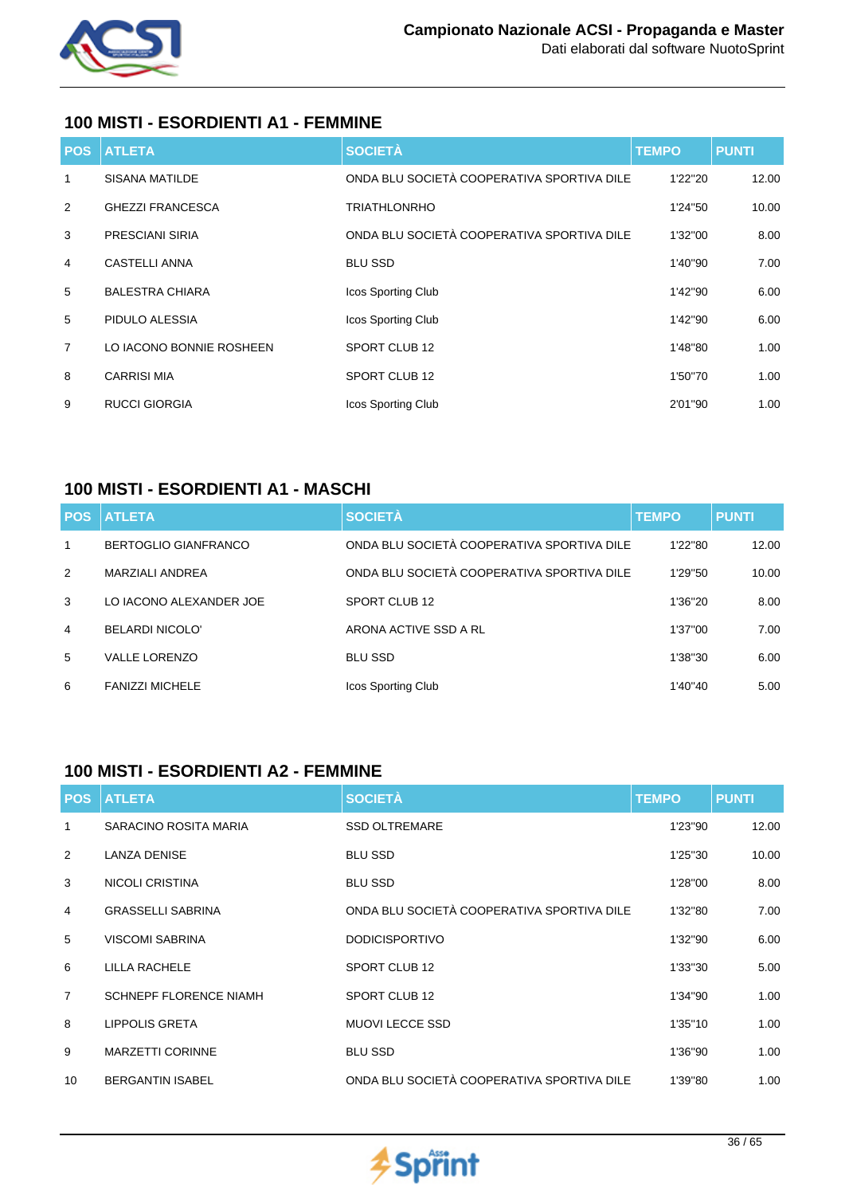

## **100 MISTI - ESORDIENTI A1 - FEMMINE**

| <b>POS</b>     | <b>ATLETA</b>            | <b>SOCIETÀ</b>                             | <b>TEMPO</b> | <b>PUNTI</b> |
|----------------|--------------------------|--------------------------------------------|--------------|--------------|
| 1              | <b>SISANA MATILDE</b>    | ONDA BLU SOCIETÀ COOPERATIVA SPORTIVA DILE | 1'22"20      | 12.00        |
| 2              | <b>GHEZZI FRANCESCA</b>  | <b>TRIATHLONRHO</b>                        | 1'24"50      | 10.00        |
| 3              | <b>PRESCIANI SIRIA</b>   | ONDA BLU SOCIETÀ COOPERATIVA SPORTIVA DILE | 1'32"00      | 8.00         |
| 4              | <b>CASTELLI ANNA</b>     | <b>BLU SSD</b>                             | 1'40"90      | 7.00         |
| 5              | <b>BALESTRA CHIARA</b>   | <b>Icos Sporting Club</b>                  | 1'42"90      | 6.00         |
| 5              | PIDULO ALESSIA           | Icos Sporting Club                         | 1'42"90      | 6.00         |
| $\overline{7}$ | LO IACONO BONNIE ROSHEEN | SPORT CLUB 12                              | 1'48"80      | 1.00         |
| 8              | <b>CARRISI MIA</b>       | SPORT CLUB 12                              | 1'50"70      | 1.00         |
| 9              | <b>RUCCI GIORGIA</b>     | Icos Sporting Club                         | 2'01"90      | 1.00         |

## **100 MISTI - ESORDIENTI A1 - MASCHI**

| <b>POS</b>     | <b>ATLETA</b>               | <b>SOCIETÀ</b>                             | <b>TEMPO</b> | <b>PUNTI</b> |
|----------------|-----------------------------|--------------------------------------------|--------------|--------------|
| $\mathbf{1}$   | <b>BERTOGLIO GIANFRANCO</b> | ONDA BLU SOCIETÀ COOPERATIVA SPORTIVA DILE | 1'22"80      | 12.00        |
| 2              | <b>MARZIALI ANDREA</b>      | ONDA BLU SOCIETÀ COOPERATIVA SPORTIVA DILE | 1'29"50      | 10.00        |
| 3              | LO IACONO ALEXANDER JOE     | SPORT CLUB 12                              | 1'36"20      | 8.00         |
| $\overline{4}$ | <b>BELARDI NICOLO'</b>      | ARONA ACTIVE SSD A RL                      | 1'37"00      | 7.00         |
| $5^{\circ}$    | <b>VALLE LORENZO</b>        | <b>BLU SSD</b>                             | 1'38"30      | 6.00         |
| 6              | <b>FANIZZI MICHELE</b>      | Icos Sporting Club                         | 1'40"40      | 5.00         |

## **100 MISTI - ESORDIENTI A2 - FEMMINE**

| <b>POS</b>      | <b>ATLETA</b>                 | <b>SOCIETÀ</b>                             | <b>TEMPO</b> | <b>PUNTI</b> |
|-----------------|-------------------------------|--------------------------------------------|--------------|--------------|
| 1               | SARACINO ROSITA MARIA         | <b>SSD OLTREMARE</b>                       | 1'23"90      | 12.00        |
| 2               | <b>LANZA DENISE</b>           | <b>BLU SSD</b>                             | 1'25"30      | 10.00        |
| 3               | <b>NICOLI CRISTINA</b>        | <b>BLU SSD</b>                             | 1'28"00      | 8.00         |
| 4               | <b>GRASSELLI SABRINA</b>      | ONDA BLU SOCIETÀ COOPERATIVA SPORTIVA DILE | 1'32"80      | 7.00         |
| 5               | <b>VISCOMI SABRINA</b>        | <b>DODICISPORTIVO</b>                      | 1'32"90      | 6.00         |
| 6               | LILLA RACHELE                 | SPORT CLUB 12                              | 1'33"30      | 5.00         |
| $\overline{7}$  | <b>SCHNEPF FLORENCE NIAMH</b> | SPORT CLUB 12                              | 1'34"90      | 1.00         |
| 8               | <b>LIPPOLIS GRETA</b>         | <b>MUOVI LECCE SSD</b>                     | 1'35"10      | 1.00         |
| 9               | <b>MARZETTI CORINNE</b>       | <b>BLU SSD</b>                             | 1'36"90      | 1.00         |
| 10 <sup>°</sup> | <b>BERGANTIN ISABEL</b>       | ONDA BLU SOCIETÀ COOPERATIVA SPORTIVA DILE | 1'39"80      | 1.00         |

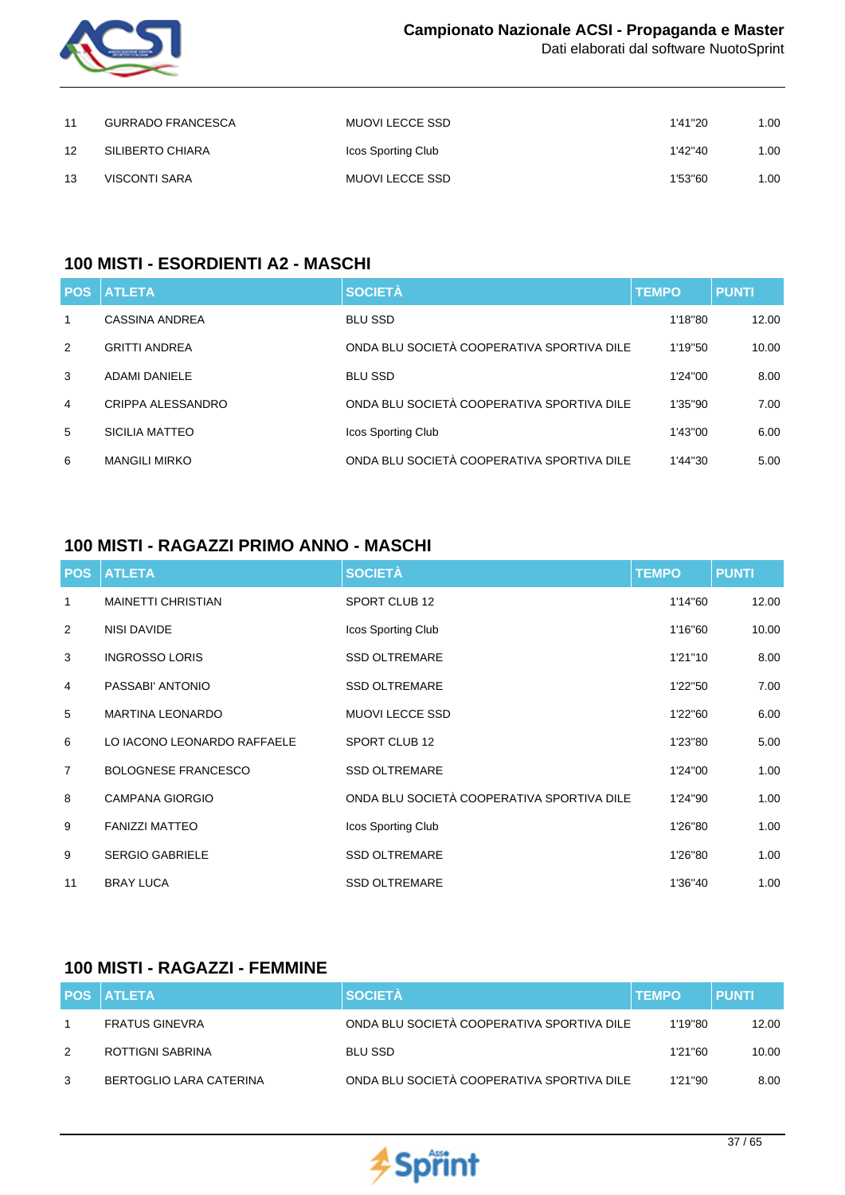

| 11 | <b>GURRADO FRANCESCA</b> | MUOVI LECCE SSD    | 1'41"20 | 00. ا |
|----|--------------------------|--------------------|---------|-------|
| 12 | SILIBERTO CHIARA         | Icos Sporting Club | 1'42"40 | 00. ا |
| 13 | VISCONTI SARA            | MUOVI LECCE SSD    | 1'53"60 | 1.00  |

## **100 MISTI - ESORDIENTI A2 - MASCHI**

| <b>POS</b>     | <b>ATLETA</b>        | <b>SOCIETÀ</b>                             | <b>TEMPO</b> | <b>PUNTI</b> |
|----------------|----------------------|--------------------------------------------|--------------|--------------|
| 1              | CASSINA ANDREA       | <b>BLU SSD</b>                             | 1'18"80      | 12.00        |
| $\mathcal{P}$  | <b>GRITTI ANDREA</b> | ONDA BLU SOCIETÀ COOPERATIVA SPORTIVA DILE | 1'19"50      | 10.00        |
| 3              | <b>ADAMI DANIELE</b> | <b>BLU SSD</b>                             | 1'24"00      | 8.00         |
| $\overline{4}$ | CRIPPA ALESSANDRO    | ONDA BLU SOCIETÀ COOPERATIVA SPORTIVA DILE | 1'35"90      | 7.00         |
| 5              | SICILIA MATTEO       | Icos Sporting Club                         | 1'43"00      | 6.00         |
| 6              | <b>MANGILI MIRKO</b> | ONDA BLU SOCIETÀ COOPERATIVA SPORTIVA DILE | 1'44"30      | 5.00         |

## **100 MISTI - RAGAZZI PRIMO ANNO - MASCHI**

| <b>POS</b>     | <b>ATLETA</b>               | <b>SOCIETÀ</b>                             | <b>TEMPO</b> | <b>PUNTI</b> |
|----------------|-----------------------------|--------------------------------------------|--------------|--------------|
| 1              | <b>MAINETTI CHRISTIAN</b>   | SPORT CLUB 12                              | 1'14"60      | 12.00        |
| 2              | <b>NISI DAVIDE</b>          | Icos Sporting Club                         | 1'16"60      | 10.00        |
| 3              | <b>INGROSSO LORIS</b>       | <b>SSD OLTREMARE</b>                       | 1'21"10      | 8.00         |
| 4              | PASSABI' ANTONIO            | <b>SSD OLTREMARE</b>                       | 1'22"50      | 7.00         |
| 5              | <b>MARTINA LEONARDO</b>     | <b>MUOVI LECCE SSD</b>                     | 1'22"60      | 6.00         |
| 6              | LO IACONO LEONARDO RAFFAELE | SPORT CLUB 12                              | 1'23"80      | 5.00         |
| $\overline{7}$ | <b>BOLOGNESE FRANCESCO</b>  | <b>SSD OLTREMARE</b>                       | 1'24"00      | 1.00         |
| 8              | <b>CAMPANA GIORGIO</b>      | ONDA BLU SOCIETÀ COOPERATIVA SPORTIVA DILE | 1'24"90      | 1.00         |
| 9              | <b>FANIZZI MATTEO</b>       | Icos Sporting Club                         | 1'26"80      | 1.00         |
| 9              | <b>SERGIO GABRIELE</b>      | <b>SSD OLTREMARE</b>                       | 1'26"80      | 1.00         |
| 11             | <b>BRAY LUCA</b>            | <b>SSD OLTREMARE</b>                       | 1'36"40      | 1.00         |

### **100 MISTI - RAGAZZI - FEMMINE**

|               | <b>POS ATLETA</b>       | <b>SOCIETÀ</b>                             | <b>TEMPO</b> | <b>PUNTI</b> |
|---------------|-------------------------|--------------------------------------------|--------------|--------------|
|               | <b>FRATUS GINEVRA</b>   | ONDA BLU SOCIETÀ COOPERATIVA SPORTIVA DILE | 1'19"80      | 12.00        |
| $\mathcal{P}$ | ROTTIGNI SABRINA        | BLU SSD                                    | 1'21"60      | 10.00        |
| 3             | BERTOGLIO LARA CATERINA | ONDA BLU SOCIETÀ COOPERATIVA SPORTIVA DILE | 1'21"90      | 8.00         |

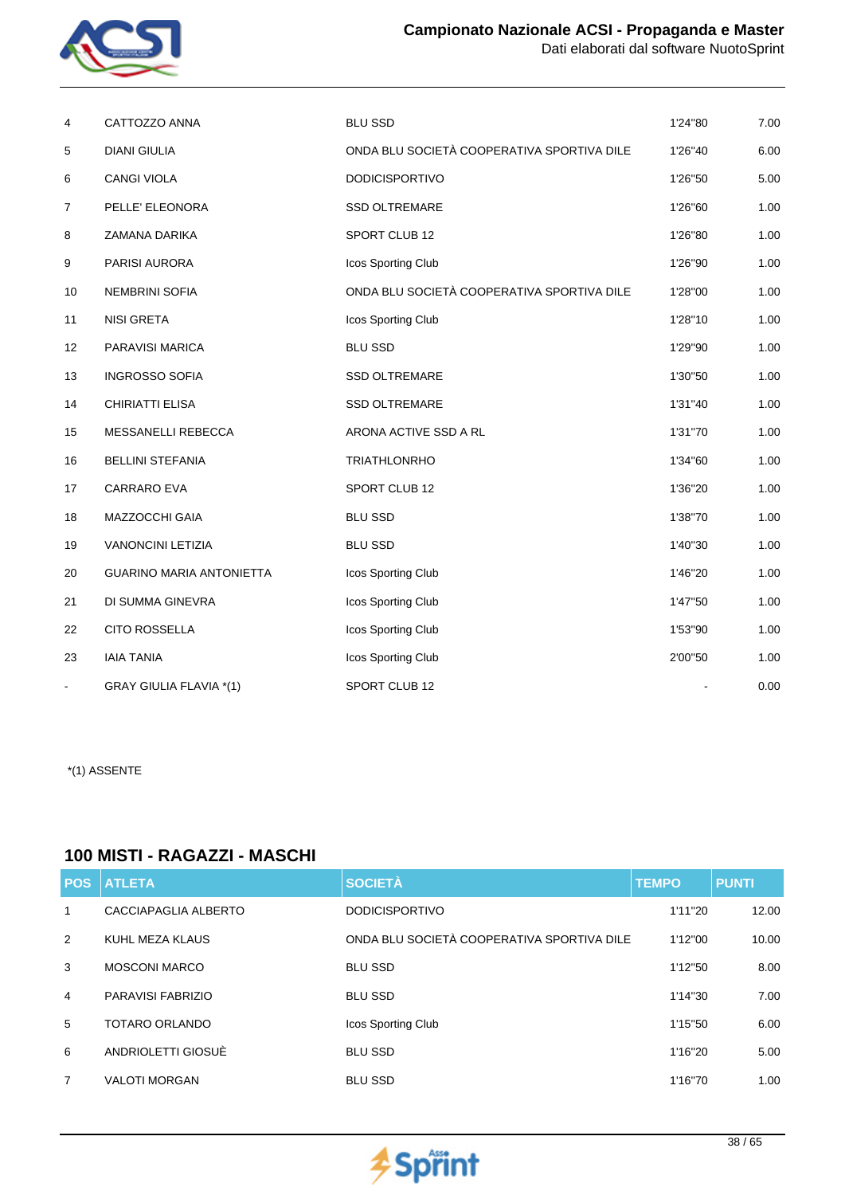



| 4                 | CATTOZZO ANNA                  | <b>BLU SSD</b>                             | 1'24"80 | 7.00 |
|-------------------|--------------------------------|--------------------------------------------|---------|------|
| 5                 | <b>DIANI GIULIA</b>            | ONDA BLU SOCIETÀ COOPERATIVA SPORTIVA DILE | 1'26"40 | 6.00 |
| 6                 | CANGI VIOLA                    | <b>DODICISPORTIVO</b>                      | 1'26"50 | 5.00 |
| 7                 | PELLE' ELEONORA                | <b>SSD OLTREMARE</b>                       | 1'26"60 | 1.00 |
| 8                 | ZAMANA DARIKA                  | SPORT CLUB 12                              | 1'26"80 | 1.00 |
| 9                 | PARISI AURORA                  | Icos Sporting Club                         | 1'26"90 | 1.00 |
| 10                | <b>NEMBRINI SOFIA</b>          | ONDA BLU SOCIETÀ COOPERATIVA SPORTIVA DILE | 1'28"00 | 1.00 |
| 11                | <b>NISI GRETA</b>              | Icos Sporting Club                         | 1'28"10 | 1.00 |
| $12 \overline{ }$ | PARAVISI MARICA                | <b>BLU SSD</b>                             | 1'29"90 | 1.00 |
| 13                | <b>INGROSSO SOFIA</b>          | <b>SSD OLTREMARE</b>                       | 1'30"50 | 1.00 |
| 14                | CHIRIATTI ELISA                | <b>SSD OLTREMARE</b>                       | 1'31"40 | 1.00 |
| 15                | MESSANELLI REBECCA             | ARONA ACTIVE SSD A RL                      | 1'31"70 | 1.00 |
| 16                | <b>BELLINI STEFANIA</b>        | <b>TRIATHLONRHO</b>                        | 1'34"60 | 1.00 |
| 17                | <b>CARRARO EVA</b>             | SPORT CLUB 12                              | 1'36"20 | 1.00 |
| 18                | MAZZOCCHI GAIA                 | <b>BLU SSD</b>                             | 1'38"70 | 1.00 |
| 19                | <b>VANONCINI LETIZIA</b>       | <b>BLU SSD</b>                             | 1'40"30 | 1.00 |
| 20                | GUARINO MARIA ANTONIETTA       | Icos Sporting Club                         | 1'46"20 | 1.00 |
| 21                | DI SUMMA GINEVRA               | Icos Sporting Club                         | 1'47"50 | 1.00 |
| 22                | <b>CITO ROSSELLA</b>           | Icos Sporting Club                         | 1'53"90 | 1.00 |
| 23                | <b>IAIA TANIA</b>              | Icos Sporting Club                         | 2'00"50 | 1.00 |
| Ξ.                | <b>GRAY GIULIA FLAVIA *(1)</b> | SPORT CLUB 12                              |         | 0.00 |

## **100 MISTI - RAGAZZI - MASCHI**

| <b>POS</b> | <b>ATLETA</b>        | <b>SOCIETÀ</b>                             | <b>TEMPO</b> | <b>PUNTI</b> |
|------------|----------------------|--------------------------------------------|--------------|--------------|
| 1          | CACCIAPAGLIA ALBERTO | <b>DODICISPORTIVO</b>                      | 1'11"20      | 12.00        |
| 2          | KUHL MEZA KLAUS      | ONDA BLU SOCIETÀ COOPERATIVA SPORTIVA DILE | 1'12"00      | 10.00        |
| 3          | <b>MOSCONI MARCO</b> | <b>BLU SSD</b>                             | 1'12"50      | 8.00         |
| 4          | PARAVISI FABRIZIO    | <b>BLU SSD</b>                             | 1'14"30      | 7.00         |
| 5          | TOTARO ORLANDO       | Icos Sporting Club                         | 1'15"50      | 6.00         |
| 6          | ANDRIOLETTI GIOSUÈ   | <b>BLU SSD</b>                             | 1'16"20      | 5.00         |
| 7          | <b>VALOTI MORGAN</b> | <b>BLU SSD</b>                             | 1'16"70      | 1.00         |

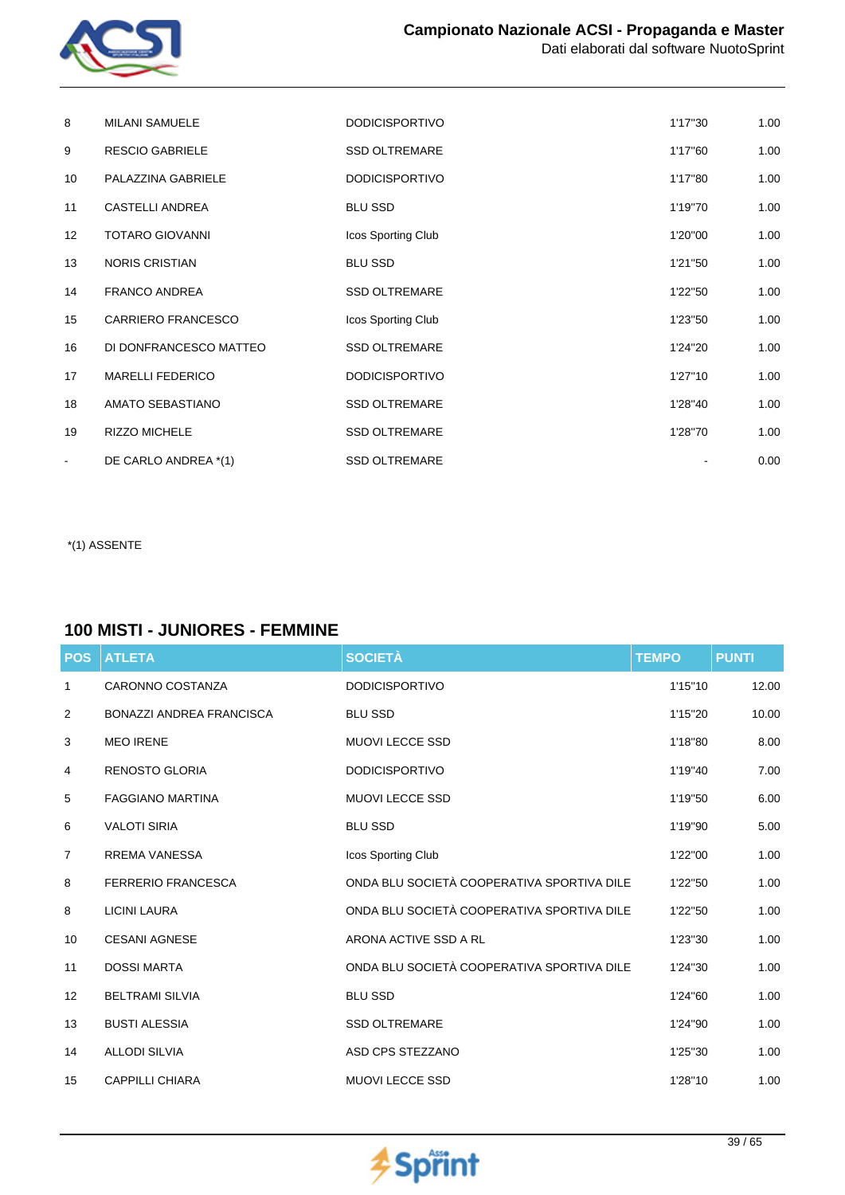

| 8               | <b>MILANI SAMUELE</b>     | <b>DODICISPORTIVO</b> | 1'17"30 | 1.00 |
|-----------------|---------------------------|-----------------------|---------|------|
| 9               | <b>RESCIO GABRIELE</b>    | <b>SSD OLTREMARE</b>  | 1'17"60 | 1.00 |
| 10              | PALAZZINA GABRIELE        | <b>DODICISPORTIVO</b> | 1'17"80 | 1.00 |
| 11              | CASTELLI ANDREA           | <b>BLU SSD</b>        | 1'19"70 | 1.00 |
| 12 <sup>°</sup> | <b>TOTARO GIOVANNI</b>    | Icos Sporting Club    | 1'20"00 | 1.00 |
| 13              | <b>NORIS CRISTIAN</b>     | <b>BLU SSD</b>        | 1'21"50 | 1.00 |
| 14              | <b>FRANCO ANDREA</b>      | <b>SSD OLTREMARE</b>  | 1'22"50 | 1.00 |
| 15              | <b>CARRIERO FRANCESCO</b> | Icos Sporting Club    | 1'23"50 | 1.00 |
| 16              | DI DONFRANCESCO MATTEO    | SSD OLTREMARE         | 1'24"20 | 1.00 |
| 17              | <b>MARELLI FEDERICO</b>   | <b>DODICISPORTIVO</b> | 1'27"10 | 1.00 |
| 18              | AMATO SEBASTIANO          | <b>SSD OLTREMARE</b>  | 1'28"40 | 1.00 |
| 19              | <b>RIZZO MICHELE</b>      | <b>SSD OLTREMARE</b>  | 1'28"70 | 1.00 |
| $\blacksquare$  | DE CARLO ANDREA *(1)      | <b>SSD OLTREMARE</b>  |         | 0.00 |

## **100 MISTI - JUNIORES - FEMMINE**

| <b>POS</b>     | <b>ATLETA</b>                   | <b>SOCIETÀ</b>                             | <b>TEMPO</b> | <b>PUNTI</b> |
|----------------|---------------------------------|--------------------------------------------|--------------|--------------|
| 1              | CARONNO COSTANZA                | <b>DODICISPORTIVO</b>                      | 1'15"10      | 12.00        |
| 2              | <b>BONAZZI ANDREA FRANCISCA</b> | <b>BLU SSD</b>                             | 1'15"20      | 10.00        |
| 3              | <b>MEO IRENE</b>                | <b>MUOVI LECCE SSD</b>                     | 1'18"80      | 8.00         |
| 4              | <b>RENOSTO GLORIA</b>           | <b>DODICISPORTIVO</b>                      | 1'19"40      | 7.00         |
| 5              | <b>FAGGIANO MARTINA</b>         | <b>MUOVI LECCE SSD</b>                     | 1'19"50      | 6.00         |
| 6              | <b>VALOTI SIRIA</b>             | <b>BLU SSD</b>                             | 1'19"90      | 5.00         |
| $\overline{7}$ | <b>RREMA VANESSA</b>            | Icos Sporting Club                         | 1'22"00      | 1.00         |
| 8              | <b>FERRERIO FRANCESCA</b>       | ONDA BLU SOCIETÀ COOPERATIVA SPORTIVA DILE | 1'22"50      | 1.00         |
| 8              | <b>LICINI LAURA</b>             | ONDA BLU SOCIETÀ COOPERATIVA SPORTIVA DILE | 1'22"50      | 1.00         |
| 10             | <b>CESANI AGNESE</b>            | ARONA ACTIVE SSD A RL                      | 1'23"30      | 1.00         |
| 11             | <b>DOSSI MARTA</b>              | ONDA BLU SOCIETÀ COOPERATIVA SPORTIVA DILE | 1'24"30      | 1.00         |
| 12             | <b>BELTRAMI SILVIA</b>          | <b>BLU SSD</b>                             | 1'24"60      | 1.00         |
| 13             | <b>BUSTI ALESSIA</b>            | <b>SSD OLTREMARE</b>                       | 1'24"90      | 1.00         |
| 14             | <b>ALLODI SILVIA</b>            | ASD CPS STEZZANO                           | 1'25"30      | 1.00         |
| 15             | <b>CAPPILLI CHIARA</b>          | <b>MUOVI LECCE SSD</b>                     | 1'28"10      | 1.00         |

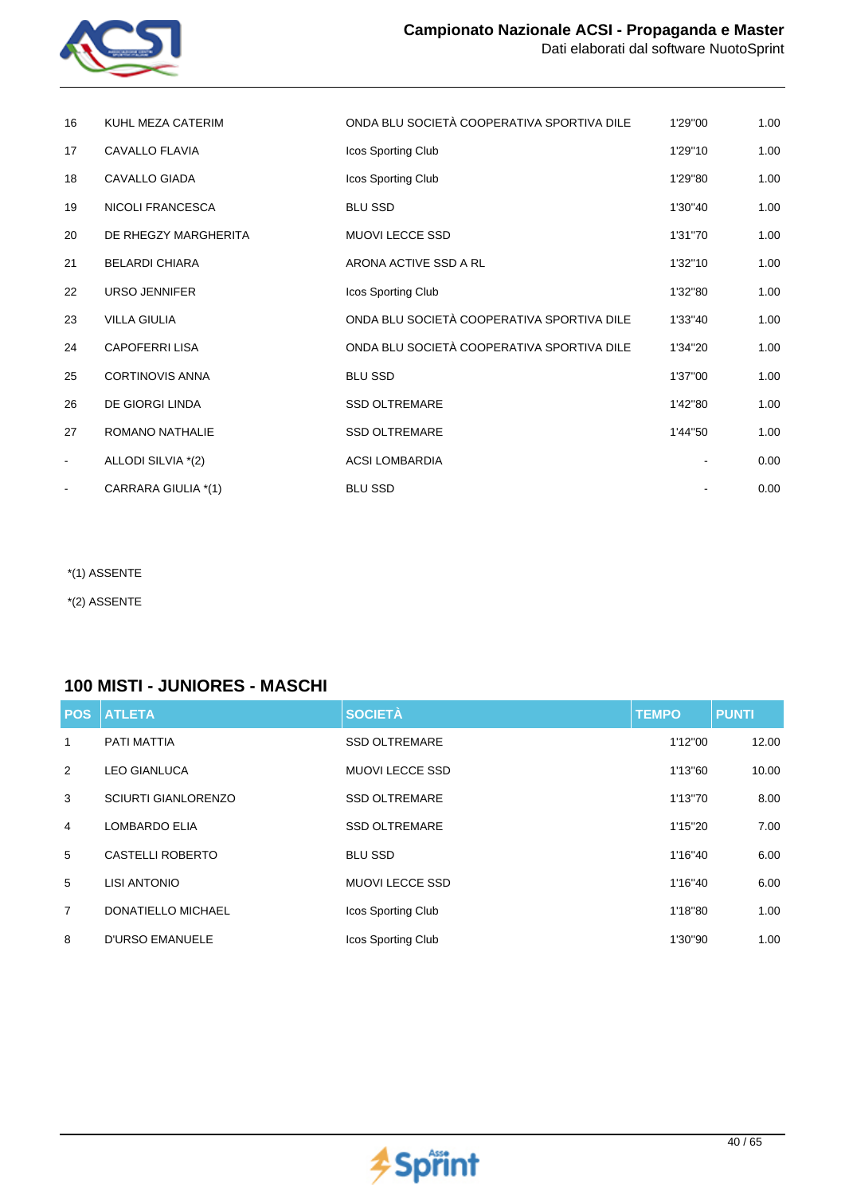

| 16             | KUHL MEZA CATERIM      | ONDA BLU SOCIETÀ COOPERATIVA SPORTIVA DILE | 1'29"00 | 1.00 |
|----------------|------------------------|--------------------------------------------|---------|------|
| 17             | <b>CAVALLO FLAVIA</b>  | Icos Sporting Club                         | 1'29"10 | 1.00 |
| 18             | <b>CAVALLO GIADA</b>   | Icos Sporting Club                         | 1'29"80 | 1.00 |
| 19             | NICOLI FRANCESCA       | <b>BLU SSD</b>                             | 1'30"40 | 1.00 |
| 20             | DE RHEGZY MARGHERITA   | MUOVI LECCE SSD                            | 1'31"70 | 1.00 |
| 21             | <b>BELARDI CHIARA</b>  | ARONA ACTIVE SSD A RL                      | 1'32"10 | 1.00 |
| 22             | URSO JENNIFER          | Icos Sporting Club                         | 1'32"80 | 1.00 |
| 23             | <b>VILLA GIULIA</b>    | ONDA BLU SOCIETÀ COOPERATIVA SPORTIVA DILE | 1'33"40 | 1.00 |
| 24             | <b>CAPOFERRI LISA</b>  | ONDA BLU SOCIETÀ COOPERATIVA SPORTIVA DILE | 1'34"20 | 1.00 |
| 25             | <b>CORTINOVIS ANNA</b> | <b>BLU SSD</b>                             | 1'37"00 | 1.00 |
| 26             | DE GIORGI LINDA        | <b>SSD OLTREMARE</b>                       | 1'42"80 | 1.00 |
| 27             | ROMANO NATHALIE        | SSD OLTREMARE                              | 1'44"50 | 1.00 |
| $\blacksquare$ | ALLODI SILVIA *(2)     | <b>ACSI LOMBARDIA</b>                      |         | 0.00 |
|                | CARRARA GIULIA *(1)    | <b>BLU SSD</b>                             |         | 0.00 |

\*(2) ASSENTE

#### **100 MISTI - JUNIORES - MASCHI**

| <b>POS</b> | <b>ATLETA</b>              | <b>SOCIETÀ</b>         | <b>TEMPO</b> | <b>PUNTI</b> |
|------------|----------------------------|------------------------|--------------|--------------|
| 1          | <b>PATI MATTIA</b>         | <b>SSD OLTREMARE</b>   | 1'12"00      | 12.00        |
| 2          | <b>LEO GIANLUCA</b>        | <b>MUOVI LECCE SSD</b> | 1'13"60      | 10.00        |
| 3          | <b>SCIURTI GIANLORENZO</b> | <b>SSD OLTREMARE</b>   | 1'13"70      | 8.00         |
| 4          | <b>LOMBARDO ELIA</b>       | <b>SSD OLTREMARE</b>   | 1'15"20      | 7.00         |
| 5          | <b>CASTELLI ROBERTO</b>    | <b>BLU SSD</b>         | 1'16"40      | 6.00         |
| 5          | <b>LISI ANTONIO</b>        | <b>MUOVI LECCE SSD</b> | 1'16"40      | 6.00         |
| 7          | <b>DONATIELLO MICHAEL</b>  | Icos Sporting Club     | 1'18"80      | 1.00         |
| 8          | <b>D'URSO EMANUELE</b>     | Icos Sporting Club     | 1'30"90      | 1.00         |

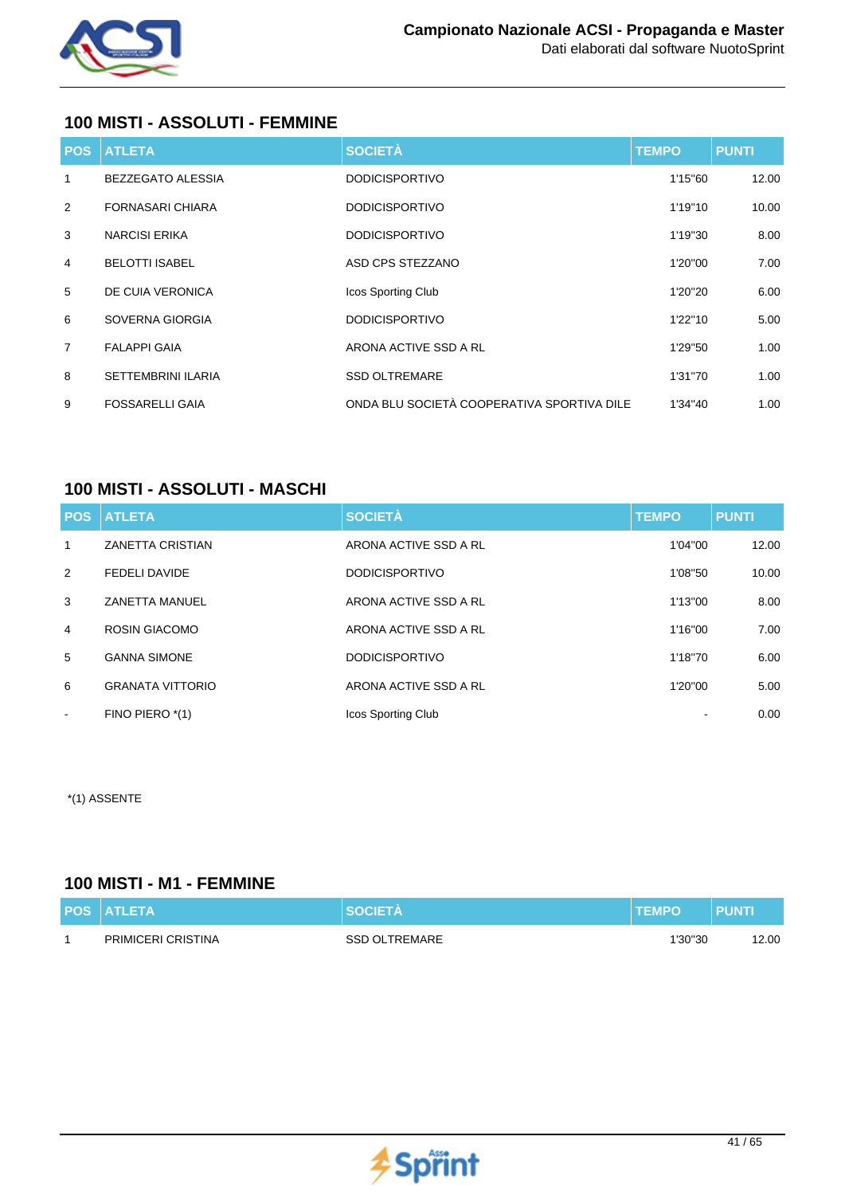

## **100 MISTI - ASSOLUTI - FEMMINE**

| <b>POS</b>     | <b>ATLETA</b>             | <b>SOCIETÀ</b>                             | <b>TEMPO</b> | <b>PUNTI</b> |
|----------------|---------------------------|--------------------------------------------|--------------|--------------|
| $\mathbf{1}$   | <b>BEZZEGATO ALESSIA</b>  | <b>DODICISPORTIVO</b>                      | 1'15"60      | 12.00        |
| 2              | <b>FORNASARI CHIARA</b>   | <b>DODICISPORTIVO</b>                      | 1'19"10      | 10.00        |
| 3              | <b>NARCISI ERIKA</b>      | <b>DODICISPORTIVO</b>                      | 1'19"30      | 8.00         |
| 4              | <b>BELOTTI ISABEL</b>     | ASD CPS STEZZANO                           | 1'20"00      | 7.00         |
| 5              | DE CUIA VERONICA          | Icos Sporting Club                         | 1'20"20      | 6.00         |
| 6              | SOVERNA GIORGIA           | <b>DODICISPORTIVO</b>                      | 1'22"10      | 5.00         |
| $\overline{7}$ | <b>FALAPPI GAIA</b>       | ARONA ACTIVE SSD A RL                      | 1'29"50      | 1.00         |
| 8              | <b>SETTEMBRINI ILARIA</b> | <b>SSD OLTREMARE</b>                       | 1'31"70      | 1.00         |
| 9              | <b>FOSSARELLI GAIA</b>    | ONDA BLU SOCIETÀ COOPERATIVA SPORTIVA DILE | 1'34"40      | 1.00         |

## **100 MISTI - ASSOLUTI - MASCHI**

|                | <b>POS ATLETA</b>       | <b>SOCIETÀ</b>            | <b>TEMPO</b> | <b>PUNTI</b> |
|----------------|-------------------------|---------------------------|--------------|--------------|
| 1              | <b>ZANETTA CRISTIAN</b> | ARONA ACTIVE SSD A RL     | 1'04"00      | 12.00        |
| 2              | <b>FEDELI DAVIDE</b>    | <b>DODICISPORTIVO</b>     | 1'08"50      | 10.00        |
| 3              | <b>ZANETTA MANUEL</b>   | ARONA ACTIVE SSD A RL     | 1'13"00      | 8.00         |
| $\overline{4}$ | <b>ROSIN GIACOMO</b>    | ARONA ACTIVE SSD A RL     | 1'16"00      | 7.00         |
| 5              | <b>GANNA SIMONE</b>     | <b>DODICISPORTIVO</b>     | 1'18"70      | 6.00         |
| 6              | <b>GRANATA VITTORIO</b> | ARONA ACTIVE SSD A RL     | 1'20"00      | 5.00         |
| $\sim$         | FINO PIERO *(1)         | <b>Icos Sporting Club</b> |              | 0.00         |

\*(1) ASSENTE

## **100 MISTI - M1 - FEMMINE**

| <b>POS ATLETA</b>  | <b>SOCIETA</b>       | <b>TEMPO</b> | PUNTI |
|--------------------|----------------------|--------------|-------|
| PRIMICERI CRISTINA | <b>SSD OLTREMARE</b> | 1'30"30      | 12.00 |

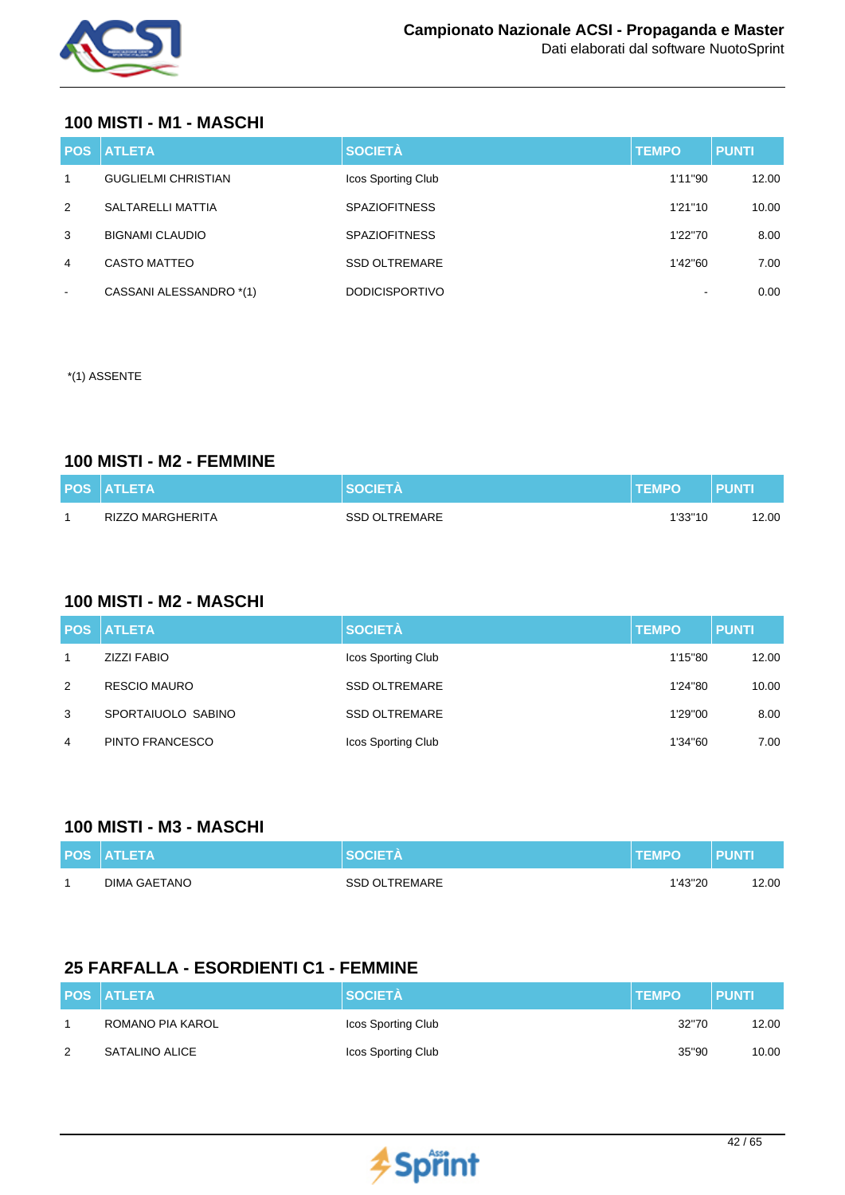

### **100 MISTI - M1 - MASCHI**

| <b>POS</b>     | <b>ATLETA</b>              | <b>SOCIETÀ</b>        | <b>TEMPO</b> | <b>PUNTI</b> |
|----------------|----------------------------|-----------------------|--------------|--------------|
| $\mathbf{1}$   | <b>GUGLIELMI CHRISTIAN</b> | Icos Sporting Club    | 1'11"90      | 12.00        |
| 2              | SALTARELLI MATTIA          | <b>SPAZIOFITNESS</b>  | 1'21''10     | 10.00        |
| 3              | <b>BIGNAMI CLAUDIO</b>     | <b>SPAZIOFITNESS</b>  | 1'22"70      | 8.00         |
| 4              | CASTO MATTEO               | <b>SSD OLTREMARE</b>  | 1'42"60      | 7.00         |
| $\blacksquare$ | CASSANI ALESSANDRO *(1)    | <b>DODICISPORTIVO</b> |              | 0.00         |

\*(1) ASSENTE

### **100 MISTI - M2 - FEMMINE**

| <b>POS ATLETA</b> | <b>SOCIETA</b> | <b>TEMPO</b> | <b>PUNTI</b> |
|-------------------|----------------|--------------|--------------|
| RIZZO MARGHERITA  | SSD OLTREMARE  | 1'33"10      | 2.00         |

#### **100 MISTI - M2 - MASCHI**

|   | <b>POS ATLETA</b>   | <b>SOCIETÀ</b>       | <b>TEMPO</b> | <b>PUNTI</b> |
|---|---------------------|----------------------|--------------|--------------|
| 1 | <b>ZIZZI FABIO</b>  | Icos Sporting Club   | 1'15"80      | 12.00        |
| 2 | <b>RESCIO MAURO</b> | <b>SSD OLTREMARE</b> | 1'24"80      | 10.00        |
| 3 | SPORTAIUOLO SABINO  | <b>SSD OLTREMARE</b> | 1'29"00      | 8.00         |
| 4 | PINTO FRANCESCO     | Icos Sporting Club   | 1'34"60      | 7.00         |

#### **100 MISTI - M3 - MASCHI**

| <b>POS ATLETA</b> | <b>SOCIFTA</b>       | <b>ITEMPO</b> | PUNTI |
|-------------------|----------------------|---------------|-------|
| DIMA GAETANO      | <b>SSD OLTREMARE</b> | 1'43"20       | 12.00 |

## **25 FARFALLA - ESORDIENTI C1 - FEMMINE**

|   | <b>POS ATLETA</b> | <b>SOCIETÀ</b>     | <b>TEMPO</b> | <b>PUNTI</b> |
|---|-------------------|--------------------|--------------|--------------|
|   | ROMANO PIA KAROL  | Icos Sporting Club | 32"70        | 12.00        |
| 2 | SATALINO ALICE    | Icos Sporting Club | 35"90        | 10.00        |

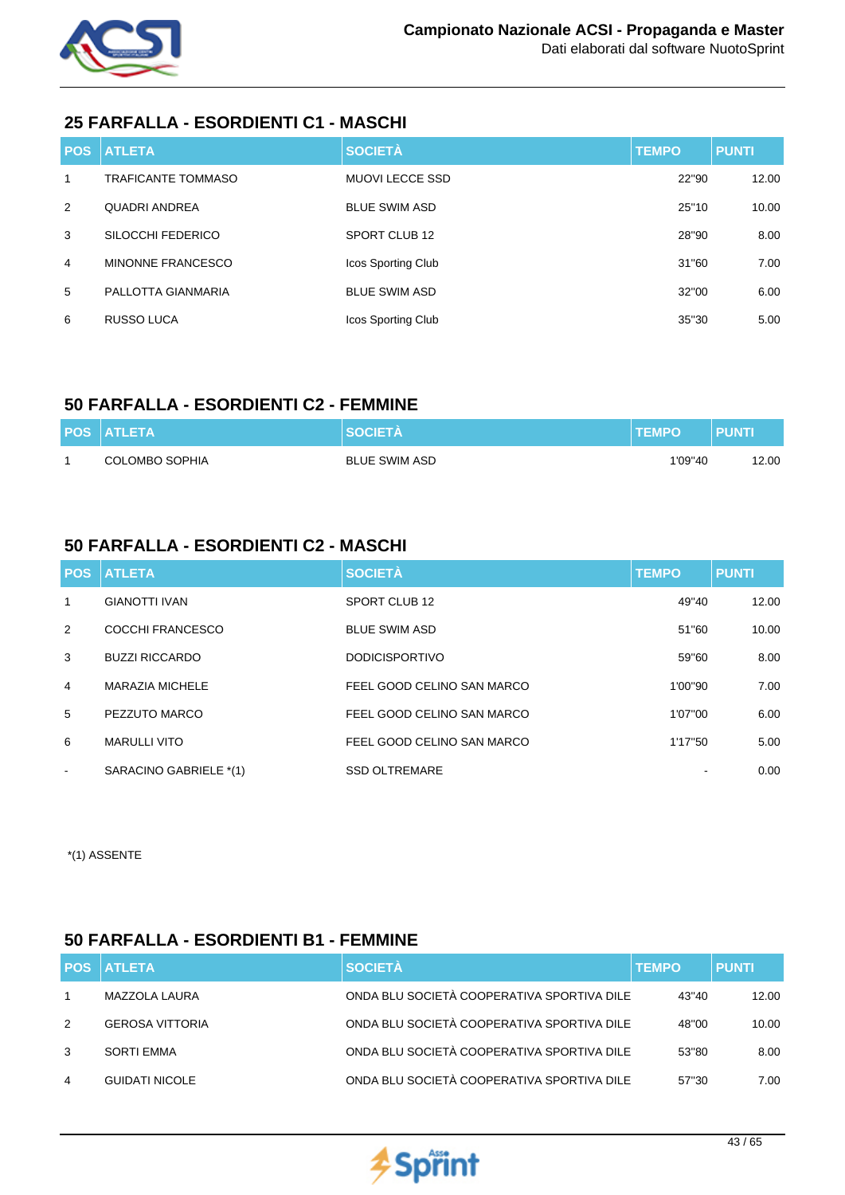

## **25 FARFALLA - ESORDIENTI C1 - MASCHI**

|   | <b>POS ATLETA</b>         | <b>SOCIETÀ</b>         | <b>TEMPO</b> | <b>PUNTI</b> |
|---|---------------------------|------------------------|--------------|--------------|
| 1 | <b>TRAFICANTE TOMMASO</b> | <b>MUOVI LECCE SSD</b> | 22"90        | 12.00        |
| 2 | <b>QUADRI ANDREA</b>      | <b>BLUE SWIM ASD</b>   | 25"10        | 10.00        |
| 3 | SILOCCHI FEDERICO         | SPORT CLUB 12          | 28"90        | 8.00         |
| 4 | MINONNE FRANCESCO         | Icos Sporting Club     | 31"60        | 7.00         |
| 5 | PALLOTTA GIANMARIA        | <b>BLUE SWIM ASD</b>   | 32"00        | 6.00         |
| 6 | <b>RUSSO LUCA</b>         | Icos Sporting Club     | 35"30        | 5.00         |

## **50 FARFALLA - ESORDIENTI C2 - FEMMINE**

| <b>POS ATLETA</b>     | <b>SOCIETA</b>       | <b>TEMPO</b> | <b>PUNT</b> |
|-----------------------|----------------------|--------------|-------------|
| <b>COLOMBO SOPHIA</b> | <b>BLUE SWIM ASD</b> | 1'09"40      | 12.00       |

## **50 FARFALLA - ESORDIENTI C2 - MASCHI**

|                | <b>POS ATLETA</b>      | <b>SOCIETÀ</b>             | <b>TEMPO</b> | <b>PUNTI</b> |
|----------------|------------------------|----------------------------|--------------|--------------|
| 1              | <b>GIANOTTI IVAN</b>   | SPORT CLUB 12              | 49"40        | 12.00        |
| 2              | COCCHI FRANCESCO       | <b>BLUE SWIM ASD</b>       | 51"60        | 10.00        |
| 3              | <b>BUZZI RICCARDO</b>  | <b>DODICISPORTIVO</b>      | 59"60        | 8.00         |
| $\overline{4}$ | <b>MARAZIA MICHELE</b> | FEEL GOOD CELINO SAN MARCO | 1'00"90      | 7.00         |
| 5              | PEZZUTO MARCO          | FEEL GOOD CELINO SAN MARCO | 1'07"00      | 6.00         |
| 6              | <b>MARULLI VITO</b>    | FEEL GOOD CELINO SAN MARCO | 1'17"50      | 5.00         |
| $\sim$         | SARACINO GABRIELE *(1) | <b>SSD OLTREMARE</b>       |              | 0.00         |

\*(1) ASSENTE

## **50 FARFALLA - ESORDIENTI B1 - FEMMINE**

|   | <b>POS ATLETA</b>      | <b>SOCIETÀ</b>                             | <b>TEMPO</b> | <b>PUNTI</b> |
|---|------------------------|--------------------------------------------|--------------|--------------|
|   | MAZZOLA LAURA          | ONDA BLU SOCIETÀ COOPERATIVA SPORTIVA DILE | 43"40        | 12.00        |
| 2 | <b>GEROSA VITTORIA</b> | ONDA BLU SOCIETÀ COOPERATIVA SPORTIVA DILE | 48"00        | 10.00        |
| 3 | SORTI EMMA             | ONDA BLU SOCIETÀ COOPERATIVA SPORTIVA DILE | 53"80        | 8.00         |
| 4 | <b>GUIDATI NICOLE</b>  | ONDA BLU SOCIETÀ COOPERATIVA SPORTIVA DILE | 57"30        | 7.00         |

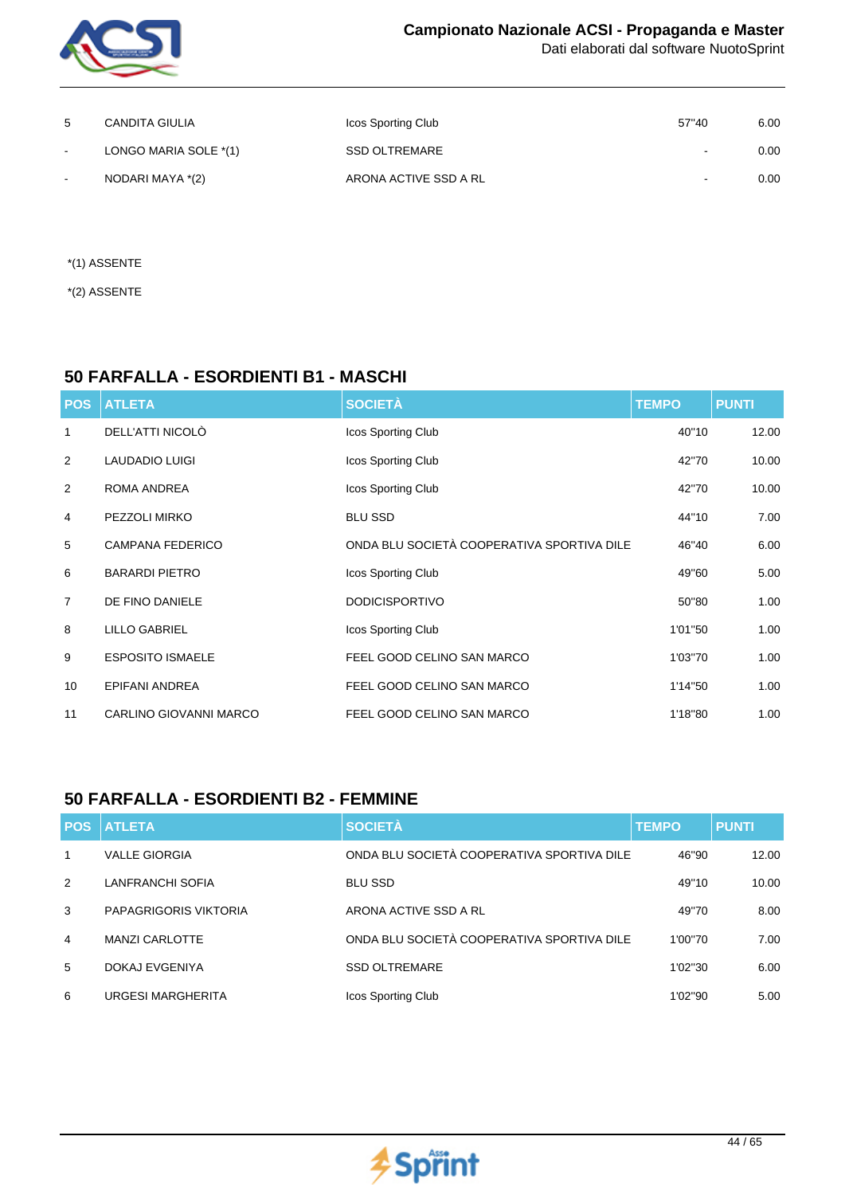

| 5      | <b>CANDITA GIULIA</b> | Icos Sporting Club    | 57"40                    | 6.00 |
|--------|-----------------------|-----------------------|--------------------------|------|
| $\sim$ | LONGO MARIA SOLE *(1) | <b>SSD OLTREMARE</b>  | $\overline{\phantom{a}}$ | 0.00 |
| $\sim$ | NODARI MAYA *(2)      | ARONA ACTIVE SSD A RL | $\sim$                   | 0.00 |

\*(1) ASSENTE

\*(2) ASSENTE

## **50 FARFALLA - ESORDIENTI B1 - MASCHI**

| <b>POS</b>     | <b>ATLETA</b>           | <b>SOCIETÀ</b>                             | <b>TEMPO</b> | <b>PUNTI</b> |
|----------------|-------------------------|--------------------------------------------|--------------|--------------|
| 1              | DELL'ATTI NICOLÒ        | Icos Sporting Club                         | 40"10        | 12.00        |
| 2              | <b>LAUDADIO LUIGI</b>   | Icos Sporting Club                         | 42"70        | 10.00        |
| 2              | ROMA ANDREA             | Icos Sporting Club                         | 42"70        | 10.00        |
| 4              | PEZZOLI MIRKO           | <b>BLU SSD</b>                             | 44"10        | 7.00         |
| 5              | <b>CAMPANA FEDERICO</b> | ONDA BLU SOCIETÀ COOPERATIVA SPORTIVA DILE | 46"40        | 6.00         |
| 6              | <b>BARARDI PIETRO</b>   | Icos Sporting Club                         | 49"60        | 5.00         |
| $\overline{7}$ | DE FINO DANIELE         | <b>DODICISPORTIVO</b>                      | 50"80        | 1.00         |
| 8              | <b>LILLO GABRIEL</b>    | Icos Sporting Club                         | 1'01"50      | 1.00         |
| 9              | <b>ESPOSITO ISMAELE</b> | FEEL GOOD CELINO SAN MARCO                 | 1'03"70      | 1.00         |
| 10             | <b>EPIFANI ANDREA</b>   | FEEL GOOD CELINO SAN MARCO                 | 1'14"50      | 1.00         |
| 11             | CARLINO GIOVANNI MARCO  | FEEL GOOD CELINO SAN MARCO                 | 1'18"80      | 1.00         |

### **50 FARFALLA - ESORDIENTI B2 - FEMMINE**

| <b>POS</b>     | <b>ATLETA</b>            | <b>SOCIETÀ</b>                             | <b>TEMPO</b> | <b>PUNTI</b> |
|----------------|--------------------------|--------------------------------------------|--------------|--------------|
| $\mathbf 1$    | <b>VALLE GIORGIA</b>     | ONDA BLU SOCIETÀ COOPERATIVA SPORTIVA DILE | 46"90        | 12.00        |
| $\mathcal{P}$  | LANFRANCHI SOFIA         | <b>BLU SSD</b>                             | 49"10        | 10.00        |
| 3              | PAPAGRIGORIS VIKTORIA    | ARONA ACTIVE SSD A RL                      | 49"70        | 8.00         |
| $\overline{4}$ | <b>MANZI CARLOTTE</b>    | ONDA BLU SOCIETÀ COOPERATIVA SPORTIVA DILE | 1'00"70      | 7.00         |
| 5              | DOKAJ EVGENIYA           | <b>SSD OLTREMARE</b>                       | 1'02"30      | 6.00         |
| 6              | <b>URGESI MARGHERITA</b> | Icos Sporting Club                         | 1'02"90      | 5.00         |

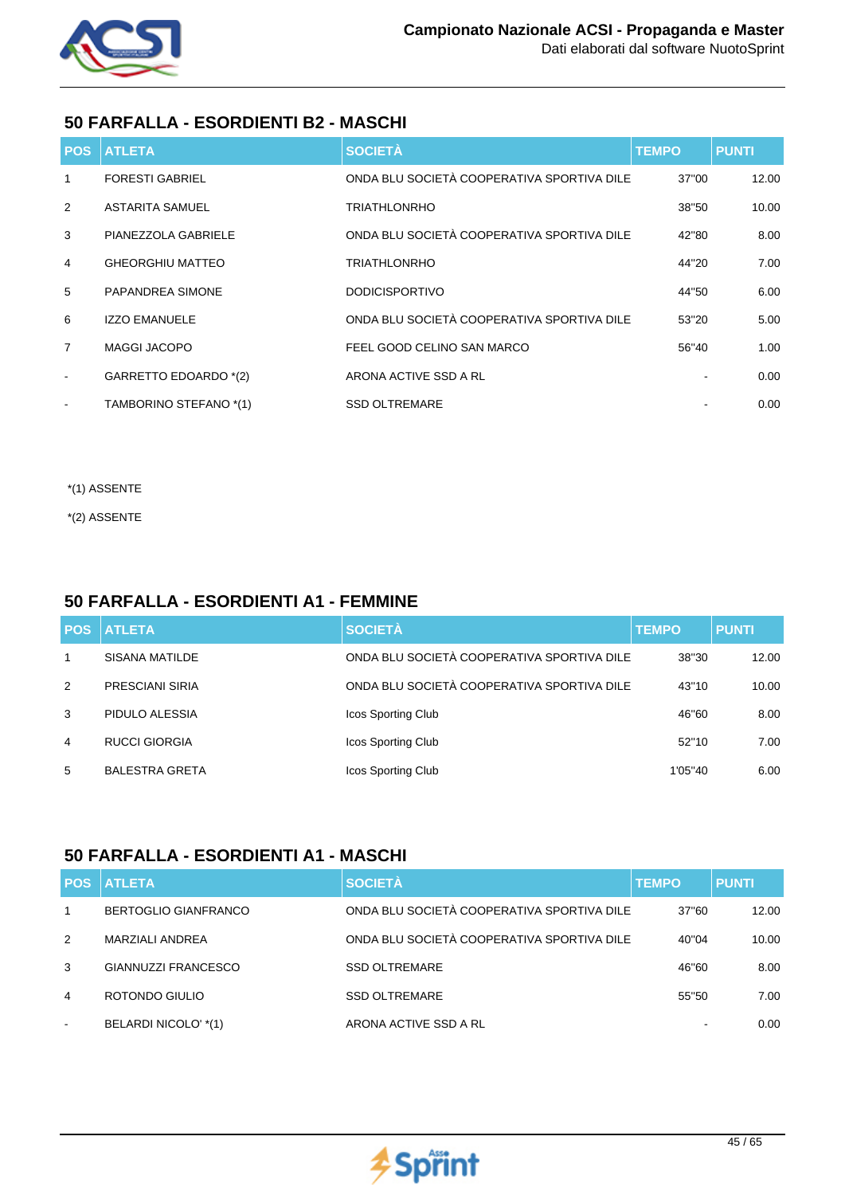

## **50 FARFALLA - ESORDIENTI B2 - MASCHI**

|                          | <b>POS ATLETA</b>       | <b>SOCIETÀ</b>                             | <b>TEMPO</b> | <b>PUNTI</b> |
|--------------------------|-------------------------|--------------------------------------------|--------------|--------------|
| $\mathbf{1}$             | <b>FORESTI GABRIEL</b>  | ONDA BLU SOCIETÀ COOPERATIVA SPORTIVA DILE | 37"00        | 12.00        |
| 2                        | <b>ASTARITA SAMUEL</b>  | <b>TRIATHLONRHO</b>                        | 38"50        | 10.00        |
| 3                        | PIANEZZOLA GABRIELE     | ONDA BLU SOCIETÀ COOPERATIVA SPORTIVA DILE | 42"80        | 8.00         |
| $\overline{4}$           | <b>GHEORGHIU MATTEO</b> | <b>TRIATHLONRHO</b>                        | 44"20        | 7.00         |
| 5                        | <b>PAPANDREA SIMONE</b> | <b>DODICISPORTIVO</b>                      | 44"50        | 6.00         |
| 6                        | <b>IZZO EMANUELE</b>    | ONDA BLU SOCIETÀ COOPERATIVA SPORTIVA DILE | 53"20        | 5.00         |
| $\overline{7}$           | <b>MAGGI JACOPO</b>     | FEEL GOOD CELINO SAN MARCO                 | 56"40        | 1.00         |
| $\overline{\phantom{a}}$ | GARRETTO EDOARDO *(2)   | ARONA ACTIVE SSD A RL                      |              | 0.00         |
|                          | TAMBORINO STEFANO *(1)  | <b>SSD OLTREMARE</b>                       |              | 0.00         |

- \*(1) ASSENTE
- \*(2) ASSENTE

## **50 FARFALLA - ESORDIENTI A1 - FEMMINE**

| <b>POS</b>     | <b>I ATLETA</b>       | <b>SOCIETÀ</b>                             | <b>TEMPO</b> | <b>PUNTI</b> |
|----------------|-----------------------|--------------------------------------------|--------------|--------------|
| 1              | SISANA MATILDE        | ONDA BLU SOCIETÀ COOPERATIVA SPORTIVA DILE | 38"30        | 12.00        |
| 2              | PRESCIANI SIRIA       | ONDA BLU SOCIETÀ COOPERATIVA SPORTIVA DILE | 43"10        | 10.00        |
| 3              | PIDULO ALESSIA        | Icos Sporting Club                         | 46"60        | 8.00         |
| $\overline{4}$ | <b>RUCCI GIORGIA</b>  | Icos Sporting Club                         | 52"10        | 7.00         |
| 5              | <b>BALESTRA GRETA</b> | Icos Sporting Club                         | 1'05"40      | 6.00         |

## **50 FARFALLA - ESORDIENTI A1 - MASCHI**

|                | <b>POS ATLETA</b>           | <b>SOCIETÀ</b>                             | <b>TEMPO</b> | <b>PUNTI</b> |
|----------------|-----------------------------|--------------------------------------------|--------------|--------------|
| 1              | <b>BERTOGLIO GIANFRANCO</b> | ONDA BLU SOCIETÀ COOPERATIVA SPORTIVA DILE | 37"60        | 12.00        |
| $\mathcal{P}$  | MARZIALI ANDREA             | ONDA BLU SOCIETÀ COOPERATIVA SPORTIVA DILE | 40"04        | 10.00        |
| 3              | GIANNUZZI FRANCESCO         | <b>SSD OLTREMARE</b>                       | 46"60        | 8.00         |
| $\overline{4}$ | ROTONDO GIULIO              | <b>SSD OLTREMARE</b>                       | 55"50        | 7.00         |
| $\sim$         | BELARDI NICOLO' *(1)        | ARONA ACTIVE SSD A RL                      |              | 0.00         |

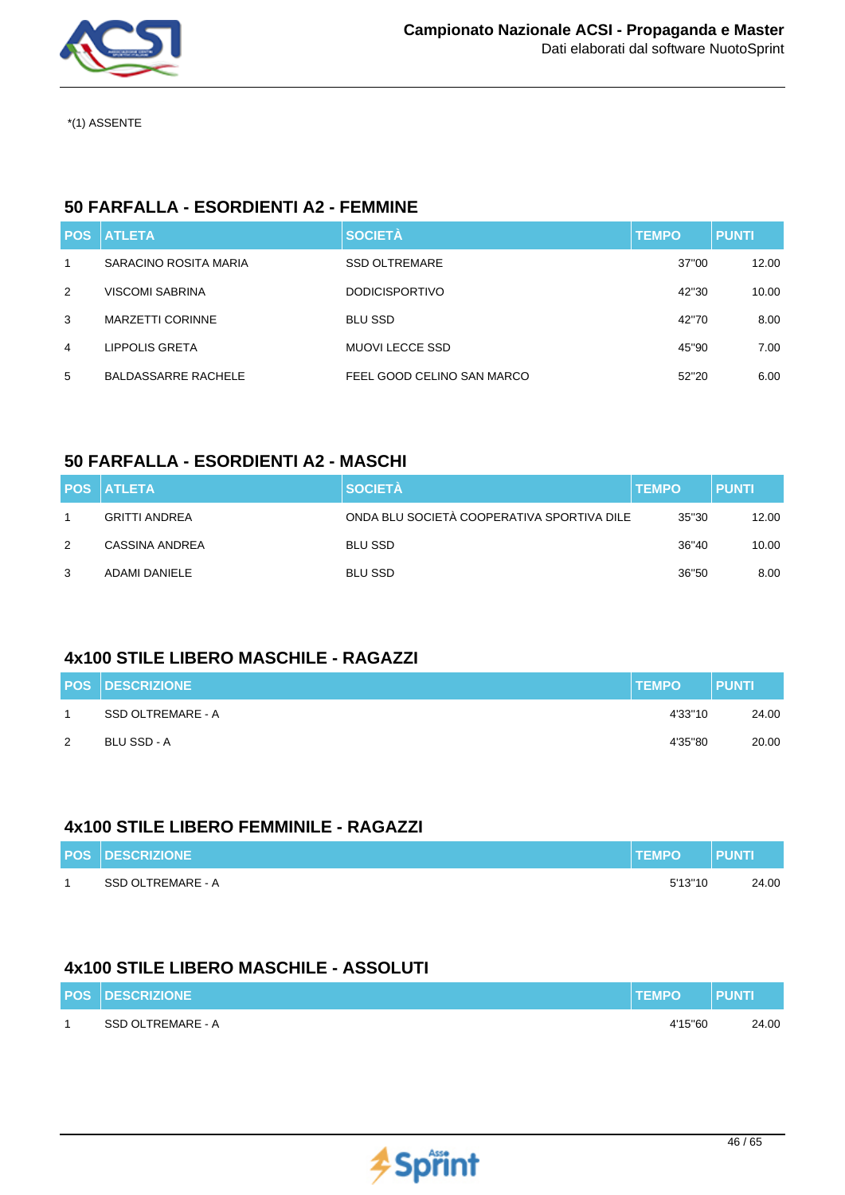

## **50 FARFALLA - ESORDIENTI A2 - FEMMINE**

|              | <b>POS ATLETA</b>       | <b>SOCIETÀ</b>             | <b>TEMPO</b> | <b>PUNTI</b> |
|--------------|-------------------------|----------------------------|--------------|--------------|
| $\mathbf{1}$ | SARACINO ROSITA MARIA   | <b>SSD OLTREMARE</b>       | 37"00        | 12.00        |
| 2            | <b>VISCOMI SABRINA</b>  | <b>DODICISPORTIVO</b>      | 42"30        | 10.00        |
| 3            | <b>MARZETTI CORINNE</b> | <b>BLU SSD</b>             | 42"70        | 8.00         |
| 4            | LIPPOLIS GRETA          | <b>MUOVI LECCE SSD</b>     | 45"90        | 7.00         |
| 5            | BALDASSARRE RACHELE     | FEEL GOOD CELINO SAN MARCO | 52"20        | 6.00         |

## **50 FARFALLA - ESORDIENTI A2 - MASCHI**

|               | <b>POS ATLETA</b>    | <b>SOCIETÀ</b>                             | <b>TEMPO</b> | <b>PUNTI</b> |
|---------------|----------------------|--------------------------------------------|--------------|--------------|
|               | <b>GRITTI ANDREA</b> | ONDA BLU SOCIETÀ COOPERATIVA SPORTIVA DILE | 35"30        | 12.00        |
| $\mathcal{P}$ | CASSINA ANDREA       | <b>BLU SSD</b>                             | 36"40        | 10.00        |
| 3             | ADAMI DANIELE        | <b>BLU SSD</b>                             | 36"50        | 8.00         |

## **4x100 STILE LIBERO MASCHILE - RAGAZZI**

|   | <b>POS DESCRIZIONE</b> | <b>TEMPO</b> | <b>PUNTI</b> |
|---|------------------------|--------------|--------------|
|   | SSD OLTREMARE - A      | 4'33"10      | 24.00        |
| 2 | BLU SSD - A            | 4'35"80      | 20.00        |

### **4x100 STILE LIBERO FEMMINILE - RAGAZZI**

| <b>POS DESCRIZIONE</b> | <b>TEMPO</b> | <b>PUNT</b> |
|------------------------|--------------|-------------|
| SSD OLTREMARE - A      | 5'13''10     | 24.00       |

### **4x100 STILE LIBERO MASCHILE - ASSOLUTI**

| <b>POS DESCRIZIONE</b> | <b>TEMPO</b> | <b>PUNTI</b> |
|------------------------|--------------|--------------|
| SSD OLTREMARE - A      | 4'15"60      | 24.00        |

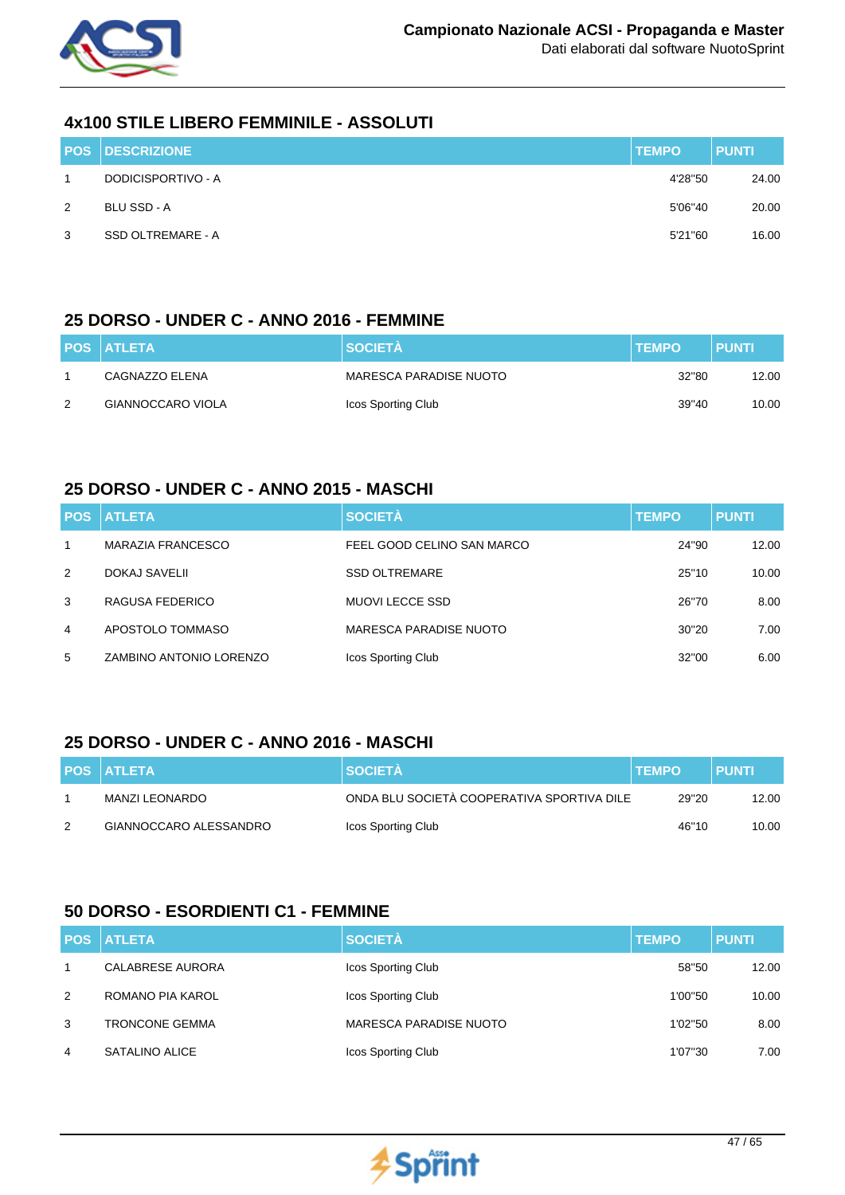

### **4x100 STILE LIBERO FEMMINILE - ASSOLUTI**

|             | <b>POS DESCRIZIONE</b> | <b>TEMPO</b> | <b>PUNTI</b> |
|-------------|------------------------|--------------|--------------|
| $\mathbf 1$ | DODICISPORTIVO - A     | 4'28"50      | 24.00        |
| 2           | BLU SSD - A            | 5'06"40      | 20.00        |
| 3           | SSD OLTREMARE - A      | 5'21"60      | 16.00        |

### **25 DORSO - UNDER C - ANNO 2016 - FEMMINE**

|   | <b>POS ATLETA</b> | <b>SOCIETA</b>         | <b>TEMPO</b> | <b>PUNTI</b> |
|---|-------------------|------------------------|--------------|--------------|
|   | CAGNAZZO ELENA    | MARESCA PARADISE NUOTO | 32"80        | 12.00        |
| 2 | GIANNOCCARO VIOLA | Icos Sporting Club     | 39"40        | 10.00        |

### **25 DORSO - UNDER C - ANNO 2015 - MASCHI**

|              | <b>POS ATLETA</b>       | <b>SOCIETÀ</b>             | <b>TEMPO</b> | <b>PUNTI</b> |
|--------------|-------------------------|----------------------------|--------------|--------------|
| $\mathbf{1}$ | MARAZIA FRANCESCO       | FEEL GOOD CELINO SAN MARCO | 24"90        | 12.00        |
| 2            | DOKAJ SAVELII           | <b>SSD OLTREMARE</b>       | 25"10        | 10.00        |
| 3            | RAGUSA FEDERICO         | MUOVI LECCE SSD            | 26"70        | 8.00         |
| 4            | APOSTOLO TOMMASO        | MARESCA PARADISE NUOTO     | 30"20        | 7.00         |
| 5            | ZAMBINO ANTONIO LORENZO | Icos Sporting Club         | 32"00        | 6.00         |

## **25 DORSO - UNDER C - ANNO 2016 - MASCHI**

|   | <b>POS ATLETA</b>      | <b>SOCIETÀ</b>                             | <b>TEMPO</b> | <b>PUNTI</b> |
|---|------------------------|--------------------------------------------|--------------|--------------|
|   | MANZI LEONARDO         | ONDA BLU SOCIETÀ COOPERATIVA SPORTIVA DILE | 29"20        | 12.00        |
| 2 | GIANNOCCARO ALESSANDRO | Icos Sporting Club                         | 46"10        | 10.00        |

## **50 DORSO - ESORDIENTI C1 - FEMMINE**

|   | <b>POS ATLETA</b>     | <b>SOCIETÀ</b>                | <b>TEMPO</b> | <b>PUNTI</b> |
|---|-----------------------|-------------------------------|--------------|--------------|
|   | CALABRESE AURORA      | Icos Sporting Club            | 58"50        | 12.00        |
| 2 | ROMANO PIA KAROL      | Icos Sporting Club            | 1'00"50      | 10.00        |
| 3 | <b>TRONCONE GEMMA</b> | <b>MARESCA PARADISE NUOTO</b> | 1'02"50      | 8.00         |
| 4 | SATALINO ALICE        | Icos Sporting Club            | 1'07"30      | 7.00         |

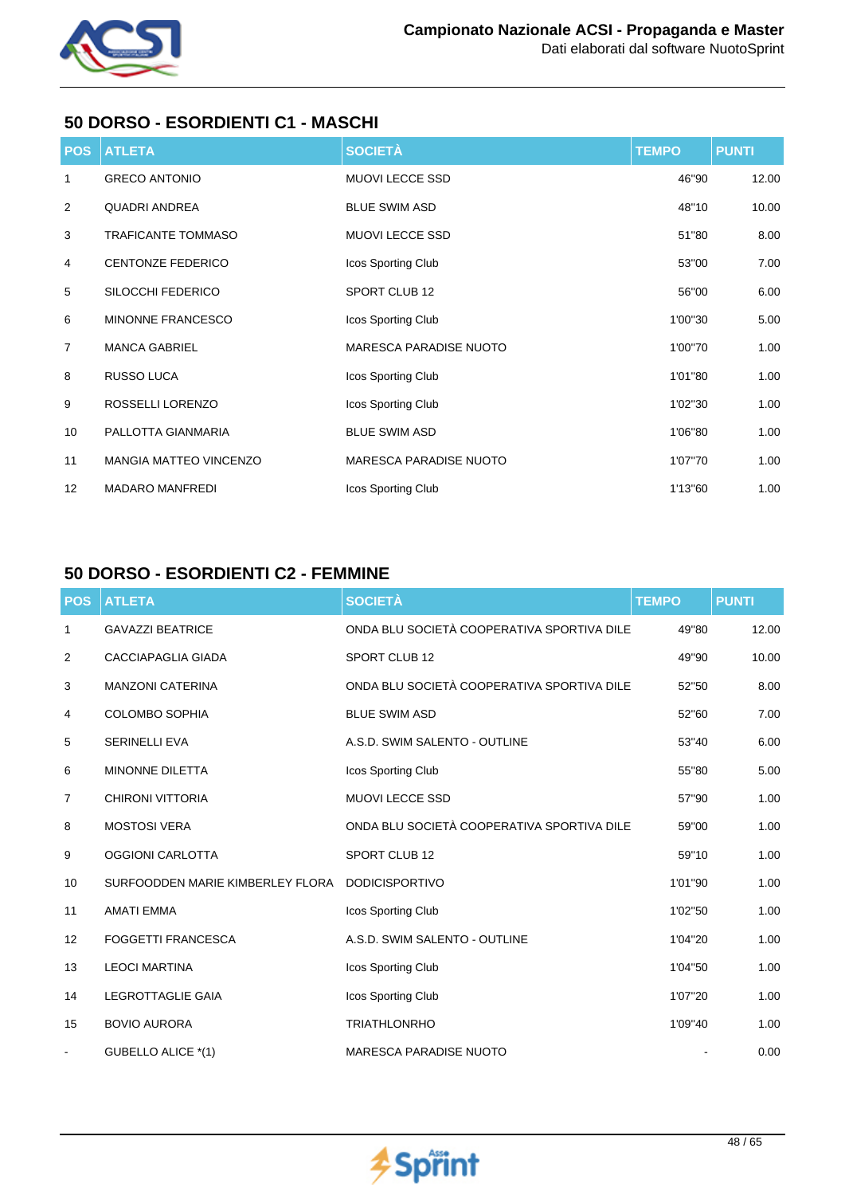

## **50 DORSO - ESORDIENTI C1 - MASCHI**

| <b>POS</b>     | <b>ATLETA</b>                 | <b>SOCIETÀ</b>                | <b>TEMPO</b> | <b>PUNTI</b> |
|----------------|-------------------------------|-------------------------------|--------------|--------------|
| 1              | <b>GRECO ANTONIO</b>          | <b>MUOVI LECCE SSD</b>        | 46"90        | 12.00        |
| $\overline{2}$ | <b>QUADRI ANDREA</b>          | <b>BLUE SWIM ASD</b>          | 48"10        | 10.00        |
| 3              | <b>TRAFICANTE TOMMASO</b>     | <b>MUOVI LECCE SSD</b>        | 51"80        | 8.00         |
| 4              | <b>CENTONZE FEDERICO</b>      | Icos Sporting Club            | 53"00        | 7.00         |
| 5              | SILOCCHI FEDERICO             | SPORT CLUB 12                 | 56"00        | 6.00         |
| 6              | MINONNE FRANCESCO             | Icos Sporting Club            | 1'00"30      | 5.00         |
| $\overline{7}$ | <b>MANCA GABRIEL</b>          | <b>MARESCA PARADISE NUOTO</b> | 1'00"70      | 1.00         |
| 8              | RUSSO LUCA                    | Icos Sporting Club            | 1'01"80      | 1.00         |
| 9              | ROSSELLI LORENZO              | Icos Sporting Club            | 1'02"30      | 1.00         |
| 10             | PALLOTTA GIANMARIA            | <b>BLUE SWIM ASD</b>          | 1'06"80      | 1.00         |
| 11             | <b>MANGIA MATTEO VINCENZO</b> | <b>MARESCA PARADISE NUOTO</b> | 1'07"70      | 1.00         |
| 12             | <b>MADARO MANFREDI</b>        | Icos Sporting Club            | 1'13"60      | 1.00         |

## **50 DORSO - ESORDIENTI C2 - FEMMINE**

| <b>POS</b> | <b>ATLETA</b>                    | <b>SOCIETÀ</b>                             | <b>TEMPO</b> | <b>PUNTI</b> |
|------------|----------------------------------|--------------------------------------------|--------------|--------------|
| 1          | <b>GAVAZZI BEATRICE</b>          | ONDA BLU SOCIETÀ COOPERATIVA SPORTIVA DILE | 49"80        | 12.00        |
| 2          | <b>CACCIAPAGLIA GIADA</b>        | <b>SPORT CLUB 12</b>                       | 49"90        | 10.00        |
| 3          | <b>MANZONI CATERINA</b>          | ONDA BLU SOCIETÀ COOPERATIVA SPORTIVA DILE | 52"50        | 8.00         |
| 4          | <b>COLOMBO SOPHIA</b>            | <b>BLUE SWIM ASD</b>                       | 52"60        | 7.00         |
| 5          | <b>SERINELLI EVA</b>             | A.S.D. SWIM SALENTO - OUTLINE              | 53"40        | 6.00         |
| 6          | <b>MINONNE DILETTA</b>           | Icos Sporting Club                         | 55"80        | 5.00         |
| 7          | <b>CHIRONI VITTORIA</b>          | MUOVI LECCE SSD                            | 57"90        | 1.00         |
| 8          | <b>MOSTOSI VERA</b>              | ONDA BLU SOCIETÀ COOPERATIVA SPORTIVA DILE | 59"00        | 1.00         |
| 9          | <b>OGGIONI CARLOTTA</b>          | <b>SPORT CLUB 12</b>                       | 59"10        | 1.00         |
| 10         | SURFOODDEN MARIE KIMBERLEY FLORA | <b>DODICISPORTIVO</b>                      | 1'01"90      | 1.00         |
| 11         | <b>AMATI EMMA</b>                | Icos Sporting Club                         | 1'02"50      | 1.00         |
| 12         | <b>FOGGETTI FRANCESCA</b>        | A.S.D. SWIM SALENTO - OUTLINE              | 1'04"20      | 1.00         |
| 13         | <b>LEOCI MARTINA</b>             | Icos Sporting Club                         | 1'04"50      | 1.00         |
| 14         | <b>LEGROTTAGLIE GAIA</b>         | Icos Sporting Club                         | 1'07"20      | 1.00         |
| 15         | <b>BOVIO AURORA</b>              | <b>TRIATHLONRHO</b>                        | 1'09"40      | 1.00         |
|            | GUBELLO ALICE *(1)               | <b>MARESCA PARADISE NUOTO</b>              |              | 0.00         |

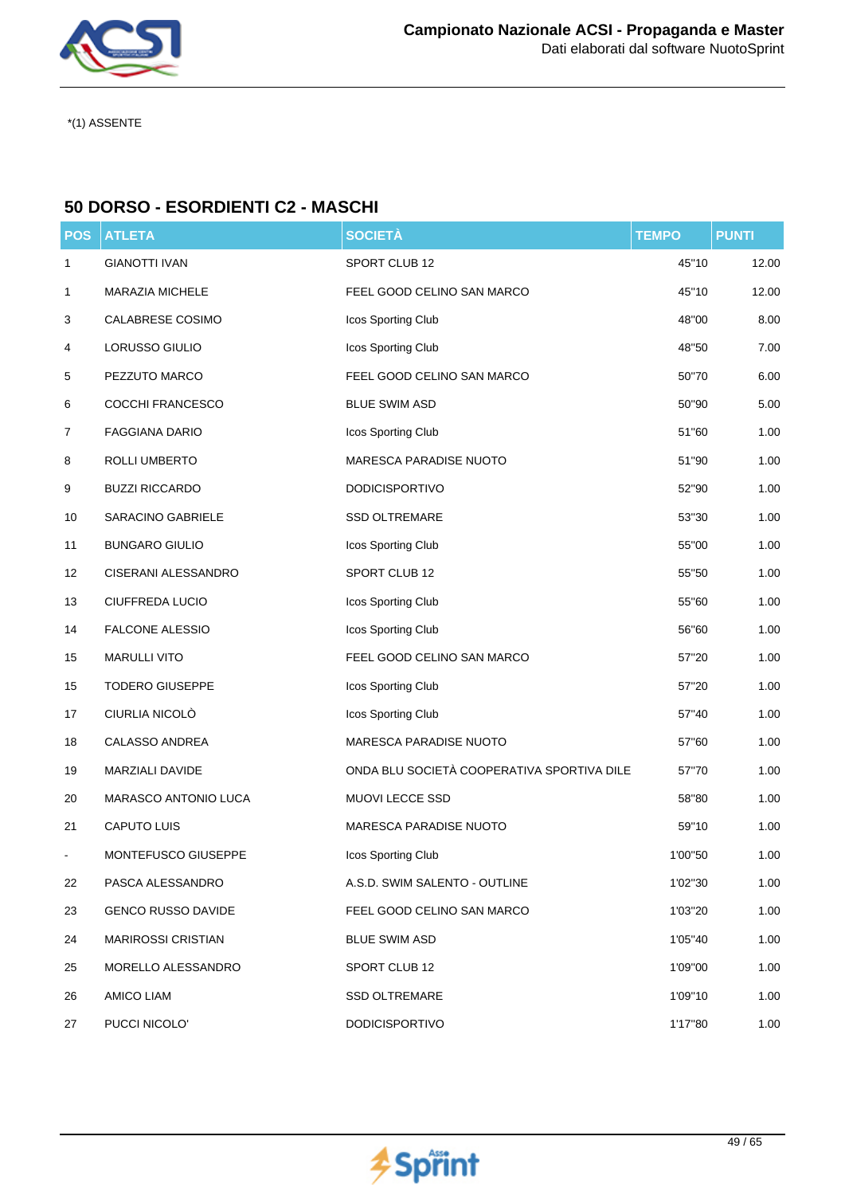

## **50 DORSO - ESORDIENTI C2 - MASCHI**

| <b>POS</b> | <b>ATLETA</b>             | <b>SOCIETÀ</b>                             | <b>TEMPO</b> | <b>PUNTI</b> |
|------------|---------------------------|--------------------------------------------|--------------|--------------|
| 1          | <b>GIANOTTI IVAN</b>      | SPORT CLUB 12                              | 45"10        | 12.00        |
| 1          | MARAZIA MICHELE           | FEEL GOOD CELINO SAN MARCO                 | 45"10        | 12.00        |
| 3          | CALABRESE COSIMO          | Icos Sporting Club                         | 48"00        | 8.00         |
| 4          | LORUSSO GIULIO            | Icos Sporting Club                         | 48"50        | 7.00         |
| 5          | PEZZUTO MARCO             | FEEL GOOD CELINO SAN MARCO                 | 50"70        | 6.00         |
| 6          | COCCHI FRANCESCO          | <b>BLUE SWIM ASD</b>                       | 50"90        | 5.00         |
| 7          | <b>FAGGIANA DARIO</b>     | Icos Sporting Club                         | 51"60        | 1.00         |
| 8          | ROLLI UMBERTO             | MARESCA PARADISE NUOTO                     | 51"90        | 1.00         |
| 9          | <b>BUZZI RICCARDO</b>     | <b>DODICISPORTIVO</b>                      | 52"90        | 1.00         |
| 10         | SARACINO GABRIELE         | <b>SSD OLTREMARE</b>                       | 53"30        | 1.00         |
| 11         | <b>BUNGARO GIULIO</b>     | Icos Sporting Club                         | 55"00        | 1.00         |
| 12         | CISERANI ALESSANDRO       | SPORT CLUB 12                              | 55"50        | 1.00         |
| 13         | CIUFFREDA LUCIO           | Icos Sporting Club                         | 55"60        | 1.00         |
| 14         | <b>FALCONE ALESSIO</b>    | Icos Sporting Club                         | 56"60        | 1.00         |
| 15         | <b>MARULLI VITO</b>       | FEEL GOOD CELINO SAN MARCO                 | 57"20        | 1.00         |
| 15         | <b>TODERO GIUSEPPE</b>    | Icos Sporting Club                         | 57"20        | 1.00         |
| 17         | CIURLIA NICOLÒ            | Icos Sporting Club                         | 57"40        | 1.00         |
| 18         | CALASSO ANDREA            | MARESCA PARADISE NUOTO                     | 57"60        | 1.00         |
| 19         | MARZIALI DAVIDE           | ONDA BLU SOCIETÀ COOPERATIVA SPORTIVA DILE | 57"70        | 1.00         |
| 20         | MARASCO ANTONIO LUCA      | MUOVI LECCE SSD                            | 58"80        | 1.00         |
| 21         | <b>CAPUTO LUIS</b>        | MARESCA PARADISE NUOTO                     | 59"10        | 1.00         |
|            | MONTEFUSCO GIUSEPPE       | Icos Sporting Club                         | 1'00"50      | 1.00         |
| 22         | PASCA ALESSANDRO          | A.S.D. SWIM SALENTO - OUTLINE              | 1'02"30      | 1.00         |
| 23         | <b>GENCO RUSSO DAVIDE</b> | FEEL GOOD CELINO SAN MARCO                 | 1'03"20      | 1.00         |
| 24         | <b>MARIROSSI CRISTIAN</b> | <b>BLUE SWIM ASD</b>                       | 1'05"40      | 1.00         |
| 25         | MORELLO ALESSANDRO        | SPORT CLUB 12                              | 1'09"00      | 1.00         |
| 26         | AMICO LIAM                | <b>SSD OLTREMARE</b>                       | 1'09"10      | 1.00         |
| 27         | PUCCI NICOLO'             | <b>DODICISPORTIVO</b>                      | 1'17"80      | 1.00         |

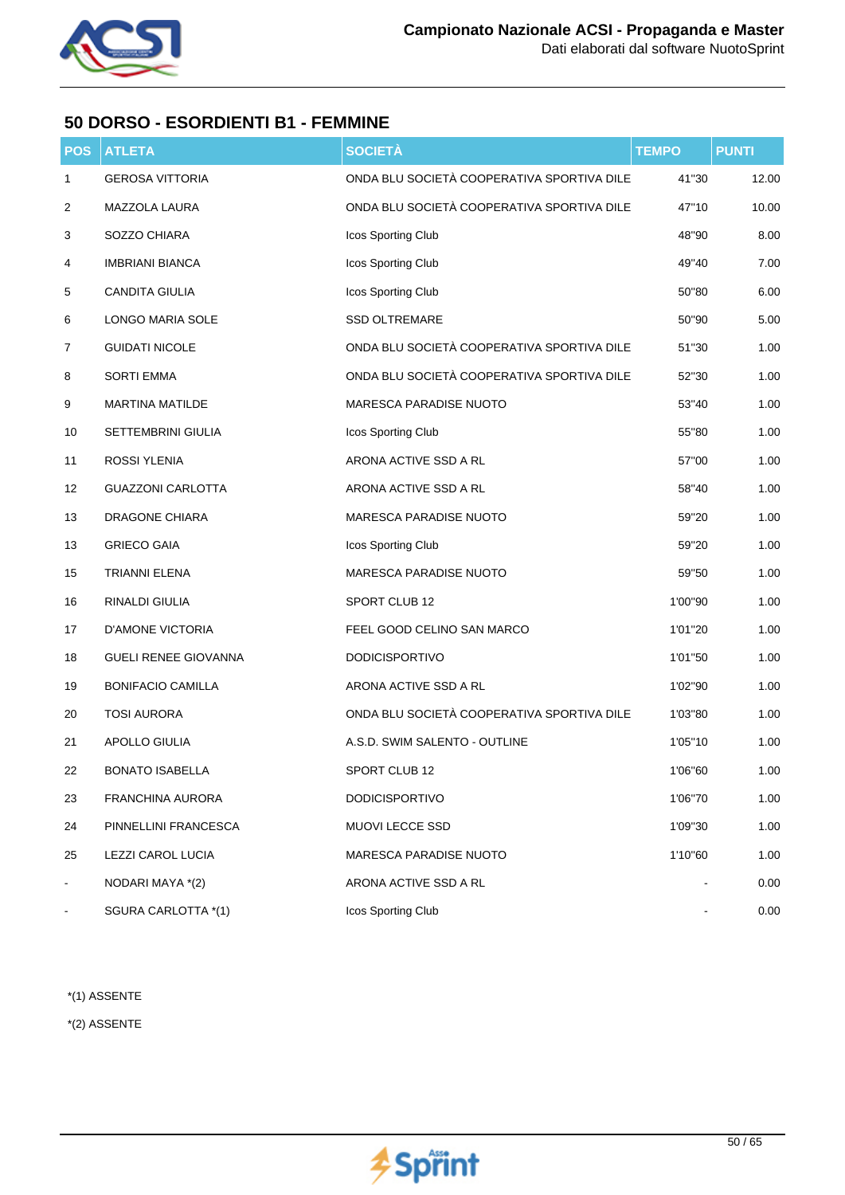

## **50 DORSO - ESORDIENTI B1 - FEMMINE**

| POS                          | <b>ATLETA</b>               | <b>SOCIETÀ</b>                             | <b>TEMPO</b> | <b>PUNTI</b> |
|------------------------------|-----------------------------|--------------------------------------------|--------------|--------------|
| 1                            | <b>GEROSA VITTORIA</b>      | ONDA BLU SOCIETÀ COOPERATIVA SPORTIVA DILE | 41"30        | 12.00        |
| 2                            | MAZZOLA LAURA               | ONDA BLU SOCIETÀ COOPERATIVA SPORTIVA DILE | 47"10        | 10.00        |
| 3                            | SOZZO CHIARA                | Icos Sporting Club                         | 48"90        | 8.00         |
| 4                            | <b>IMBRIANI BIANCA</b>      | Icos Sporting Club                         | 49"40        | 7.00         |
| 5                            | <b>CANDITA GIULIA</b>       | Icos Sporting Club                         | 50"80        | 6.00         |
| 6                            | LONGO MARIA SOLE            | <b>SSD OLTREMARE</b>                       | 50"90        | 5.00         |
| 7                            | <b>GUIDATI NICOLE</b>       | ONDA BLU SOCIETÀ COOPERATIVA SPORTIVA DILE | 51"30        | 1.00         |
| 8                            | <b>SORTI EMMA</b>           | ONDA BLU SOCIETÀ COOPERATIVA SPORTIVA DILE | 52"30        | 1.00         |
| 9                            | <b>MARTINA MATILDE</b>      | <b>MARESCA PARADISE NUOTO</b>              | 53"40        | 1.00         |
| 10                           | SETTEMBRINI GIULIA          | Icos Sporting Club                         | 55"80        | 1.00         |
| 11                           | ROSSI YLENIA                | ARONA ACTIVE SSD A RL                      | 57"00        | 1.00         |
| 12                           | <b>GUAZZONI CARLOTTA</b>    | ARONA ACTIVE SSD A RL                      | 58"40        | 1.00         |
| 13                           | <b>DRAGONE CHIARA</b>       | MARESCA PARADISE NUOTO                     | 59"20        | 1.00         |
| 13                           | <b>GRIECO GAIA</b>          | Icos Sporting Club                         | 59"20        | 1.00         |
| 15                           | <b>TRIANNI ELENA</b>        | MARESCA PARADISE NUOTO                     | 59"50        | 1.00         |
| 16                           | RINALDI GIULIA              | SPORT CLUB 12                              | 1'00"90      | 1.00         |
| 17                           | D'AMONE VICTORIA            | FEEL GOOD CELINO SAN MARCO                 | 1'01"20      | 1.00         |
| 18                           | <b>GUELI RENEE GIOVANNA</b> | <b>DODICISPORTIVO</b>                      | 1'01"50      | 1.00         |
| 19                           | <b>BONIFACIO CAMILLA</b>    | ARONA ACTIVE SSD A RL                      | 1'02"90      | 1.00         |
| 20                           | <b>TOSI AURORA</b>          | ONDA BLU SOCIETÀ COOPERATIVA SPORTIVA DILE | 1'03"80      | 1.00         |
| 21                           | APOLLO GIULIA               | A.S.D. SWIM SALENTO - OUTLINE              | 1'05"10      | 1.00         |
| 22                           | <b>BONATO ISABELLA</b>      | SPORT CLUB 12                              | 1'06"60      | 1.00         |
| 23                           | <b>FRANCHINA AURORA</b>     | <b>DODICISPORTIVO</b>                      | 1'06"70      | 1.00         |
| 24                           | PINNELLINI FRANCESCA        | MUOVI LECCE SSD                            | 1'09"30      | 1.00         |
| 25                           | LEZZI CAROL LUCIA           | MARESCA PARADISE NUOTO                     | 1'10"60      | 1.00         |
| $\qquad \qquad \blacksquare$ | NODARI MAYA *(2)            | ARONA ACTIVE SSD A RL                      |              | 0.00         |
|                              | SGURA CARLOTTA *(1)         | Icos Sporting Club                         |              | 0.00         |

\*(1) ASSENTE

\*(2) ASSENTE

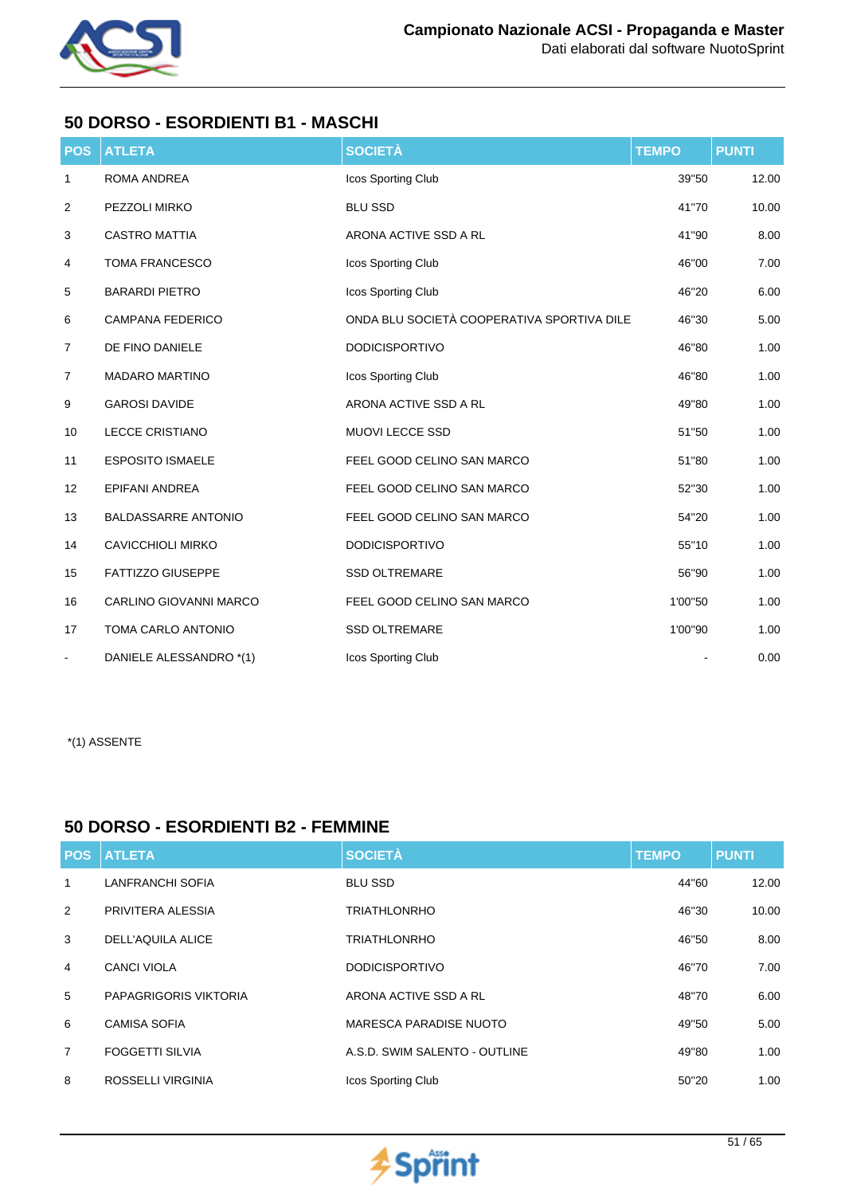

## **50 DORSO - ESORDIENTI B1 - MASCHI**

| <b>POS</b> | <b>ATLETA</b>              | <b>SOCIETÀ</b>                             | <b>TEMPO</b> | <b>PUNTI</b> |
|------------|----------------------------|--------------------------------------------|--------------|--------------|
| 1          | ROMA ANDREA                | Icos Sporting Club                         | 39"50        | 12.00        |
| 2          | PEZZOLI MIRKO              | <b>BLU SSD</b>                             | 41"70        | 10.00        |
| 3          | <b>CASTRO MATTIA</b>       | ARONA ACTIVE SSD A RL                      | 41"90        | 8.00         |
| 4          | <b>TOMA FRANCESCO</b>      | Icos Sporting Club                         | 46"00        | 7.00         |
| 5          | <b>BARARDI PIETRO</b>      | Icos Sporting Club                         | 46"20        | 6.00         |
| 6          | <b>CAMPANA FEDERICO</b>    | ONDA BLU SOCIETÀ COOPERATIVA SPORTIVA DILE | 46"30        | 5.00         |
| 7          | DE FINO DANIELE            | <b>DODICISPORTIVO</b>                      | 46"80        | 1.00         |
| 7          | <b>MADARO MARTINO</b>      | Icos Sporting Club                         | 46"80        | 1.00         |
| 9          | <b>GAROSI DAVIDE</b>       | ARONA ACTIVE SSD A RL                      | 49"80        | 1.00         |
| 10         | <b>LECCE CRISTIANO</b>     | MUOVI LECCE SSD                            | 51"50        | 1.00         |
| 11         | <b>ESPOSITO ISMAELE</b>    | FEEL GOOD CELINO SAN MARCO                 | 51"80        | 1.00         |
| 12         | <b>EPIFANI ANDREA</b>      | FEEL GOOD CELINO SAN MARCO                 | 52"30        | 1.00         |
| 13         | <b>BALDASSARRE ANTONIO</b> | FEEL GOOD CELINO SAN MARCO                 | 54"20        | 1.00         |
| 14         | <b>CAVICCHIOLI MIRKO</b>   | <b>DODICISPORTIVO</b>                      | 55"10        | 1.00         |
| 15         | <b>FATTIZZO GIUSEPPE</b>   | <b>SSD OLTREMARE</b>                       | 56"90        | 1.00         |
| 16         | CARLINO GIOVANNI MARCO     | FEEL GOOD CELINO SAN MARCO                 | 1'00"50      | 1.00         |
| 17         | TOMA CARLO ANTONIO         | <b>SSD OLTREMARE</b>                       | 1'00"90      | 1.00         |
|            | DANIELE ALESSANDRO *(1)    | Icos Sporting Club                         |              | 0.00         |

#### \*(1) ASSENTE

#### **50 DORSO - ESORDIENTI B2 - FEMMINE**

| <b>POS</b>     | <b>ATLETA</b>            | <b>SOCIETÀ</b>                | <b>TEMPO</b> | <b>PUNTI</b> |
|----------------|--------------------------|-------------------------------|--------------|--------------|
| 1              | <b>LANFRANCHI SOFIA</b>  | <b>BLU SSD</b>                | 44"60        | 12.00        |
| 2              | PRIVITERA ALESSIA        | <b>TRIATHLONRHO</b>           | 46"30        | 10.00        |
| 3              | <b>DELL'AQUILA ALICE</b> | <b>TRIATHLONRHO</b>           | 46"50        | 8.00         |
| 4              | CANCI VIOLA              | <b>DODICISPORTIVO</b>         | 46"70        | 7.00         |
| 5              | PAPAGRIGORIS VIKTORIA    | ARONA ACTIVE SSD A RL         | 48"70        | 6.00         |
| 6              | <b>CAMISA SOFIA</b>      | <b>MARESCA PARADISE NUOTO</b> | 49"50        | 5.00         |
| $\overline{7}$ | <b>FOGGETTI SILVIA</b>   | A.S.D. SWIM SALENTO - OUTLINE | 49"80        | 1.00         |
| 8              | ROSSELLI VIRGINIA        | Icos Sporting Club            | 50"20        | 1.00         |

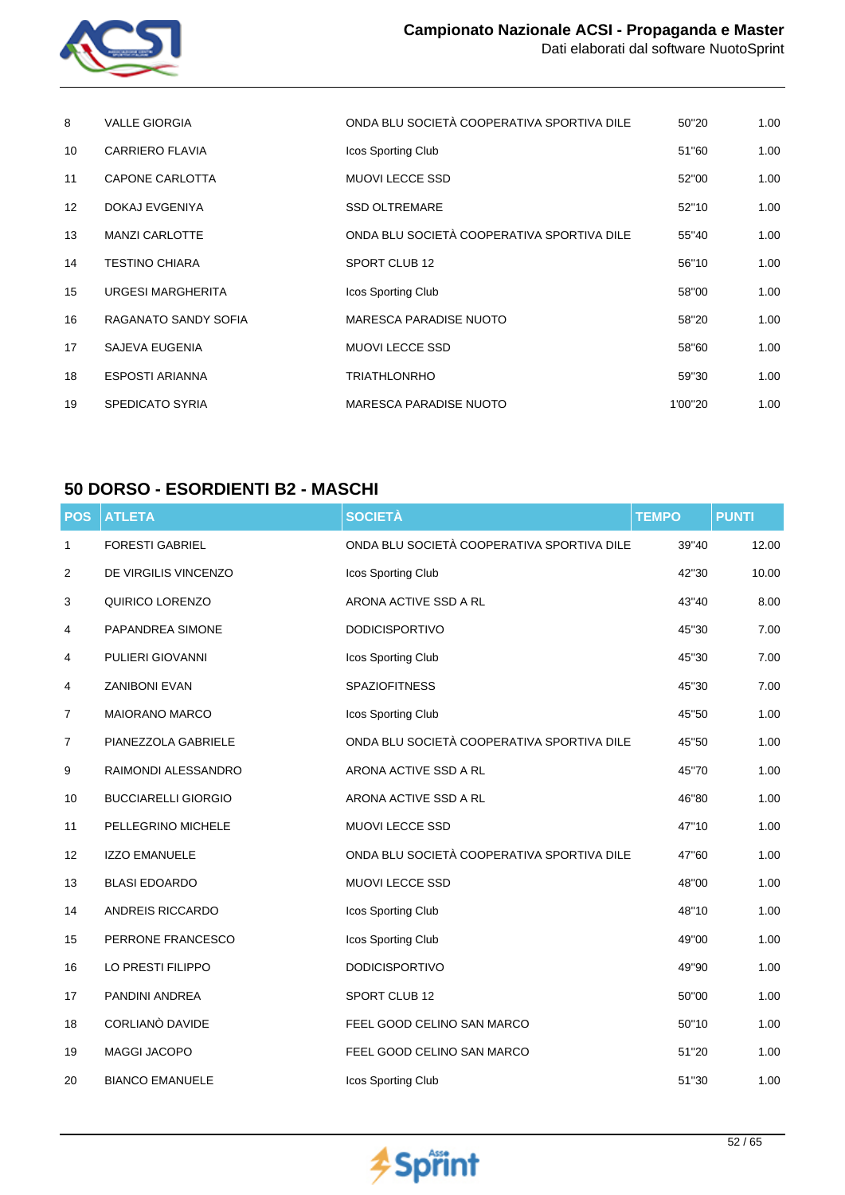

| 8               | <b>VALLE GIORGIA</b>     | ONDA BLU SOCIETÀ COOPERATIVA SPORTIVA DILE | 50"20   | 1.00 |
|-----------------|--------------------------|--------------------------------------------|---------|------|
| 10              | <b>CARRIERO FLAVIA</b>   | Icos Sporting Club                         | 51"60   | 1.00 |
| 11              | <b>CAPONE CARLOTTA</b>   | <b>MUOVI LECCE SSD</b>                     | 52"00   | 1.00 |
| 12 <sup>°</sup> | DOKAJ EVGENIYA           | <b>SSD OLTREMARE</b>                       | 52"10   | 1.00 |
| 13              | <b>MANZI CARLOTTE</b>    | ONDA BLU SOCIETÀ COOPERATIVA SPORTIVA DILE | 55"40   | 1.00 |
| 14              | <b>TESTINO CHIARA</b>    | SPORT CLUB 12                              | 56"10   | 1.00 |
| 15              | <b>URGESI MARGHERITA</b> | Icos Sporting Club                         | 58"00   | 1.00 |
| 16              | RAGANATO SANDY SOFIA     | <b>MARESCA PARADISE NUOTO</b>              | 58"20   | 1.00 |
| 17              | <b>SAJEVA EUGENIA</b>    | <b>MUOVI LECCE SSD</b>                     | 58"60   | 1.00 |
| 18              | <b>ESPOSTI ARIANNA</b>   | <b>TRIATHLONRHO</b>                        | 59"30   | 1.00 |
| 19              | <b>SPEDICATO SYRIA</b>   | <b>MARESCA PARADISE NUOTO</b>              | 1'00"20 | 1.00 |

### **50 DORSO - ESORDIENTI B2 - MASCHI**

| <b>POS</b>     | <b>ATLETA</b>              | <b>SOCIETÀ</b>                             | <b>TEMPO</b> | <b>PUNTI</b> |
|----------------|----------------------------|--------------------------------------------|--------------|--------------|
| 1              | <b>FORESTI GABRIEL</b>     | ONDA BLU SOCIETÀ COOPERATIVA SPORTIVA DILE | 39"40        | 12.00        |
| 2              | DE VIRGILIS VINCENZO       | Icos Sporting Club                         | 42"30        | 10.00        |
| 3              | QUIRICO LORENZO            | ARONA ACTIVE SSD A RL                      | 43"40        | 8.00         |
| 4              | PAPANDREA SIMONE           | <b>DODICISPORTIVO</b>                      | 45"30        | 7.00         |
| 4              | PULIERI GIOVANNI           | Icos Sporting Club                         | 45"30        | 7.00         |
| 4              | <b>ZANIBONI EVAN</b>       | <b>SPAZIOFITNESS</b>                       | 45"30        | 7.00         |
| $\overline{7}$ | MAIORANO MARCO             | Icos Sporting Club                         | 45"50        | 1.00         |
| 7              | PIANEZZOLA GABRIELE        | ONDA BLU SOCIETÀ COOPERATIVA SPORTIVA DILE | 45"50        | 1.00         |
| 9              | RAIMONDI ALESSANDRO        | ARONA ACTIVE SSD A RL                      | 45"70        | 1.00         |
| 10             | <b>BUCCIARELLI GIORGIO</b> | ARONA ACTIVE SSD A RL                      | 46"80        | 1.00         |
| 11             | PELLEGRINO MICHELE         | MUOVI LECCE SSD                            | 47"10        | 1.00         |
| 12             | <b>IZZO EMANUELE</b>       | ONDA BLU SOCIETÀ COOPERATIVA SPORTIVA DILE | 47"60        | 1.00         |
| 13             | <b>BLASI EDOARDO</b>       | MUOVI LECCE SSD                            | 48"00        | 1.00         |
| 14             | ANDREIS RICCARDO           | Icos Sporting Club                         | 48"10        | 1.00         |
| 15             | PERRONE FRANCESCO          | Icos Sporting Club                         | 49"00        | 1.00         |
| 16             | LO PRESTI FILIPPO          | <b>DODICISPORTIVO</b>                      | 49"90        | 1.00         |
| 17             | PANDINI ANDREA             | SPORT CLUB 12                              | 50"00        | 1.00         |
| 18             | CORLIANO DAVIDE            | FEEL GOOD CELINO SAN MARCO                 | 50"10        | 1.00         |
| 19             | MAGGI JACOPO               | FEEL GOOD CELINO SAN MARCO                 | 51"20        | 1.00         |
| 20             | <b>BIANCO EMANUELE</b>     | Icos Sporting Club                         | 51"30        | 1.00         |

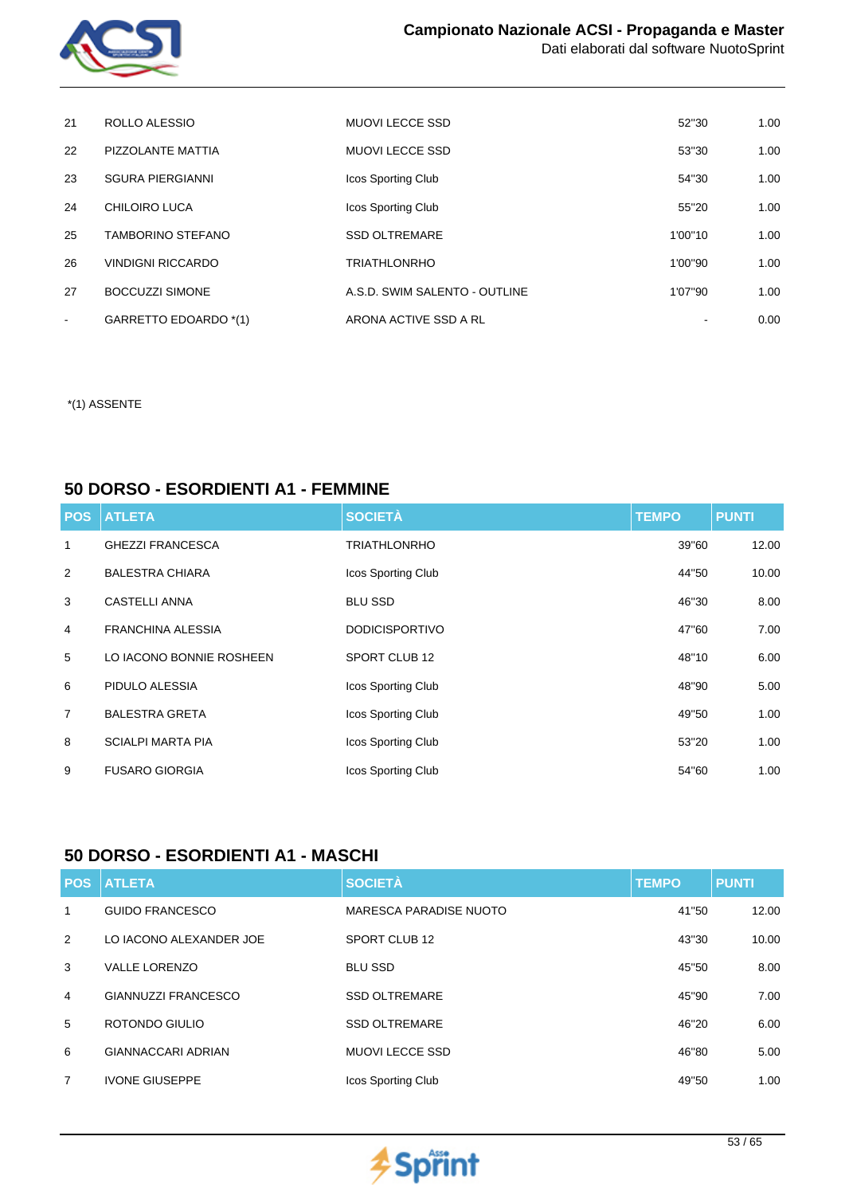

| 21     | ROLLO ALESSIO            | MUOVI LECCE SSD               | 52"30   | 1.00 |
|--------|--------------------------|-------------------------------|---------|------|
| 22     | PIZZOLANTE MATTIA        | <b>MUOVI LECCE SSD</b>        | 53"30   | 1.00 |
| 23     | <b>SGURA PIERGIANNI</b>  | Icos Sporting Club            | 54"30   | 1.00 |
| 24     | CHILOIRO LUCA            | Icos Sporting Club            | 55"20   | 1.00 |
| 25     | <b>TAMBORINO STEFANO</b> | <b>SSD OLTREMARE</b>          | 1'00"10 | 1.00 |
| 26     | <b>VINDIGNI RICCARDO</b> | <b>TRIATHLONRHO</b>           | 1'00"90 | 1.00 |
| 27     | <b>BOCCUZZI SIMONE</b>   | A.S.D. SWIM SALENTO - OUTLINE | 1'07"90 | 1.00 |
| $\sim$ | GARRETTO EDOARDO *(1)    | ARONA ACTIVE SSD A RL         |         | 0.00 |

### **50 DORSO - ESORDIENTI A1 - FEMMINE**

| <b>POS</b>     | <b>ATLETA</b>            | <b>SOCIETÀ</b>        | <b>TEMPO</b> | <b>PUNTI</b> |
|----------------|--------------------------|-----------------------|--------------|--------------|
| 1              | <b>GHEZZI FRANCESCA</b>  | <b>TRIATHLONRHO</b>   | 39"60        | 12.00        |
| 2              | <b>BALESTRA CHIARA</b>   | Icos Sporting Club    | 44"50        | 10.00        |
| 3              | <b>CASTELLI ANNA</b>     | <b>BLU SSD</b>        | 46"30        | 8.00         |
| $\overline{4}$ | <b>FRANCHINA ALESSIA</b> | <b>DODICISPORTIVO</b> | 47"60        | 7.00         |
| 5              | LO IACONO BONNIE ROSHEEN | SPORT CLUB 12         | 48"10        | 6.00         |
| 6              | PIDULO ALESSIA           | Icos Sporting Club    | 48"90        | 5.00         |
| $\overline{7}$ | <b>BALESTRA GRETA</b>    | Icos Sporting Club    | 49"50        | 1.00         |
| 8              | <b>SCIALPI MARTA PIA</b> | Icos Sporting Club    | 53"20        | 1.00         |
| 9              | <b>FUSARO GIORGIA</b>    | Icos Sporting Club    | 54"60        | 1.00         |

### **50 DORSO - ESORDIENTI A1 - MASCHI**

| <b>POS</b>     | <b>ATLETA</b>              | <b>SOCIETÀ</b>            | <b>TEMPO</b> | <b>PUNTI</b> |
|----------------|----------------------------|---------------------------|--------------|--------------|
| 1              | <b>GUIDO FRANCESCO</b>     | MARESCA PARADISE NUOTO    | 41"50        | 12.00        |
| 2              | LO IACONO ALEXANDER JOE    | SPORT CLUB 12             | 43"30        | 10.00        |
| 3              | <b>VALLE LORENZO</b>       | <b>BLU SSD</b>            | 45"50        | 8.00         |
| 4              | <b>GIANNUZZI FRANCESCO</b> | <b>SSD OLTREMARE</b>      | 45"90        | 7.00         |
| 5              | ROTONDO GIULIO             | <b>SSD OLTREMARE</b>      | 46"20        | 6.00         |
| 6              | <b>GIANNACCARI ADRIAN</b>  | <b>MUOVI LECCE SSD</b>    | 46"80        | 5.00         |
| $\overline{7}$ | <b>IVONE GIUSEPPE</b>      | <b>Icos Sporting Club</b> | 49"50        | 1.00         |

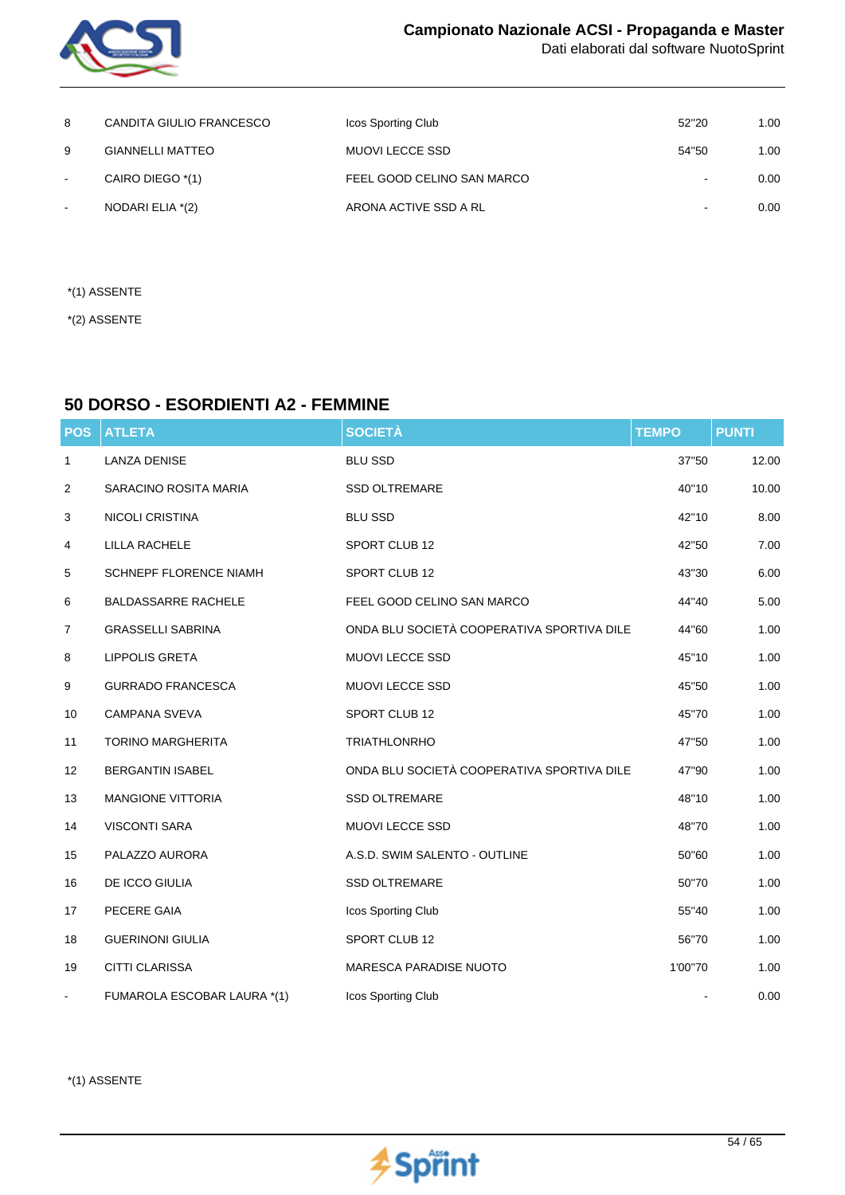

| 8                        | CANDITA GIULIO FRANCESCO | Icos Sporting Club         | 52"20          | 1.00 |
|--------------------------|--------------------------|----------------------------|----------------|------|
| 9                        | <b>GIANNELLI MATTEO</b>  | MUOVI LECCE SSD            | 54"50          | 1.00 |
| $\sim$                   | CAIRO DIEGO *(1)         | FEEL GOOD CELINO SAN MARCO | $\sim$         | 0.00 |
| $\overline{\phantom{a}}$ | NODARI ELIA *(2)         | ARONA ACTIVE SSD A RL      | $\blacksquare$ | 0.00 |

- \*(1) ASSENTE
- \*(2) ASSENTE

## **50 DORSO - ESORDIENTI A2 - FEMMINE**

| <b>POS</b>     | <b>ATLETA</b>                 | <b>SOCIETÀ</b>                             | <b>TEMPO</b> | <b>PUNTI</b> |
|----------------|-------------------------------|--------------------------------------------|--------------|--------------|
| $\mathbf{1}$   | <b>LANZA DENISE</b>           | <b>BLU SSD</b>                             | 37"50        | 12.00        |
| 2              | SARACINO ROSITA MARIA         | <b>SSD OLTREMARE</b>                       | 40"10        | 10.00        |
| 3              | <b>NICOLI CRISTINA</b>        | <b>BLU SSD</b>                             | 42"10        | 8.00         |
| 4              | <b>LILLA RACHELE</b>          | SPORT CLUB 12                              | 42"50        | 7.00         |
| 5              | <b>SCHNEPF FLORENCE NIAMH</b> | SPORT CLUB 12                              | 43"30        | 6.00         |
| 6              | <b>BALDASSARRE RACHELE</b>    | FEEL GOOD CELINO SAN MARCO                 | 44"40        | 5.00         |
| $\overline{7}$ | <b>GRASSELLI SABRINA</b>      | ONDA BLU SOCIETÀ COOPERATIVA SPORTIVA DILE | 44"60        | 1.00         |
| 8              | <b>LIPPOLIS GRETA</b>         | MUOVI LECCE SSD                            | 45"10        | 1.00         |
| 9              | <b>GURRADO FRANCESCA</b>      | <b>MUOVI LECCE SSD</b>                     | 45"50        | 1.00         |
| 10             | <b>CAMPANA SVEVA</b>          | SPORT CLUB 12                              | 45"70        | 1.00         |
| 11             | <b>TORINO MARGHERITA</b>      | <b>TRIATHLONRHO</b>                        | 47"50        | 1.00         |
| 12             | <b>BERGANTIN ISABEL</b>       | ONDA BLU SOCIETÀ COOPERATIVA SPORTIVA DILE | 47"90        | 1.00         |
| 13             | <b>MANGIONE VITTORIA</b>      | <b>SSD OLTREMARE</b>                       | 48"10        | 1.00         |
| 14             | <b>VISCONTI SARA</b>          | MUOVI LECCE SSD                            | 48"70        | 1.00         |
| 15             | PALAZZO AURORA                | A.S.D. SWIM SALENTO - OUTLINE              | 50"60        | 1.00         |
| 16             | DE ICCO GIULIA                | <b>SSD OLTREMARE</b>                       | 50"70        | 1.00         |
| 17             | PECERE GAIA                   | Icos Sporting Club                         | 55"40        | 1.00         |
| 18             | <b>GUERINONI GIULIA</b>       | SPORT CLUB 12                              | 56"70        | 1.00         |
| 19             | CITTI CLARISSA                | MARESCA PARADISE NUOTO                     | 1'00"70      | 1.00         |
| $\blacksquare$ | FUMAROLA ESCOBAR LAURA *(1)   | Icos Sporting Club                         |              | 0.00         |

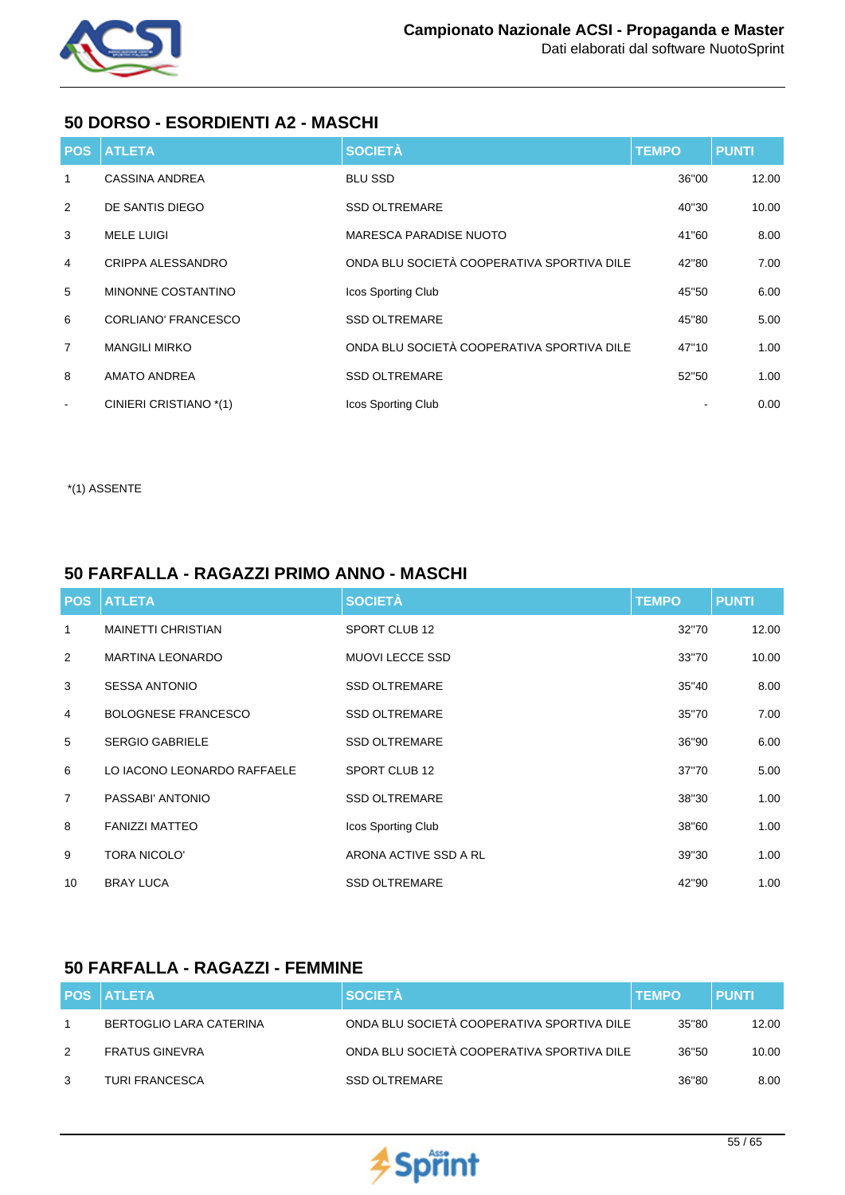

## **50 DORSO - ESORDIENTI A2 - MASCHI**

|                | <b>POS ATLETA</b>      | <b>SOCIETÀ</b>                             | <b>TEMPO</b> | <b>PUNTI</b> |
|----------------|------------------------|--------------------------------------------|--------------|--------------|
| 1              | <b>CASSINA ANDREA</b>  | <b>BLU SSD</b>                             | 36"00        | 12.00        |
| 2              | DE SANTIS DIEGO        | <b>SSD OLTREMARE</b>                       | 40"30        | 10.00        |
| 3              | <b>MELE LUIGI</b>      | <b>MARESCA PARADISE NUOTO</b>              | 41"60        | 8.00         |
| $\overline{4}$ | CRIPPA ALESSANDRO      | ONDA BLU SOCIETÀ COOPERATIVA SPORTIVA DILE | 42"80        | 7.00         |
| 5              | MINONNE COSTANTINO     | Icos Sporting Club                         | 45"50        | 6.00         |
| 6              | CORLIANO' FRANCESCO    | <b>SSD OLTREMARE</b>                       | 45"80        | 5.00         |
| $\overline{7}$ | <b>MANGILI MIRKO</b>   | ONDA BLU SOCIETÀ COOPERATIVA SPORTIVA DILE | 47"10        | 1.00         |
| 8              | <b>AMATO ANDREA</b>    | <b>SSD OLTREMARE</b>                       | 52"50        | 1.00         |
| $\blacksquare$ | CINIERI CRISTIANO *(1) | Icos Sporting Club                         |              | 0.00         |

\*(1) ASSENTE

## **50 FARFALLA - RAGAZZI PRIMO ANNO - MASCHI**

|                 | <b>POS ATLETA</b>           | <b>SOCIETÀ</b>         | <b>TEMPO</b> | <b>PUNTI</b> |
|-----------------|-----------------------------|------------------------|--------------|--------------|
| 1               | <b>MAINETTI CHRISTIAN</b>   | SPORT CLUB 12          | 32"70        | 12.00        |
| 2               | <b>MARTINA LEONARDO</b>     | <b>MUOVI LECCE SSD</b> | 33"70        | 10.00        |
| 3               | <b>SESSA ANTONIO</b>        | <b>SSD OLTREMARE</b>   | 35"40        | 8.00         |
| 4               | <b>BOLOGNESE FRANCESCO</b>  | <b>SSD OLTREMARE</b>   | 35"70        | 7.00         |
| 5               | <b>SERGIO GABRIELE</b>      | <b>SSD OLTREMARE</b>   | 36"90        | 6.00         |
| 6               | LO IACONO LEONARDO RAFFAELE | SPORT CLUB 12          | 37"70        | 5.00         |
| $\overline{7}$  | PASSABI' ANTONIO            | <b>SSD OLTREMARE</b>   | 38"30        | 1.00         |
| 8               | <b>FANIZZI MATTEO</b>       | Icos Sporting Club     | 38"60        | 1.00         |
| 9               | <b>TORA NICOLO'</b>         | ARONA ACTIVE SSD A RL  | 39"30        | 1.00         |
| 10 <sup>°</sup> | <b>BRAY LUCA</b>            | <b>SSD OLTREMARE</b>   | 42"90        | 1.00         |

## **50 FARFALLA - RAGAZZI - FEMMINE**

|   | <b>POS ATLETA</b>       | <b>SOCIETÀ</b>                             | <b>TEMPO</b> | <b>PUNTI</b> |
|---|-------------------------|--------------------------------------------|--------------|--------------|
|   | BERTOGLIO LARA CATERINA | ONDA BLU SOCIETÀ COOPERATIVA SPORTIVA DILE | 35"80        | 12.00        |
| 2 | <b>FRATUS GINEVRA</b>   | ONDA BLU SOCIETÀ COOPERATIVA SPORTIVA DILE | 36"50        | 10.00        |
| 3 | <b>TURI FRANCESCA</b>   | <b>SSD OLTREMARE</b>                       | 36"80        | 8.00         |

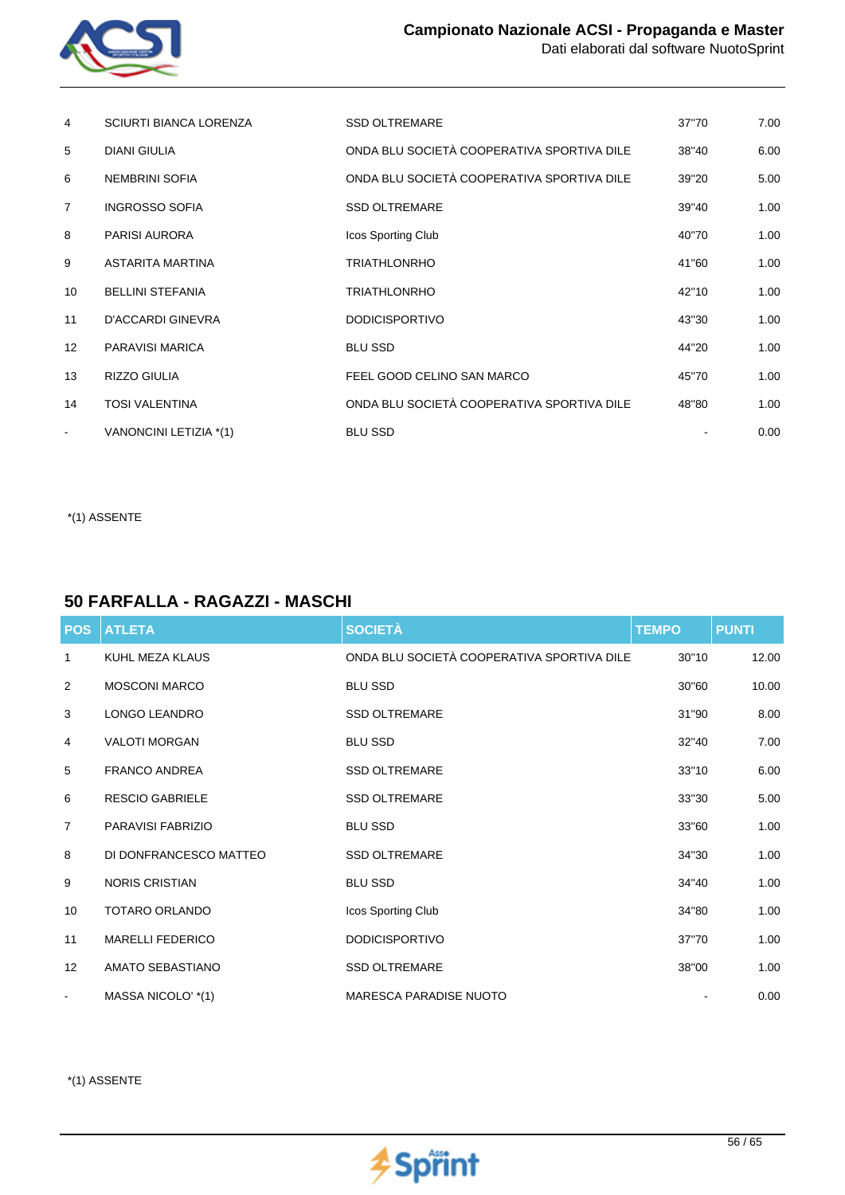

| 4              | <b>SCIURTI BIANCA LORENZA</b> | <b>SSD OLTREMARE</b>                       | 37"70 | 7.00 |
|----------------|-------------------------------|--------------------------------------------|-------|------|
| 5              | <b>DIANI GIULIA</b>           | ONDA BLU SOCIETÀ COOPERATIVA SPORTIVA DILE | 38"40 | 6.00 |
| 6              | <b>NEMBRINI SOFIA</b>         | ONDA BLU SOCIETÀ COOPERATIVA SPORTIVA DILE | 39"20 | 5.00 |
| $\overline{7}$ | <b>INGROSSO SOFIA</b>         | <b>SSD OLTREMARE</b>                       | 39"40 | 1.00 |
| 8              | <b>PARISI AURORA</b>          | Icos Sporting Club                         | 40"70 | 1.00 |
| 9              | ASTARITA MARTINA              | <b>TRIATHLONRHO</b>                        | 41"60 | 1.00 |
| 10             | <b>BELLINI STEFANIA</b>       | <b>TRIATHLONRHO</b>                        | 42"10 | 1.00 |
| 11             | <b>D'ACCARDI GINEVRA</b>      | <b>DODICISPORTIVO</b>                      | 43"30 | 1.00 |
| 12             | PARAVISI MARICA               | <b>BLU SSD</b>                             | 44"20 | 1.00 |
| 13             | <b>RIZZO GIULIA</b>           | FEEL GOOD CELINO SAN MARCO                 | 45"70 | 1.00 |
| 14             | <b>TOSI VALENTINA</b>         | ONDA BLU SOCIETÀ COOPERATIVA SPORTIVA DILE | 48"80 | 1.00 |
|                | VANONCINI LETIZIA *(1)        | <b>BLU SSD</b>                             |       | 0.00 |

## **50 FARFALLA - RAGAZZI - MASCHI**

| <b>POS</b>        | <b>ATLETA</b>           | <b>SOCIETÀ</b>                             | <b>TEMPO</b> | <b>PUNTI</b> |
|-------------------|-------------------------|--------------------------------------------|--------------|--------------|
| $\mathbf{1}$      | KUHL MEZA KLAUS         | ONDA BLU SOCIETÀ COOPERATIVA SPORTIVA DILE | 30"10        | 12.00        |
| 2                 | <b>MOSCONI MARCO</b>    | <b>BLU SSD</b>                             | 30"60        | 10.00        |
| 3                 | <b>LONGO LEANDRO</b>    | <b>SSD OLTREMARE</b>                       | 31"90        | 8.00         |
| 4                 | <b>VALOTI MORGAN</b>    | <b>BLU SSD</b>                             | 32"40        | 7.00         |
| 5                 | <b>FRANCO ANDREA</b>    | <b>SSD OLTREMARE</b>                       | 33"10        | 6.00         |
| 6                 | <b>RESCIO GABRIELE</b>  | <b>SSD OLTREMARE</b>                       | 33"30        | 5.00         |
| $\overline{7}$    | PARAVISI FABRIZIO       | <b>BLU SSD</b>                             | 33"60        | 1.00         |
| 8                 | DI DONFRANCESCO MATTEO  | <b>SSD OLTREMARE</b>                       | 34"30        | 1.00         |
| 9                 | <b>NORIS CRISTIAN</b>   | <b>BLU SSD</b>                             | 34"40        | 1.00         |
| 10                | <b>TOTARO ORLANDO</b>   | Icos Sporting Club                         | 34"80        | 1.00         |
| 11                | <b>MARELLI FEDERICO</b> | <b>DODICISPORTIVO</b>                      | 37"70        | 1.00         |
| $12 \overline{ }$ | AMATO SEBASTIANO        | <b>SSD OLTREMARE</b>                       | 38"00        | 1.00         |
| $\blacksquare$    | MASSA NICOLO' *(1)      | <b>MARESCA PARADISE NUOTO</b>              |              | 0.00         |

\*(1) ASSENTE

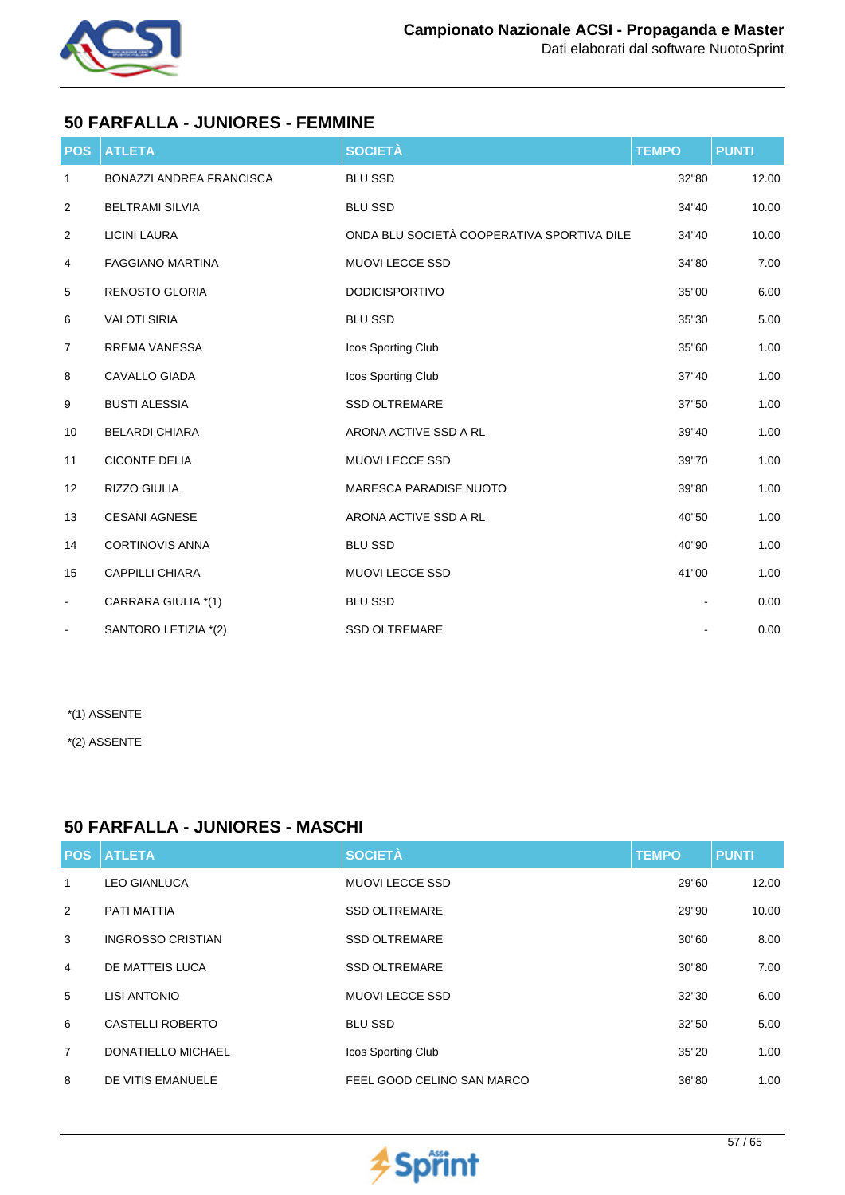

## **50 FARFALLA - JUNIORES - FEMMINE**

| <b>POS</b>     | <b>ATLETA</b>                   | <b>SOCIETÀ</b>                             | <b>TEMPO</b> | <b>PUNTI</b> |
|----------------|---------------------------------|--------------------------------------------|--------------|--------------|
| 1              | <b>BONAZZI ANDREA FRANCISCA</b> | <b>BLU SSD</b>                             | 32"80        | 12.00        |
| $\overline{2}$ | <b>BELTRAMI SILVIA</b>          | <b>BLU SSD</b>                             | 34"40        | 10.00        |
| $\overline{2}$ | <b>LICINI LAURA</b>             | ONDA BLU SOCIETÀ COOPERATIVA SPORTIVA DILE | 34"40        | 10.00        |
| 4              | <b>FAGGIANO MARTINA</b>         | <b>MUOVI LECCE SSD</b>                     | 34"80        | 7.00         |
| 5              | <b>RENOSTO GLORIA</b>           | <b>DODICISPORTIVO</b>                      | 35"00        | 6.00         |
| 6              | <b>VALOTI SIRIA</b>             | <b>BLU SSD</b>                             | 35"30        | 5.00         |
| $\overline{7}$ | <b>RREMA VANESSA</b>            | Icos Sporting Club                         | 35"60        | 1.00         |
| 8              | <b>CAVALLO GIADA</b>            | Icos Sporting Club                         | 37"40        | 1.00         |
| 9              | <b>BUSTI ALESSIA</b>            | <b>SSD OLTREMARE</b>                       | 37"50        | 1.00         |
| 10             | <b>BELARDI CHIARA</b>           | ARONA ACTIVE SSD A RL                      | 39"40        | 1.00         |
| 11             | <b>CICONTE DELIA</b>            | <b>MUOVI LECCE SSD</b>                     | 39"70        | 1.00         |
| 12             | RIZZO GIULIA                    | <b>MARESCA PARADISE NUOTO</b>              | 39"80        | 1.00         |
| 13             | <b>CESANI AGNESE</b>            | ARONA ACTIVE SSD A RL                      | 40"50        | 1.00         |
| 14             | <b>CORTINOVIS ANNA</b>          | <b>BLU SSD</b>                             | 40"90        | 1.00         |
| 15             | <b>CAPPILLI CHIARA</b>          | <b>MUOVI LECCE SSD</b>                     | 41"00        | 1.00         |
| $\blacksquare$ | CARRARA GIULIA *(1)             | <b>BLU SSD</b>                             |              | 0.00         |
| $\blacksquare$ | SANTORO LETIZIA *(2)            | <b>SSD OLTREMARE</b>                       |              | 0.00         |

\*(1) ASSENTE

\*(2) ASSENTE

## **50 FARFALLA - JUNIORES - MASCHI**

| <b>POS</b>     | <b>ATLETA</b>            | <b>SOCIETÀ</b>             | <b>TEMPO</b> | <b>PUNTI</b> |
|----------------|--------------------------|----------------------------|--------------|--------------|
| 1              | <b>LEO GIANLUCA</b>      | <b>MUOVI LECCE SSD</b>     | 29"60        | 12.00        |
| 2              | PATI MATTIA              | <b>SSD OLTREMARE</b>       | 29"90        | 10.00        |
| 3              | <b>INGROSSO CRISTIAN</b> | <b>SSD OLTREMARE</b>       | 30"60        | 8.00         |
| 4              | DE MATTEIS LUCA          | <b>SSD OLTREMARE</b>       | 30"80        | 7.00         |
| 5              | LISI ANTONIO             | <b>MUOVI LECCE SSD</b>     | 32"30        | 6.00         |
| 6              | <b>CASTELLI ROBERTO</b>  | <b>BLU SSD</b>             | 32"50        | 5.00         |
| $\overline{7}$ | DONATIELLO MICHAEL       | Icos Sporting Club         | 35"20        | 1.00         |
| 8              | DE VITIS EMANUELE        | FEEL GOOD CELINO SAN MARCO | 36"80        | 1.00         |

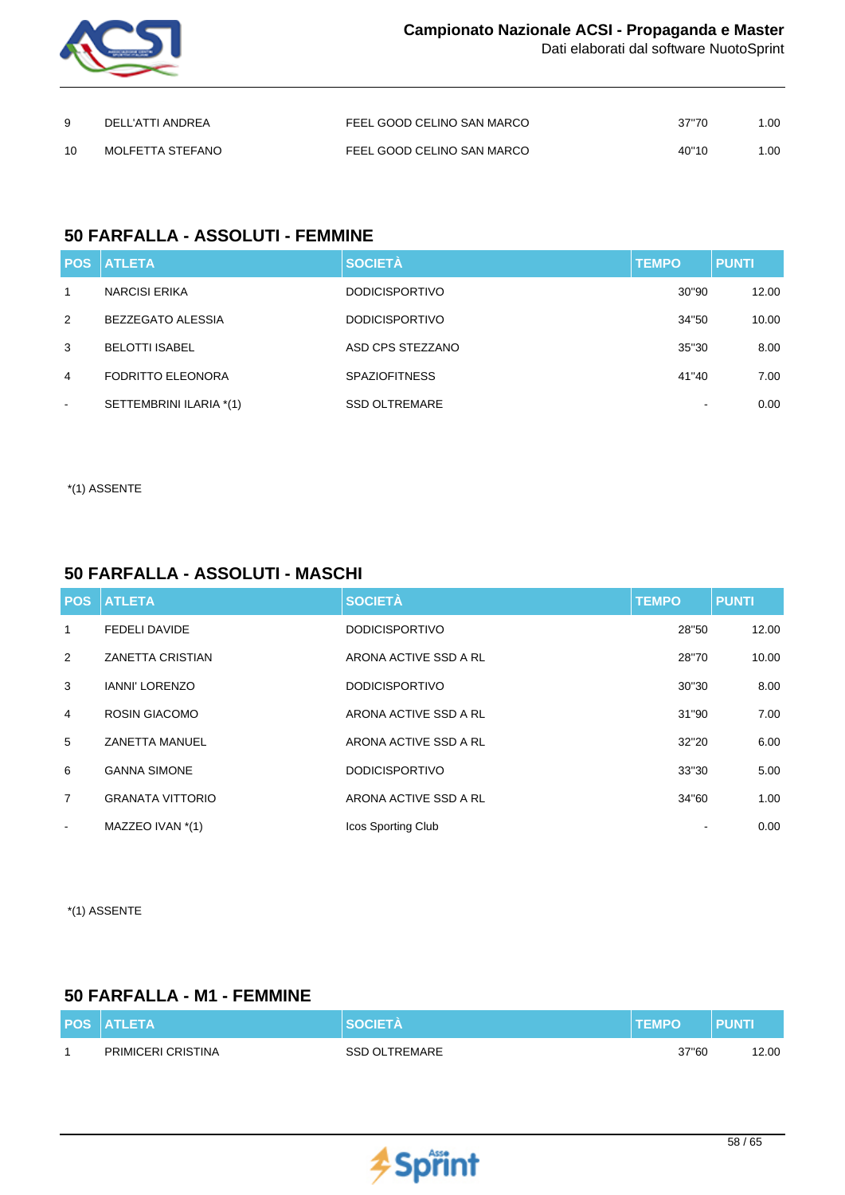

|     | DELL'ATTI ANDREA | FEEL GOOD CELINO SAN MARCO | 37"70 | 1.00 |
|-----|------------------|----------------------------|-------|------|
| 1 N | MOLFETTA STEFANO | FEEL GOOD CELINO SAN MARCO | 40"10 | 1.00 |

## **50 FARFALLA - ASSOLUTI - FEMMINE**

|                | <b>POS ATLETA</b>        | <b>SOCIETÀ</b>        | <b>TEMPO</b> | <b>PUNTI</b> |
|----------------|--------------------------|-----------------------|--------------|--------------|
| 1              | NARCISI ERIKA            | <b>DODICISPORTIVO</b> | 30"90        | 12.00        |
| 2              | <b>BEZZEGATO ALESSIA</b> | <b>DODICISPORTIVO</b> | 34"50        | 10.00        |
| 3              | <b>BELOTTI ISABEL</b>    | ASD CPS STEZZANO      | 35"30        | 8.00         |
| $\overline{4}$ | <b>FODRITTO ELEONORA</b> | <b>SPAZIOFITNESS</b>  | 41"40        | 7.00         |
| $\sim$         | SETTEMBRINI ILARIA *(1)  | <b>SSD OLTREMARE</b>  |              | 0.00         |

\*(1) ASSENTE

## **50 FARFALLA - ASSOLUTI - MASCHI**

|                          | <b>POS ATLETA</b>       | <b>SOCIETÀ</b>        | <b>TEMPO</b> | <b>PUNTI</b> |
|--------------------------|-------------------------|-----------------------|--------------|--------------|
| 1                        | <b>FEDELI DAVIDE</b>    | <b>DODICISPORTIVO</b> | 28"50        | 12.00        |
| 2                        | ZANETTA CRISTIAN        | ARONA ACTIVE SSD A RL | 28"70        | 10.00        |
| 3                        | <b>IANNI' LORENZO</b>   | <b>DODICISPORTIVO</b> | 30"30        | 8.00         |
| $\overline{4}$           | <b>ROSIN GIACOMO</b>    | ARONA ACTIVE SSD A RL | 31"90        | 7.00         |
| 5                        | <b>ZANETTA MANUEL</b>   | ARONA ACTIVE SSD A RL | 32"20        | 6.00         |
| 6                        | <b>GANNA SIMONE</b>     | <b>DODICISPORTIVO</b> | 33"30        | 5.00         |
| $\overline{7}$           | <b>GRANATA VITTORIO</b> | ARONA ACTIVE SSD A RL | 34"60        | 1.00         |
| $\overline{\phantom{a}}$ | MAZZEO IVAN *(1)        | Icos Sporting Club    |              | 0.00         |

\*(1) ASSENTE

## **50 FARFALLA - M1 - FEMMINE**

| <b>POS ATLETA</b>         | <b>SOCIETA</b>       | <b>TEMPO</b> | <b>PUNT</b> |
|---------------------------|----------------------|--------------|-------------|
| <b>PRIMICERI CRISTINA</b> | <b>SSD OLTREMARE</b> | 37"60        | 12.00       |

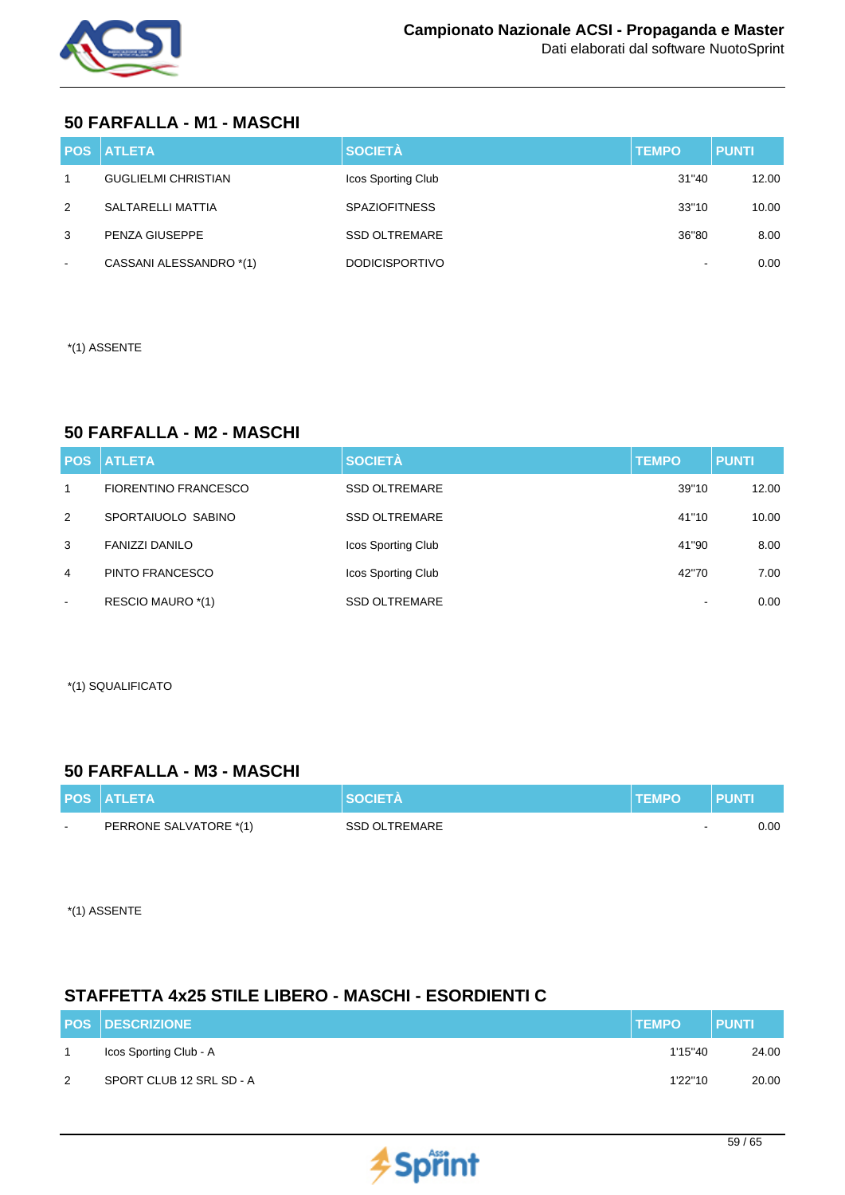

## **50 FARFALLA - M1 - MASCHI**

|                | <b>POS ATLETA</b>          | <b>SOCIETÀ</b>        | <b>TEMPO</b> | <b>PUNTI</b> |
|----------------|----------------------------|-----------------------|--------------|--------------|
| $\overline{1}$ | <b>GUGLIELMI CHRISTIAN</b> | Icos Sporting Club    | 31"40        | 12.00        |
| 2              | SALTARELLI MATTIA          | <b>SPAZIOFITNESS</b>  | 33"10        | 10.00        |
| 3              | PENZA GIUSEPPE             | <b>SSD OLTREMARE</b>  | 36"80        | 8.00         |
| $\sim$         | CASSANI ALESSANDRO *(1)    | <b>DODICISPORTIVO</b> |              | 0.00         |

\*(1) ASSENTE

## **50 FARFALLA - M2 - MASCHI**

| <b>POS</b>   | <b>ATLETA</b>               | <b>SOCIETÀ</b>       | <b>TEMPO</b> | <b>PUNTI</b> |
|--------------|-----------------------------|----------------------|--------------|--------------|
| $\mathbf{1}$ | <b>FIORENTINO FRANCESCO</b> | <b>SSD OLTREMARE</b> | 39"10        | 12.00        |
| 2            | SPORTAIUOLO SABINO          | <b>SSD OLTREMARE</b> | 41"10        | 10.00        |
| 3            | <b>FANIZZI DANILO</b>       | Icos Sporting Club   | 41"90        | 8.00         |
| 4            | PINTO FRANCESCO             | Icos Sporting Club   | 42"70        | 7.00         |
| $\sim$       | RESCIO MAURO *(1)           | <b>SSD OLTREMARE</b> | -            | 0.00         |

\*(1) SQUALIFICATO

## **50 FARFALLA - M3 - MASCHI**

|        | <b>POS ATLETA</b>      | <b>SOCIETA</b>       | <b>TEMPO</b>             | <b>PUNTI</b> |
|--------|------------------------|----------------------|--------------------------|--------------|
| $\sim$ | PERRONE SALVATORE *(1) | <b>SSD OLTREMARE</b> | $\overline{\phantom{a}}$ | 0.00         |

\*(1) ASSENTE

## **STAFFETTA 4x25 STILE LIBERO - MASCHI - ESORDIENTI C**

|   | <b>POS DESCRIZIONE</b>   | <b>TEMPO</b> | <b>PUNTI</b> |
|---|--------------------------|--------------|--------------|
|   | Icos Sporting Club - A   | 1'15''40     | 24.00        |
| 2 | SPORT CLUB 12 SRL SD - A | 1'22"10      | 20.00        |

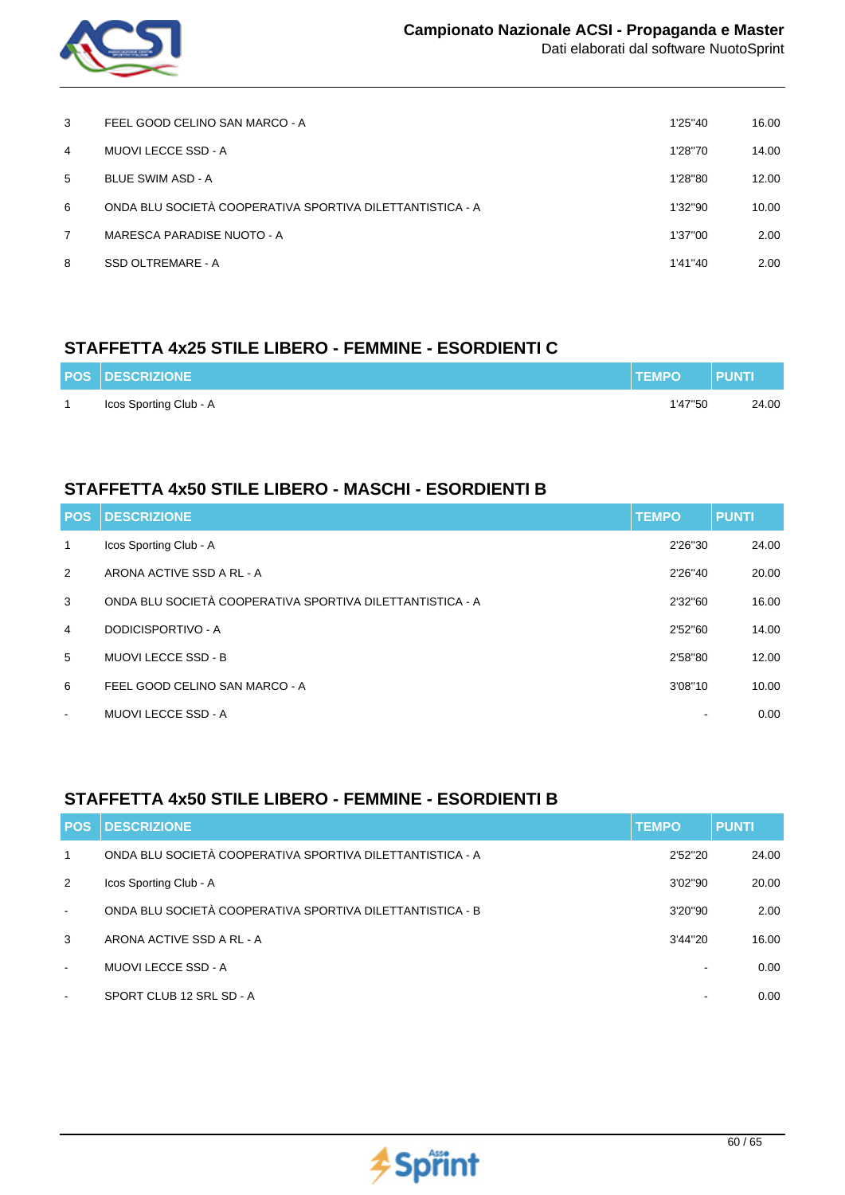

| 3              | FEEL GOOD CELINO SAN MARCO - A                            | 1'25"40 | 16.00 |
|----------------|-----------------------------------------------------------|---------|-------|
| $\overline{4}$ | MUOVI LECCE SSD - A                                       | 1'28"70 | 14.00 |
| 5              | <b>BLUE SWIM ASD - A</b>                                  | 1'28"80 | 12.00 |
| 6              | ONDA BLU SOCIETÀ COOPERATIVA SPORTIVA DILETTANTISTICA - A | 1'32"90 | 10.00 |
| 7              | MARESCA PARADISE NUOTO - A                                | 1'37"00 | 2.00  |
| 8              | SSD OLTREMARE - A                                         | 1'41"40 | 2.00  |

## **STAFFETTA 4x25 STILE LIBERO - FEMMINE - ESORDIENTI C**

| <b>POS DESCRIZIONE</b> | <b>TEMPO</b> | <b>PUNTI</b> |
|------------------------|--------------|--------------|
| Icos Sporting Club - A | 1'47"50      | 24.00        |

## **STAFFETTA 4x50 STILE LIBERO - MASCHI - ESORDIENTI B**

| <b>POS</b>     | <b>DESCRIZIONE</b>                                        | <b>TEMPO</b> | <b>PUNTI</b> |
|----------------|-----------------------------------------------------------|--------------|--------------|
| $\mathbf{1}$   | Icos Sporting Club - A                                    | 2'26"30      | 24.00        |
| 2              | ARONA ACTIVE SSD A RL - A                                 | 2'26"40      | 20.00        |
| 3              | ONDA BLU SOCIETÀ COOPERATIVA SPORTIVA DILETTANTISTICA - A | 2'32"60      | 16.00        |
| $\overline{4}$ | DODICISPORTIVO - A                                        | 2'52"60      | 14.00        |
| 5              | <b>MUOVI LECCE SSD - B</b>                                | 2'58"80      | 12.00        |
| 6              | FEEL GOOD CELINO SAN MARCO - A                            | 3'08"10      | 10.00        |
| $\blacksquare$ | <b>MUOVI LECCE SSD - A</b>                                |              | 0.00         |

## **STAFFETTA 4x50 STILE LIBERO - FEMMINE - ESORDIENTI B**

| <b>POS</b>               | <b>DESCRIZIONE</b>                                        | <b>TEMPO</b>             | <b>PUNTI</b> |
|--------------------------|-----------------------------------------------------------|--------------------------|--------------|
| 1                        | ONDA BLU SOCIETÀ COOPERATIVA SPORTIVA DILETTANTISTICA - A | 2'52"20                  | 24.00        |
| 2                        | Icos Sporting Club - A                                    | 3'02"90                  | 20.00        |
| $\blacksquare$           | ONDA BLU SOCIETÀ COOPERATIVA SPORTIVA DILETTANTISTICA - B | 3'20"90                  | 2.00         |
| 3                        | ARONA ACTIVE SSD A RL - A                                 | 3'44"20                  | 16.00        |
| $\overline{\phantom{a}}$ | MUOVI LECCE SSD - A                                       |                          | 0.00         |
| $\blacksquare$           | SPORT CLUB 12 SRL SD - A                                  | $\overline{\phantom{a}}$ | 0.00         |

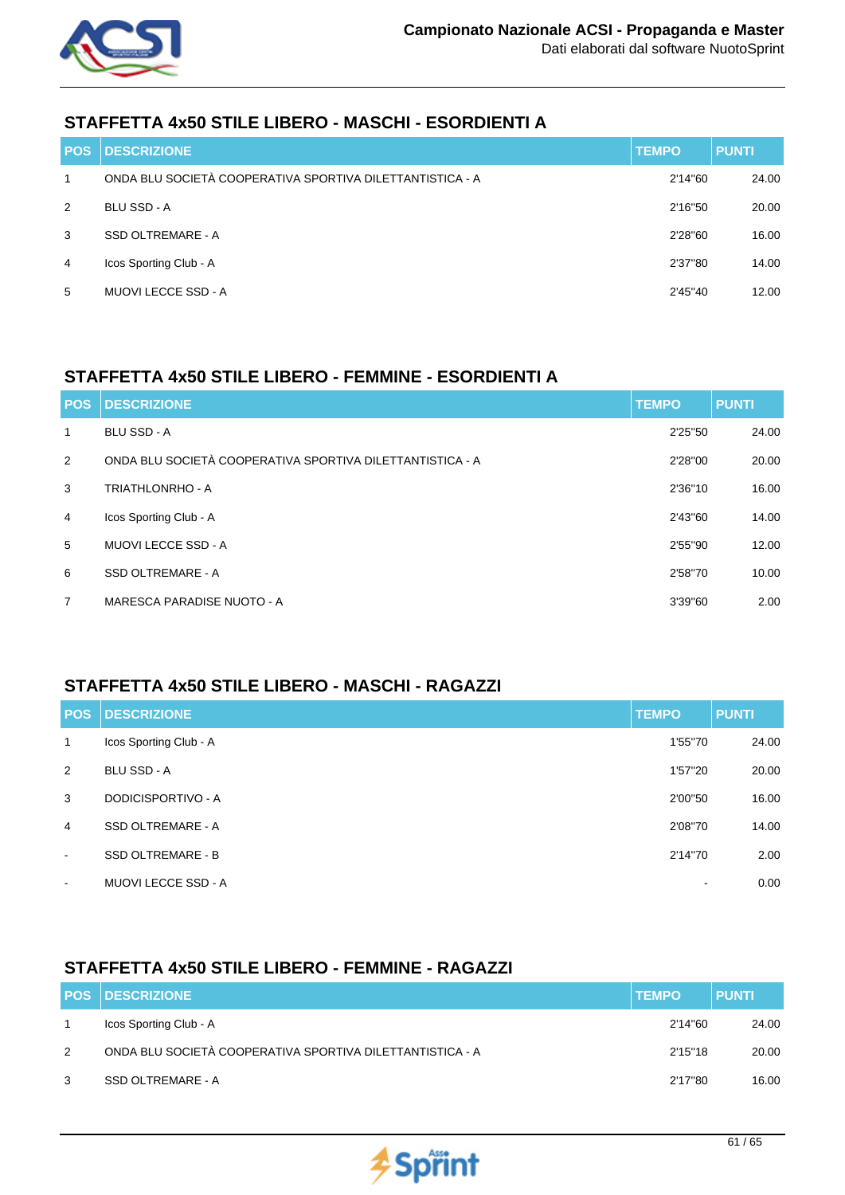

## **STAFFETTA 4x50 STILE LIBERO - MASCHI - ESORDIENTI A**

| <b>POS</b>     | <b>DESCRIZIONE</b>                                        | <b>TEMPO</b> | <b>PUNTI</b> |
|----------------|-----------------------------------------------------------|--------------|--------------|
| 1              | ONDA BLU SOCIETÀ COOPERATIVA SPORTIVA DILETTANTISTICA - A | 2'14"60      | 24.00        |
| 2              | <b>BLU SSD - A</b>                                        | 2'16"50      | 20.00        |
| 3              | <b>SSD OLTREMARE - A</b>                                  | 2'28"60      | 16.00        |
| $\overline{4}$ | Icos Sporting Club - A                                    | 2'37"80      | 14.00        |
| 5              | <b>MUOVI LECCE SSD - A</b>                                | 2'45"40      | 12.00        |

## **STAFFETTA 4x50 STILE LIBERO - FEMMINE - ESORDIENTI A**

| <b>POS</b>     | <b>DESCRIZIONE</b>                                        | <b>TEMPO</b> | <b>PUNTI</b> |
|----------------|-----------------------------------------------------------|--------------|--------------|
| 1              | <b>BLU SSD - A</b>                                        | 2'25"50      | 24.00        |
| 2              | ONDA BLU SOCIETÀ COOPERATIVA SPORTIVA DILETTANTISTICA - A | 2'28"00      | 20.00        |
| 3              | TRIATHLONRHO - A                                          | 2'36"10      | 16.00        |
| $\overline{4}$ | Icos Sporting Club - A                                    | 2'43"60      | 14.00        |
| 5              | <b>MUOVI LECCE SSD - A</b>                                | 2'55"90      | 12.00        |
| 6              | SSD OLTREMARE - A                                         | 2'58"70      | 10.00        |
| 7              | MARESCA PARADISE NUOTO - A                                | 3'39"60      | 2.00         |

### **STAFFETTA 4x50 STILE LIBERO - MASCHI - RAGAZZI**

| <b>POS</b>     | <b>DESCRIZIONE</b>         | <b>TEMPO</b>   | <b>PUNTI</b> |
|----------------|----------------------------|----------------|--------------|
| $\mathbf{1}$   | Icos Sporting Club - A     | 1'55"70        | 24.00        |
| 2              | <b>BLU SSD - A</b>         | 1'57"20        | 20.00        |
| 3              | DODICISPORTIVO - A         | 2'00"50        | 16.00        |
| $\overline{4}$ | SSD OLTREMARE - A          | 2'08"70        | 14.00        |
| $\blacksquare$ | <b>SSD OLTREMARE - B</b>   | 2'14"70        | 2.00         |
| $\blacksquare$ | <b>MUOVI LECCE SSD - A</b> | $\blacksquare$ | 0.00         |

### **STAFFETTA 4x50 STILE LIBERO - FEMMINE - RAGAZZI**

|   | <b>POS DESCRIZIONE</b>                                    | <b>TEMPO</b> | <b>PUNTI</b> |
|---|-----------------------------------------------------------|--------------|--------------|
|   | Icos Sporting Club - A                                    | 2'14"60      | 24.00        |
| 2 | ONDA BLU SOCIETÀ COOPERATIVA SPORTIVA DILETTANTISTICA - A | 2'15"18      | 20.00        |
| 3 | SSD OLTREMARE - A                                         | 2'17"80      | 16.00        |

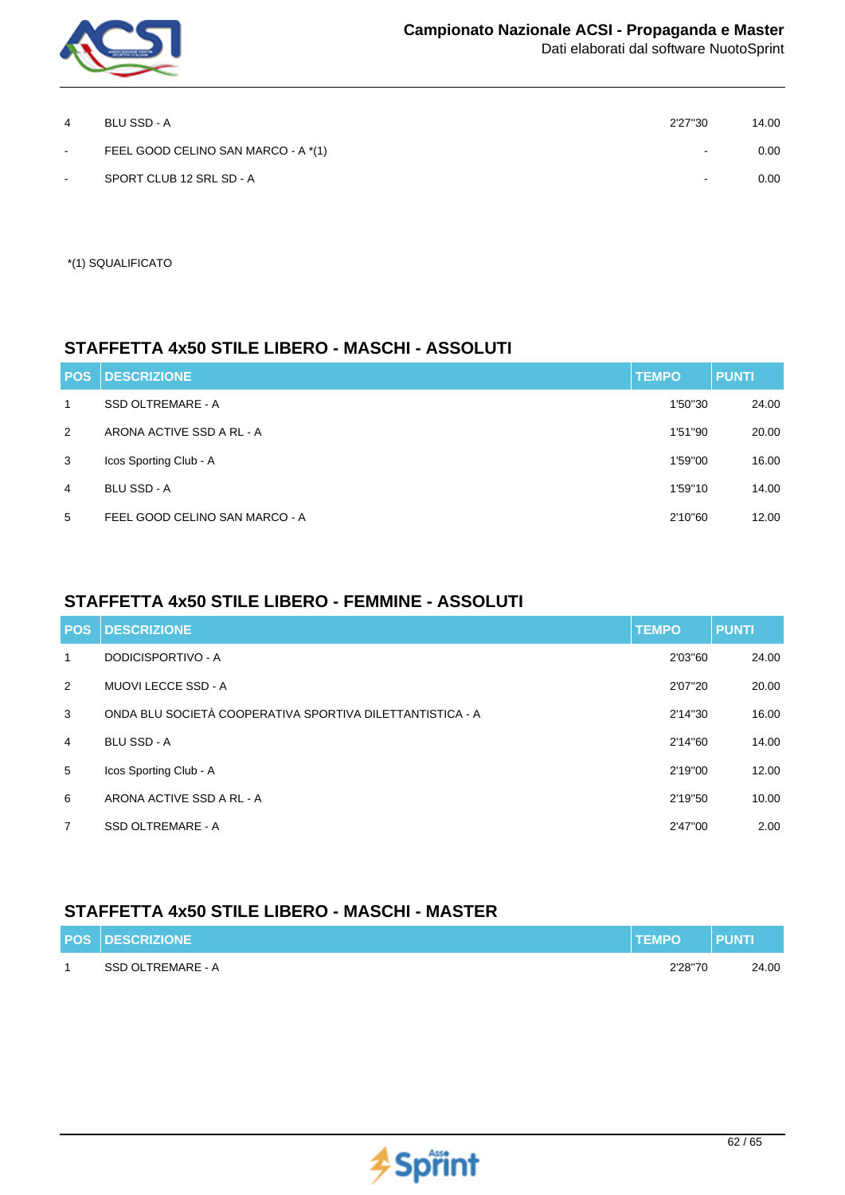

| 4      | BLU SSD - A                         | 2'27"30                  | 14.00 |
|--------|-------------------------------------|--------------------------|-------|
| $\sim$ | FEEL GOOD CELINO SAN MARCO - A *(1) | $\overline{\phantom{a}}$ | 0.00  |
| $\sim$ | SPORT CLUB 12 SRL SD - A            |                          | 0.00  |

\*(1) SQUALIFICATO

### **STAFFETTA 4x50 STILE LIBERO - MASCHI - ASSOLUTI**

| <b>POS</b>     | <b>DESCRIZIONE</b>             | <b>TEMPO</b> | <b>PUNTI</b> |
|----------------|--------------------------------|--------------|--------------|
| $\mathbf 1$    | SSD OLTREMARE - A              | 1'50"30      | 24.00        |
| 2              | ARONA ACTIVE SSD A RL - A      | 1'51"90      | 20.00        |
| 3              | Icos Sporting Club - A         | 1'59"00      | 16.00        |
| $\overline{4}$ | <b>BLU SSD - A</b>             | 1'59"10      | 14.00        |
| 5              | FEEL GOOD CELINO SAN MARCO - A | 2'10"60      | 12.00        |

## **STAFFETTA 4x50 STILE LIBERO - FEMMINE - ASSOLUTI**

| <b>POS</b>     | <b>DESCRIZIONE</b>                                        | <b>TEMPO</b> | <b>PUNTI</b> |
|----------------|-----------------------------------------------------------|--------------|--------------|
| 1              | DODICISPORTIVO - A                                        | 2'03"60      | 24.00        |
| 2              | <b>MUOVI LECCE SSD - A</b>                                | 2'07"20      | 20.00        |
| 3              | ONDA BLU SOCIETÀ COOPERATIVA SPORTIVA DILETTANTISTICA - A | 2'14"30      | 16.00        |
| $\overline{4}$ | <b>BLU SSD - A</b>                                        | 2'14"60      | 14.00        |
| 5              | Icos Sporting Club - A                                    | 2'19"00      | 12.00        |
| 6              | ARONA ACTIVE SSD A RL - A                                 | 2'19"50      | 10.00        |
| $\overline{7}$ | SSD OLTREMARE - A                                         | 2'47"00      | 2.00         |

### **STAFFETTA 4x50 STILE LIBERO - MASCHI - MASTER**

| <b>POS DESCRIZIONE</b> | <b>TEMPO</b> | PUNT  |
|------------------------|--------------|-------|
| SSD OLTREMARE - A      | 2'28"70      | 24.00 |

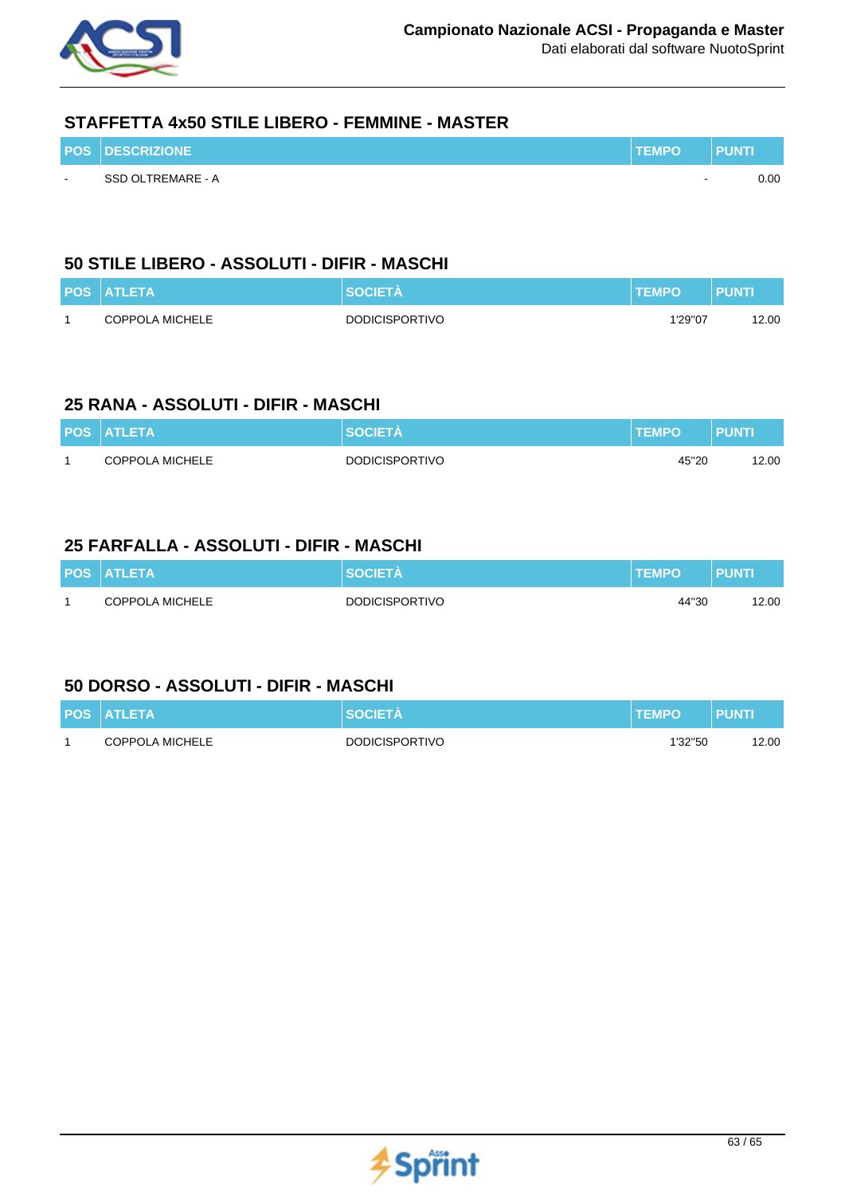

### **STAFFETTA 4x50 STILE LIBERO - FEMMINE - MASTER**

|        | <b>POS DESCRIZIONE</b> | <b>TEMPO</b> | PUNTI |
|--------|------------------------|--------------|-------|
| $\sim$ | SSD OLTREMARE - A      | $\sim$       | 0.00  |

## **50 STILE LIBERO - ASSOLUTI - DIFIR - MASCHI**

| <b>POS ATLETA</b> | <b>SOCIETA</b>        | <b>TEMPO</b> | <b>PUNTI</b> |
|-------------------|-----------------------|--------------|--------------|
| COPPOLA MICHELE   | <b>DODICISPORTIVO</b> | 1'29"07      | 12.00        |

### **25 RANA - ASSOLUTI - DIFIR - MASCHI**

| <b>POS ATLETA</b> | <b>SOCIETA</b>        | <b>TEMPO</b> | <b>PUNT</b> |
|-------------------|-----------------------|--------------|-------------|
| COPPOLA MICHELE   | <b>DODICISPORTIVO</b> | 45"20        | 12.00       |

### **25 FARFALLA - ASSOLUTI - DIFIR - MASCHI**

| <b>POS ATLETA</b> | <b>SOCIETA</b>        | <b>TEMPO</b> | <b>PUNTI</b> |
|-------------------|-----------------------|--------------|--------------|
| COPPOLA MICHELE   | <b>DODICISPORTIVO</b> | 44"30        | 12.00        |

### **50 DORSO - ASSOLUTI - DIFIR - MASCHI**

| <b>POS ATLETA</b>      | SOCIETA               | <b>TEMPO</b> | <b>PUNTI</b> |
|------------------------|-----------------------|--------------|--------------|
| <b>COPPOLA MICHELE</b> | <b>DODICISPORTIVO</b> | 1'32"50      | 12.00        |

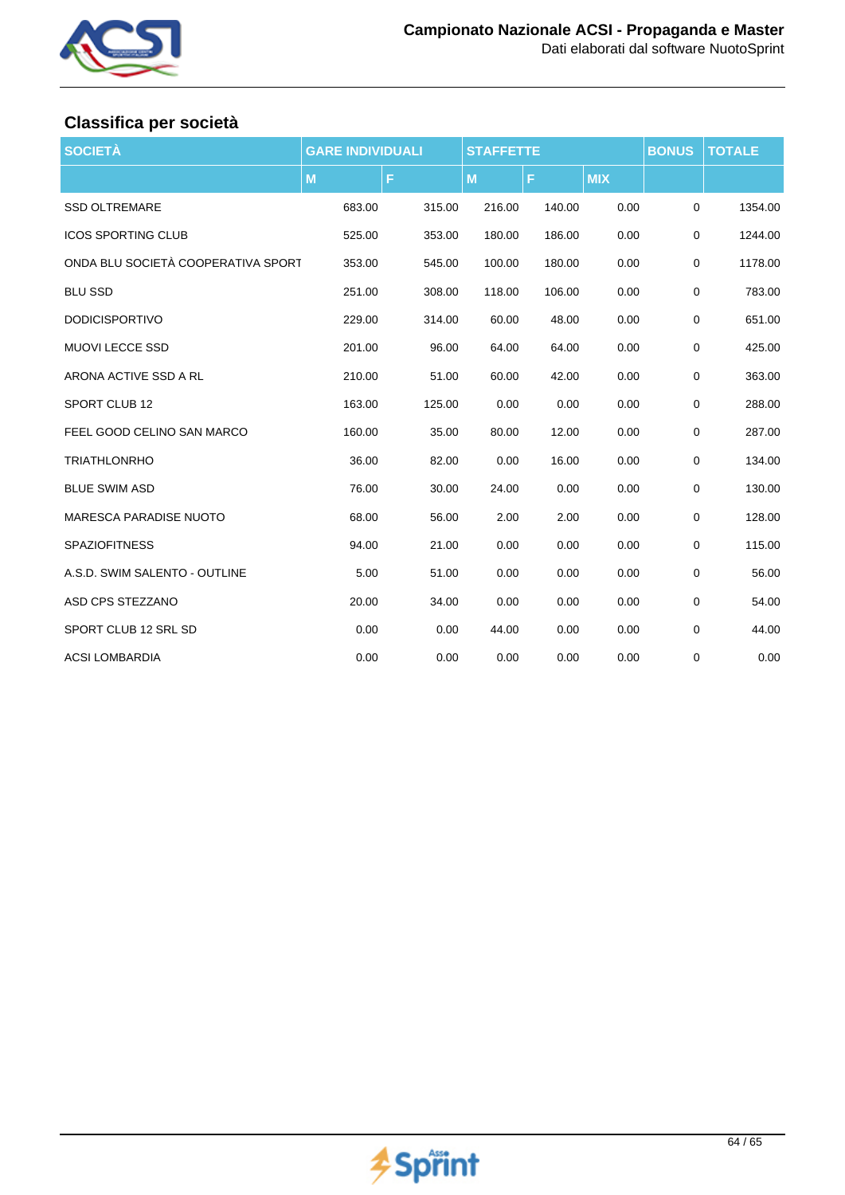

## **Classifica per società**

| <b>SOCIETÀ</b>                     | <b>GARE INDIVIDUALI</b> |        | <b>STAFFETTE</b> |        | <b>BONUS</b> | <b>TOTALE</b> |         |
|------------------------------------|-------------------------|--------|------------------|--------|--------------|---------------|---------|
|                                    | M                       | F      | M                | F      | <b>MIX</b>   |               |         |
| <b>SSD OLTREMARE</b>               | 683.00                  | 315.00 | 216.00           | 140.00 | 0.00         | 0             | 1354.00 |
| <b>ICOS SPORTING CLUB</b>          | 525.00                  | 353.00 | 180.00           | 186.00 | 0.00         | 0             | 1244.00 |
| ONDA BLU SOCIETÀ COOPERATIVA SPORT | 353.00                  | 545.00 | 100.00           | 180.00 | 0.00         | 0             | 1178.00 |
| <b>BLU SSD</b>                     | 251.00                  | 308.00 | 118.00           | 106.00 | 0.00         | 0             | 783.00  |
| <b>DODICISPORTIVO</b>              | 229.00                  | 314.00 | 60.00            | 48.00  | 0.00         | 0             | 651.00  |
| <b>MUOVI LECCE SSD</b>             | 201.00                  | 96.00  | 64.00            | 64.00  | 0.00         | 0             | 425.00  |
| ARONA ACTIVE SSD A RL              | 210.00                  | 51.00  | 60.00            | 42.00  | 0.00         | 0             | 363.00  |
| SPORT CLUB 12                      | 163.00                  | 125.00 | 0.00             | 0.00   | 0.00         | 0             | 288.00  |
| FEEL GOOD CELINO SAN MARCO         | 160.00                  | 35.00  | 80.00            | 12.00  | 0.00         | 0             | 287.00  |
| <b>TRIATHLONRHO</b>                | 36.00                   | 82.00  | 0.00             | 16.00  | 0.00         | 0             | 134.00  |
| <b>BLUE SWIM ASD</b>               | 76.00                   | 30.00  | 24.00            | 0.00   | 0.00         | 0             | 130.00  |
| <b>MARESCA PARADISE NUOTO</b>      | 68.00                   | 56.00  | 2.00             | 2.00   | 0.00         | 0             | 128.00  |
| <b>SPAZIOFITNESS</b>               | 94.00                   | 21.00  | 0.00             | 0.00   | 0.00         | $\mathbf 0$   | 115.00  |
| A.S.D. SWIM SALENTO - OUTLINE      | 5.00                    | 51.00  | 0.00             | 0.00   | 0.00         | $\mathbf 0$   | 56.00   |
| ASD CPS STEZZANO                   | 20.00                   | 34.00  | 0.00             | 0.00   | 0.00         | $\mathbf 0$   | 54.00   |
| SPORT CLUB 12 SRL SD               | 0.00                    | 0.00   | 44.00            | 0.00   | 0.00         | 0             | 44.00   |
| <b>ACSI LOMBARDIA</b>              | 0.00                    | 0.00   | 0.00             | 0.00   | 0.00         | 0             | 0.00    |